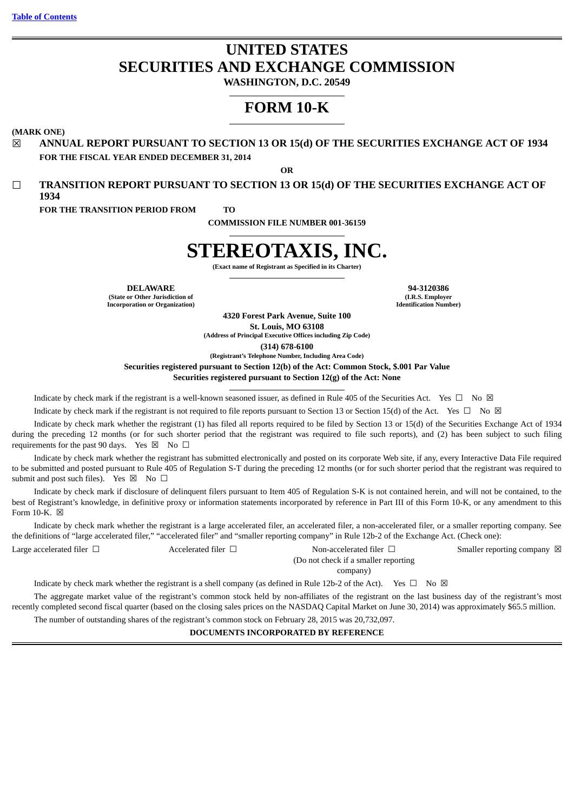# **UNITED STATES SECURITIES AND EXCHANGE COMMISSION**

**WASHINGTON, D.C. 20549**

# **FORM 10-K**

**(MARK ONE)**

☒ **ANNUAL REPORT PURSUANT TO SECTION 13 OR 15(d) OF THE SECURITIES EXCHANGE ACT OF 1934 FOR THE FISCAL YEAR ENDED DECEMBER 31, 2014**

**OR**

☐ **TRANSITION REPORT PURSUANT TO SECTION 13 OR 15(d) OF THE SECURITIES EXCHANGE ACT OF 1934**

**FOR THE TRANSITION PERIOD FROM TO** 

**COMMISSION FILE NUMBER 001-36159**

# **STEREOTAXIS, INC.**

**(Exact name of Registrant as Specified in its Charter)**

**DELAWARE 94-3120386 (State or Other Jurisdiction of Incorporation or Organization)**

**(I.R.S. Employer Identification Number)**

**4320 Forest Park Avenue, Suite 100 St. Louis, MO 63108**

**(Address of Principal Executive Offices including Zip Code)**

**(314) 678-6100**

**(Registrant's Telephone Number, Including Area Code)**

**Securities registered pursuant to Section 12(b) of the Act: Common Stock, \$.001 Par Value**

**Securities registered pursuant to Section 12(g) of the Act: None**

Indicate by check mark if the registrant is a well-known seasoned issuer, as defined in Rule 405 of the Securities Act. Yes  $\Box$  No  $\boxtimes$ 

Indicate by check mark if the registrant is not required to file reports pursuant to Section 13 or Section 15(d) of the Act. Yes  $\Box$  No  $\boxtimes$ 

Indicate by check mark whether the registrant (1) has filed all reports required to be filed by Section 13 or 15(d) of the Securities Exchange Act of 1934 during the preceding 12 months (or for such shorter period that the registrant was required to file such reports), and (2) has been subject to such filing requirements for the past 90 days. Yes  $\boxtimes$  No  $\Box$ 

Indicate by check mark whether the registrant has submitted electronically and posted on its corporate Web site, if any, every Interactive Data File required to be submitted and posted pursuant to Rule 405 of Regulation S-T during the preceding 12 months (or for such shorter period that the registrant was required to submit and post such files). Yes  $\boxtimes$  No  $\Box$ 

Indicate by check mark if disclosure of delinquent filers pursuant to Item 405 of Regulation S-K is not contained herein, and will not be contained, to the best of Registrant's knowledge, in definitive proxy or information statements incorporated by reference in Part III of this Form 10-K, or any amendment to this Form 10-K.  $\boxtimes$ 

Indicate by check mark whether the registrant is a large accelerated filer, an accelerated filer, a non-accelerated filer, or a smaller reporting company. See the definitions of "large accelerated filer," "accelerated filer" and "smaller reporting company" in Rule 12b-2 of the Exchange Act. (Check one):

| Large accelerated filer $\Box$ | Accelerated filer $\Box$                                                                                | Non-accelerated filer $\Box$          |                                                | Smaller reporting company $\boxtimes$ |
|--------------------------------|---------------------------------------------------------------------------------------------------------|---------------------------------------|------------------------------------------------|---------------------------------------|
|                                |                                                                                                         | (Do not check if a smaller reporting) |                                                |                                       |
|                                |                                                                                                         | company)                              |                                                |                                       |
|                                | Indicate by check mark whether the registrant is a shell company (as defined in Pule 12b, 2 of the Act) |                                       | $V_{\alpha c}$ $\Box$ $N_{\alpha}$ $\boxtimes$ |                                       |

Indicate by check mark whether the registrant is a shell company (as defined in Rule 12b-2 of the Act). Yes  $\Box$  No  $\boxtimes$ 

The aggregate market value of the registrant's common stock held by non-affiliates of the registrant on the last business day of the registrant's most recently completed second fiscal quarter (based on the closing sales prices on the NASDAQ Capital Market on June 30, 2014) was approximately \$65.5 million.

The number of outstanding shares of the registrant's common stock on February 28, 2015 was 20,732,097.

# **DOCUMENTS INCORPORATED BY REFERENCE**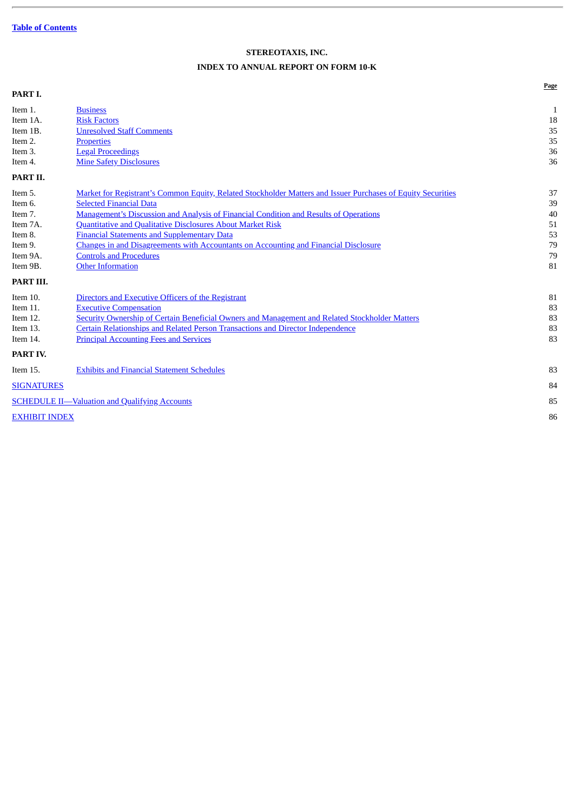# **STEREOTAXIS, INC.**

# **INDEX TO ANNUAL REPORT ON FORM 10-K**

**Page**

<span id="page-1-0"></span>

| PART I.                                                                                 |                                                                                                                                                                                                                                                                                                                                                                                                                                                                                                                                 |                                              |  |
|-----------------------------------------------------------------------------------------|---------------------------------------------------------------------------------------------------------------------------------------------------------------------------------------------------------------------------------------------------------------------------------------------------------------------------------------------------------------------------------------------------------------------------------------------------------------------------------------------------------------------------------|----------------------------------------------|--|
| Item 1.<br>Item 1A.<br>Item 1B.<br>Item 2.<br>Item 3.<br>Item 4.                        | <b>Business</b><br><b>Risk Factors</b><br><b>Unresolved Staff Comments</b><br><b>Properties</b><br><b>Legal Proceedings</b><br><b>Mine Safety Disclosures</b>                                                                                                                                                                                                                                                                                                                                                                   | $\mathbf{1}$<br>18<br>35<br>35<br>36<br>36   |  |
| PART II.                                                                                |                                                                                                                                                                                                                                                                                                                                                                                                                                                                                                                                 |                                              |  |
| Item 5.<br>Item 6.<br>Item 7.<br>Item 7A.<br>Item 8.<br>Item 9.<br>Item 9A.<br>Item 9B. | Market for Registrant's Common Equity, Related Stockholder Matters and Issuer Purchases of Equity Securities<br><b>Selected Financial Data</b><br><b>Management's Discussion and Analysis of Financial Condition and Results of Operations</b><br><b>Quantitative and Qualitative Disclosures About Market Risk</b><br><b>Financial Statements and Supplementary Data</b><br>Changes in and Disagreements with Accountants on Accounting and Financial Disclosure<br><b>Controls and Procedures</b><br><b>Other Information</b> | 37<br>39<br>40<br>51<br>53<br>79<br>79<br>81 |  |
| PART III.                                                                               |                                                                                                                                                                                                                                                                                                                                                                                                                                                                                                                                 |                                              |  |
| Item 10.<br>Item 11.<br>Item 12.<br>Item 13.<br>Item 14.                                | Directors and Executive Officers of the Registrant<br><b>Executive Compensation</b><br>Security Ownership of Certain Beneficial Owners and Management and Related Stockholder Matters<br><b>Certain Relationships and Related Person Transactions and Director Independence</b><br><b>Principal Accounting Fees and Services</b>                                                                                                                                                                                                | 81<br>83<br>83<br>83<br>83                   |  |
| PART IV.                                                                                |                                                                                                                                                                                                                                                                                                                                                                                                                                                                                                                                 |                                              |  |
| Item 15.<br><b>SIGNATURES</b>                                                           | <b>Exhibits and Financial Statement Schedules</b>                                                                                                                                                                                                                                                                                                                                                                                                                                                                               | 83<br>84                                     |  |
|                                                                                         | <b>SCHEDULE II-Valuation and Qualifying Accounts</b>                                                                                                                                                                                                                                                                                                                                                                                                                                                                            |                                              |  |
| <b>EXHIBIT INDEX</b>                                                                    |                                                                                                                                                                                                                                                                                                                                                                                                                                                                                                                                 | 86                                           |  |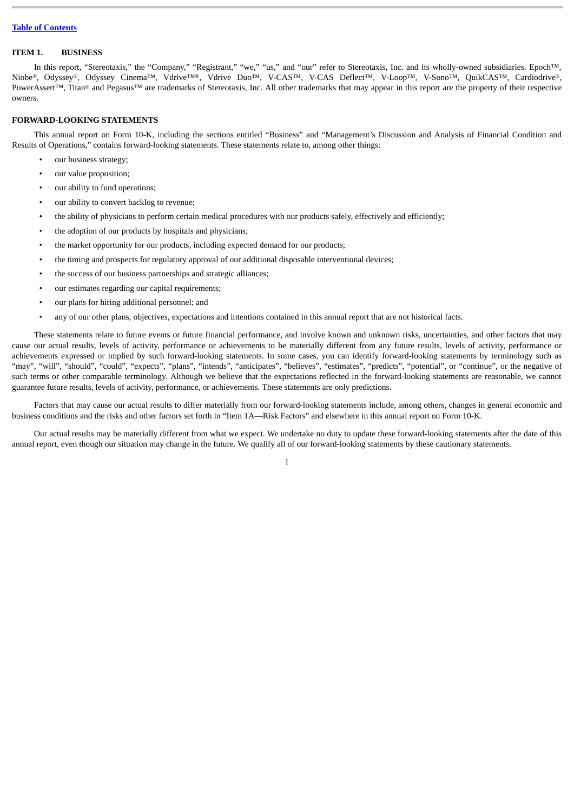# <span id="page-2-0"></span>**ITEM 1. BUSINESS**

In this report, "Stereotaxis," the "Company," "Registrant," "we," "us," and "our" refer to Stereotaxis, Inc. and its wholly-owned subsidiaries. Epoch™, Niobe®, Odyssey®, Odyssey Cinema™, Vdrive™®, Vdrive Duo™, V-CAS™, V-CAS Deflect™, V-Loop™, V-Sono™, QuikCAS™, Cardiodrive®, PowerAssert™, Titan® and Pegasus™ are trademarks of Stereotaxis, Inc. All other trademarks that may appear in this report are the property of their respective owners.

# **FORWARD-LOOKING STATEMENTS**

This annual report on Form 10-K, including the sections entitled "Business" and "Management's Discussion and Analysis of Financial Condition and Results of Operations," contains forward-looking statements. These statements relate to, among other things:

- our business strategy;
- our value proposition;
- our ability to fund operations;
- our ability to convert backlog to revenue;
- the ability of physicians to perform certain medical procedures with our products safely, effectively and efficiently;
- the adoption of our products by hospitals and physicians;
- the market opportunity for our products, including expected demand for our products;
- the timing and prospects for regulatory approval of our additional disposable interventional devices;
- the success of our business partnerships and strategic alliances;
- our estimates regarding our capital requirements;
- our plans for hiring additional personnel; and
- any of our other plans, objectives, expectations and intentions contained in this annual report that are not historical facts.

These statements relate to future events or future financial performance, and involve known and unknown risks, uncertainties, and other factors that may cause our actual results, levels of activity, performance or achievements to be materially different from any future results, levels of activity, performance or achievements expressed or implied by such forward-looking statements. In some cases, you can identify forward-looking statements by terminology such as "may", "will", "should", "could", "expects", "plans", "intends", "anticipates", "believes", "estimates", "predicts", "potential", or "continue", or the negative of such terms or other comparable terminology. Although we believe that the expectations reflected in the forward-looking statements are reasonable, we cannot guarantee future results, levels of activity, performance, or achievements. These statements are only predictions.

Factors that may cause our actual results to differ materially from our forward-looking statements include, among others, changes in general economic and business conditions and the risks and other factors set forth in "Item 1A—Risk Factors" and elsewhere in this annual report on Form 10-K.

Our actual results may be materially different from what we expect. We undertake no duty to update these forward-looking statements after the date of this annual report, even though our situation may change in the future. We qualify all of our forward-looking statements by these cautionary statements.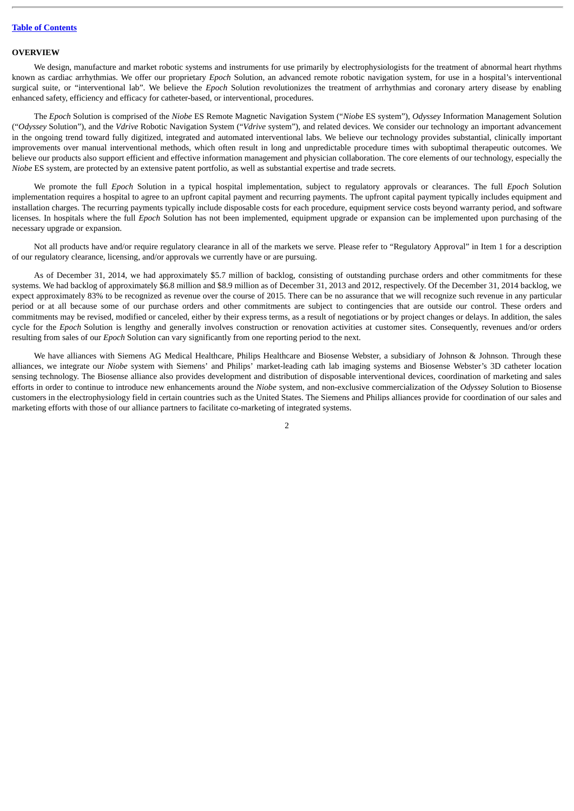# **OVERVIEW**

We design, manufacture and market robotic systems and instruments for use primarily by electrophysiologists for the treatment of abnormal heart rhythms known as cardiac arrhythmias. We offer our proprietary *Epoch* Solution, an advanced remote robotic navigation system, for use in a hospital's interventional surgical suite, or "interventional lab". We believe the *Epoch* Solution revolutionizes the treatment of arrhythmias and coronary artery disease by enabling enhanced safety, efficiency and efficacy for catheter-based, or interventional, procedures.

The *Epoch* Solution is comprised of the *Niobe* ES Remote Magnetic Navigation System ("*Niobe* ES system"), *Odyssey* Information Management Solution ("*Odyssey* Solution"), and the *Vdrive* Robotic Navigation System ("*Vdrive* system"), and related devices. We consider our technology an important advancement in the ongoing trend toward fully digitized, integrated and automated interventional labs. We believe our technology provides substantial, clinically important improvements over manual interventional methods, which often result in long and unpredictable procedure times with suboptimal therapeutic outcomes. We believe our products also support efficient and effective information management and physician collaboration. The core elements of our technology, especially the *Niobe* ES system, are protected by an extensive patent portfolio, as well as substantial expertise and trade secrets.

We promote the full *Epoch* Solution in a typical hospital implementation, subject to regulatory approvals or clearances. The full *Epoch* Solution implementation requires a hospital to agree to an upfront capital payment and recurring payments. The upfront capital payment typically includes equipment and installation charges. The recurring payments typically include disposable costs for each procedure, equipment service costs beyond warranty period, and software licenses. In hospitals where the full *Epoch* Solution has not been implemented, equipment upgrade or expansion can be implemented upon purchasing of the necessary upgrade or expansion.

Not all products have and/or require regulatory clearance in all of the markets we serve. Please refer to "Regulatory Approval" in Item 1 for a description of our regulatory clearance, licensing, and/or approvals we currently have or are pursuing.

As of December 31, 2014, we had approximately \$5.7 million of backlog, consisting of outstanding purchase orders and other commitments for these systems. We had backlog of approximately \$6.8 million and \$8.9 million as of December 31, 2013 and 2012, respectively. Of the December 31, 2014 backlog, we expect approximately 83% to be recognized as revenue over the course of 2015. There can be no assurance that we will recognize such revenue in any particular period or at all because some of our purchase orders and other commitments are subject to contingencies that are outside our control. These orders and commitments may be revised, modified or canceled, either by their express terms, as a result of negotiations or by project changes or delays. In addition, the sales cycle for the *Epoch* Solution is lengthy and generally involves construction or renovation activities at customer sites. Consequently, revenues and/or orders resulting from sales of our *Epoch* Solution can vary significantly from one reporting period to the next.

We have alliances with Siemens AG Medical Healthcare, Philips Healthcare and Biosense Webster, a subsidiary of Johnson & Johnson. Through these alliances, we integrate our *Niobe* system with Siemens' and Philips' market-leading cath lab imaging systems and Biosense Webster's 3D catheter location sensing technology. The Biosense alliance also provides development and distribution of disposable interventional devices, coordination of marketing and sales efforts in order to continue to introduce new enhancements around the *Niobe* system, and non-exclusive commercialization of the *Odyssey* Solution to Biosense customers in the electrophysiology field in certain countries such as the United States. The Siemens and Philips alliances provide for coordination of our sales and marketing efforts with those of our alliance partners to facilitate co-marketing of integrated systems.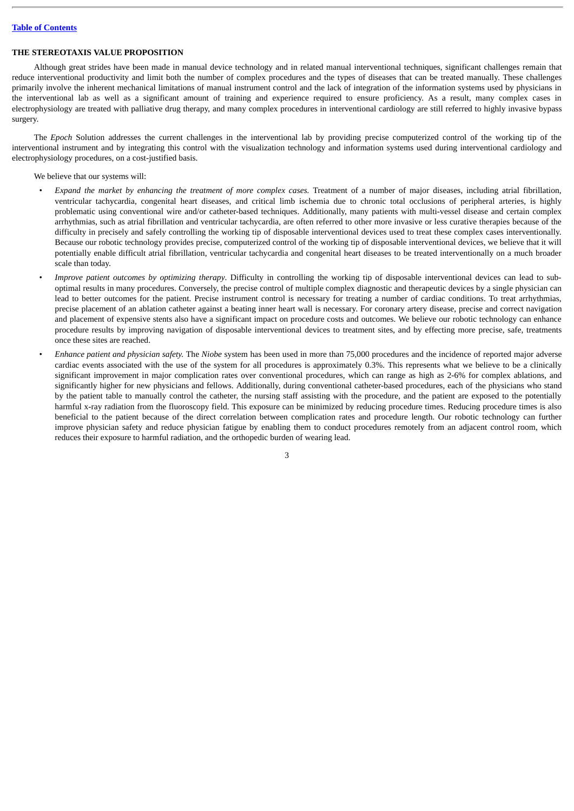# **THE STEREOTAXIS VALUE PROPOSITION**

Although great strides have been made in manual device technology and in related manual interventional techniques, significant challenges remain that reduce interventional productivity and limit both the number of complex procedures and the types of diseases that can be treated manually. These challenges primarily involve the inherent mechanical limitations of manual instrument control and the lack of integration of the information systems used by physicians in the interventional lab as well as a significant amount of training and experience required to ensure proficiency. As a result, many complex cases in electrophysiology are treated with palliative drug therapy, and many complex procedures in interventional cardiology are still referred to highly invasive bypass surgery.

The *Epoch* Solution addresses the current challenges in the interventional lab by providing precise computerized control of the working tip of the interventional instrument and by integrating this control with the visualization technology and information systems used during interventional cardiology and electrophysiology procedures, on a cost-justified basis.

We believe that our systems will:

- *Expand the market by enhancing the treatment of more complex cases.* Treatment of a number of major diseases, including atrial fibrillation, ventricular tachycardia, congenital heart diseases, and critical limb ischemia due to chronic total occlusions of peripheral arteries, is highly problematic using conventional wire and/or catheter-based techniques. Additionally, many patients with multi-vessel disease and certain complex arrhythmias, such as atrial fibrillation and ventricular tachycardia, are often referred to other more invasive or less curative therapies because of the difficulty in precisely and safely controlling the working tip of disposable interventional devices used to treat these complex cases interventionally. Because our robotic technology provides precise, computerized control of the working tip of disposable interventional devices, we believe that it will potentially enable difficult atrial fibrillation, ventricular tachycardia and congenital heart diseases to be treated interventionally on a much broader scale than today.
- *Improve patient outcomes by optimizing therapy*. Difficulty in controlling the working tip of disposable interventional devices can lead to suboptimal results in many procedures. Conversely, the precise control of multiple complex diagnostic and therapeutic devices by a single physician can lead to better outcomes for the patient. Precise instrument control is necessary for treating a number of cardiac conditions. To treat arrhythmias, precise placement of an ablation catheter against a beating inner heart wall is necessary. For coronary artery disease, precise and correct navigation and placement of expensive stents also have a significant impact on procedure costs and outcomes. We believe our robotic technology can enhance procedure results by improving navigation of disposable interventional devices to treatment sites, and by effecting more precise, safe, treatments once these sites are reached.
- *Enhance patient and physician safety.* The *Niobe* system has been used in more than 75,000 procedures and the incidence of reported major adverse cardiac events associated with the use of the system for all procedures is approximately 0.3%. This represents what we believe to be a clinically significant improvement in major complication rates over conventional procedures, which can range as high as 2-6% for complex ablations, and significantly higher for new physicians and fellows. Additionally, during conventional catheter-based procedures, each of the physicians who stand by the patient table to manually control the catheter, the nursing staff assisting with the procedure, and the patient are exposed to the potentially harmful x-ray radiation from the fluoroscopy field. This exposure can be minimized by reducing procedure times. Reducing procedure times is also beneficial to the patient because of the direct correlation between complication rates and procedure length. Our robotic technology can further improve physician safety and reduce physician fatigue by enabling them to conduct procedures remotely from an adjacent control room, which reduces their exposure to harmful radiation, and the orthopedic burden of wearing lead.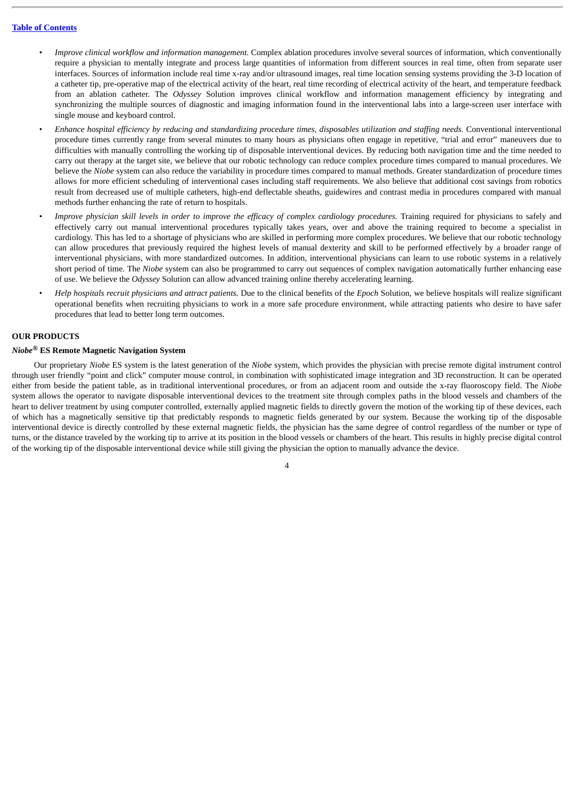- *Improve clinical workflow and information management.* Complex ablation procedures involve several sources of information, which conventionally require a physician to mentally integrate and process large quantities of information from different sources in real time, often from separate user interfaces. Sources of information include real time x-ray and/or ultrasound images, real time location sensing systems providing the 3-D location of a catheter tip, pre-operative map of the electrical activity of the heart, real time recording of electrical activity of the heart, and temperature feedback from an ablation catheter. The *Odyssey* Solution improves clinical workflow and information management efficiency by integrating and synchronizing the multiple sources of diagnostic and imaging information found in the interventional labs into a large-screen user interface with single mouse and keyboard control.
- *Enhance hospital efficiency by reducing and standardizing procedure times, disposables utilization and staffing needs.* Conventional interventional procedure times currently range from several minutes to many hours as physicians often engage in repetitive, "trial and error" maneuvers due to difficulties with manually controlling the working tip of disposable interventional devices. By reducing both navigation time and the time needed to carry out therapy at the target site, we believe that our robotic technology can reduce complex procedure times compared to manual procedures. We believe the *Niobe* system can also reduce the variability in procedure times compared to manual methods. Greater standardization of procedure times allows for more efficient scheduling of interventional cases including staff requirements. We also believe that additional cost savings from robotics result from decreased use of multiple catheters, high-end deflectable sheaths, guidewires and contrast media in procedures compared with manual methods further enhancing the rate of return to hospitals.
- *Improve physician skill levels in order to improve the efficacy of complex cardiology procedures.* Training required for physicians to safely and effectively carry out manual interventional procedures typically takes years, over and above the training required to become a specialist in cardiology. This has led to a shortage of physicians who are skilled in performing more complex procedures. We believe that our robotic technology can allow procedures that previously required the highest levels of manual dexterity and skill to be performed effectively by a broader range of interventional physicians, with more standardized outcomes. In addition, interventional physicians can learn to use robotic systems in a relatively short period of time. The *Niobe* system can also be programmed to carry out sequences of complex navigation automatically further enhancing ease of use. We believe the *Odyssey* Solution can allow advanced training online thereby accelerating learning.
- *Help hospitals recruit physicians and attract patients.* Due to the clinical benefits of the *Epoch* Solution, we believe hospitals will realize significant operational benefits when recruiting physicians to work in a more safe procedure environment, while attracting patients who desire to have safer procedures that lead to better long term outcomes.

# **OUR PRODUCTS**

# *Niobe* **ES Remote Magnetic Navigation System ®**

Our proprietary *Niobe* ES system is the latest generation of the *Niobe* system, which provides the physician with precise remote digital instrument control through user friendly "point and click" computer mouse control, in combination with sophisticated image integration and 3D reconstruction. It can be operated either from beside the patient table, as in traditional interventional procedures, or from an adjacent room and outside the x-ray fluoroscopy field. The *Niobe* system allows the operator to navigate disposable interventional devices to the treatment site through complex paths in the blood vessels and chambers of the heart to deliver treatment by using computer controlled, externally applied magnetic fields to directly govern the motion of the working tip of these devices, each of which has a magnetically sensitive tip that predictably responds to magnetic fields generated by our system. Because the working tip of the disposable interventional device is directly controlled by these external magnetic fields, the physician has the same degree of control regardless of the number or type of turns, or the distance traveled by the working tip to arrive at its position in the blood vessels or chambers of the heart. This results in highly precise digital control of the working tip of the disposable interventional device while still giving the physician the option to manually advance the device.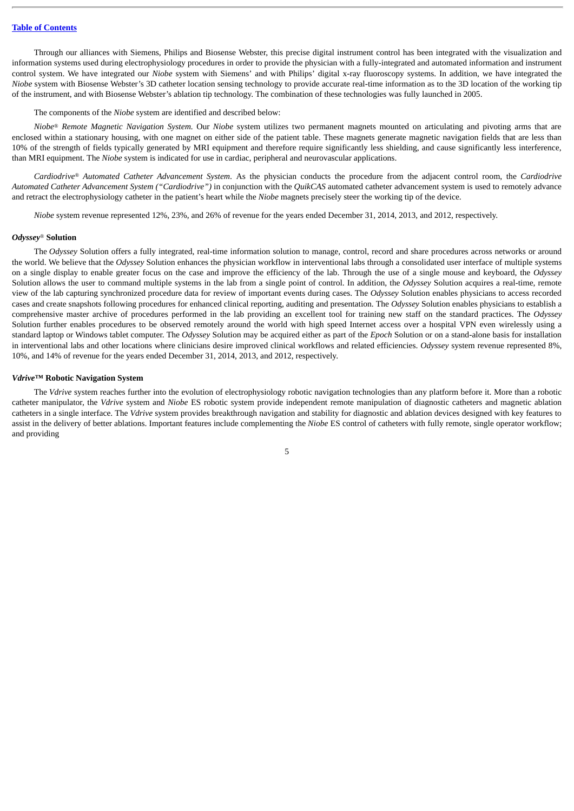Through our alliances with Siemens, Philips and Biosense Webster, this precise digital instrument control has been integrated with the visualization and information systems used during electrophysiology procedures in order to provide the physician with a fully-integrated and automated information and instrument control system. We have integrated our *Niobe* system with Siemens' and with Philips' digital x-ray fluoroscopy systems. In addition, we have integrated the *Niobe* system with Biosense Webster's 3D catheter location sensing technology to provide accurate real-time information as to the 3D location of the working tip of the instrument, and with Biosense Webster's ablation tip technology. The combination of these technologies was fully launched in 2005.

The components of the *Niobe* system are identified and described below:

*Niobe Remote Magnetic Navigation System.* Our *Niobe* system utilizes two permanent magnets mounted on articulating and pivoting arms that are ® enclosed within a stationary housing, with one magnet on either side of the patient table. These magnets generate magnetic navigation fields that are less than 10% of the strength of fields typically generated by MRI equipment and therefore require significantly less shielding, and cause significantly less interference, than MRI equipment. The *Niobe* system is indicated for use in cardiac, peripheral and neurovascular applications.

*Cardiodrive Automated Catheter Advancement System*. As the physician conducts the procedure from the adjacent control room, the *Cardiodrive* ® *Automated Catheter Advancement System ("Cardiodrive")* in conjunction with the *QuikCAS* automated catheter advancement system is used to remotely advance and retract the electrophysiology catheter in the patient's heart while the *Niobe* magnets precisely steer the working tip of the device.

*Niobe* system revenue represented 12%, 23%, and 26% of revenue for the years ended December 31, 2014, 2013, and 2012, respectively.

#### *Odyssey* **Solution** ®

The *Odyssey* Solution offers a fully integrated, real-time information solution to manage, control, record and share procedures across networks or around the world. We believe that the *Odyssey* Solution enhances the physician workflow in interventional labs through a consolidated user interface of multiple systems on a single display to enable greater focus on the case and improve the efficiency of the lab. Through the use of a single mouse and keyboard, the *Odyssey* Solution allows the user to command multiple systems in the lab from a single point of control. In addition, the *Odyssey* Solution acquires a real-time, remote view of the lab capturing synchronized procedure data for review of important events during cases. The *Odyssey* Solution enables physicians to access recorded cases and create snapshots following procedures for enhanced clinical reporting, auditing and presentation. The *Odyssey* Solution enables physicians to establish a comprehensive master archive of procedures performed in the lab providing an excellent tool for training new staff on the standard practices. The *Odyssey* Solution further enables procedures to be observed remotely around the world with high speed Internet access over a hospital VPN even wirelessly using a standard laptop or Windows tablet computer. The *Odyssey* Solution may be acquired either as part of the *Epoch* Solution or on a stand-alone basis for installation in interventional labs and other locations where clinicians desire improved clinical workflows and related efficiencies. *Odyssey* system revenue represented 8%, 10%, and 14% of revenue for the years ended December 31, 2014, 2013, and 2012, respectively.

#### *Vdrive***™ Robotic Navigation System**

The *Vdrive* system reaches further into the evolution of electrophysiology robotic navigation technologies than any platform before it. More than a robotic catheter manipulator, the *Vdrive* system and *Niobe* ES robotic system provide independent remote manipulation of diagnostic catheters and magnetic ablation catheters in a single interface. The *Vdrive* system provides breakthrough navigation and stability for diagnostic and ablation devices designed with key features to assist in the delivery of better ablations. Important features include complementing the *Niobe* ES control of catheters with fully remote, single operator workflow; and providing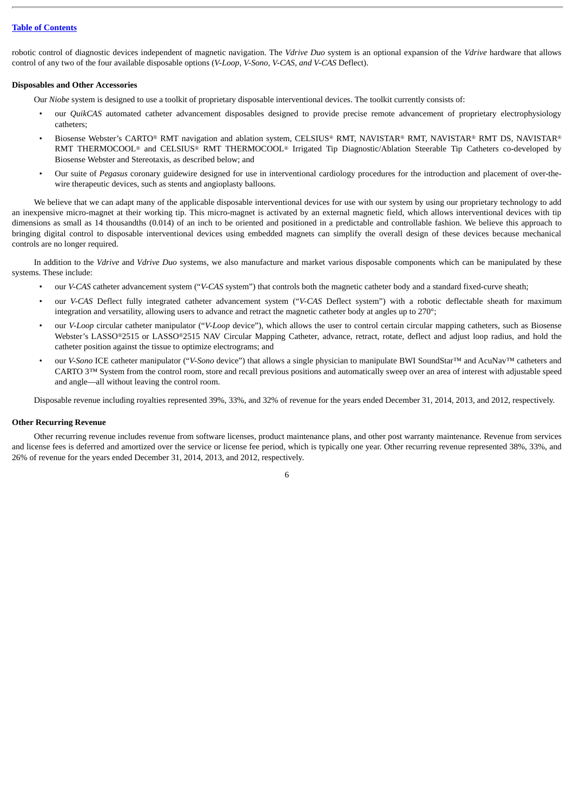robotic control of diagnostic devices independent of magnetic navigation. The *Vdrive Duo* system is an optional expansion of the *Vdrive* hardware that allows control of any two of the four available disposable options (*V-Loop*, *V-Sono, V-CAS, and V-CAS* Deflect).

# **Disposables and Other Accessories**

Our *Niobe* system is designed to use a toolkit of proprietary disposable interventional devices. The toolkit currently consists of:

- our *QuikCAS* automated catheter advancement disposables designed to provide precise remote advancement of proprietary electrophysiology catheters;
- Biosense Webster's CARTO® RMT navigation and ablation system, CELSIUS® RMT, NAVISTAR® RMT, NAVISTAR® RMT DS, NAVISTAR® RMT THERMOCOOL® and CELSIUS® RMT THERMOCOOL® Irrigated Tip Diagnostic/Ablation Steerable Tip Catheters co-developed by Biosense Webster and Stereotaxis, as described below; and
- Our suite of *Pegasus* coronary guidewire designed for use in interventional cardiology procedures for the introduction and placement of over-thewire therapeutic devices, such as stents and angioplasty balloons.

We believe that we can adapt many of the applicable disposable interventional devices for use with our system by using our proprietary technology to add an inexpensive micro-magnet at their working tip. This micro-magnet is activated by an external magnetic field, which allows interventional devices with tip dimensions as small as 14 thousandths (0.014) of an inch to be oriented and positioned in a predictable and controllable fashion. We believe this approach to bringing digital control to disposable interventional devices using embedded magnets can simplify the overall design of these devices because mechanical controls are no longer required.

In addition to the *Vdrive* and *Vdrive Duo* systems, we also manufacture and market various disposable components which can be manipulated by these systems. These include:

- our *V-CAS* catheter advancement system ("*V-CAS* system") that controls both the magnetic catheter body and a standard fixed-curve sheath;
- our *V-CAS* Deflect fully integrated catheter advancement system ("*V-CAS* Deflect system") with a robotic deflectable sheath for maximum integration and versatility, allowing users to advance and retract the magnetic catheter body at angles up to 270°;
- our *V-Loop* circular catheter manipulator ("*V-Loop* device"), which allows the user to control certain circular mapping catheters, such as Biosense Webster's LASSO®2515 or LASSO®2515 NAV Circular Mapping Catheter, advance, retract, rotate, deflect and adjust loop radius, and hold the catheter position against the tissue to optimize electrograms; and
- our *V-Sono* ICE catheter manipulator ("*V-Sono* device") that allows a single physician to manipulate BWI SoundStar™ and AcuNav™ catheters and CARTO 3™ System from the control room, store and recall previous positions and automatically sweep over an area of interest with adjustable speed and angle—all without leaving the control room.

Disposable revenue including royalties represented 39%, 33%, and 32% of revenue for the years ended December 31, 2014, 2013, and 2012, respectively.

# **Other Recurring Revenue**

Other recurring revenue includes revenue from software licenses, product maintenance plans, and other post warranty maintenance. Revenue from services and license fees is deferred and amortized over the service or license fee period, which is typically one year. Other recurring revenue represented 38%, 33%, and 26% of revenue for the years ended December 31, 2014, 2013, and 2012, respectively.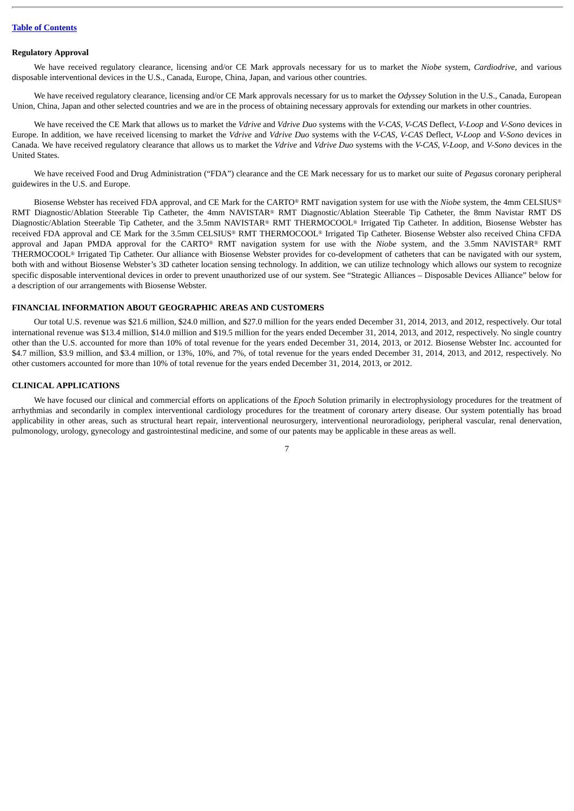#### **Regulatory Approval**

We have received regulatory clearance, licensing and/or CE Mark approvals necessary for us to market the *Niobe* system, *Cardiodrive*, and various disposable interventional devices in the U.S., Canada, Europe, China, Japan, and various other countries.

We have received regulatory clearance, licensing and/or CE Mark approvals necessary for us to market the *Odyssey* Solution in the U.S., Canada, European Union, China, Japan and other selected countries and we are in the process of obtaining necessary approvals for extending our markets in other countries.

We have received the CE Mark that allows us to market the *Vdrive* and *Vdrive Duo* systems with the *V-CAS, V-CAS* Deflect, *V-Loop* and *V-Sono* devices in Europe. In addition, we have received licensing to market the *Vdrive* and *Vdrive Duo* systems with the *V-CAS, V-CAS* Deflect, *V-Loop* and *V-Sono* devices in Canada. We have received regulatory clearance that allows us to market the *Vdrive* and *Vdrive Duo* systems with the *V-CAS, V-Loop,* and *V-Sono* devices in the United States.

We have received Food and Drug Administration ("FDA") clearance and the CE Mark necessary for us to market our suite of *Pegasus* coronary peripheral guidewires in the U.S. and Europe.

Biosense Webster has received FDA approval, and CE Mark for the CARTO® RMT navigation system for use with the *Niobe* system, the 4mm CELSIUS® RMT Diagnostic/Ablation Steerable Tip Catheter, the 4mm NAVISTAR® RMT Diagnostic/Ablation Steerable Tip Catheter, the 8mm Navistar RMT DS Diagnostic/Ablation Steerable Tip Catheter, and the 3.5mm NAVISTAR® RMT THERMOCOOL® Irrigated Tip Catheter. In addition, Biosense Webster has received FDA approval and CE Mark for the 3.5mm CELSIUS® RMT THERMOCOOL® Irrigated Tip Catheter. Biosense Webster also received China CFDA approval and Japan PMDA approval for the CARTO® RMT navigation system for use with the *Niobe* system, and the 3.5mm NAVISTAR® RMT THERMOCOOL<sup>®</sup> Irrigated Tip Catheter. Our alliance with Biosense Webster provides for co-development of catheters that can be navigated with our system, both with and without Biosense Webster's 3D catheter location sensing technology. In addition, we can utilize technology which allows our system to recognize specific disposable interventional devices in order to prevent unauthorized use of our system. See "Strategic Alliances – Disposable Devices Alliance" below for a description of our arrangements with Biosense Webster.

### **FINANCIAL INFORMATION ABOUT GEOGRAPHIC AREAS AND CUSTOMERS**

Our total U.S. revenue was \$21.6 million, \$24.0 million, and \$27.0 million for the years ended December 31, 2014, 2013, and 2012, respectively. Our total international revenue was \$13.4 million, \$14.0 million and \$19.5 million for the years ended December 31, 2014, 2013, and 2012, respectively. No single country other than the U.S. accounted for more than 10% of total revenue for the years ended December 31, 2014, 2013, or 2012. Biosense Webster Inc. accounted for \$4.7 million, \$3.9 million, and \$3.4 million, or 13%, 10%, and 7%, of total revenue for the years ended December 31, 2014, 2013, and 2012, respectively. No other customers accounted for more than 10% of total revenue for the years ended December 31, 2014, 2013, or 2012.

# **CLINICAL APPLICATIONS**

We have focused our clinical and commercial efforts on applications of the *Epoch* Solution primarily in electrophysiology procedures for the treatment of arrhythmias and secondarily in complex interventional cardiology procedures for the treatment of coronary artery disease. Our system potentially has broad applicability in other areas, such as structural heart repair, interventional neurosurgery, interventional neuroradiology, peripheral vascular, renal denervation, pulmonology, urology, gynecology and gastrointestinal medicine, and some of our patents may be applicable in these areas as well.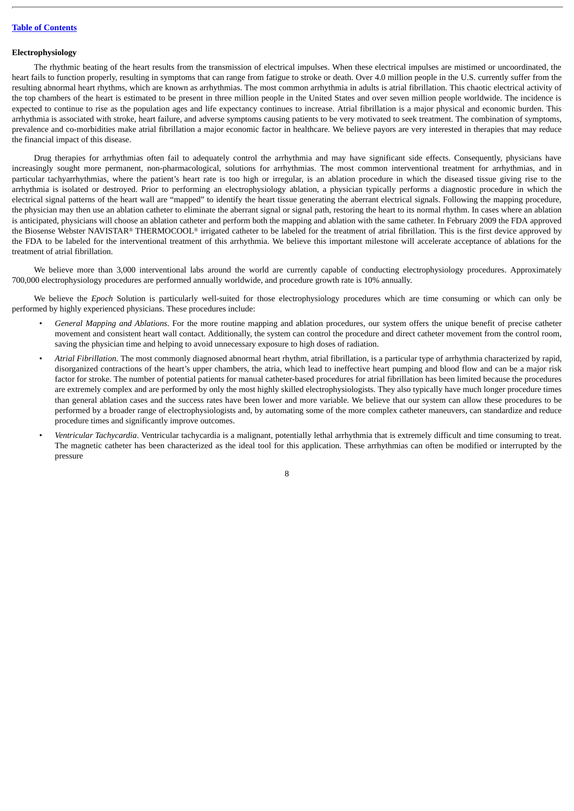#### **Electrophysiology**

The rhythmic beating of the heart results from the transmission of electrical impulses. When these electrical impulses are mistimed or uncoordinated, the heart fails to function properly, resulting in symptoms that can range from fatigue to stroke or death. Over 4.0 million people in the U.S. currently suffer from the resulting abnormal heart rhythms, which are known as arrhythmias. The most common arrhythmia in adults is atrial fibrillation. This chaotic electrical activity of the top chambers of the heart is estimated to be present in three million people in the United States and over seven million people worldwide. The incidence is expected to continue to rise as the population ages and life expectancy continues to increase. Atrial fibrillation is a major physical and economic burden. This arrhythmia is associated with stroke, heart failure, and adverse symptoms causing patients to be very motivated to seek treatment. The combination of symptoms, prevalence and co-morbidities make atrial fibrillation a major economic factor in healthcare. We believe payors are very interested in therapies that may reduce the financial impact of this disease.

Drug therapies for arrhythmias often fail to adequately control the arrhythmia and may have significant side effects. Consequently, physicians have increasingly sought more permanent, non-pharmacological, solutions for arrhythmias. The most common interventional treatment for arrhythmias, and in particular tachyarrhythmias, where the patient's heart rate is too high or irregular, is an ablation procedure in which the diseased tissue giving rise to the arrhythmia is isolated or destroyed. Prior to performing an electrophysiology ablation, a physician typically performs a diagnostic procedure in which the electrical signal patterns of the heart wall are "mapped" to identify the heart tissue generating the aberrant electrical signals. Following the mapping procedure, the physician may then use an ablation catheter to eliminate the aberrant signal or signal path, restoring the heart to its normal rhythm. In cases where an ablation is anticipated, physicians will choose an ablation catheter and perform both the mapping and ablation with the same catheter. In February 2009 the FDA approved the Biosense Webster NAVISTAR® THERMOCOOL® irrigated catheter to be labeled for the treatment of atrial fibrillation. This is the first device approved by the FDA to be labeled for the interventional treatment of this arrhythmia. We believe this important milestone will accelerate acceptance of ablations for the treatment of atrial fibrillation.

We believe more than 3,000 interventional labs around the world are currently capable of conducting electrophysiology procedures. Approximately 700,000 electrophysiology procedures are performed annually worldwide, and procedure growth rate is 10% annually.

We believe the *Epoch* Solution is particularly well-suited for those electrophysiology procedures which are time consuming or which can only be performed by highly experienced physicians. These procedures include:

- *General Mapping and Ablations*. For the more routine mapping and ablation procedures, our system offers the unique benefit of precise catheter movement and consistent heart wall contact. Additionally, the system can control the procedure and direct catheter movement from the control room, saving the physician time and helping to avoid unnecessary exposure to high doses of radiation.
- *Atrial Fibrillation*. The most commonly diagnosed abnormal heart rhythm, atrial fibrillation, is a particular type of arrhythmia characterized by rapid, disorganized contractions of the heart's upper chambers, the atria, which lead to ineffective heart pumping and blood flow and can be a major risk factor for stroke. The number of potential patients for manual catheter-based procedures for atrial fibrillation has been limited because the procedures are extremely complex and are performed by only the most highly skilled electrophysiologists. They also typically have much longer procedure times than general ablation cases and the success rates have been lower and more variable. We believe that our system can allow these procedures to be performed by a broader range of electrophysiologists and, by automating some of the more complex catheter maneuvers, can standardize and reduce procedure times and significantly improve outcomes.
- *Ventricular Tachycardia*. Ventricular tachycardia is a malignant, potentially lethal arrhythmia that is extremely difficult and time consuming to treat. The magnetic catheter has been characterized as the ideal tool for this application. These arrhythmias can often be modified or interrupted by the pressure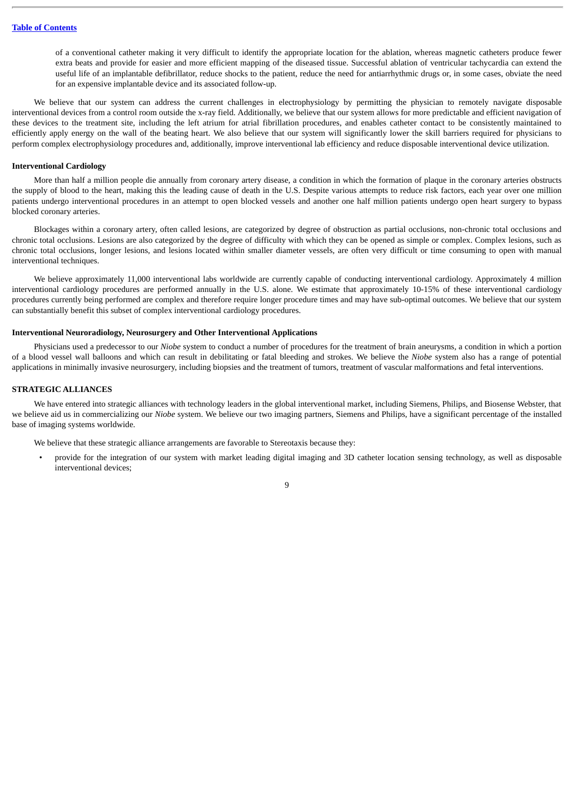of a conventional catheter making it very difficult to identify the appropriate location for the ablation, whereas magnetic catheters produce fewer extra beats and provide for easier and more efficient mapping of the diseased tissue. Successful ablation of ventricular tachycardia can extend the useful life of an implantable defibrillator, reduce shocks to the patient, reduce the need for antiarrhythmic drugs or, in some cases, obviate the need for an expensive implantable device and its associated follow-up.

We believe that our system can address the current challenges in electrophysiology by permitting the physician to remotely navigate disposable interventional devices from a control room outside the x-ray field. Additionally, we believe that our system allows for more predictable and efficient navigation of these devices to the treatment site, including the left atrium for atrial fibrillation procedures, and enables catheter contact to be consistently maintained to efficiently apply energy on the wall of the beating heart. We also believe that our system will significantly lower the skill barriers required for physicians to perform complex electrophysiology procedures and, additionally, improve interventional lab efficiency and reduce disposable interventional device utilization.

#### **Interventional Cardiology**

More than half a million people die annually from coronary artery disease, a condition in which the formation of plaque in the coronary arteries obstructs the supply of blood to the heart, making this the leading cause of death in the U.S. Despite various attempts to reduce risk factors, each year over one million patients undergo interventional procedures in an attempt to open blocked vessels and another one half million patients undergo open heart surgery to bypass blocked coronary arteries.

Blockages within a coronary artery, often called lesions, are categorized by degree of obstruction as partial occlusions, non-chronic total occlusions and chronic total occlusions. Lesions are also categorized by the degree of difficulty with which they can be opened as simple or complex. Complex lesions, such as chronic total occlusions, longer lesions, and lesions located within smaller diameter vessels, are often very difficult or time consuming to open with manual interventional techniques.

We believe approximately 11,000 interventional labs worldwide are currently capable of conducting interventional cardiology. Approximately 4 million interventional cardiology procedures are performed annually in the U.S. alone. We estimate that approximately 10-15% of these interventional cardiology procedures currently being performed are complex and therefore require longer procedure times and may have sub-optimal outcomes. We believe that our system can substantially benefit this subset of complex interventional cardiology procedures.

# **Interventional Neuroradiology, Neurosurgery and Other Interventional Applications**

Physicians used a predecessor to our *Niobe* system to conduct a number of procedures for the treatment of brain aneurysms, a condition in which a portion of a blood vessel wall balloons and which can result in debilitating or fatal bleeding and strokes. We believe the *Niobe* system also has a range of potential applications in minimally invasive neurosurgery, including biopsies and the treatment of tumors, treatment of vascular malformations and fetal interventions.

#### **STRATEGIC ALLIANCES**

We have entered into strategic alliances with technology leaders in the global interventional market, including Siemens, Philips, and Biosense Webster, that we believe aid us in commercializing our *Niobe* system. We believe our two imaging partners, Siemens and Philips, have a significant percentage of the installed base of imaging systems worldwide.

We believe that these strategic alliance arrangements are favorable to Stereotaxis because they:

• provide for the integration of our system with market leading digital imaging and 3D catheter location sensing technology, as well as disposable interventional devices;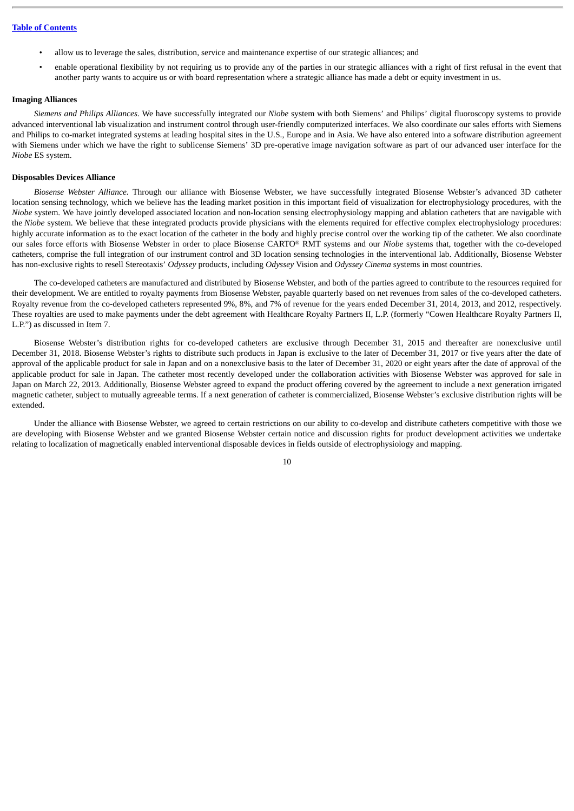- allow us to leverage the sales, distribution, service and maintenance expertise of our strategic alliances; and
- enable operational flexibility by not requiring us to provide any of the parties in our strategic alliances with a right of first refusal in the event that another party wants to acquire us or with board representation where a strategic alliance has made a debt or equity investment in us.

# **Imaging Alliances**

*Siemens and Philips Alliances*. We have successfully integrated our *Niobe* system with both Siemens' and Philips' digital fluoroscopy systems to provide advanced interventional lab visualization and instrument control through user-friendly computerized interfaces. We also coordinate our sales efforts with Siemens and Philips to co-market integrated systems at leading hospital sites in the U.S., Europe and in Asia. We have also entered into a software distribution agreement with Siemens under which we have the right to sublicense Siemens' 3D pre-operative image navigation software as part of our advanced user interface for the *Niobe* ES system.

#### **Disposables Devices Alliance**

*Biosense Webster Alliance.* Through our alliance with Biosense Webster, we have successfully integrated Biosense Webster's advanced 3D catheter location sensing technology, which we believe has the leading market position in this important field of visualization for electrophysiology procedures, with the *Niobe* system. We have jointly developed associated location and non-location sensing electrophysiology mapping and ablation catheters that are navigable with the *Niobe* system. We believe that these integrated products provide physicians with the elements required for effective complex electrophysiology procedures: highly accurate information as to the exact location of the catheter in the body and highly precise control over the working tip of the catheter. We also coordinate our sales force efforts with Biosense Webster in order to place Biosense CARTO® RMT systems and our *Niobe* systems that, together with the co-developed catheters, comprise the full integration of our instrument control and 3D location sensing technologies in the interventional lab. Additionally, Biosense Webster has non-exclusive rights to resell Stereotaxis' *Odyssey* products, including *Odyssey* Vision and *Odyssey Cinema* systems in most countries.

The co-developed catheters are manufactured and distributed by Biosense Webster, and both of the parties agreed to contribute to the resources required for their development. We are entitled to royalty payments from Biosense Webster, payable quarterly based on net revenues from sales of the co-developed catheters. Royalty revenue from the co-developed catheters represented 9%, 8%, and 7% of revenue for the years ended December 31, 2014, 2013, and 2012, respectively. These royalties are used to make payments under the debt agreement with Healthcare Royalty Partners II, L.P. (formerly "Cowen Healthcare Royalty Partners II, L.P.") as discussed in Item 7.

Biosense Webster's distribution rights for co-developed catheters are exclusive through December 31, 2015 and thereafter are nonexclusive until December 31, 2018. Biosense Webster's rights to distribute such products in Japan is exclusive to the later of December 31, 2017 or five years after the date of approval of the applicable product for sale in Japan and on a nonexclusive basis to the later of December 31, 2020 or eight years after the date of approval of the applicable product for sale in Japan. The catheter most recently developed under the collaboration activities with Biosense Webster was approved for sale in Japan on March 22, 2013. Additionally, Biosense Webster agreed to expand the product offering covered by the agreement to include a next generation irrigated magnetic catheter, subject to mutually agreeable terms. If a next generation of catheter is commercialized, Biosense Webster's exclusive distribution rights will be extended.

Under the alliance with Biosense Webster, we agreed to certain restrictions on our ability to co-develop and distribute catheters competitive with those we are developing with Biosense Webster and we granted Biosense Webster certain notice and discussion rights for product development activities we undertake relating to localization of magnetically enabled interventional disposable devices in fields outside of electrophysiology and mapping.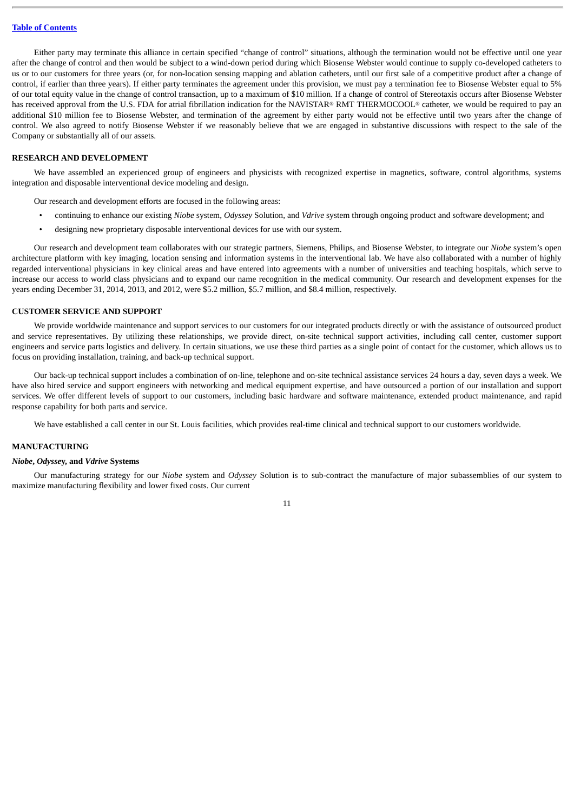Either party may terminate this alliance in certain specified "change of control" situations, although the termination would not be effective until one year after the change of control and then would be subject to a wind-down period during which Biosense Webster would continue to supply co-developed catheters to us or to our customers for three years (or, for non-location sensing mapping and ablation catheters, until our first sale of a competitive product after a change of control, if earlier than three years). If either party terminates the agreement under this provision, we must pay a termination fee to Biosense Webster equal to 5% of our total equity value in the change of control transaction, up to a maximum of \$10 million. If a change of control of Stereotaxis occurs after Biosense Webster has received approval from the U.S. FDA for atrial fibrillation indication for the NAVISTAR® RMT THERMOCOOL® catheter, we would be required to pay an additional \$10 million fee to Biosense Webster, and termination of the agreement by either party would not be effective until two years after the change of control. We also agreed to notify Biosense Webster if we reasonably believe that we are engaged in substantive discussions with respect to the sale of the Company or substantially all of our assets.

#### **RESEARCH AND DEVELOPMENT**

We have assembled an experienced group of engineers and physicists with recognized expertise in magnetics, software, control algorithms, systems integration and disposable interventional device modeling and design.

Our research and development efforts are focused in the following areas:

- continuing to enhance our existing *Niobe* system, *Odyssey* Solution, and *Vdrive* system through ongoing product and software development; and
- designing new proprietary disposable interventional devices for use with our system.

Our research and development team collaborates with our strategic partners, Siemens, Philips, and Biosense Webster, to integrate our *Niobe* system's open architecture platform with key imaging, location sensing and information systems in the interventional lab. We have also collaborated with a number of highly regarded interventional physicians in key clinical areas and have entered into agreements with a number of universities and teaching hospitals, which serve to increase our access to world class physicians and to expand our name recognition in the medical community. Our research and development expenses for the years ending December 31, 2014, 2013, and 2012, were \$5.2 million, \$5.7 million, and \$8.4 million, respectively.

# **CUSTOMER SERVICE AND SUPPORT**

We provide worldwide maintenance and support services to our customers for our integrated products directly or with the assistance of outsourced product and service representatives. By utilizing these relationships, we provide direct, on-site technical support activities, including call center, customer support engineers and service parts logistics and delivery. In certain situations, we use these third parties as a single point of contact for the customer, which allows us to focus on providing installation, training, and back-up technical support.

Our back-up technical support includes a combination of on-line, telephone and on-site technical assistance services 24 hours a day, seven days a week. We have also hired service and support engineers with networking and medical equipment expertise, and have outsourced a portion of our installation and support services. We offer different levels of support to our customers, including basic hardware and software maintenance, extended product maintenance, and rapid response capability for both parts and service.

We have established a call center in our St. Louis facilities, which provides real-time clinical and technical support to our customers worldwide.

# **MANUFACTURING**

#### *Niobe***,** *Odysse***y, and** *Vdrive* **Systems**

Our manufacturing strategy for our *Niobe* system and *Odyssey* Solution is to sub-contract the manufacture of major subassemblies of our system to maximize manufacturing flexibility and lower fixed costs. Our current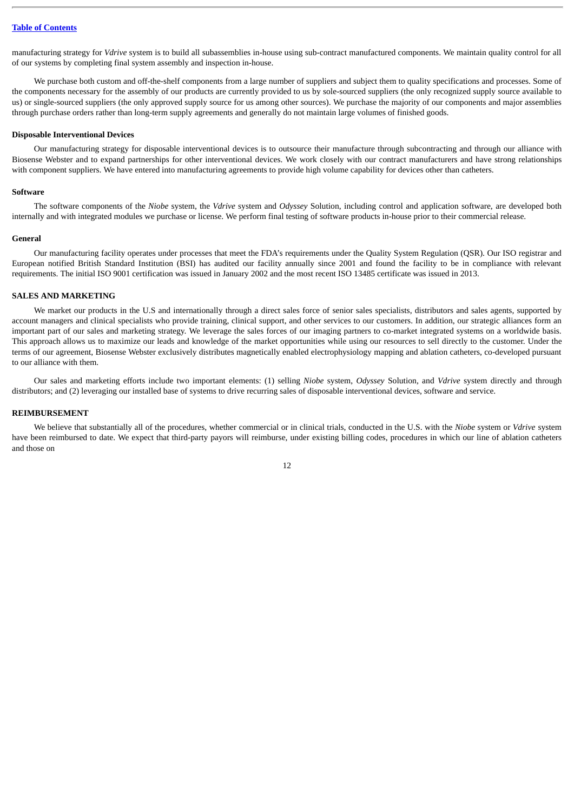manufacturing strategy for *Vdrive* system is to build all subassemblies in-house using sub-contract manufactured components. We maintain quality control for all of our systems by completing final system assembly and inspection in-house.

We purchase both custom and off-the-shelf components from a large number of suppliers and subject them to quality specifications and processes. Some of the components necessary for the assembly of our products are currently provided to us by sole-sourced suppliers (the only recognized supply source available to us) or single-sourced suppliers (the only approved supply source for us among other sources). We purchase the majority of our components and major assemblies through purchase orders rather than long-term supply agreements and generally do not maintain large volumes of finished goods.

#### **Disposable Interventional Devices**

Our manufacturing strategy for disposable interventional devices is to outsource their manufacture through subcontracting and through our alliance with Biosense Webster and to expand partnerships for other interventional devices. We work closely with our contract manufacturers and have strong relationships with component suppliers. We have entered into manufacturing agreements to provide high volume capability for devices other than catheters.

#### **Software**

The software components of the *Niobe* system, the *Vdrive* system and *Odyssey* Solution, including control and application software, are developed both internally and with integrated modules we purchase or license. We perform final testing of software products in-house prior to their commercial release.

#### **General**

Our manufacturing facility operates under processes that meet the FDA's requirements under the Quality System Regulation (QSR). Our ISO registrar and European notified British Standard Institution (BSI) has audited our facility annually since 2001 and found the facility to be in compliance with relevant requirements. The initial ISO 9001 certification was issued in January 2002 and the most recent ISO 13485 certificate was issued in 2013.

#### **SALES AND MARKETING**

We market our products in the U.S and internationally through a direct sales force of senior sales specialists, distributors and sales agents, supported by account managers and clinical specialists who provide training, clinical support, and other services to our customers. In addition, our strategic alliances form an important part of our sales and marketing strategy. We leverage the sales forces of our imaging partners to co-market integrated systems on a worldwide basis. This approach allows us to maximize our leads and knowledge of the market opportunities while using our resources to sell directly to the customer. Under the terms of our agreement, Biosense Webster exclusively distributes magnetically enabled electrophysiology mapping and ablation catheters, co-developed pursuant to our alliance with them.

Our sales and marketing efforts include two important elements: (1) selling *Niobe* system, *Odyssey* Solution*,* and *Vdrive* system directly and through distributors; and (2) leveraging our installed base of systems to drive recurring sales of disposable interventional devices, software and service.

#### **REIMBURSEMENT**

We believe that substantially all of the procedures, whether commercial or in clinical trials, conducted in the U.S. with the *Niobe* system or *Vdrive* system have been reimbursed to date. We expect that third-party payors will reimburse, under existing billing codes, procedures in which our line of ablation catheters and those on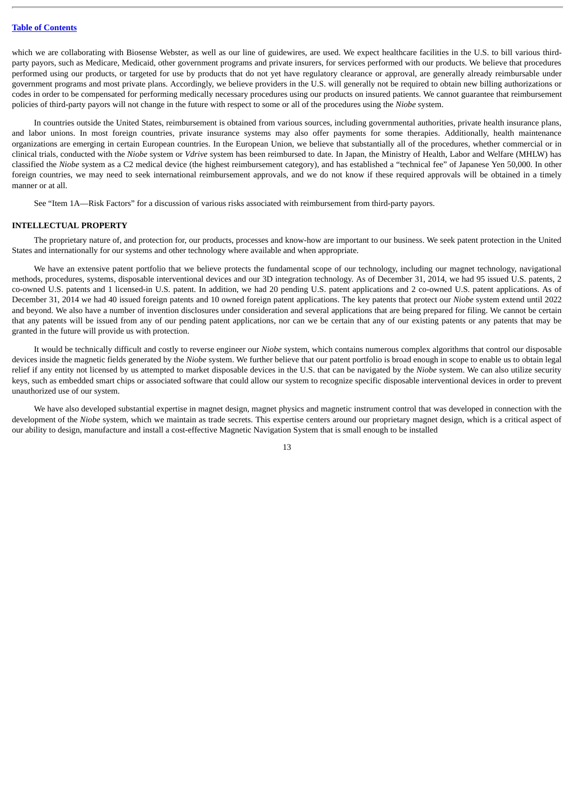which we are collaborating with Biosense Webster, as well as our line of guidewires, are used. We expect healthcare facilities in the U.S. to bill various thirdparty payors, such as Medicare, Medicaid, other government programs and private insurers, for services performed with our products. We believe that procedures performed using our products, or targeted for use by products that do not yet have regulatory clearance or approval, are generally already reimbursable under government programs and most private plans. Accordingly, we believe providers in the U.S. will generally not be required to obtain new billing authorizations or codes in order to be compensated for performing medically necessary procedures using our products on insured patients. We cannot guarantee that reimbursement policies of third-party payors will not change in the future with respect to some or all of the procedures using the *Niobe* system.

In countries outside the United States, reimbursement is obtained from various sources, including governmental authorities, private health insurance plans, and labor unions. In most foreign countries, private insurance systems may also offer payments for some therapies. Additionally, health maintenance organizations are emerging in certain European countries. In the European Union, we believe that substantially all of the procedures, whether commercial or in clinical trials, conducted with the *Niobe* system or *Vdrive* system has been reimbursed to date. In Japan, the Ministry of Health, Labor and Welfare (MHLW) has classified the *Niobe* system as a C2 medical device (the highest reimbursement category), and has established a "technical fee" of Japanese Yen 50,000. In other foreign countries, we may need to seek international reimbursement approvals, and we do not know if these required approvals will be obtained in a timely manner or at all.

See "Item 1A—Risk Factors" for a discussion of various risks associated with reimbursement from third-party payors.

#### **INTELLECTUAL PROPERTY**

The proprietary nature of, and protection for, our products, processes and know-how are important to our business. We seek patent protection in the United States and internationally for our systems and other technology where available and when appropriate.

We have an extensive patent portfolio that we believe protects the fundamental scope of our technology, including our magnet technology, navigational methods, procedures, systems, disposable interventional devices and our 3D integration technology. As of December 31, 2014, we had 95 issued U.S. patents, 2 co-owned U.S. patents and 1 licensed-in U.S. patent. In addition, we had 20 pending U.S. patent applications and 2 co-owned U.S. patent applications. As of December 31, 2014 we had 40 issued foreign patents and 10 owned foreign patent applications. The key patents that protect our *Niobe* system extend until 2022 and beyond. We also have a number of invention disclosures under consideration and several applications that are being prepared for filing. We cannot be certain that any patents will be issued from any of our pending patent applications, nor can we be certain that any of our existing patents or any patents that may be granted in the future will provide us with protection.

It would be technically difficult and costly to reverse engineer our *Niobe* system, which contains numerous complex algorithms that control our disposable devices inside the magnetic fields generated by the *Niobe* system. We further believe that our patent portfolio is broad enough in scope to enable us to obtain legal relief if any entity not licensed by us attempted to market disposable devices in the U.S. that can be navigated by the *Niobe* system. We can also utilize security keys, such as embedded smart chips or associated software that could allow our system to recognize specific disposable interventional devices in order to prevent unauthorized use of our system.

We have also developed substantial expertise in magnet design, magnet physics and magnetic instrument control that was developed in connection with the development of the *Niobe* system, which we maintain as trade secrets. This expertise centers around our proprietary magnet design, which is a critical aspect of our ability to design, manufacture and install a cost-effective Magnetic Navigation System that is small enough to be installed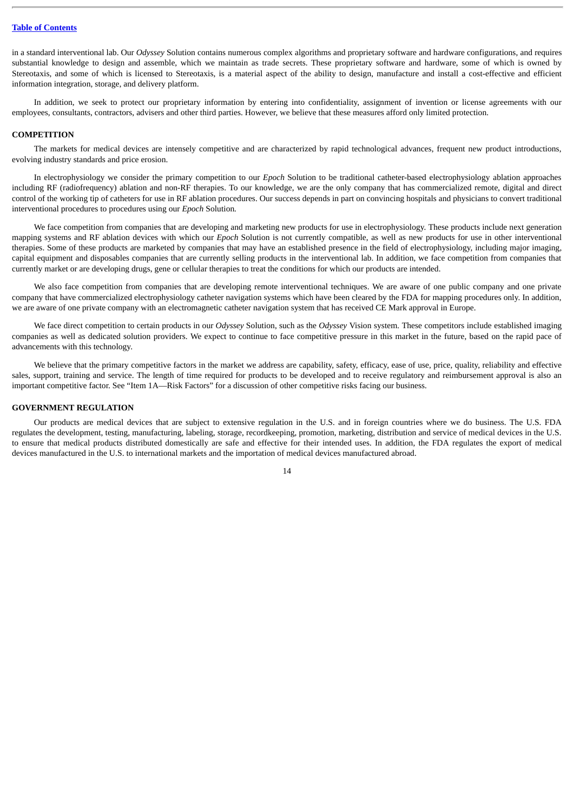in a standard interventional lab. Our *Odyssey* Solution contains numerous complex algorithms and proprietary software and hardware configurations, and requires substantial knowledge to design and assemble, which we maintain as trade secrets. These proprietary software and hardware, some of which is owned by Stereotaxis, and some of which is licensed to Stereotaxis, is a material aspect of the ability to design, manufacture and install a cost-effective and efficient information integration, storage, and delivery platform.

In addition, we seek to protect our proprietary information by entering into confidentiality, assignment of invention or license agreements with our employees, consultants, contractors, advisers and other third parties. However, we believe that these measures afford only limited protection.

#### **COMPETITION**

The markets for medical devices are intensely competitive and are characterized by rapid technological advances, frequent new product introductions, evolving industry standards and price erosion.

In electrophysiology we consider the primary competition to our *Epoch* Solution to be traditional catheter-based electrophysiology ablation approaches including RF (radiofrequency) ablation and non-RF therapies. To our knowledge, we are the only company that has commercialized remote, digital and direct control of the working tip of catheters for use in RF ablation procedures. Our success depends in part on convincing hospitals and physicians to convert traditional interventional procedures to procedures using our *Epoch* Solution*.*

We face competition from companies that are developing and marketing new products for use in electrophysiology. These products include next generation mapping systems and RF ablation devices with which our *Epoch* Solution is not currently compatible, as well as new products for use in other interventional therapies. Some of these products are marketed by companies that may have an established presence in the field of electrophysiology, including major imaging, capital equipment and disposables companies that are currently selling products in the interventional lab. In addition, we face competition from companies that currently market or are developing drugs, gene or cellular therapies to treat the conditions for which our products are intended.

We also face competition from companies that are developing remote interventional techniques. We are aware of one public company and one private company that have commercialized electrophysiology catheter navigation systems which have been cleared by the FDA for mapping procedures only. In addition, we are aware of one private company with an electromagnetic catheter navigation system that has received CE Mark approval in Europe.

We face direct competition to certain products in our *Odyssey* Solution, such as the *Odyssey* Vision system. These competitors include established imaging companies as well as dedicated solution providers. We expect to continue to face competitive pressure in this market in the future, based on the rapid pace of advancements with this technology.

We believe that the primary competitive factors in the market we address are capability, safety, efficacy, ease of use, price, quality, reliability and effective sales, support, training and service. The length of time required for products to be developed and to receive regulatory and reimbursement approval is also an important competitive factor. See "Item 1A—Risk Factors" for a discussion of other competitive risks facing our business.

#### **GOVERNMENT REGULATION**

Our products are medical devices that are subject to extensive regulation in the U.S. and in foreign countries where we do business. The U.S. FDA regulates the development, testing, manufacturing, labeling, storage, recordkeeping, promotion, marketing, distribution and service of medical devices in the U.S. to ensure that medical products distributed domestically are safe and effective for their intended uses. In addition, the FDA regulates the export of medical devices manufactured in the U.S. to international markets and the importation of medical devices manufactured abroad.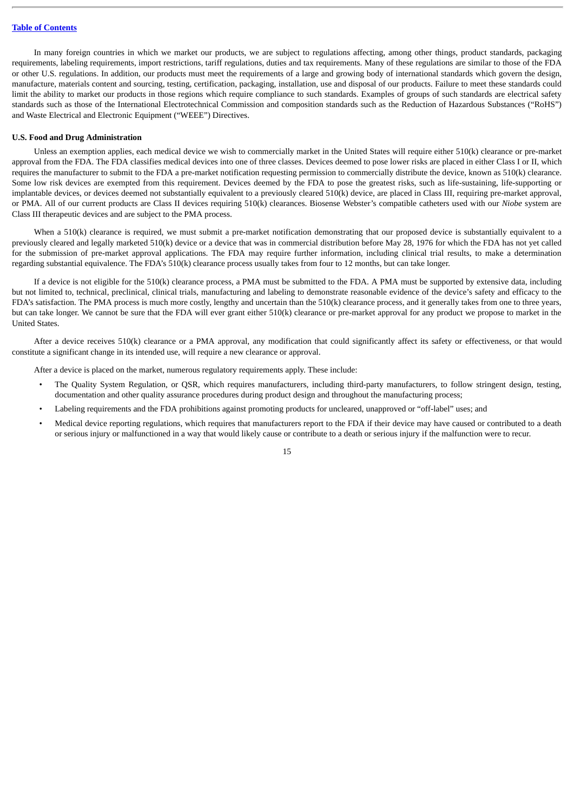In many foreign countries in which we market our products, we are subject to regulations affecting, among other things, product standards, packaging requirements, labeling requirements, import restrictions, tariff regulations, duties and tax requirements. Many of these regulations are similar to those of the FDA or other U.S. regulations. In addition, our products must meet the requirements of a large and growing body of international standards which govern the design, manufacture, materials content and sourcing, testing, certification, packaging, installation, use and disposal of our products. Failure to meet these standards could limit the ability to market our products in those regions which require compliance to such standards. Examples of groups of such standards are electrical safety standards such as those of the International Electrotechnical Commission and composition standards such as the Reduction of Hazardous Substances ("RoHS") and Waste Electrical and Electronic Equipment ("WEEE") Directives.

#### **U.S. Food and Drug Administration**

Unless an exemption applies, each medical device we wish to commercially market in the United States will require either 510(k) clearance or pre-market approval from the FDA. The FDA classifies medical devices into one of three classes. Devices deemed to pose lower risks are placed in either Class I or II, which requires the manufacturer to submit to the FDA a pre-market notification requesting permission to commercially distribute the device, known as 510(k) clearance. Some low risk devices are exempted from this requirement. Devices deemed by the FDA to pose the greatest risks, such as life-sustaining, life-supporting or implantable devices, or devices deemed not substantially equivalent to a previously cleared 510(k) device, are placed in Class III, requiring pre-market approval, or PMA. All of our current products are Class II devices requiring 510(k) clearances. Biosense Webster's compatible catheters used with our *Niobe* system are Class III therapeutic devices and are subject to the PMA process.

When a 510(k) clearance is required, we must submit a pre-market notification demonstrating that our proposed device is substantially equivalent to a previously cleared and legally marketed 510(k) device or a device that was in commercial distribution before May 28, 1976 for which the FDA has not yet called for the submission of pre-market approval applications. The FDA may require further information, including clinical trial results, to make a determination regarding substantial equivalence. The FDA's 510(k) clearance process usually takes from four to 12 months, but can take longer.

If a device is not eligible for the 510(k) clearance process, a PMA must be submitted to the FDA. A PMA must be supported by extensive data, including but not limited to, technical, preclinical, clinical trials, manufacturing and labeling to demonstrate reasonable evidence of the device's safety and efficacy to the FDA's satisfaction. The PMA process is much more costly, lengthy and uncertain than the 510(k) clearance process, and it generally takes from one to three years, but can take longer. We cannot be sure that the FDA will ever grant either 510(k) clearance or pre-market approval for any product we propose to market in the United States.

After a device receives 510(k) clearance or a PMA approval, any modification that could significantly affect its safety or effectiveness, or that would constitute a significant change in its intended use, will require a new clearance or approval.

After a device is placed on the market, numerous regulatory requirements apply. These include:

- The Quality System Regulation, or QSR, which requires manufacturers, including third-party manufacturers, to follow stringent design, testing, documentation and other quality assurance procedures during product design and throughout the manufacturing process;
- Labeling requirements and the FDA prohibitions against promoting products for uncleared, unapproved or "off-label" uses; and
- Medical device reporting regulations, which requires that manufacturers report to the FDA if their device may have caused or contributed to a death or serious injury or malfunctioned in a way that would likely cause or contribute to a death or serious injury if the malfunction were to recur.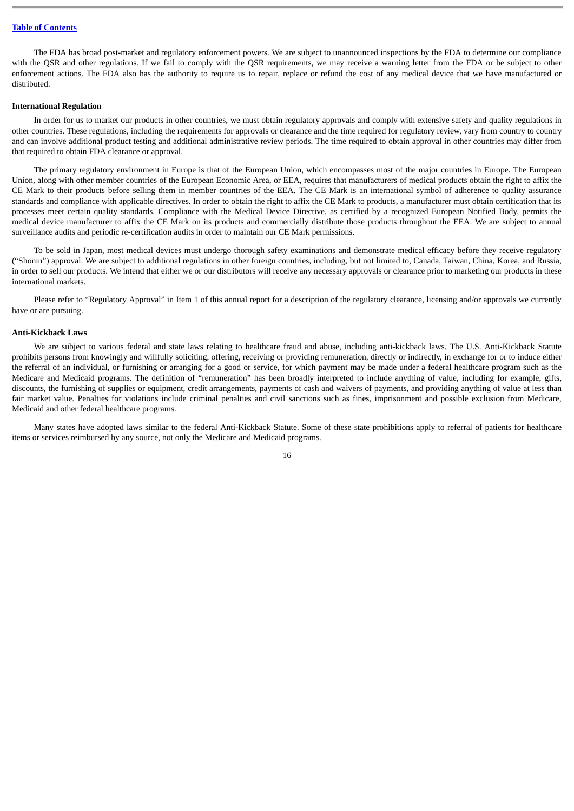The FDA has broad post-market and regulatory enforcement powers. We are subject to unannounced inspections by the FDA to determine our compliance with the QSR and other regulations. If we fail to comply with the QSR requirements, we may receive a warning letter from the FDA or be subject to other enforcement actions. The FDA also has the authority to require us to repair, replace or refund the cost of any medical device that we have manufactured or distributed.

#### **International Regulation**

In order for us to market our products in other countries, we must obtain regulatory approvals and comply with extensive safety and quality regulations in other countries. These regulations, including the requirements for approvals or clearance and the time required for regulatory review, vary from country to country and can involve additional product testing and additional administrative review periods. The time required to obtain approval in other countries may differ from that required to obtain FDA clearance or approval.

The primary regulatory environment in Europe is that of the European Union, which encompasses most of the major countries in Europe. The European Union, along with other member countries of the European Economic Area, or EEA, requires that manufacturers of medical products obtain the right to affix the CE Mark to their products before selling them in member countries of the EEA. The CE Mark is an international symbol of adherence to quality assurance standards and compliance with applicable directives. In order to obtain the right to affix the CE Mark to products, a manufacturer must obtain certification that its processes meet certain quality standards. Compliance with the Medical Device Directive, as certified by a recognized European Notified Body, permits the medical device manufacturer to affix the CE Mark on its products and commercially distribute those products throughout the EEA. We are subject to annual surveillance audits and periodic re-certification audits in order to maintain our CE Mark permissions.

To be sold in Japan, most medical devices must undergo thorough safety examinations and demonstrate medical efficacy before they receive regulatory ("Shonin") approval. We are subject to additional regulations in other foreign countries, including, but not limited to, Canada, Taiwan, China, Korea, and Russia, in order to sell our products. We intend that either we or our distributors will receive any necessary approvals or clearance prior to marketing our products in these international markets.

Please refer to "Regulatory Approval" in Item 1 of this annual report for a description of the regulatory clearance, licensing and/or approvals we currently have or are pursuing.

# **Anti-Kickback Laws**

We are subject to various federal and state laws relating to healthcare fraud and abuse, including anti-kickback laws. The U.S. Anti-Kickback Statute prohibits persons from knowingly and willfully soliciting, offering, receiving or providing remuneration, directly or indirectly, in exchange for or to induce either the referral of an individual, or furnishing or arranging for a good or service, for which payment may be made under a federal healthcare program such as the Medicare and Medicaid programs. The definition of "remuneration" has been broadly interpreted to include anything of value, including for example, gifts, discounts, the furnishing of supplies or equipment, credit arrangements, payments of cash and waivers of payments, and providing anything of value at less than fair market value. Penalties for violations include criminal penalties and civil sanctions such as fines, imprisonment and possible exclusion from Medicare, Medicaid and other federal healthcare programs.

Many states have adopted laws similar to the federal Anti-Kickback Statute. Some of these state prohibitions apply to referral of patients for healthcare items or services reimbursed by any source, not only the Medicare and Medicaid programs.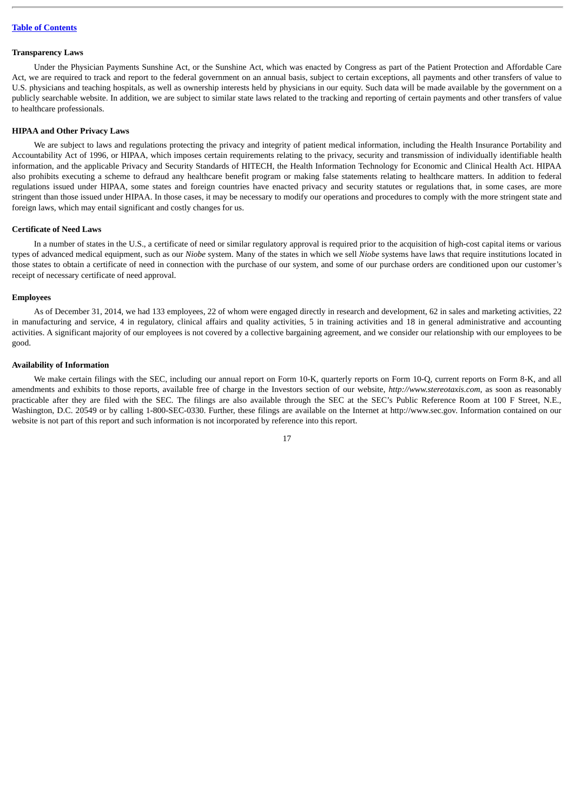#### **Transparency Laws**

Under the Physician Payments Sunshine Act, or the Sunshine Act, which was enacted by Congress as part of the Patient Protection and Affordable Care Act, we are required to track and report to the federal government on an annual basis, subject to certain exceptions, all payments and other transfers of value to U.S. physicians and teaching hospitals, as well as ownership interests held by physicians in our equity. Such data will be made available by the government on a publicly searchable website. In addition, we are subject to similar state laws related to the tracking and reporting of certain payments and other transfers of value to healthcare professionals.

# **HIPAA and Other Privacy Laws**

We are subject to laws and regulations protecting the privacy and integrity of patient medical information, including the Health Insurance Portability and Accountability Act of 1996, or HIPAA, which imposes certain requirements relating to the privacy, security and transmission of individually identifiable health information, and the applicable Privacy and Security Standards of HITECH, the Health Information Technology for Economic and Clinical Health Act. HIPAA also prohibits executing a scheme to defraud any healthcare benefit program or making false statements relating to healthcare matters. In addition to federal regulations issued under HIPAA, some states and foreign countries have enacted privacy and security statutes or regulations that, in some cases, are more stringent than those issued under HIPAA. In those cases, it may be necessary to modify our operations and procedures to comply with the more stringent state and foreign laws, which may entail significant and costly changes for us.

#### **Certificate of Need Laws**

In a number of states in the U.S., a certificate of need or similar regulatory approval is required prior to the acquisition of high-cost capital items or various types of advanced medical equipment, such as our *Niobe* system. Many of the states in which we sell *Niobe* systems have laws that require institutions located in those states to obtain a certificate of need in connection with the purchase of our system, and some of our purchase orders are conditioned upon our customer's receipt of necessary certificate of need approval.

#### **Employees**

As of December 31, 2014, we had 133 employees, 22 of whom were engaged directly in research and development, 62 in sales and marketing activities, 22 in manufacturing and service, 4 in regulatory, clinical affairs and quality activities, 5 in training activities and 18 in general administrative and accounting activities. A significant majority of our employees is not covered by a collective bargaining agreement, and we consider our relationship with our employees to be good.

# **Availability of Information**

We make certain filings with the SEC, including our annual report on Form 10-K, quarterly reports on Form 10-Q, current reports on Form 8-K, and all amendments and exhibits to those reports, available free of charge in the Investors section of our website, *http://www.stereotaxis.com*, as soon as reasonably practicable after they are filed with the SEC. The filings are also available through the SEC at the SEC's Public Reference Room at 100 F Street, N.E., Washington, D.C. 20549 or by calling 1-800-SEC-0330. Further, these filings are available on the Internet at http://www.sec.gov. Information contained on our website is not part of this report and such information is not incorporated by reference into this report.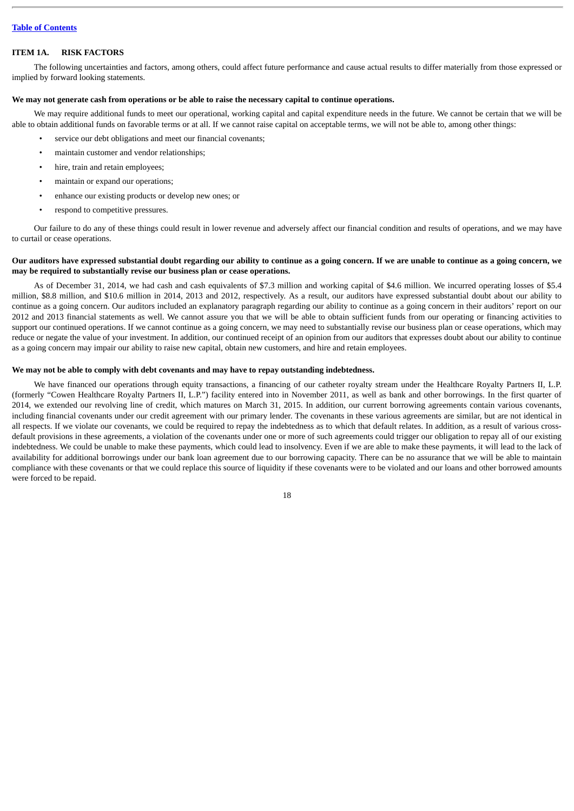# <span id="page-19-0"></span>**ITEM 1A. RISK FACTORS**

The following uncertainties and factors, among others, could affect future performance and cause actual results to differ materially from those expressed or implied by forward looking statements.

#### **We may not generate cash from operations or be able to raise the necessary capital to continue operations.**

We may require additional funds to meet our operational, working capital and capital expenditure needs in the future. We cannot be certain that we will be able to obtain additional funds on favorable terms or at all. If we cannot raise capital on acceptable terms, we will not be able to, among other things:

- service our debt obligations and meet our financial covenants;
- maintain customer and vendor relationships;
- hire, train and retain employees:
- maintain or expand our operations;
- enhance our existing products or develop new ones; or
- respond to competitive pressures.

Our failure to do any of these things could result in lower revenue and adversely affect our financial condition and results of operations, and we may have to curtail or cease operations.

# **Our auditors have expressed substantial doubt regarding our ability to continue as a going concern. If we are unable to continue as a going concern, we may be required to substantially revise our business plan or cease operations.**

As of December 31, 2014, we had cash and cash equivalents of \$7.3 million and working capital of \$4.6 million. We incurred operating losses of \$5.4 million, \$8.8 million, and \$10.6 million in 2014, 2013 and 2012, respectively. As a result, our auditors have expressed substantial doubt about our ability to continue as a going concern. Our auditors included an explanatory paragraph regarding our ability to continue as a going concern in their auditors' report on our 2012 and 2013 financial statements as well. We cannot assure you that we will be able to obtain sufficient funds from our operating or financing activities to support our continued operations. If we cannot continue as a going concern, we may need to substantially revise our business plan or cease operations, which may reduce or negate the value of your investment. In addition, our continued receipt of an opinion from our auditors that expresses doubt about our ability to continue as a going concern may impair our ability to raise new capital, obtain new customers, and hire and retain employees.

## **We may not be able to comply with debt covenants and may have to repay outstanding indebtedness.**

We have financed our operations through equity transactions, a financing of our catheter royalty stream under the Healthcare Royalty Partners II, L.P. (formerly "Cowen Healthcare Royalty Partners II, L.P.") facility entered into in November 2011, as well as bank and other borrowings. In the first quarter of 2014, we extended our revolving line of credit, which matures on March 31, 2015. In addition, our current borrowing agreements contain various covenants, including financial covenants under our credit agreement with our primary lender. The covenants in these various agreements are similar, but are not identical in all respects. If we violate our covenants, we could be required to repay the indebtedness as to which that default relates. In addition, as a result of various crossdefault provisions in these agreements, a violation of the covenants under one or more of such agreements could trigger our obligation to repay all of our existing indebtedness. We could be unable to make these payments, which could lead to insolvency. Even if we are able to make these payments, it will lead to the lack of availability for additional borrowings under our bank loan agreement due to our borrowing capacity. There can be no assurance that we will be able to maintain compliance with these covenants or that we could replace this source of liquidity if these covenants were to be violated and our loans and other borrowed amounts were forced to be repaid.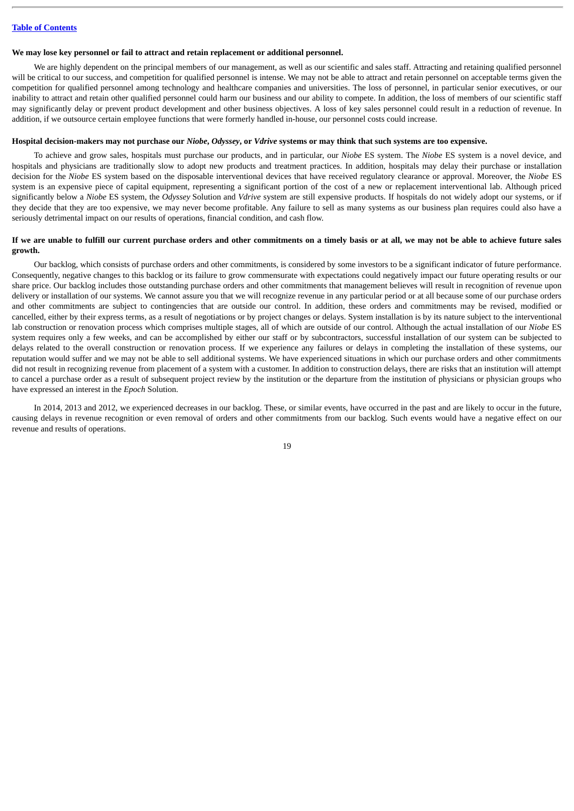#### **We may lose key personnel or fail to attract and retain replacement or additional personnel.**

We are highly dependent on the principal members of our management, as well as our scientific and sales staff. Attracting and retaining qualified personnel will be critical to our success, and competition for qualified personnel is intense. We may not be able to attract and retain personnel on acceptable terms given the competition for qualified personnel among technology and healthcare companies and universities. The loss of personnel, in particular senior executives, or our inability to attract and retain other qualified personnel could harm our business and our ability to compete. In addition, the loss of members of our scientific staff may significantly delay or prevent product development and other business objectives. A loss of key sales personnel could result in a reduction of revenue. In addition, if we outsource certain employee functions that were formerly handled in-house, our personnel costs could increase.

# **Hospital decision-makers may not purchase our** *Niobe***,** *Odyssey***, or** *Vdrive* **systems or may think that such systems are too expensive.**

To achieve and grow sales, hospitals must purchase our products, and in particular, our *Niobe* ES system. The *Niobe* ES system is a novel device, and hospitals and physicians are traditionally slow to adopt new products and treatment practices. In addition, hospitals may delay their purchase or installation decision for the *Niobe* ES system based on the disposable interventional devices that have received regulatory clearance or approval. Moreover, the *Niobe* ES system is an expensive piece of capital equipment, representing a significant portion of the cost of a new or replacement interventional lab. Although priced significantly below a *Niobe* ES system, the *Odyssey* Solution and *Vdrive* system are still expensive products. If hospitals do not widely adopt our systems, or if they decide that they are too expensive, we may never become profitable. Any failure to sell as many systems as our business plan requires could also have a seriously detrimental impact on our results of operations, financial condition, and cash flow.

# **If we are unable to fulfill our current purchase orders and other commitments on a timely basis or at all, we may not be able to achieve future sales growth.**

Our backlog, which consists of purchase orders and other commitments, is considered by some investors to be a significant indicator of future performance. Consequently, negative changes to this backlog or its failure to grow commensurate with expectations could negatively impact our future operating results or our share price. Our backlog includes those outstanding purchase orders and other commitments that management believes will result in recognition of revenue upon delivery or installation of our systems. We cannot assure you that we will recognize revenue in any particular period or at all because some of our purchase orders and other commitments are subject to contingencies that are outside our control. In addition, these orders and commitments may be revised, modified or cancelled, either by their express terms, as a result of negotiations or by project changes or delays. System installation is by its nature subject to the interventional lab construction or renovation process which comprises multiple stages, all of which are outside of our control. Although the actual installation of our *Niobe* ES system requires only a few weeks, and can be accomplished by either our staff or by subcontractors, successful installation of our system can be subjected to delays related to the overall construction or renovation process. If we experience any failures or delays in completing the installation of these systems, our reputation would suffer and we may not be able to sell additional systems. We have experienced situations in which our purchase orders and other commitments did not result in recognizing revenue from placement of a system with a customer. In addition to construction delays, there are risks that an institution will attempt to cancel a purchase order as a result of subsequent project review by the institution or the departure from the institution of physicians or physician groups who have expressed an interest in the *Epoch* Solution.

In 2014, 2013 and 2012, we experienced decreases in our backlog. These, or similar events, have occurred in the past and are likely to occur in the future, causing delays in revenue recognition or even removal of orders and other commitments from our backlog. Such events would have a negative effect on our revenue and results of operations.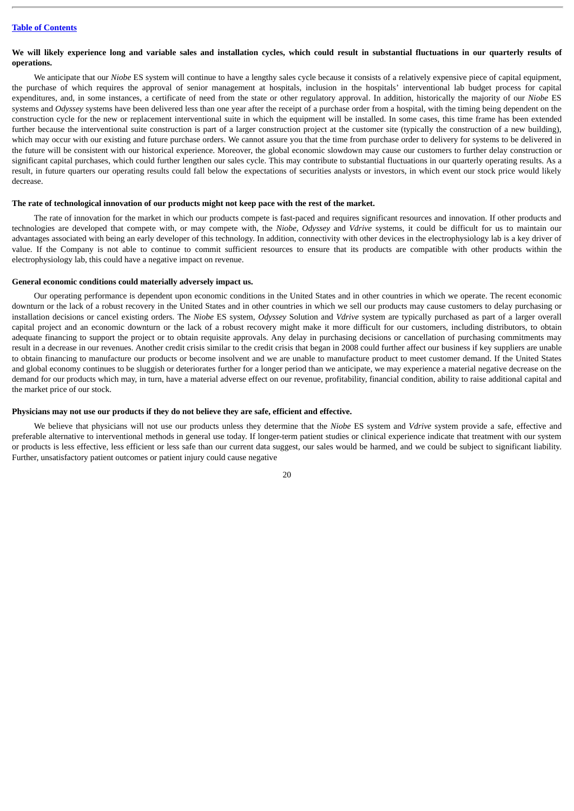# **We will likely experience long and variable sales and installation cycles, which could result in substantial fluctuations in our quarterly results of operations.**

We anticipate that our *Niobe* ES system will continue to have a lengthy sales cycle because it consists of a relatively expensive piece of capital equipment, the purchase of which requires the approval of senior management at hospitals, inclusion in the hospitals' interventional lab budget process for capital expenditures, and, in some instances, a certificate of need from the state or other regulatory approval. In addition, historically the majority of our *Niobe* ES systems and *Odyssey* systems have been delivered less than one year after the receipt of a purchase order from a hospital, with the timing being dependent on the construction cycle for the new or replacement interventional suite in which the equipment will be installed. In some cases, this time frame has been extended further because the interventional suite construction is part of a larger construction project at the customer site (typically the construction of a new building), which may occur with our existing and future purchase orders. We cannot assure you that the time from purchase order to delivery for systems to be delivered in the future will be consistent with our historical experience. Moreover, the global economic slowdown may cause our customers to further delay construction or significant capital purchases, which could further lengthen our sales cycle. This may contribute to substantial fluctuations in our quarterly operating results. As a result, in future quarters our operating results could fall below the expectations of securities analysts or investors, in which event our stock price would likely decrease.

#### **The rate of technological innovation of our products might not keep pace with the rest of the market.**

The rate of innovation for the market in which our products compete is fast-paced and requires significant resources and innovation. If other products and technologies are developed that compete with, or may compete with, the *Niobe*, *Odyssey* and *Vdrive* systems, it could be difficult for us to maintain our advantages associated with being an early developer of this technology. In addition, connectivity with other devices in the electrophysiology lab is a key driver of value. If the Company is not able to continue to commit sufficient resources to ensure that its products are compatible with other products within the electrophysiology lab, this could have a negative impact on revenue.

#### **General economic conditions could materially adversely impact us.**

Our operating performance is dependent upon economic conditions in the United States and in other countries in which we operate. The recent economic downturn or the lack of a robust recovery in the United States and in other countries in which we sell our products may cause customers to delay purchasing or installation decisions or cancel existing orders. The *Niobe* ES system, *Odyssey* Solution and *Vdrive* system are typically purchased as part of a larger overall capital project and an economic downturn or the lack of a robust recovery might make it more difficult for our customers, including distributors, to obtain adequate financing to support the project or to obtain requisite approvals. Any delay in purchasing decisions or cancellation of purchasing commitments may result in a decrease in our revenues. Another credit crisis similar to the credit crisis that began in 2008 could further affect our business if key suppliers are unable to obtain financing to manufacture our products or become insolvent and we are unable to manufacture product to meet customer demand. If the United States and global economy continues to be sluggish or deteriorates further for a longer period than we anticipate, we may experience a material negative decrease on the demand for our products which may, in turn, have a material adverse effect on our revenue, profitability, financial condition, ability to raise additional capital and the market price of our stock.

#### **Physicians may not use our products if they do not believe they are safe, efficient and effective.**

We believe that physicians will not use our products unless they determine that the *Niobe* ES system and *Vdrive* system provide a safe, effective and preferable alternative to interventional methods in general use today. If longer-term patient studies or clinical experience indicate that treatment with our system or products is less effective, less efficient or less safe than our current data suggest, our sales would be harmed, and we could be subject to significant liability. Further, unsatisfactory patient outcomes or patient injury could cause negative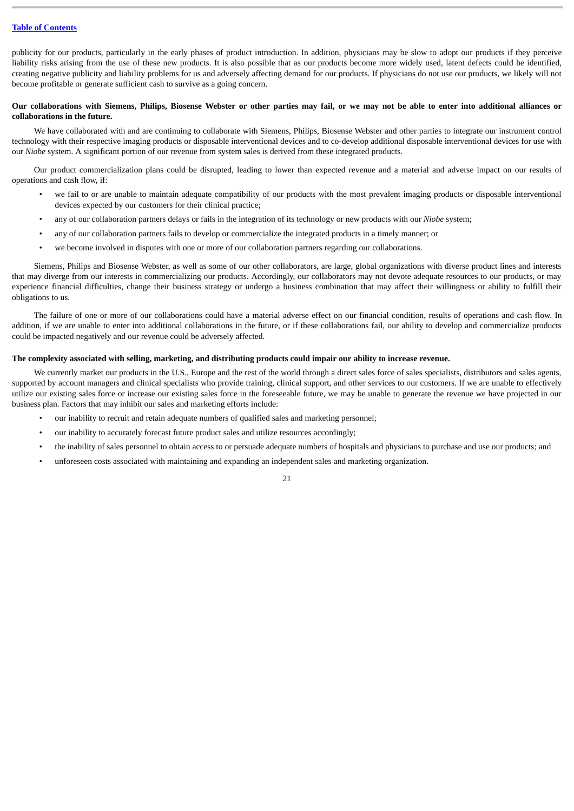publicity for our products, particularly in the early phases of product introduction. In addition, physicians may be slow to adopt our products if they perceive liability risks arising from the use of these new products. It is also possible that as our products become more widely used, latent defects could be identified, creating negative publicity and liability problems for us and adversely affecting demand for our products. If physicians do not use our products, we likely will not become profitable or generate sufficient cash to survive as a going concern.

# **Our collaborations with Siemens, Philips, Biosense Webster or other parties may fail, or we may not be able to enter into additional alliances or collaborations in the future.**

We have collaborated with and are continuing to collaborate with Siemens, Philips, Biosense Webster and other parties to integrate our instrument control technology with their respective imaging products or disposable interventional devices and to co-develop additional disposable interventional devices for use with our *Niobe* system. A significant portion of our revenue from system sales is derived from these integrated products.

Our product commercialization plans could be disrupted, leading to lower than expected revenue and a material and adverse impact on our results of operations and cash flow, if:

- we fail to or are unable to maintain adequate compatibility of our products with the most prevalent imaging products or disposable interventional devices expected by our customers for their clinical practice;
- any of our collaboration partners delays or fails in the integration of its technology or new products with our *Niobe* system;
- any of our collaboration partners fails to develop or commercialize the integrated products in a timely manner; or
- we become involved in disputes with one or more of our collaboration partners regarding our collaborations.

Siemens, Philips and Biosense Webster, as well as some of our other collaborators, are large, global organizations with diverse product lines and interests that may diverge from our interests in commercializing our products. Accordingly, our collaborators may not devote adequate resources to our products, or may experience financial difficulties, change their business strategy or undergo a business combination that may affect their willingness or ability to fulfill their obligations to us.

The failure of one or more of our collaborations could have a material adverse effect on our financial condition, results of operations and cash flow. In addition, if we are unable to enter into additional collaborations in the future, or if these collaborations fail, our ability to develop and commercialize products could be impacted negatively and our revenue could be adversely affected.

# **The complexity associated with selling, marketing, and distributing products could impair our ability to increase revenue.**

We currently market our products in the U.S., Europe and the rest of the world through a direct sales force of sales specialists, distributors and sales agents, supported by account managers and clinical specialists who provide training, clinical support, and other services to our customers. If we are unable to effectively utilize our existing sales force or increase our existing sales force in the foreseeable future, we may be unable to generate the revenue we have projected in our business plan. Factors that may inhibit our sales and marketing efforts include:

- our inability to recruit and retain adequate numbers of qualified sales and marketing personnel;
- our inability to accurately forecast future product sales and utilize resources accordingly;
- the inability of sales personnel to obtain access to or persuade adequate numbers of hospitals and physicians to purchase and use our products; and
- unforeseen costs associated with maintaining and expanding an independent sales and marketing organization.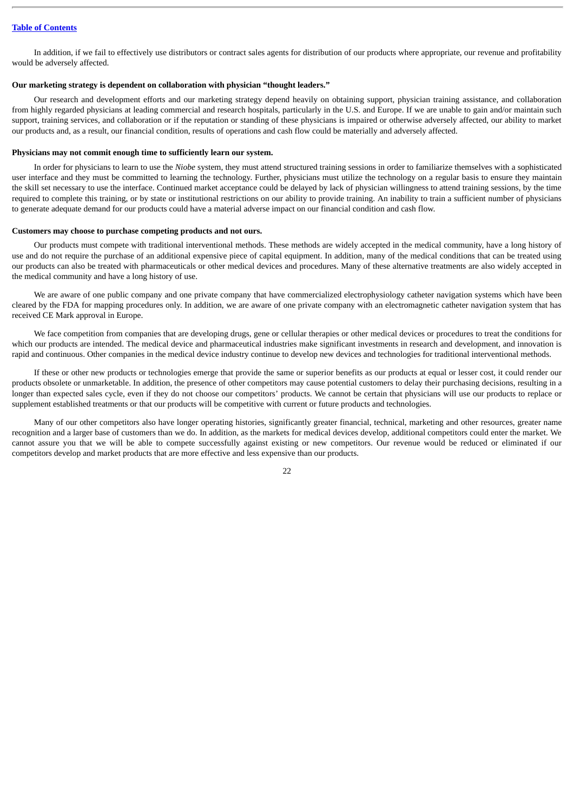In addition, if we fail to effectively use distributors or contract sales agents for distribution of our products where appropriate, our revenue and profitability would be adversely affected.

#### **Our marketing strategy is dependent on collaboration with physician "thought leaders."**

Our research and development efforts and our marketing strategy depend heavily on obtaining support, physician training assistance, and collaboration from highly regarded physicians at leading commercial and research hospitals, particularly in the U.S. and Europe. If we are unable to gain and/or maintain such support, training services, and collaboration or if the reputation or standing of these physicians is impaired or otherwise adversely affected, our ability to market our products and, as a result, our financial condition, results of operations and cash flow could be materially and adversely affected.

#### **Physicians may not commit enough time to sufficiently learn our system.**

In order for physicians to learn to use the *Niobe* system, they must attend structured training sessions in order to familiarize themselves with a sophisticated user interface and they must be committed to learning the technology. Further, physicians must utilize the technology on a regular basis to ensure they maintain the skill set necessary to use the interface. Continued market acceptance could be delayed by lack of physician willingness to attend training sessions, by the time required to complete this training, or by state or institutional restrictions on our ability to provide training. An inability to train a sufficient number of physicians to generate adequate demand for our products could have a material adverse impact on our financial condition and cash flow.

# **Customers may choose to purchase competing products and not ours.**

Our products must compete with traditional interventional methods. These methods are widely accepted in the medical community, have a long history of use and do not require the purchase of an additional expensive piece of capital equipment. In addition, many of the medical conditions that can be treated using our products can also be treated with pharmaceuticals or other medical devices and procedures. Many of these alternative treatments are also widely accepted in the medical community and have a long history of use.

We are aware of one public company and one private company that have commercialized electrophysiology catheter navigation systems which have been cleared by the FDA for mapping procedures only. In addition, we are aware of one private company with an electromagnetic catheter navigation system that has received CE Mark approval in Europe.

We face competition from companies that are developing drugs, gene or cellular therapies or other medical devices or procedures to treat the conditions for which our products are intended. The medical device and pharmaceutical industries make significant investments in research and development, and innovation is rapid and continuous. Other companies in the medical device industry continue to develop new devices and technologies for traditional interventional methods.

If these or other new products or technologies emerge that provide the same or superior benefits as our products at equal or lesser cost, it could render our products obsolete or unmarketable. In addition, the presence of other competitors may cause potential customers to delay their purchasing decisions, resulting in a longer than expected sales cycle, even if they do not choose our competitors' products. We cannot be certain that physicians will use our products to replace or supplement established treatments or that our products will be competitive with current or future products and technologies.

Many of our other competitors also have longer operating histories, significantly greater financial, technical, marketing and other resources, greater name recognition and a larger base of customers than we do. In addition, as the markets for medical devices develop, additional competitors could enter the market. We cannot assure you that we will be able to compete successfully against existing or new competitors. Our revenue would be reduced or eliminated if our competitors develop and market products that are more effective and less expensive than our products.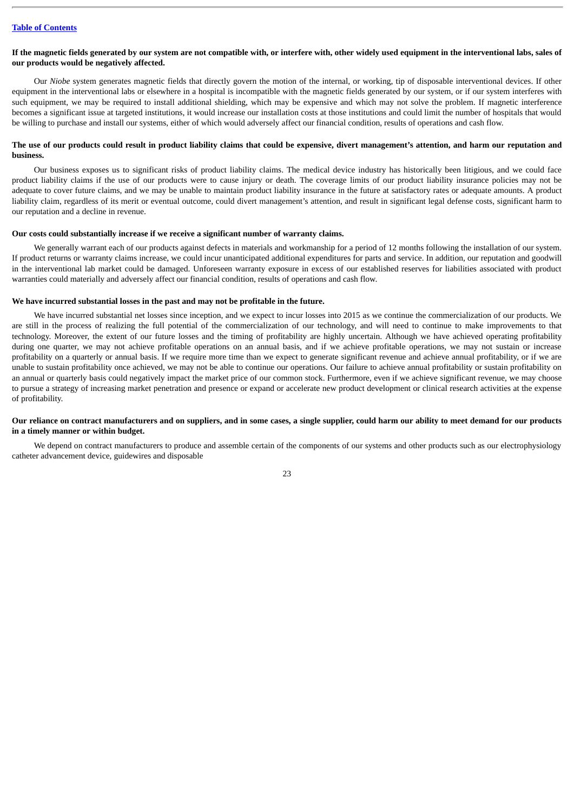# **If the magnetic fields generated by our system are not compatible with, or interfere with, other widely used equipment in the interventional labs, sales of our products would be negatively affected.**

Our *Niobe* system generates magnetic fields that directly govern the motion of the internal, or working, tip of disposable interventional devices. If other equipment in the interventional labs or elsewhere in a hospital is incompatible with the magnetic fields generated by our system, or if our system interferes with such equipment, we may be required to install additional shielding, which may be expensive and which may not solve the problem. If magnetic interference becomes a significant issue at targeted institutions, it would increase our installation costs at those institutions and could limit the number of hospitals that would be willing to purchase and install our systems, either of which would adversely affect our financial condition, results of operations and cash flow.

# **The use of our products could result in product liability claims that could be expensive, divert management's attention, and harm our reputation and business.**

Our business exposes us to significant risks of product liability claims. The medical device industry has historically been litigious, and we could face product liability claims if the use of our products were to cause injury or death. The coverage limits of our product liability insurance policies may not be adequate to cover future claims, and we may be unable to maintain product liability insurance in the future at satisfactory rates or adequate amounts. A product liability claim, regardless of its merit or eventual outcome, could divert management's attention, and result in significant legal defense costs, significant harm to our reputation and a decline in revenue.

#### **Our costs could substantially increase if we receive a significant number of warranty claims.**

We generally warrant each of our products against defects in materials and workmanship for a period of 12 months following the installation of our system. If product returns or warranty claims increase, we could incur unanticipated additional expenditures for parts and service. In addition, our reputation and goodwill in the interventional lab market could be damaged. Unforeseen warranty exposure in excess of our established reserves for liabilities associated with product warranties could materially and adversely affect our financial condition, results of operations and cash flow.

#### **We have incurred substantial losses in the past and may not be profitable in the future.**

We have incurred substantial net losses since inception, and we expect to incur losses into 2015 as we continue the commercialization of our products. We are still in the process of realizing the full potential of the commercialization of our technology, and will need to continue to make improvements to that technology. Moreover, the extent of our future losses and the timing of profitability are highly uncertain. Although we have achieved operating profitability during one quarter, we may not achieve profitable operations on an annual basis, and if we achieve profitable operations, we may not sustain or increase profitability on a quarterly or annual basis. If we require more time than we expect to generate significant revenue and achieve annual profitability, or if we are unable to sustain profitability once achieved, we may not be able to continue our operations. Our failure to achieve annual profitability or sustain profitability on an annual or quarterly basis could negatively impact the market price of our common stock. Furthermore, even if we achieve significant revenue, we may choose to pursue a strategy of increasing market penetration and presence or expand or accelerate new product development or clinical research activities at the expense of profitability.

# **Our reliance on contract manufacturers and on suppliers, and in some cases, a single supplier, could harm our ability to meet demand for our products in a timely manner or within budget.**

We depend on contract manufacturers to produce and assemble certain of the components of our systems and other products such as our electrophysiology catheter advancement device, guidewires and disposable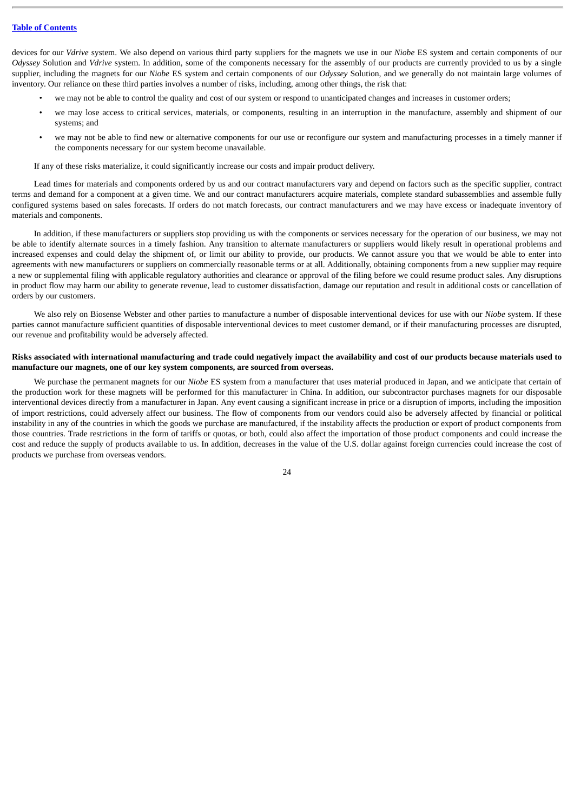devices for our *Vdrive* system. We also depend on various third party suppliers for the magnets we use in our *Niobe* ES system and certain components of our *Odyssey* Solution and *Vdrive* system. In addition, some of the components necessary for the assembly of our products are currently provided to us by a single supplier, including the magnets for our *Niobe* ES system and certain components of our *Odyssey* Solution, and we generally do not maintain large volumes of inventory. Our reliance on these third parties involves a number of risks, including, among other things, the risk that:

- we may not be able to control the quality and cost of our system or respond to unanticipated changes and increases in customer orders;
- we may lose access to critical services, materials, or components, resulting in an interruption in the manufacture, assembly and shipment of our systems; and
- we may not be able to find new or alternative components for our use or reconfigure our system and manufacturing processes in a timely manner if the components necessary for our system become unavailable.

If any of these risks materialize, it could significantly increase our costs and impair product delivery.

Lead times for materials and components ordered by us and our contract manufacturers vary and depend on factors such as the specific supplier, contract terms and demand for a component at a given time. We and our contract manufacturers acquire materials, complete standard subassemblies and assemble fully configured systems based on sales forecasts. If orders do not match forecasts, our contract manufacturers and we may have excess or inadequate inventory of materials and components.

In addition, if these manufacturers or suppliers stop providing us with the components or services necessary for the operation of our business, we may not be able to identify alternate sources in a timely fashion. Any transition to alternate manufacturers or suppliers would likely result in operational problems and increased expenses and could delay the shipment of, or limit our ability to provide, our products. We cannot assure you that we would be able to enter into agreements with new manufacturers or suppliers on commercially reasonable terms or at all. Additionally, obtaining components from a new supplier may require a new or supplemental filing with applicable regulatory authorities and clearance or approval of the filing before we could resume product sales. Any disruptions in product flow may harm our ability to generate revenue, lead to customer dissatisfaction, damage our reputation and result in additional costs or cancellation of orders by our customers.

We also rely on Biosense Webster and other parties to manufacture a number of disposable interventional devices for use with our *Niobe* system. If these parties cannot manufacture sufficient quantities of disposable interventional devices to meet customer demand, or if their manufacturing processes are disrupted, our revenue and profitability would be adversely affected.

# **Risks associated with international manufacturing and trade could negatively impact the availability and cost of our products because materials used to manufacture our magnets, one of our key system components, are sourced from overseas.**

We purchase the permanent magnets for our *Niobe* ES system from a manufacturer that uses material produced in Japan, and we anticipate that certain of the production work for these magnets will be performed for this manufacturer in China. In addition, our subcontractor purchases magnets for our disposable interventional devices directly from a manufacturer in Japan. Any event causing a significant increase in price or a disruption of imports, including the imposition of import restrictions, could adversely affect our business. The flow of components from our vendors could also be adversely affected by financial or political instability in any of the countries in which the goods we purchase are manufactured, if the instability affects the production or export of product components from those countries. Trade restrictions in the form of tariffs or quotas, or both, could also affect the importation of those product components and could increase the cost and reduce the supply of products available to us. In addition, decreases in the value of the U.S. dollar against foreign currencies could increase the cost of products we purchase from overseas vendors.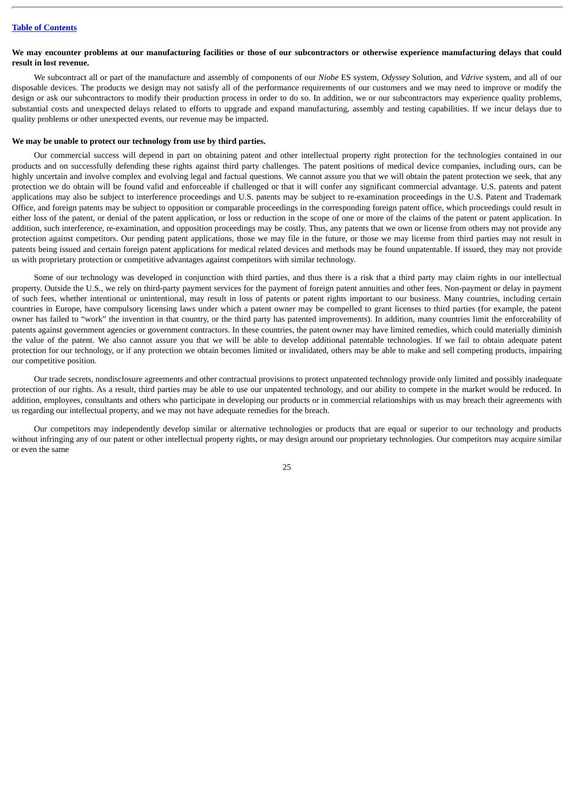# **We may encounter problems at our manufacturing facilities or those of our subcontractors or otherwise experience manufacturing delays that could result in lost revenue.**

We subcontract all or part of the manufacture and assembly of components of our *Niobe* ES system*, Odyssey* Solution, and *Vdrive* system, and all of our disposable devices. The products we design may not satisfy all of the performance requirements of our customers and we may need to improve or modify the design or ask our subcontractors to modify their production process in order to do so. In addition, we or our subcontractors may experience quality problems, substantial costs and unexpected delays related to efforts to upgrade and expand manufacturing, assembly and testing capabilities. If we incur delays due to quality problems or other unexpected events, our revenue may be impacted.

# **We may be unable to protect our technology from use by third parties.**

Our commercial success will depend in part on obtaining patent and other intellectual property right protection for the technologies contained in our products and on successfully defending these rights against third party challenges. The patent positions of medical device companies, including ours, can be highly uncertain and involve complex and evolving legal and factual questions. We cannot assure you that we will obtain the patent protection we seek, that any protection we do obtain will be found valid and enforceable if challenged or that it will confer any significant commercial advantage. U.S. patents and patent applications may also be subject to interference proceedings and U.S. patents may be subject to re-examination proceedings in the U.S. Patent and Trademark Office, and foreign patents may be subject to opposition or comparable proceedings in the corresponding foreign patent office, which proceedings could result in either loss of the patent, or denial of the patent application, or loss or reduction in the scope of one or more of the claims of the patent or patent application. In addition, such interference, re-examination, and opposition proceedings may be costly. Thus, any patents that we own or license from others may not provide any protection against competitors. Our pending patent applications, those we may file in the future, or those we may license from third parties may not result in patents being issued and certain foreign patent applications for medical related devices and methods may be found unpatentable. If issued, they may not provide us with proprietary protection or competitive advantages against competitors with similar technology.

Some of our technology was developed in conjunction with third parties, and thus there is a risk that a third party may claim rights in our intellectual property. Outside the U.S., we rely on third-party payment services for the payment of foreign patent annuities and other fees. Non-payment or delay in payment of such fees, whether intentional or unintentional, may result in loss of patents or patent rights important to our business. Many countries, including certain countries in Europe, have compulsory licensing laws under which a patent owner may be compelled to grant licenses to third parties (for example, the patent owner has failed to "work" the invention in that country, or the third party has patented improvements). In addition, many countries limit the enforceability of patents against government agencies or government contractors. In these countries, the patent owner may have limited remedies, which could materially diminish the value of the patent. We also cannot assure you that we will be able to develop additional patentable technologies. If we fail to obtain adequate patent protection for our technology, or if any protection we obtain becomes limited or invalidated, others may be able to make and sell competing products, impairing our competitive position.

Our trade secrets, nondisclosure agreements and other contractual provisions to protect unpatented technology provide only limited and possibly inadequate protection of our rights. As a result, third parties may be able to use our unpatented technology, and our ability to compete in the market would be reduced. In addition, employees, consultants and others who participate in developing our products or in commercial relationships with us may breach their agreements with us regarding our intellectual property, and we may not have adequate remedies for the breach.

Our competitors may independently develop similar or alternative technologies or products that are equal or superior to our technology and products without infringing any of our patent or other intellectual property rights, or may design around our proprietary technologies. Our competitors may acquire similar or even the same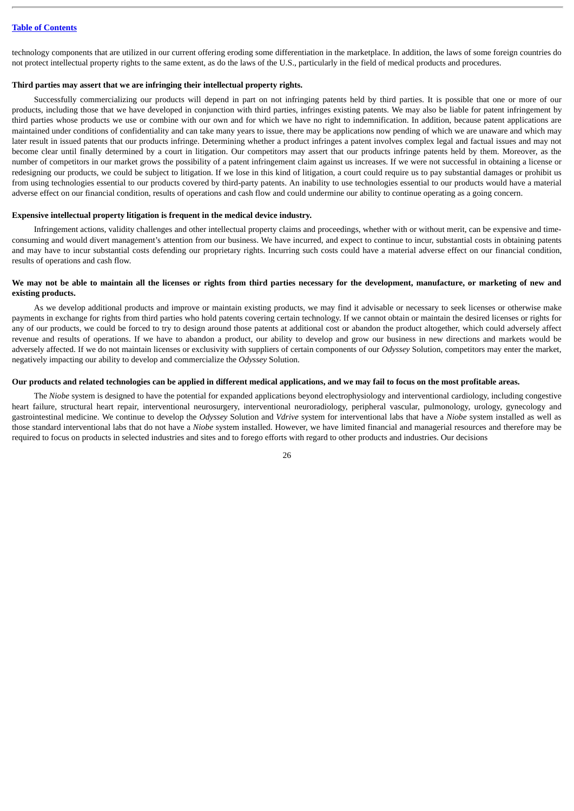technology components that are utilized in our current offering eroding some differentiation in the marketplace. In addition, the laws of some foreign countries do not protect intellectual property rights to the same extent, as do the laws of the U.S., particularly in the field of medical products and procedures.

#### **Third parties may assert that we are infringing their intellectual property rights.**

Successfully commercializing our products will depend in part on not infringing patents held by third parties. It is possible that one or more of our products, including those that we have developed in conjunction with third parties, infringes existing patents. We may also be liable for patent infringement by third parties whose products we use or combine with our own and for which we have no right to indemnification. In addition, because patent applications are maintained under conditions of confidentiality and can take many years to issue, there may be applications now pending of which we are unaware and which may later result in issued patents that our products infringe. Determining whether a product infringes a patent involves complex legal and factual issues and may not become clear until finally determined by a court in litigation. Our competitors may assert that our products infringe patents held by them. Moreover, as the number of competitors in our market grows the possibility of a patent infringement claim against us increases. If we were not successful in obtaining a license or redesigning our products, we could be subject to litigation. If we lose in this kind of litigation, a court could require us to pay substantial damages or prohibit us from using technologies essential to our products covered by third-party patents. An inability to use technologies essential to our products would have a material adverse effect on our financial condition, results of operations and cash flow and could undermine our ability to continue operating as a going concern.

#### **Expensive intellectual property litigation is frequent in the medical device industry.**

Infringement actions, validity challenges and other intellectual property claims and proceedings, whether with or without merit, can be expensive and timeconsuming and would divert management's attention from our business. We have incurred, and expect to continue to incur, substantial costs in obtaining patents and may have to incur substantial costs defending our proprietary rights. Incurring such costs could have a material adverse effect on our financial condition, results of operations and cash flow.

# **We may not be able to maintain all the licenses or rights from third parties necessary for the development, manufacture, or marketing of new and existing products.**

As we develop additional products and improve or maintain existing products, we may find it advisable or necessary to seek licenses or otherwise make payments in exchange for rights from third parties who hold patents covering certain technology. If we cannot obtain or maintain the desired licenses or rights for any of our products, we could be forced to try to design around those patents at additional cost or abandon the product altogether, which could adversely affect revenue and results of operations. If we have to abandon a product, our ability to develop and grow our business in new directions and markets would be adversely affected. If we do not maintain licenses or exclusivity with suppliers of certain components of our *Odyssey* Solution, competitors may enter the market, negatively impacting our ability to develop and commercialize the *Odyssey* Solution.

# **Our products and related technologies can be applied in different medical applications, and we may fail to focus on the most profitable areas.**

The *Niobe* system is designed to have the potential for expanded applications beyond electrophysiology and interventional cardiology, including congestive heart failure, structural heart repair, interventional neurosurgery, interventional neuroradiology, peripheral vascular, pulmonology, urology, gynecology and gastrointestinal medicine. We continue to develop the *Odyssey* Solution and *Vdrive* system for interventional labs that have a *Niobe* system installed as well as those standard interventional labs that do not have a *Niobe* system installed. However, we have limited financial and managerial resources and therefore may be required to focus on products in selected industries and sites and to forego efforts with regard to other products and industries. Our decisions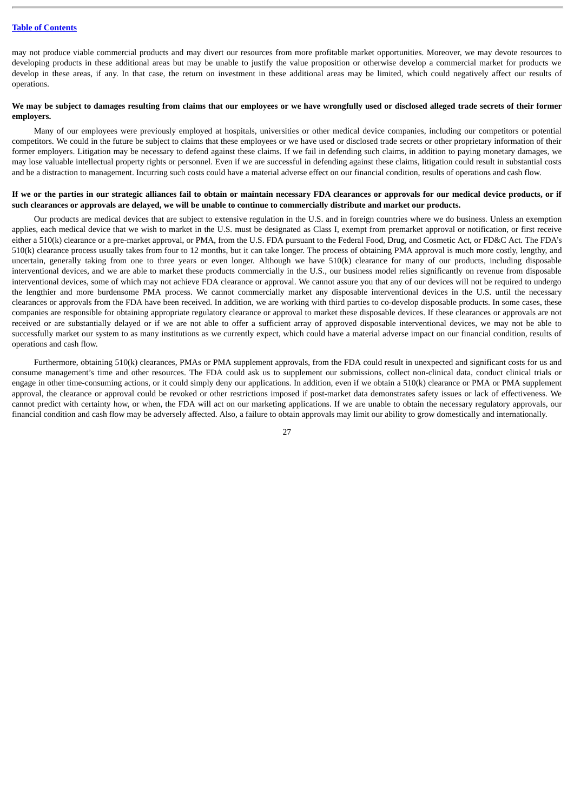may not produce viable commercial products and may divert our resources from more profitable market opportunities. Moreover, we may devote resources to developing products in these additional areas but may be unable to justify the value proposition or otherwise develop a commercial market for products we develop in these areas, if any. In that case, the return on investment in these additional areas may be limited, which could negatively affect our results of operations.

# **We may be subject to damages resulting from claims that our employees or we have wrongfully used or disclosed alleged trade secrets of their former employers.**

Many of our employees were previously employed at hospitals, universities or other medical device companies, including our competitors or potential competitors. We could in the future be subject to claims that these employees or we have used or disclosed trade secrets or other proprietary information of their former employers. Litigation may be necessary to defend against these claims. If we fail in defending such claims, in addition to paying monetary damages, we may lose valuable intellectual property rights or personnel. Even if we are successful in defending against these claims, litigation could result in substantial costs and be a distraction to management. Incurring such costs could have a material adverse effect on our financial condition, results of operations and cash flow.

# **If we or the parties in our strategic alliances fail to obtain or maintain necessary FDA clearances or approvals for our medical device products, or if such clearances or approvals are delayed, we will be unable to continue to commercially distribute and market our products.**

Our products are medical devices that are subject to extensive regulation in the U.S. and in foreign countries where we do business. Unless an exemption applies, each medical device that we wish to market in the U.S. must be designated as Class I, exempt from premarket approval or notification, or first receive either a 510(k) clearance or a pre-market approval, or PMA, from the U.S. FDA pursuant to the Federal Food, Drug, and Cosmetic Act, or FD&C Act. The FDA's 510(k) clearance process usually takes from four to 12 months, but it can take longer. The process of obtaining PMA approval is much more costly, lengthy, and uncertain, generally taking from one to three years or even longer. Although we have 510(k) clearance for many of our products, including disposable interventional devices, and we are able to market these products commercially in the U.S., our business model relies significantly on revenue from disposable interventional devices, some of which may not achieve FDA clearance or approval. We cannot assure you that any of our devices will not be required to undergo the lengthier and more burdensome PMA process. We cannot commercially market any disposable interventional devices in the U.S. until the necessary clearances or approvals from the FDA have been received. In addition, we are working with third parties to co-develop disposable products. In some cases, these companies are responsible for obtaining appropriate regulatory clearance or approval to market these disposable devices. If these clearances or approvals are not received or are substantially delayed or if we are not able to offer a sufficient array of approved disposable interventional devices, we may not be able to successfully market our system to as many institutions as we currently expect, which could have a material adverse impact on our financial condition, results of operations and cash flow.

Furthermore, obtaining 510(k) clearances, PMAs or PMA supplement approvals, from the FDA could result in unexpected and significant costs for us and consume management's time and other resources. The FDA could ask us to supplement our submissions, collect non-clinical data, conduct clinical trials or engage in other time-consuming actions, or it could simply deny our applications. In addition, even if we obtain a 510(k) clearance or PMA or PMA supplement approval, the clearance or approval could be revoked or other restrictions imposed if post-market data demonstrates safety issues or lack of effectiveness. We cannot predict with certainty how, or when, the FDA will act on our marketing applications. If we are unable to obtain the necessary regulatory approvals, our financial condition and cash flow may be adversely affected. Also, a failure to obtain approvals may limit our ability to grow domestically and internationally.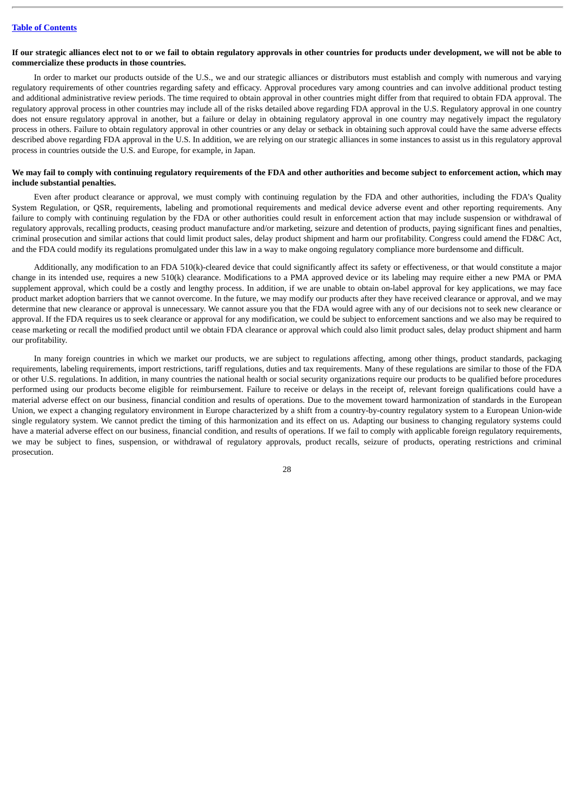# **If our strategic alliances elect not to or we fail to obtain regulatory approvals in other countries for products under development, we will not be able to commercialize these products in those countries.**

In order to market our products outside of the U.S., we and our strategic alliances or distributors must establish and comply with numerous and varying regulatory requirements of other countries regarding safety and efficacy. Approval procedures vary among countries and can involve additional product testing and additional administrative review periods. The time required to obtain approval in other countries might differ from that required to obtain FDA approval. The regulatory approval process in other countries may include all of the risks detailed above regarding FDA approval in the U.S. Regulatory approval in one country does not ensure regulatory approval in another, but a failure or delay in obtaining regulatory approval in one country may negatively impact the regulatory process in others. Failure to obtain regulatory approval in other countries or any delay or setback in obtaining such approval could have the same adverse effects described above regarding FDA approval in the U.S. In addition, we are relying on our strategic alliances in some instances to assist us in this regulatory approval process in countries outside the U.S. and Europe, for example, in Japan.

# **We may fail to comply with continuing regulatory requirements of the FDA and other authorities and become subject to enforcement action, which may include substantial penalties.**

Even after product clearance or approval, we must comply with continuing regulation by the FDA and other authorities, including the FDA's Quality System Regulation, or QSR, requirements, labeling and promotional requirements and medical device adverse event and other reporting requirements. Any failure to comply with continuing regulation by the FDA or other authorities could result in enforcement action that may include suspension or withdrawal of regulatory approvals, recalling products, ceasing product manufacture and/or marketing, seizure and detention of products, paying significant fines and penalties, criminal prosecution and similar actions that could limit product sales, delay product shipment and harm our profitability. Congress could amend the FD&C Act, and the FDA could modify its regulations promulgated under this law in a way to make ongoing regulatory compliance more burdensome and difficult.

Additionally, any modification to an FDA 510(k)-cleared device that could significantly affect its safety or effectiveness, or that would constitute a major change in its intended use, requires a new 510(k) clearance. Modifications to a PMA approved device or its labeling may require either a new PMA or PMA supplement approval, which could be a costly and lengthy process. In addition, if we are unable to obtain on-label approval for key applications, we may face product market adoption barriers that we cannot overcome. In the future, we may modify our products after they have received clearance or approval, and we may determine that new clearance or approval is unnecessary. We cannot assure you that the FDA would agree with any of our decisions not to seek new clearance or approval. If the FDA requires us to seek clearance or approval for any modification, we could be subject to enforcement sanctions and we also may be required to cease marketing or recall the modified product until we obtain FDA clearance or approval which could also limit product sales, delay product shipment and harm our profitability.

In many foreign countries in which we market our products, we are subject to regulations affecting, among other things, product standards, packaging requirements, labeling requirements, import restrictions, tariff regulations, duties and tax requirements. Many of these regulations are similar to those of the FDA or other U.S. regulations. In addition, in many countries the national health or social security organizations require our products to be qualified before procedures performed using our products become eligible for reimbursement. Failure to receive or delays in the receipt of, relevant foreign qualifications could have a material adverse effect on our business, financial condition and results of operations. Due to the movement toward harmonization of standards in the European Union, we expect a changing regulatory environment in Europe characterized by a shift from a country-by-country regulatory system to a European Union-wide single regulatory system. We cannot predict the timing of this harmonization and its effect on us. Adapting our business to changing regulatory systems could have a material adverse effect on our business, financial condition, and results of operations. If we fail to comply with applicable foreign regulatory requirements, we may be subject to fines, suspension, or withdrawal of regulatory approvals, product recalls, seizure of products, operating restrictions and criminal prosecution.

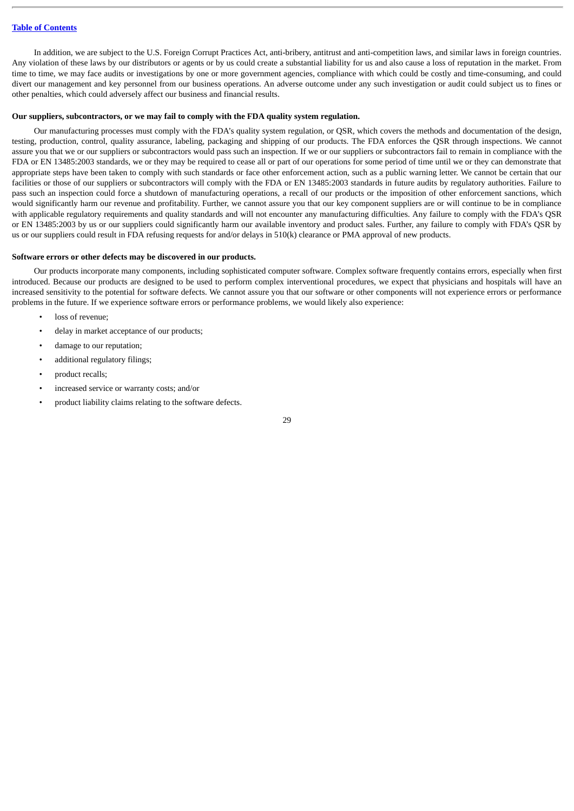In addition, we are subject to the U.S. Foreign Corrupt Practices Act, anti-bribery, antitrust and anti-competition laws, and similar laws in foreign countries. Any violation of these laws by our distributors or agents or by us could create a substantial liability for us and also cause a loss of reputation in the market. From time to time, we may face audits or investigations by one or more government agencies, compliance with which could be costly and time-consuming, and could divert our management and key personnel from our business operations. An adverse outcome under any such investigation or audit could subject us to fines or other penalties, which could adversely affect our business and financial results.

#### **Our suppliers, subcontractors, or we may fail to comply with the FDA quality system regulation.**

Our manufacturing processes must comply with the FDA's quality system regulation, or QSR, which covers the methods and documentation of the design, testing, production, control, quality assurance, labeling, packaging and shipping of our products. The FDA enforces the QSR through inspections. We cannot assure you that we or our suppliers or subcontractors would pass such an inspection. If we or our suppliers or subcontractors fail to remain in compliance with the FDA or EN 13485:2003 standards, we or they may be required to cease all or part of our operations for some period of time until we or they can demonstrate that appropriate steps have been taken to comply with such standards or face other enforcement action, such as a public warning letter. We cannot be certain that our facilities or those of our suppliers or subcontractors will comply with the FDA or EN 13485:2003 standards in future audits by regulatory authorities. Failure to pass such an inspection could force a shutdown of manufacturing operations, a recall of our products or the imposition of other enforcement sanctions, which would significantly harm our revenue and profitability. Further, we cannot assure you that our key component suppliers are or will continue to be in compliance with applicable regulatory requirements and quality standards and will not encounter any manufacturing difficulties. Any failure to comply with the FDA's QSR or EN 13485:2003 by us or our suppliers could significantly harm our available inventory and product sales. Further, any failure to comply with FDA's QSR by us or our suppliers could result in FDA refusing requests for and/or delays in 510(k) clearance or PMA approval of new products.

# **Software errors or other defects may be discovered in our products.**

Our products incorporate many components, including sophisticated computer software. Complex software frequently contains errors, especially when first introduced. Because our products are designed to be used to perform complex interventional procedures, we expect that physicians and hospitals will have an increased sensitivity to the potential for software defects. We cannot assure you that our software or other components will not experience errors or performance problems in the future. If we experience software errors or performance problems, we would likely also experience:

- loss of revenue:
- delay in market acceptance of our products;
- damage to our reputation;
- additional regulatory filings;
- product recalls;
- increased service or warranty costs; and/or
- product liability claims relating to the software defects.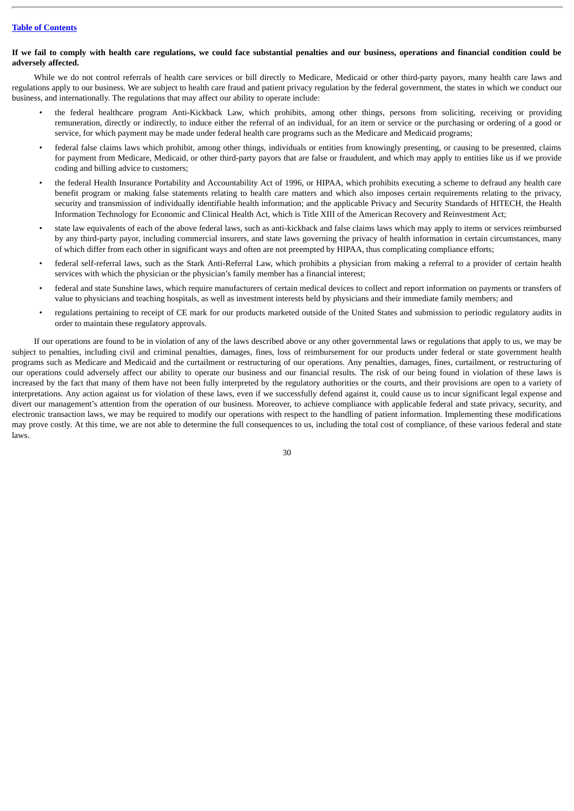# **If we fail to comply with health care regulations, we could face substantial penalties and our business, operations and financial condition could be adversely affected.**

While we do not control referrals of health care services or bill directly to Medicare, Medicaid or other third-party payors, many health care laws and regulations apply to our business. We are subject to health care fraud and patient privacy regulation by the federal government, the states in which we conduct our business, and internationally. The regulations that may affect our ability to operate include:

- the federal healthcare program Anti-Kickback Law, which prohibits, among other things, persons from soliciting, receiving or providing remuneration, directly or indirectly, to induce either the referral of an individual, for an item or service or the purchasing or ordering of a good or service, for which payment may be made under federal health care programs such as the Medicare and Medicaid programs;
- federal false claims laws which prohibit, among other things, individuals or entities from knowingly presenting, or causing to be presented, claims for payment from Medicare, Medicaid, or other third-party payors that are false or fraudulent, and which may apply to entities like us if we provide coding and billing advice to customers;
- the federal Health Insurance Portability and Accountability Act of 1996, or HIPAA, which prohibits executing a scheme to defraud any health care benefit program or making false statements relating to health care matters and which also imposes certain requirements relating to the privacy, security and transmission of individually identifiable health information; and the applicable Privacy and Security Standards of HITECH, the Health Information Technology for Economic and Clinical Health Act, which is Title XIII of the American Recovery and Reinvestment Act;
- state law equivalents of each of the above federal laws, such as anti-kickback and false claims laws which may apply to items or services reimbursed by any third-party payor, including commercial insurers, and state laws governing the privacy of health information in certain circumstances, many of which differ from each other in significant ways and often are not preempted by HIPAA, thus complicating compliance efforts;
- federal self-referral laws, such as the Stark Anti-Referral Law, which prohibits a physician from making a referral to a provider of certain health services with which the physician or the physician's family member has a financial interest;
- federal and state Sunshine laws, which require manufacturers of certain medical devices to collect and report information on payments or transfers of value to physicians and teaching hospitals, as well as investment interests held by physicians and their immediate family members; and
- regulations pertaining to receipt of CE mark for our products marketed outside of the United States and submission to periodic regulatory audits in order to maintain these regulatory approvals.

If our operations are found to be in violation of any of the laws described above or any other governmental laws or regulations that apply to us, we may be subject to penalties, including civil and criminal penalties, damages, fines, loss of reimbursement for our products under federal or state government health programs such as Medicare and Medicaid and the curtailment or restructuring of our operations. Any penalties, damages, fines, curtailment, or restructuring of our operations could adversely affect our ability to operate our business and our financial results. The risk of our being found in violation of these laws is increased by the fact that many of them have not been fully interpreted by the regulatory authorities or the courts, and their provisions are open to a variety of interpretations. Any action against us for violation of these laws, even if we successfully defend against it, could cause us to incur significant legal expense and divert our management's attention from the operation of our business. Moreover, to achieve compliance with applicable federal and state privacy, security, and electronic transaction laws, we may be required to modify our operations with respect to the handling of patient information. Implementing these modifications may prove costly. At this time, we are not able to determine the full consequences to us, including the total cost of compliance, of these various federal and state laws.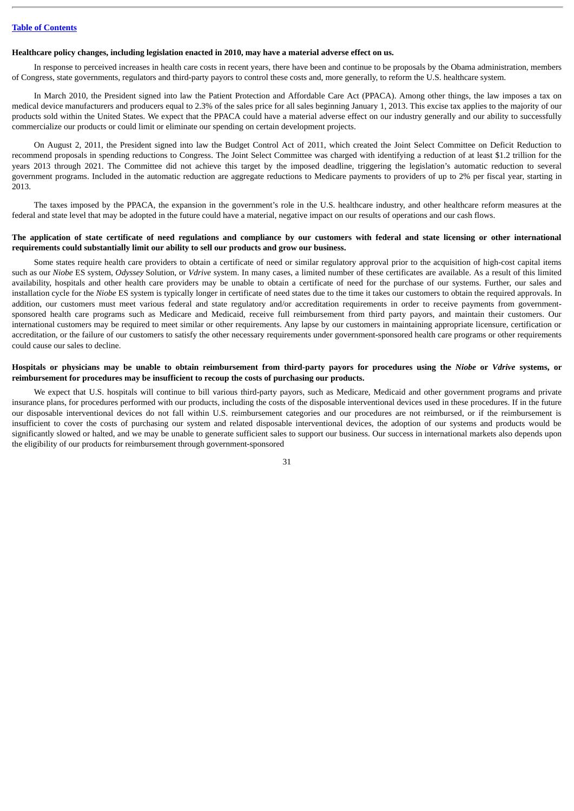#### **Healthcare policy changes, including legislation enacted in 2010, may have a material adverse effect on us.**

In response to perceived increases in health care costs in recent years, there have been and continue to be proposals by the Obama administration, members of Congress, state governments, regulators and third-party payors to control these costs and, more generally, to reform the U.S. healthcare system.

In March 2010, the President signed into law the Patient Protection and Affordable Care Act (PPACA). Among other things, the law imposes a tax on medical device manufacturers and producers equal to 2.3% of the sales price for all sales beginning January 1, 2013. This excise tax applies to the majority of our products sold within the United States. We expect that the PPACA could have a material adverse effect on our industry generally and our ability to successfully commercialize our products or could limit or eliminate our spending on certain development projects.

On August 2, 2011, the President signed into law the Budget Control Act of 2011, which created the Joint Select Committee on Deficit Reduction to recommend proposals in spending reductions to Congress. The Joint Select Committee was charged with identifying a reduction of at least \$1.2 trillion for the years 2013 through 2021. The Committee did not achieve this target by the imposed deadline, triggering the legislation's automatic reduction to several government programs. Included in the automatic reduction are aggregate reductions to Medicare payments to providers of up to 2% per fiscal year, starting in 2013.

The taxes imposed by the PPACA, the expansion in the government's role in the U.S. healthcare industry, and other healthcare reform measures at the federal and state level that may be adopted in the future could have a material, negative impact on our results of operations and our cash flows.

# **The application of state certificate of need regulations and compliance by our customers with federal and state licensing or other international requirements could substantially limit our ability to sell our products and grow our business.**

Some states require health care providers to obtain a certificate of need or similar regulatory approval prior to the acquisition of high-cost capital items such as our *Niobe* ES system, *Odyssey* Solution, or *Vdrive* system. In many cases, a limited number of these certificates are available. As a result of this limited availability, hospitals and other health care providers may be unable to obtain a certificate of need for the purchase of our systems. Further, our sales and installation cycle for the *Niobe* ES system is typically longer in certificate of need states due to the time it takes our customers to obtain the required approvals. In addition, our customers must meet various federal and state regulatory and/or accreditation requirements in order to receive payments from governmentsponsored health care programs such as Medicare and Medicaid, receive full reimbursement from third party payors, and maintain their customers. Our international customers may be required to meet similar or other requirements. Any lapse by our customers in maintaining appropriate licensure, certification or accreditation, or the failure of our customers to satisfy the other necessary requirements under government-sponsored health care programs or other requirements could cause our sales to decline.

# **Hospitals or physicians may be unable to obtain reimbursement from third-party payors for procedures using the** *Niobe* **or** *Vdrive* **systems, or reimbursement for procedures may be insufficient to recoup the costs of purchasing our products.**

We expect that U.S. hospitals will continue to bill various third-party payors, such as Medicare, Medicaid and other government programs and private insurance plans, for procedures performed with our products, including the costs of the disposable interventional devices used in these procedures. If in the future our disposable interventional devices do not fall within U.S. reimbursement categories and our procedures are not reimbursed, or if the reimbursement is insufficient to cover the costs of purchasing our system and related disposable interventional devices, the adoption of our systems and products would be significantly slowed or halted, and we may be unable to generate sufficient sales to support our business. Our success in international markets also depends upon the eligibility of our products for reimbursement through government-sponsored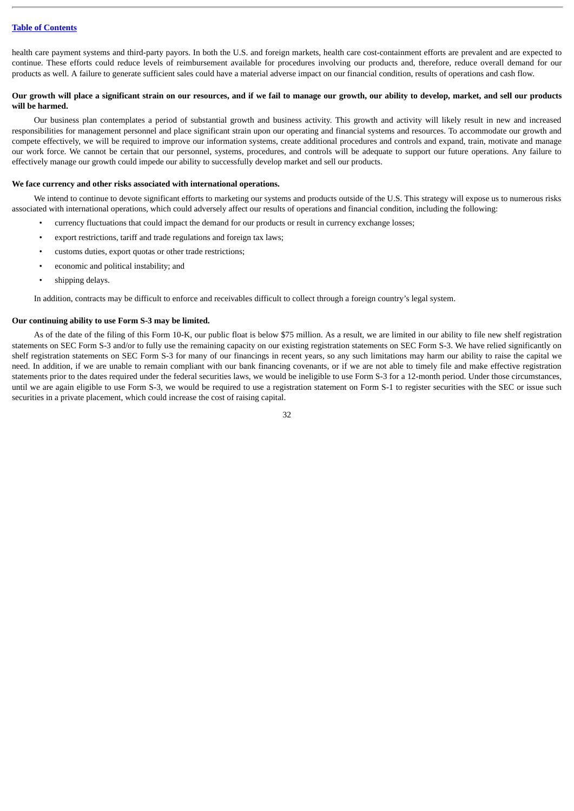health care payment systems and third-party payors. In both the U.S. and foreign markets, health care cost-containment efforts are prevalent and are expected to continue. These efforts could reduce levels of reimbursement available for procedures involving our products and, therefore, reduce overall demand for our products as well. A failure to generate sufficient sales could have a material adverse impact on our financial condition, results of operations and cash flow.

# **Our growth will place a significant strain on our resources, and if we fail to manage our growth, our ability to develop, market, and sell our products will be harmed.**

Our business plan contemplates a period of substantial growth and business activity. This growth and activity will likely result in new and increased responsibilities for management personnel and place significant strain upon our operating and financial systems and resources. To accommodate our growth and compete effectively, we will be required to improve our information systems, create additional procedures and controls and expand, train, motivate and manage our work force. We cannot be certain that our personnel, systems, procedures, and controls will be adequate to support our future operations. Any failure to effectively manage our growth could impede our ability to successfully develop market and sell our products.

# **We face currency and other risks associated with international operations.**

We intend to continue to devote significant efforts to marketing our systems and products outside of the U.S. This strategy will expose us to numerous risks associated with international operations, which could adversely affect our results of operations and financial condition, including the following:

- currency fluctuations that could impact the demand for our products or result in currency exchange losses;
- export restrictions, tariff and trade regulations and foreign tax laws;
- customs duties, export quotas or other trade restrictions;
- economic and political instability; and
- shipping delays.

In addition, contracts may be difficult to enforce and receivables difficult to collect through a foreign country's legal system.

#### **Our continuing ability to use Form S-3 may be limited.**

As of the date of the filing of this Form 10-K, our public float is below \$75 million. As a result, we are limited in our ability to file new shelf registration statements on SEC Form S-3 and/or to fully use the remaining capacity on our existing registration statements on SEC Form S-3. We have relied significantly on shelf registration statements on SEC Form S-3 for many of our financings in recent years, so any such limitations may harm our ability to raise the capital we need. In addition, if we are unable to remain compliant with our bank financing covenants, or if we are not able to timely file and make effective registration statements prior to the dates required under the federal securities laws, we would be ineligible to use Form S-3 for a 12-month period. Under those circumstances, until we are again eligible to use Form S-3, we would be required to use a registration statement on Form S-1 to register securities with the SEC or issue such securities in a private placement, which could increase the cost of raising capital.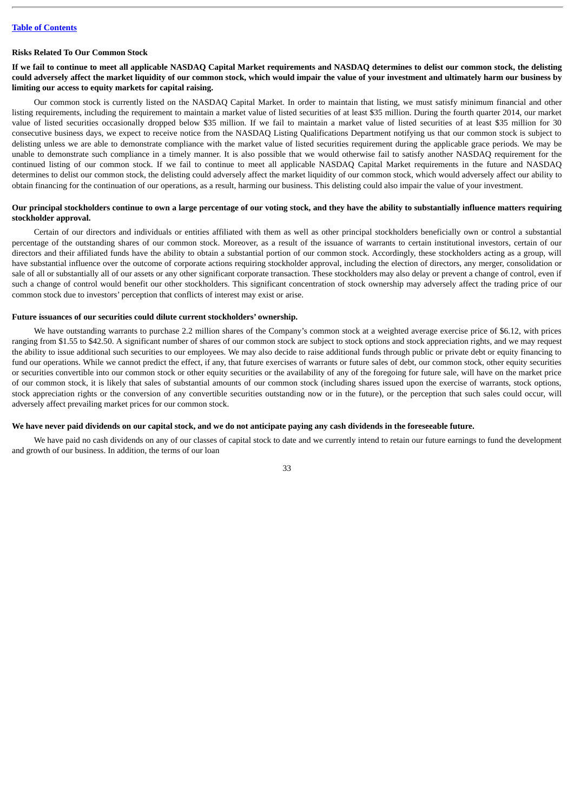#### **Risks Related To Our Common Stock**

# **If we fail to continue to meet all applicable NASDAQ Capital Market requirements and NASDAQ determines to delist our common stock, the delisting could adversely affect the market liquidity of our common stock, which would impair the value of your investment and ultimately harm our business by limiting our access to equity markets for capital raising.**

Our common stock is currently listed on the NASDAQ Capital Market. In order to maintain that listing, we must satisfy minimum financial and other listing requirements, including the requirement to maintain a market value of listed securities of at least \$35 million. During the fourth quarter 2014, our market value of listed securities occasionally dropped below \$35 million. If we fail to maintain a market value of listed securities of at least \$35 million for 30 consecutive business days, we expect to receive notice from the NASDAQ Listing Qualifications Department notifying us that our common stock is subject to delisting unless we are able to demonstrate compliance with the market value of listed securities requirement during the applicable grace periods. We may be unable to demonstrate such compliance in a timely manner. It is also possible that we would otherwise fail to satisfy another NASDAQ requirement for the continued listing of our common stock. If we fail to continue to meet all applicable NASDAQ Capital Market requirements in the future and NASDAQ determines to delist our common stock, the delisting could adversely affect the market liquidity of our common stock, which would adversely affect our ability to obtain financing for the continuation of our operations, as a result, harming our business. This delisting could also impair the value of your investment.

# **Our principal stockholders continue to own a large percentage of our voting stock, and they have the ability to substantially influence matters requiring stockholder approval.**

Certain of our directors and individuals or entities affiliated with them as well as other principal stockholders beneficially own or control a substantial percentage of the outstanding shares of our common stock. Moreover, as a result of the issuance of warrants to certain institutional investors, certain of our directors and their affiliated funds have the ability to obtain a substantial portion of our common stock. Accordingly, these stockholders acting as a group, will have substantial influence over the outcome of corporate actions requiring stockholder approval, including the election of directors, any merger, consolidation or sale of all or substantially all of our assets or any other significant corporate transaction. These stockholders may also delay or prevent a change of control, even if such a change of control would benefit our other stockholders. This significant concentration of stock ownership may adversely affect the trading price of our common stock due to investors' perception that conflicts of interest may exist or arise.

#### **Future issuances of our securities could dilute current stockholders' ownership.**

We have outstanding warrants to purchase 2.2 million shares of the Company's common stock at a weighted average exercise price of \$6.12, with prices ranging from \$1.55 to \$42.50. A significant number of shares of our common stock are subject to stock options and stock appreciation rights, and we may request the ability to issue additional such securities to our employees. We may also decide to raise additional funds through public or private debt or equity financing to fund our operations. While we cannot predict the effect, if any, that future exercises of warrants or future sales of debt, our common stock, other equity securities or securities convertible into our common stock or other equity securities or the availability of any of the foregoing for future sale, will have on the market price of our common stock, it is likely that sales of substantial amounts of our common stock (including shares issued upon the exercise of warrants, stock options, stock appreciation rights or the conversion of any convertible securities outstanding now or in the future), or the perception that such sales could occur, will adversely affect prevailing market prices for our common stock.

#### **We have never paid dividends on our capital stock, and we do not anticipate paying any cash dividends in the foreseeable future.**

We have paid no cash dividends on any of our classes of capital stock to date and we currently intend to retain our future earnings to fund the development and growth of our business. In addition, the terms of our loan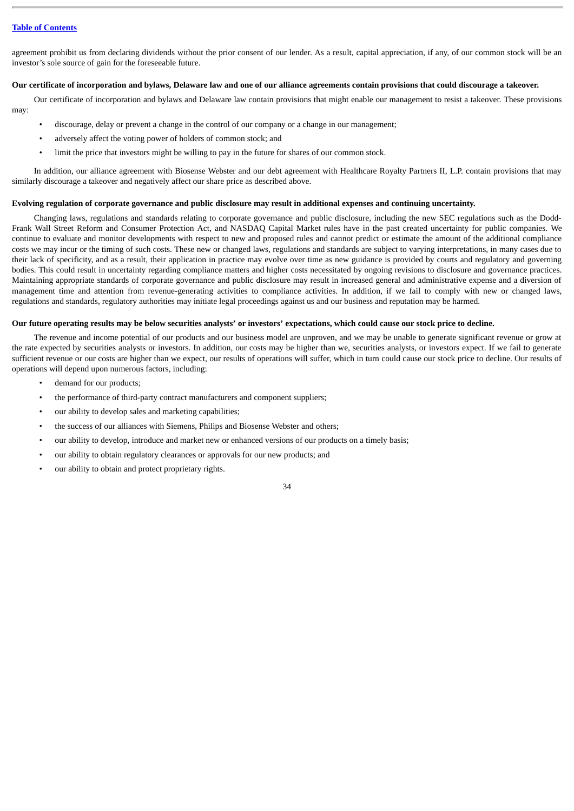agreement prohibit us from declaring dividends without the prior consent of our lender. As a result, capital appreciation, if any, of our common stock will be an investor's sole source of gain for the foreseeable future.

# **Our certificate of incorporation and bylaws, Delaware law and one of our alliance agreements contain provisions that could discourage a takeover.**

Our certificate of incorporation and bylaws and Delaware law contain provisions that might enable our management to resist a takeover. These provisions may:

- discourage, delay or prevent a change in the control of our company or a change in our management;
- adversely affect the voting power of holders of common stock; and
- limit the price that investors might be willing to pay in the future for shares of our common stock.

In addition, our alliance agreement with Biosense Webster and our debt agreement with Healthcare Royalty Partners II, L.P. contain provisions that may similarly discourage a takeover and negatively affect our share price as described above.

#### **Evolving regulation of corporate governance and public disclosure may result in additional expenses and continuing uncertainty.**

Changing laws, regulations and standards relating to corporate governance and public disclosure, including the new SEC regulations such as the Dodd-Frank Wall Street Reform and Consumer Protection Act, and NASDAQ Capital Market rules have in the past created uncertainty for public companies. We continue to evaluate and monitor developments with respect to new and proposed rules and cannot predict or estimate the amount of the additional compliance costs we may incur or the timing of such costs. These new or changed laws, regulations and standards are subject to varying interpretations, in many cases due to their lack of specificity, and as a result, their application in practice may evolve over time as new guidance is provided by courts and regulatory and governing bodies. This could result in uncertainty regarding compliance matters and higher costs necessitated by ongoing revisions to disclosure and governance practices. Maintaining appropriate standards of corporate governance and public disclosure may result in increased general and administrative expense and a diversion of management time and attention from revenue-generating activities to compliance activities. In addition, if we fail to comply with new or changed laws, regulations and standards, regulatory authorities may initiate legal proceedings against us and our business and reputation may be harmed.

#### **Our future operating results may be below securities analysts' or investors' expectations, which could cause our stock price to decline.**

The revenue and income potential of our products and our business model are unproven, and we may be unable to generate significant revenue or grow at the rate expected by securities analysts or investors. In addition, our costs may be higher than we, securities analysts, or investors expect. If we fail to generate sufficient revenue or our costs are higher than we expect, our results of operations will suffer, which in turn could cause our stock price to decline. Our results of operations will depend upon numerous factors, including:

- demand for our products;
- the performance of third-party contract manufacturers and component suppliers;
- our ability to develop sales and marketing capabilities;
- the success of our alliances with Siemens, Philips and Biosense Webster and others;
- our ability to develop, introduce and market new or enhanced versions of our products on a timely basis;
- our ability to obtain regulatory clearances or approvals for our new products; and
- our ability to obtain and protect proprietary rights.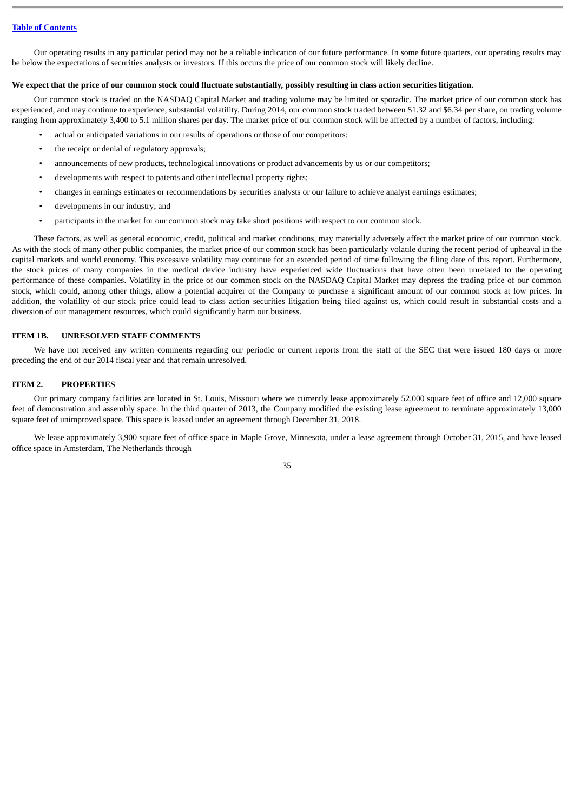Our operating results in any particular period may not be a reliable indication of our future performance. In some future quarters, our operating results may be below the expectations of securities analysts or investors. If this occurs the price of our common stock will likely decline.

# **We expect that the price of our common stock could fluctuate substantially, possibly resulting in class action securities litigation.**

Our common stock is traded on the NASDAQ Capital Market and trading volume may be limited or sporadic. The market price of our common stock has experienced, and may continue to experience, substantial volatility. During 2014, our common stock traded between \$1.32 and \$6.34 per share, on trading volume ranging from approximately 3,400 to 5.1 million shares per day. The market price of our common stock will be affected by a number of factors, including:

- actual or anticipated variations in our results of operations or those of our competitors;
- the receipt or denial of regulatory approvals;
- announcements of new products, technological innovations or product advancements by us or our competitors;
- developments with respect to patents and other intellectual property rights;
- changes in earnings estimates or recommendations by securities analysts or our failure to achieve analyst earnings estimates;
- developments in our industry; and
- participants in the market for our common stock may take short positions with respect to our common stock.

These factors, as well as general economic, credit, political and market conditions, may materially adversely affect the market price of our common stock. As with the stock of many other public companies, the market price of our common stock has been particularly volatile during the recent period of upheaval in the capital markets and world economy. This excessive volatility may continue for an extended period of time following the filing date of this report. Furthermore, the stock prices of many companies in the medical device industry have experienced wide fluctuations that have often been unrelated to the operating performance of these companies. Volatility in the price of our common stock on the NASDAQ Capital Market may depress the trading price of our common stock, which could, among other things, allow a potential acquirer of the Company to purchase a significant amount of our common stock at low prices. In addition, the volatility of our stock price could lead to class action securities litigation being filed against us, which could result in substantial costs and a diversion of our management resources, which could significantly harm our business.

# **ITEM 1B. UNRESOLVED STAFF COMMENTS**

We have not received any written comments regarding our periodic or current reports from the staff of the SEC that were issued 180 days or more preceding the end of our 2014 fiscal year and that remain unresolved.

# **ITEM 2. PROPERTIES**

Our primary company facilities are located in St. Louis, Missouri where we currently lease approximately 52,000 square feet of office and 12,000 square feet of demonstration and assembly space. In the third quarter of 2013, the Company modified the existing lease agreement to terminate approximately 13,000 square feet of unimproved space. This space is leased under an agreement through December 31, 2018.

We lease approximately 3,900 square feet of office space in Maple Grove, Minnesota, under a lease agreement through October 31, 2015, and have leased office space in Amsterdam, The Netherlands through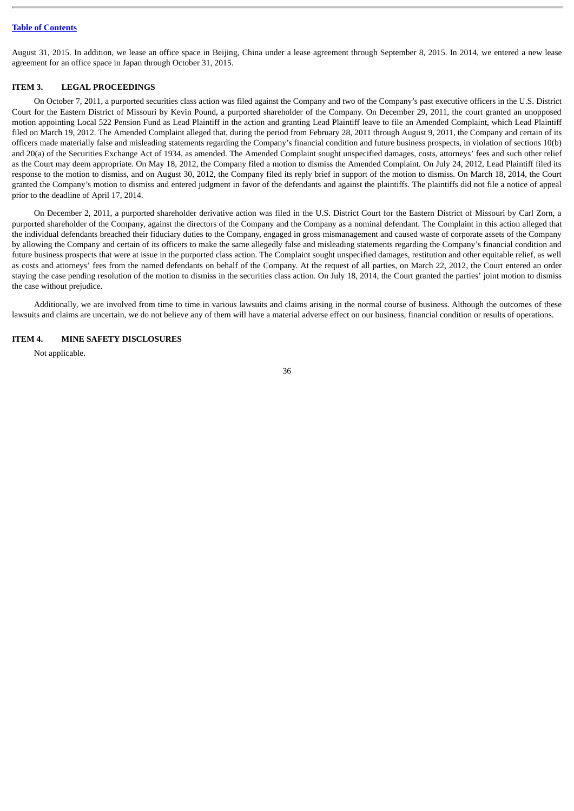August 31, 2015. In addition, we lease an office space in Beijing, China under a lease agreement through September 8, 2015. In 2014, we entered a new lease agreement for an office space in Japan through October 31, 2015.

# **ITEM 3. LEGAL PROCEEDINGS**

On October 7, 2011, a purported securities class action was filed against the Company and two of the Company's past executive officers in the U.S. District Court for the Eastern District of Missouri by Kevin Pound, a purported shareholder of the Company. On December 29, 2011, the court granted an unopposed motion appointing Local 522 Pension Fund as Lead Plaintiff in the action and granting Lead Plaintiff leave to file an Amended Complaint, which Lead Plaintiff filed on March 19, 2012. The Amended Complaint alleged that, during the period from February 28, 2011 through August 9, 2011, the Company and certain of its officers made materially false and misleading statements regarding the Company's financial condition and future business prospects, in violation of sections 10(b) and 20(a) of the Securities Exchange Act of 1934, as amended. The Amended Complaint sought unspecified damages, costs, attorneys' fees and such other relief as the Court may deem appropriate. On May 18, 2012, the Company filed a motion to dismiss the Amended Complaint. On July 24, 2012, Lead Plaintiff filed its response to the motion to dismiss, and on August 30, 2012, the Company filed its reply brief in support of the motion to dismiss. On March 18, 2014, the Court granted the Company's motion to dismiss and entered judgment in favor of the defendants and against the plaintiffs. The plaintiffs did not file a notice of appeal prior to the deadline of April 17, 2014.

On December 2, 2011, a purported shareholder derivative action was filed in the U.S. District Court for the Eastern District of Missouri by Carl Zorn, a purported shareholder of the Company, against the directors of the Company and the Company as a nominal defendant. The Complaint in this action alleged that the individual defendants breached their fiduciary duties to the Company, engaged in gross mismanagement and caused waste of corporate assets of the Company by allowing the Company and certain of its officers to make the same allegedly false and misleading statements regarding the Company's financial condition and future business prospects that were at issue in the purported class action. The Complaint sought unspecified damages, restitution and other equitable relief, as well as costs and attorneys' fees from the named defendants on behalf of the Company. At the request of all parties, on March 22, 2012, the Court entered an order staying the case pending resolution of the motion to dismiss in the securities class action. On July 18, 2014, the Court granted the parties' joint motion to dismiss the case without prejudice.

Additionally, we are involved from time to time in various lawsuits and claims arising in the normal course of business. Although the outcomes of these lawsuits and claims are uncertain, we do not believe any of them will have a material adverse effect on our business, financial condition or results of operations.

# **ITEM 4. MINE SAFETY DISCLOSURES**

Not applicable.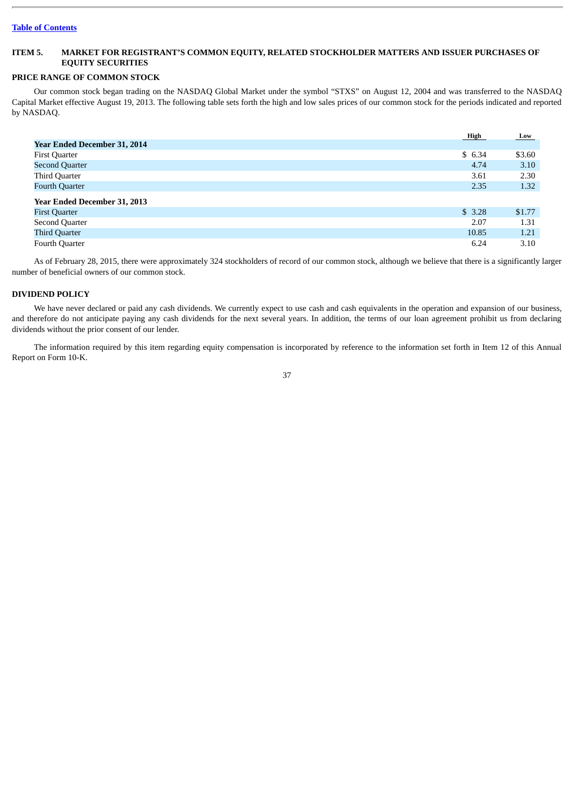# **ITEM 5. MARKET FOR REGISTRANT'S COMMON EQUITY, RELATED STOCKHOLDER MATTERS AND ISSUER PURCHASES OF EQUITY SECURITIES**

# **PRICE RANGE OF COMMON STOCK**

Our common stock began trading on the NASDAQ Global Market under the symbol "STXS" on August 12, 2004 and was transferred to the NASDAQ Capital Market effective August 19, 2013. The following table sets forth the high and low sales prices of our common stock for the periods indicated and reported by NASDAQ.

|                                     | High   | Low    |
|-------------------------------------|--------|--------|
| Year Ended December 31, 2014        |        |        |
| First Quarter                       | \$6.34 | \$3.60 |
| <b>Second Quarter</b>               | 4.74   | 3.10   |
| Third Quarter                       | 3.61   | 2.30   |
| <b>Fourth Quarter</b>               | 2.35   | 1.32   |
| <b>Year Ended December 31, 2013</b> |        |        |
| <b>First Quarter</b>                | \$3.28 | \$1.77 |
| Second Quarter                      | 2.07   | 1.31   |
| <b>Third Quarter</b>                | 10.85  | 1.21   |
| Fourth Quarter                      | 6.24   | 3.10   |

As of February 28, 2015, there were approximately 324 stockholders of record of our common stock, although we believe that there is a significantly larger number of beneficial owners of our common stock.

# **DIVIDEND POLICY**

We have never declared or paid any cash dividends. We currently expect to use cash and cash equivalents in the operation and expansion of our business, and therefore do not anticipate paying any cash dividends for the next several years. In addition, the terms of our loan agreement prohibit us from declaring dividends without the prior consent of our lender.

The information required by this item regarding equity compensation is incorporated by reference to the information set forth in Item 12 of this Annual Report on Form 10-K.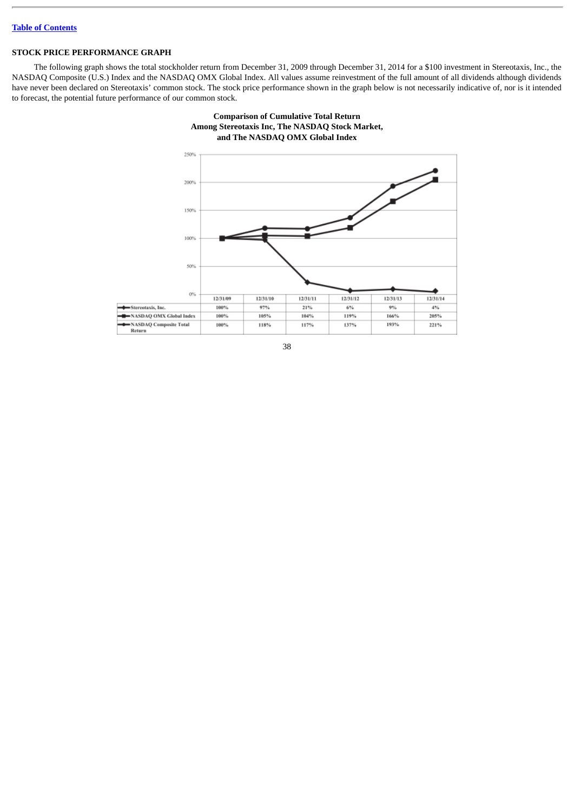# **STOCK PRICE PERFORMANCE GRAPH**

The following graph shows the total stockholder return from December 31, 2009 through December 31, 2014 for a \$100 investment in Stereotaxis, Inc., the NASDAQ Composite (U.S.) Index and the NASDAQ OMX Global Index. All values assume reinvestment of the full amount of all dividends although dividends have never been declared on Stereotaxis' common stock. The stock price performance shown in the graph below is not necessarily indicative of, nor is it intended to forecast, the potential future performance of our common stock.



**Comparison of Cumulative Total Return Among Stereotaxis Inc, The NASDAQ Stock Market, and The NASDAQ OMX Global Index**

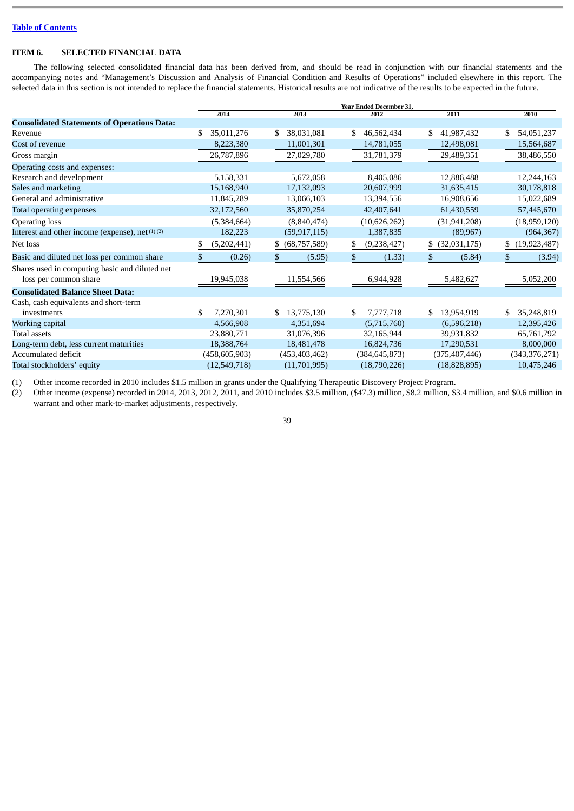# **ITEM 6. SELECTED FINANCIAL DATA**

The following selected consolidated financial data has been derived from, and should be read in conjunction with our financial statements and the accompanying notes and "Management's Discussion and Analysis of Financial Condition and Results of Operations" included elsewhere in this report. The selected data in this section is not intended to replace the financial statements. Historical results are not indicative of the results to be expected in the future.

|                                                    |      |                 |    |                 |    | <b>Year Ended December 31,</b> |    |                  |    |                 |
|----------------------------------------------------|------|-----------------|----|-----------------|----|--------------------------------|----|------------------|----|-----------------|
|                                                    | 2014 |                 |    | 2013            |    | 2012                           |    | 2011             |    | 2010            |
| <b>Consolidated Statements of Operations Data:</b> |      |                 |    |                 |    |                                |    |                  |    |                 |
| Revenue                                            | \$.  | 35,011,276      | S. | 38,031,081      | \$ | 46,562,434                     | \$ | 41,987,432       | \$ | 54,051,237      |
| Cost of revenue                                    |      | 8,223,380       |    | 11,001,301      |    | 14,781,055                     |    | 12,498,081       |    | 15,564,687      |
| Gross margin                                       |      | 26,787,896      |    | 27,029,780      |    | 31,781,379                     |    | 29,489,351       |    | 38,486,550      |
| Operating costs and expenses:                      |      |                 |    |                 |    |                                |    |                  |    |                 |
| Research and development                           |      | 5,158,331       |    | 5,672,058       |    | 8,405,086                      |    | 12,886,488       |    | 12,244,163      |
| Sales and marketing                                |      | 15,168,940      |    | 17,132,093      |    | 20,607,999                     |    | 31,635,415       |    | 30,178,818      |
| General and administrative                         |      | 11,845,289      |    | 13,066,103      |    | 13,394,556                     |    | 16,908,656       |    | 15,022,689      |
| Total operating expenses                           |      | 32,172,560      |    | 35,870,254      |    | 42,407,641                     |    | 61,430,559       |    | 57,445,670      |
| <b>Operating loss</b>                              |      | (5,384,664)     |    | (8,840,474)     |    | (10,626,262)                   |    | (31, 941, 208)   |    | (18,959,120)    |
| Interest and other income (expense), net (1)(2)    |      | 182,223         |    | (59, 917, 115)  |    | 1,387,835                      |    | (89, 967)        |    | (964, 367)      |
| Net loss                                           |      | (5,202,441)     |    | \$ (68,757,589) | \$ | (9,238,427)                    |    | $$$ (32,031,175) | S  | (19, 923, 487)  |
| Basic and diluted net loss per common share        |      | (0.26)          |    | (5.95)          | S  | (1.33)                         | S. | (5.84)           | \$ | (3.94)          |
| Shares used in computing basic and diluted net     |      |                 |    |                 |    |                                |    |                  |    |                 |
| loss per common share                              |      | 19,945,038      |    | 11,554,566      |    | 6,944,928                      |    | 5,482,627        |    | 5,052,200       |
| <b>Consolidated Balance Sheet Data:</b>            |      |                 |    |                 |    |                                |    |                  |    |                 |
| Cash, cash equivalents and short-term              |      |                 |    |                 |    |                                |    |                  |    |                 |
| investments                                        | \$   | 7,270,301       | S. | 13,775,130      | \$ | 7,777,718                      | \$ | 13,954,919       | \$ | 35,248,819      |
| Working capital                                    |      | 4,566,908       |    | 4,351,694       |    | (5,715,760)                    |    | (6,596,218)      |    | 12,395,426      |
| Total assets                                       |      | 23,880,771      |    | 31,076,396      |    | 32,165,944                     |    | 39,931,832       |    | 65,761,792      |
| Long-term debt, less current maturities            |      | 18,388,764      |    | 18,481,478      |    | 16,824,736                     |    | 17,290,531       |    | 8,000,000       |
| Accumulated deficit                                |      | (458, 605, 903) |    | (453, 403, 462) |    | (384, 645, 873)                |    | (375, 407, 446)  |    | (343, 376, 271) |
| Total stockholders' equity                         |      | (12, 549, 718)  |    | (11,701,995)    |    | (18,790,226)                   |    | (18, 828, 895)   |    | 10,475,246      |

(1) Other income recorded in 2010 includes \$1.5 million in grants under the Qualifying Therapeutic Discovery Project Program.

(2) Other income (expense) recorded in 2014, 2013, 2012, 2011, and 2010 includes \$3.5 million, (\$47.3) million, \$8.2 million, \$3.4 million, and \$0.6 million in warrant and other mark-to-market adjustments, respectively.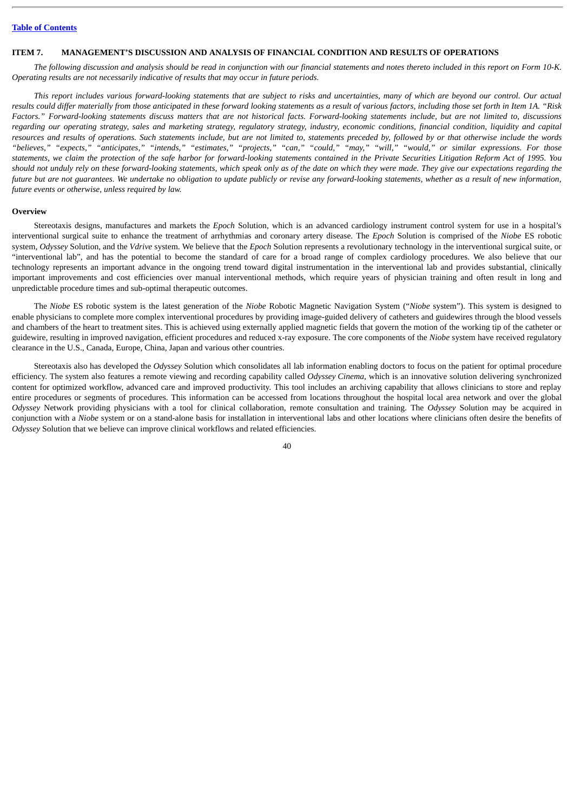## **ITEM 7. MANAGEMENT'S DISCUSSION AND ANALYSIS OF FINANCIAL CONDITION AND RESULTS OF OPERATIONS**

*The following discussion and analysis should be read in conjunction with our financial statements and notes thereto included in this report on Form 10-K. Operating results are not necessarily indicative of results that may occur in future periods.*

*This report includes various forward-looking statements that are subject to risks and uncertainties, many of which are beyond our control. Our actual results could differ materially from those anticipated in these forward looking statements as a result of various factors, including those set forth in Item 1A. "Risk Factors." Forward-looking statements discuss matters that are not historical facts. Forward-looking statements include, but are not limited to, discussions regarding our operating strategy, sales and marketing strategy, regulatory strategy, industry, economic conditions, financial condition, liquidity and capital resources and results of operations. Such statements include, but are not limited to, statements preceded by, followed by or that otherwise include the words "believes," "expects," "anticipates," "intends," "estimates," "projects," "can," "could," "may," "will," "would," or similar expressions. For those statements, we claim the protection of the safe harbor for forward-looking statements contained in the Private Securities Litigation Reform Act of 1995. You should not unduly rely on these forward-looking statements, which speak only as of the date on which they were made. They give our expectations regarding the future but are not guarantees. We undertake no obligation to update publicly or revise any forward-looking statements, whether as a result of new information, future events or otherwise, unless required by law.*

#### **Overview**

Stereotaxis designs, manufactures and markets the *Epoch* Solution, which is an advanced cardiology instrument control system for use in a hospital's interventional surgical suite to enhance the treatment of arrhythmias and coronary artery disease. The *Epoch* Solution is comprised of the *Niobe* ES robotic system, *Odyssey* Solution, and the *Vdrive* system. We believe that the *Epoch* Solution represents a revolutionary technology in the interventional surgical suite, or "interventional lab", and has the potential to become the standard of care for a broad range of complex cardiology procedures. We also believe that our technology represents an important advance in the ongoing trend toward digital instrumentation in the interventional lab and provides substantial, clinically important improvements and cost efficiencies over manual interventional methods, which require years of physician training and often result in long and unpredictable procedure times and sub-optimal therapeutic outcomes.

The *Niobe* ES robotic system is the latest generation of the *Niobe* Robotic Magnetic Navigation System ("*Niobe* system"). This system is designed to enable physicians to complete more complex interventional procedures by providing image-guided delivery of catheters and guidewires through the blood vessels and chambers of the heart to treatment sites. This is achieved using externally applied magnetic fields that govern the motion of the working tip of the catheter or guidewire, resulting in improved navigation, efficient procedures and reduced x-ray exposure. The core components of the *Niobe* system have received regulatory clearance in the U.S., Canada, Europe, China, Japan and various other countries.

Stereotaxis also has developed the *Odyssey* Solution which consolidates all lab information enabling doctors to focus on the patient for optimal procedure efficiency. The system also features a remote viewing and recording capability called *Odyssey Cinema*, which is an innovative solution delivering synchronized content for optimized workflow, advanced care and improved productivity. This tool includes an archiving capability that allows clinicians to store and replay entire procedures or segments of procedures. This information can be accessed from locations throughout the hospital local area network and over the global *Odyssey* Network providing physicians with a tool for clinical collaboration, remote consultation and training. The *Odyssey* Solution may be acquired in conjunction with a *Niobe* system or on a stand-alone basis for installation in interventional labs and other locations where clinicians often desire the benefits of *Odyssey* Solution that we believe can improve clinical workflows and related efficiencies.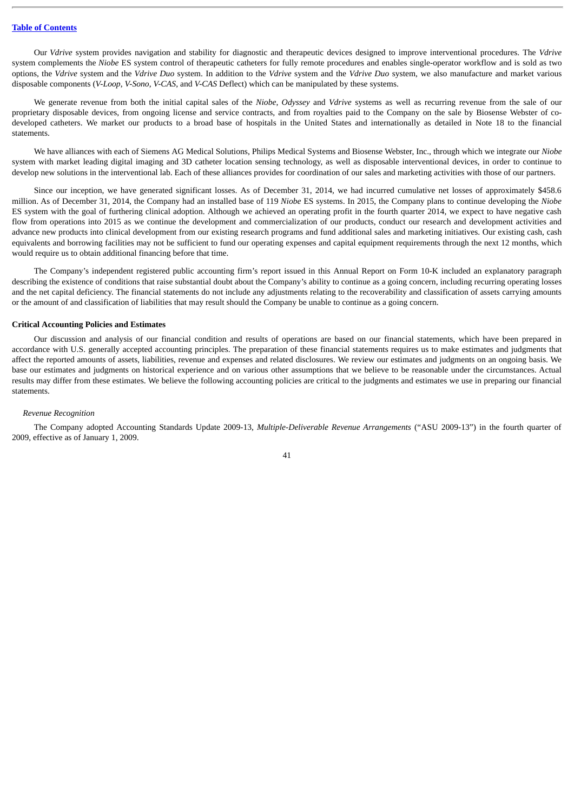Our *Vdrive* system provides navigation and stability for diagnostic and therapeutic devices designed to improve interventional procedures. The *Vdrive* system complements the *Niobe* ES system control of therapeutic catheters for fully remote procedures and enables single-operator workflow and is sold as two options, the *Vdrive* system and the *Vdrive Duo* system. In addition to the *Vdrive* system and the *Vdrive Duo* system, we also manufacture and market various disposable components (*V-Loop*, *V-Sono*, *V-CAS*, and *V-CAS* Deflect) which can be manipulated by these systems.

We generate revenue from both the initial capital sales of the *Niobe*, *Odyssey* and *Vdrive* systems as well as recurring revenue from the sale of our proprietary disposable devices, from ongoing license and service contracts, and from royalties paid to the Company on the sale by Biosense Webster of codeveloped catheters. We market our products to a broad base of hospitals in the United States and internationally as detailed in Note 18 to the financial statements.

We have alliances with each of Siemens AG Medical Solutions, Philips Medical Systems and Biosense Webster, Inc., through which we integrate our *Niobe* system with market leading digital imaging and 3D catheter location sensing technology, as well as disposable interventional devices, in order to continue to develop new solutions in the interventional lab. Each of these alliances provides for coordination of our sales and marketing activities with those of our partners.

Since our inception, we have generated significant losses. As of December 31, 2014, we had incurred cumulative net losses of approximately \$458.6 million. As of December 31, 2014, the Company had an installed base of 119 *Niobe* ES systems. In 2015, the Company plans to continue developing the *Niobe* ES system with the goal of furthering clinical adoption. Although we achieved an operating profit in the fourth quarter 2014, we expect to have negative cash flow from operations into 2015 as we continue the development and commercialization of our products, conduct our research and development activities and advance new products into clinical development from our existing research programs and fund additional sales and marketing initiatives. Our existing cash, cash equivalents and borrowing facilities may not be sufficient to fund our operating expenses and capital equipment requirements through the next 12 months, which would require us to obtain additional financing before that time.

The Company's independent registered public accounting firm's report issued in this Annual Report on Form 10-K included an explanatory paragraph describing the existence of conditions that raise substantial doubt about the Company's ability to continue as a going concern, including recurring operating losses and the net capital deficiency. The financial statements do not include any adjustments relating to the recoverability and classification of assets carrying amounts or the amount of and classification of liabilities that may result should the Company be unable to continue as a going concern.

# **Critical Accounting Policies and Estimates**

Our discussion and analysis of our financial condition and results of operations are based on our financial statements, which have been prepared in accordance with U.S. generally accepted accounting principles. The preparation of these financial statements requires us to make estimates and judgments that affect the reported amounts of assets, liabilities, revenue and expenses and related disclosures. We review our estimates and judgments on an ongoing basis. We base our estimates and judgments on historical experience and on various other assumptions that we believe to be reasonable under the circumstances. Actual results may differ from these estimates. We believe the following accounting policies are critical to the judgments and estimates we use in preparing our financial statements.

## *Revenue Recognition*

The Company adopted Accounting Standards Update 2009-13, *Multiple-Deliverable Revenue Arrangements* ("ASU 2009-13") in the fourth quarter of 2009, effective as of January 1, 2009.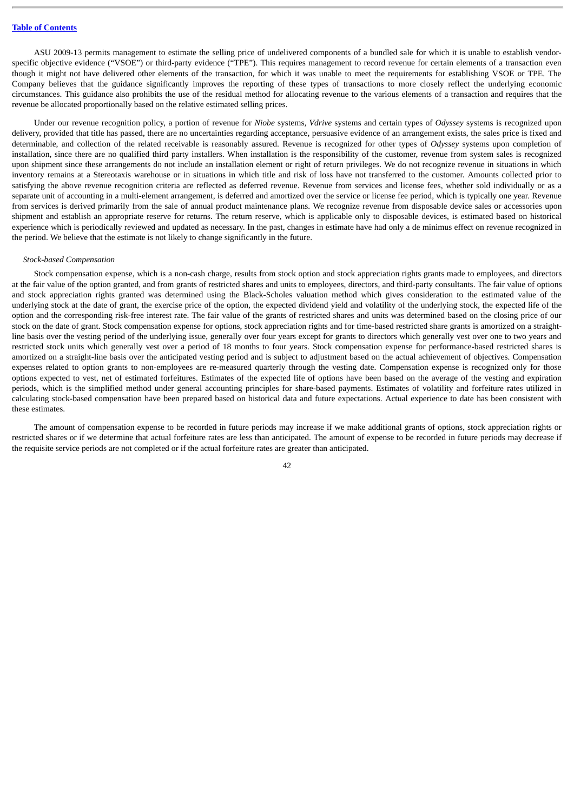ASU 2009-13 permits management to estimate the selling price of undelivered components of a bundled sale for which it is unable to establish vendorspecific objective evidence ("VSOE") or third-party evidence ("TPE"). This requires management to record revenue for certain elements of a transaction even though it might not have delivered other elements of the transaction, for which it was unable to meet the requirements for establishing VSOE or TPE. The Company believes that the guidance significantly improves the reporting of these types of transactions to more closely reflect the underlying economic circumstances. This guidance also prohibits the use of the residual method for allocating revenue to the various elements of a transaction and requires that the revenue be allocated proportionally based on the relative estimated selling prices.

Under our revenue recognition policy, a portion of revenue for *Niobe* systems, *Vdrive* systems and certain types of *Odyssey* systems is recognized upon delivery, provided that title has passed, there are no uncertainties regarding acceptance, persuasive evidence of an arrangement exists, the sales price is fixed and determinable, and collection of the related receivable is reasonably assured. Revenue is recognized for other types of *Odyssey* systems upon completion of installation, since there are no qualified third party installers. When installation is the responsibility of the customer, revenue from system sales is recognized upon shipment since these arrangements do not include an installation element or right of return privileges. We do not recognize revenue in situations in which inventory remains at a Stereotaxis warehouse or in situations in which title and risk of loss have not transferred to the customer. Amounts collected prior to satisfying the above revenue recognition criteria are reflected as deferred revenue. Revenue from services and license fees, whether sold individually or as a separate unit of accounting in a multi-element arrangement, is deferred and amortized over the service or license fee period, which is typically one year. Revenue from services is derived primarily from the sale of annual product maintenance plans. We recognize revenue from disposable device sales or accessories upon shipment and establish an appropriate reserve for returns. The return reserve, which is applicable only to disposable devices, is estimated based on historical experience which is periodically reviewed and updated as necessary. In the past, changes in estimate have had only a de minimus effect on revenue recognized in the period. We believe that the estimate is not likely to change significantly in the future.

### *Stock-based Compensation*

Stock compensation expense, which is a non-cash charge, results from stock option and stock appreciation rights grants made to employees, and directors at the fair value of the option granted, and from grants of restricted shares and units to employees, directors, and third-party consultants. The fair value of options and stock appreciation rights granted was determined using the Black-Scholes valuation method which gives consideration to the estimated value of the underlying stock at the date of grant, the exercise price of the option, the expected dividend yield and volatility of the underlying stock, the expected life of the option and the corresponding risk-free interest rate. The fair value of the grants of restricted shares and units was determined based on the closing price of our stock on the date of grant. Stock compensation expense for options, stock appreciation rights and for time-based restricted share grants is amortized on a straightline basis over the vesting period of the underlying issue, generally over four years except for grants to directors which generally vest over one to two years and restricted stock units which generally vest over a period of 18 months to four years. Stock compensation expense for performance-based restricted shares is amortized on a straight-line basis over the anticipated vesting period and is subject to adjustment based on the actual achievement of objectives. Compensation expenses related to option grants to non-employees are re-measured quarterly through the vesting date. Compensation expense is recognized only for those options expected to vest, net of estimated forfeitures. Estimates of the expected life of options have been based on the average of the vesting and expiration periods, which is the simplified method under general accounting principles for share-based payments. Estimates of volatility and forfeiture rates utilized in calculating stock-based compensation have been prepared based on historical data and future expectations. Actual experience to date has been consistent with these estimates.

The amount of compensation expense to be recorded in future periods may increase if we make additional grants of options, stock appreciation rights or restricted shares or if we determine that actual forfeiture rates are less than anticipated. The amount of expense to be recorded in future periods may decrease if the requisite service periods are not completed or if the actual forfeiture rates are greater than anticipated.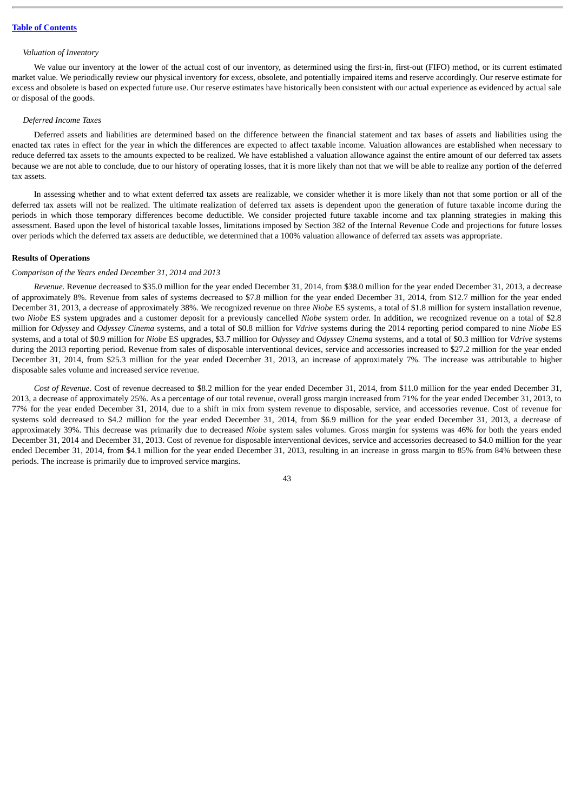### *Valuation of Inventory*

We value our inventory at the lower of the actual cost of our inventory, as determined using the first-in, first-out (FIFO) method, or its current estimated market value. We periodically review our physical inventory for excess, obsolete, and potentially impaired items and reserve accordingly. Our reserve estimate for excess and obsolete is based on expected future use. Our reserve estimates have historically been consistent with our actual experience as evidenced by actual sale or disposal of the goods.

## *Deferred Income Taxes*

Deferred assets and liabilities are determined based on the difference between the financial statement and tax bases of assets and liabilities using the enacted tax rates in effect for the year in which the differences are expected to affect taxable income. Valuation allowances are established when necessary to reduce deferred tax assets to the amounts expected to be realized. We have established a valuation allowance against the entire amount of our deferred tax assets because we are not able to conclude, due to our history of operating losses, that it is more likely than not that we will be able to realize any portion of the deferred tax assets.

In assessing whether and to what extent deferred tax assets are realizable, we consider whether it is more likely than not that some portion or all of the deferred tax assets will not be realized. The ultimate realization of deferred tax assets is dependent upon the generation of future taxable income during the periods in which those temporary differences become deductible. We consider projected future taxable income and tax planning strategies in making this assessment. Based upon the level of historical taxable losses, limitations imposed by Section 382 of the Internal Revenue Code and projections for future losses over periods which the deferred tax assets are deductible, we determined that a 100% valuation allowance of deferred tax assets was appropriate.

### **Results of Operations**

## *Comparison of the Years ended December 31, 2014 and 2013*

*Revenue*. Revenue decreased to \$35.0 million for the year ended December 31, 2014, from \$38.0 million for the year ended December 31, 2013, a decrease of approximately 8%. Revenue from sales of systems decreased to \$7.8 million for the year ended December 31, 2014, from \$12.7 million for the year ended December 31, 2013, a decrease of approximately 38%. We recognized revenue on three *Niobe* ES systems, a total of \$1.8 million for system installation revenue, two *Niobe* ES system upgrades and a customer deposit for a previously cancelled *Niobe* system order. In addition, we recognized revenue on a total of \$2.8 million for *Odyssey* and *Odyssey Cinema* systems, and a total of \$0.8 million for *Vdrive* systems during the 2014 reporting period compared to nine *Niobe* ES systems, and a total of \$0.9 million for *Niobe* ES upgrades, \$3.7 million for *Odyssey* and *Odyssey Cinema* systems, and a total of \$0.3 million for *Vdrive* systems during the 2013 reporting period. Revenue from sales of disposable interventional devices, service and accessories increased to \$27.2 million for the year ended December 31, 2014, from \$25.3 million for the year ended December 31, 2013, an increase of approximately 7%. The increase was attributable to higher disposable sales volume and increased service revenue.

*Cost of Revenue*. Cost of revenue decreased to \$8.2 million for the year ended December 31, 2014, from \$11.0 million for the year ended December 31, 2013, a decrease of approximately 25%. As a percentage of our total revenue, overall gross margin increased from 71% for the year ended December 31, 2013, to 77% for the year ended December 31, 2014, due to a shift in mix from system revenue to disposable, service, and accessories revenue. Cost of revenue for systems sold decreased to \$4.2 million for the year ended December 31, 2014, from \$6.9 million for the year ended December 31, 2013, a decrease of approximately 39%. This decrease was primarily due to decreased *Niobe* system sales volumes. Gross margin for systems was 46% for both the years ended December 31, 2014 and December 31, 2013. Cost of revenue for disposable interventional devices, service and accessories decreased to \$4.0 million for the year ended December 31, 2014, from \$4.1 million for the year ended December 31, 2013, resulting in an increase in gross margin to 85% from 84% between these periods. The increase is primarily due to improved service margins.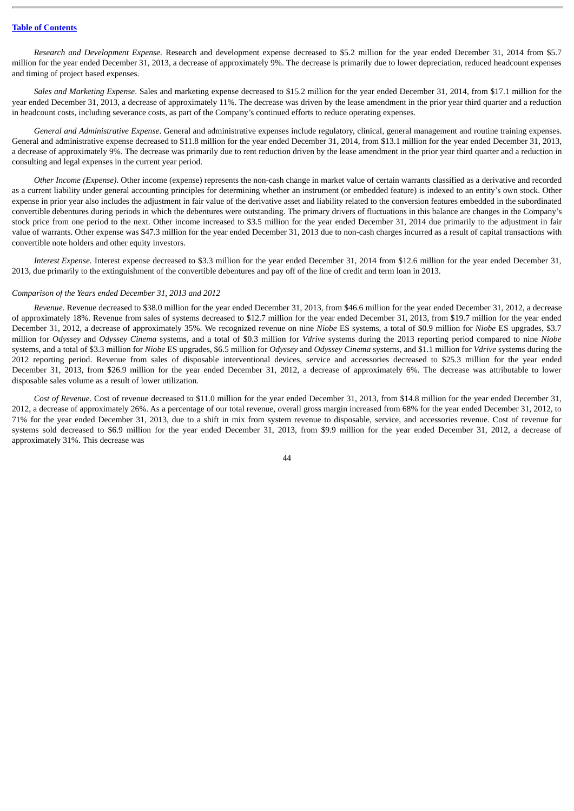*Research and Development Expense*. Research and development expense decreased to \$5.2 million for the year ended December 31, 2014 from \$5.7 million for the year ended December 31, 2013, a decrease of approximately 9%. The decrease is primarily due to lower depreciation, reduced headcount expenses and timing of project based expenses.

*Sales and Marketing Expense*. Sales and marketing expense decreased to \$15.2 million for the year ended December 31, 2014, from \$17.1 million for the year ended December 31, 2013, a decrease of approximately 11%. The decrease was driven by the lease amendment in the prior year third quarter and a reduction in headcount costs, including severance costs, as part of the Company's continued efforts to reduce operating expenses.

*General and Administrative Expense*. General and administrative expenses include regulatory, clinical, general management and routine training expenses. General and administrative expense decreased to \$11.8 million for the year ended December 31, 2014, from \$13.1 million for the year ended December 31, 2013, a decrease of approximately 9%. The decrease was primarily due to rent reduction driven by the lease amendment in the prior year third quarter and a reduction in consulting and legal expenses in the current year period.

*Other Income (Expense)*. Other income (expense) represents the non-cash change in market value of certain warrants classified as a derivative and recorded as a current liability under general accounting principles for determining whether an instrument (or embedded feature) is indexed to an entity's own stock. Other expense in prior year also includes the adjustment in fair value of the derivative asset and liability related to the conversion features embedded in the subordinated convertible debentures during periods in which the debentures were outstanding. The primary drivers of fluctuations in this balance are changes in the Company's stock price from one period to the next. Other income increased to \$3.5 million for the year ended December 31, 2014 due primarily to the adjustment in fair value of warrants. Other expense was \$47.3 million for the year ended December 31, 2013 due to non-cash charges incurred as a result of capital transactions with convertible note holders and other equity investors.

*Interest Expense.* Interest expense decreased to \$3.3 million for the year ended December 31, 2014 from \$12.6 million for the year ended December 31, 2013, due primarily to the extinguishment of the convertible debentures and pay off of the line of credit and term loan in 2013.

### *Comparison of the Years ended December 31, 2013 and 2012*

*Revenue*. Revenue decreased to \$38.0 million for the year ended December 31, 2013, from \$46.6 million for the year ended December 31, 2012, a decrease of approximately 18%. Revenue from sales of systems decreased to \$12.7 million for the year ended December 31, 2013, from \$19.7 million for the year ended December 31, 2012, a decrease of approximately 35%. We recognized revenue on nine *Niobe* ES systems, a total of \$0.9 million for *Niobe* ES upgrades, \$3.7 million for *Odyssey* and *Odyssey Cinema* systems, and a total of \$0.3 million for *Vdrive* systems during the 2013 reporting period compared to nine *Niobe* systems, and a total of \$3.3 million for *Niobe* ES upgrades, \$6.5 million for *Odyssey* and *Odyssey Cinema* systems, and \$1.1 million for *Vdrive* systems during the 2012 reporting period. Revenue from sales of disposable interventional devices, service and accessories decreased to \$25.3 million for the year ended December 31, 2013, from \$26.9 million for the year ended December 31, 2012, a decrease of approximately 6%. The decrease was attributable to lower disposable sales volume as a result of lower utilization.

*Cost of Revenue*. Cost of revenue decreased to \$11.0 million for the year ended December 31, 2013, from \$14.8 million for the year ended December 31, 2012, a decrease of approximately 26%. As a percentage of our total revenue, overall gross margin increased from 68% for the year ended December 31, 2012, to 71% for the year ended December 31, 2013, due to a shift in mix from system revenue to disposable, service, and accessories revenue. Cost of revenue for systems sold decreased to \$6.9 million for the year ended December 31, 2013, from \$9.9 million for the year ended December 31, 2012, a decrease of approximately 31%. This decrease was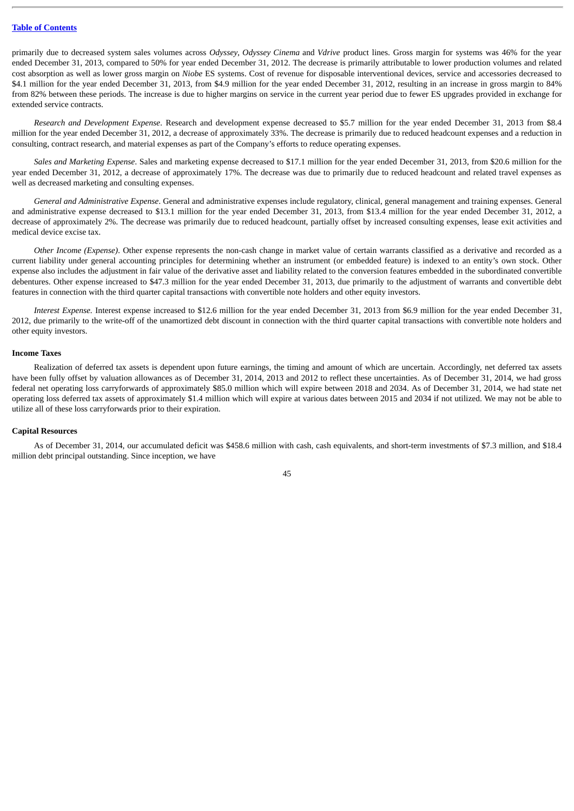primarily due to decreased system sales volumes across *Odyssey*, *Odyssey Cinema* and *Vdrive* product lines. Gross margin for systems was 46% for the year ended December 31, 2013, compared to 50% for year ended December 31, 2012. The decrease is primarily attributable to lower production volumes and related cost absorption as well as lower gross margin on *Niobe* ES systems. Cost of revenue for disposable interventional devices, service and accessories decreased to \$4.1 million for the year ended December 31, 2013, from \$4.9 million for the year ended December 31, 2012, resulting in an increase in gross margin to 84% from 82% between these periods. The increase is due to higher margins on service in the current year period due to fewer ES upgrades provided in exchange for extended service contracts.

*Research and Development Expense*. Research and development expense decreased to \$5.7 million for the year ended December 31, 2013 from \$8.4 million for the year ended December 31, 2012, a decrease of approximately 33%. The decrease is primarily due to reduced headcount expenses and a reduction in consulting, contract research, and material expenses as part of the Company's efforts to reduce operating expenses.

*Sales and Marketing Expense*. Sales and marketing expense decreased to \$17.1 million for the year ended December 31, 2013, from \$20.6 million for the year ended December 31, 2012, a decrease of approximately 17%. The decrease was due to primarily due to reduced headcount and related travel expenses as well as decreased marketing and consulting expenses.

*General and Administrative Expense*. General and administrative expenses include regulatory, clinical, general management and training expenses. General and administrative expense decreased to \$13.1 million for the year ended December 31, 2013, from \$13.4 million for the year ended December 31, 2012, a decrease of approximately 2%. The decrease was primarily due to reduced headcount, partially offset by increased consulting expenses, lease exit activities and medical device excise tax.

*Other Income (Expense)*. Other expense represents the non-cash change in market value of certain warrants classified as a derivative and recorded as a current liability under general accounting principles for determining whether an instrument (or embedded feature) is indexed to an entity's own stock. Other expense also includes the adjustment in fair value of the derivative asset and liability related to the conversion features embedded in the subordinated convertible debentures. Other expense increased to \$47.3 million for the year ended December 31, 2013, due primarily to the adjustment of warrants and convertible debt features in connection with the third quarter capital transactions with convertible note holders and other equity investors.

*Interest Expense.* Interest expense increased to \$12.6 million for the year ended December 31, 2013 from \$6.9 million for the year ended December 31, 2012, due primarily to the write-off of the unamortized debt discount in connection with the third quarter capital transactions with convertible note holders and other equity investors.

## **Income Taxes**

Realization of deferred tax assets is dependent upon future earnings, the timing and amount of which are uncertain. Accordingly, net deferred tax assets have been fully offset by valuation allowances as of December 31, 2014, 2013 and 2012 to reflect these uncertainties. As of December 31, 2014, we had gross federal net operating loss carryforwards of approximately \$85.0 million which will expire between 2018 and 2034. As of December 31, 2014, we had state net operating loss deferred tax assets of approximately \$1.4 million which will expire at various dates between 2015 and 2034 if not utilized. We may not be able to utilize all of these loss carryforwards prior to their expiration.

#### **Capital Resources**

As of December 31, 2014, our accumulated deficit was \$458.6 million with cash, cash equivalents, and short-term investments of \$7.3 million, and \$18.4 million debt principal outstanding. Since inception, we have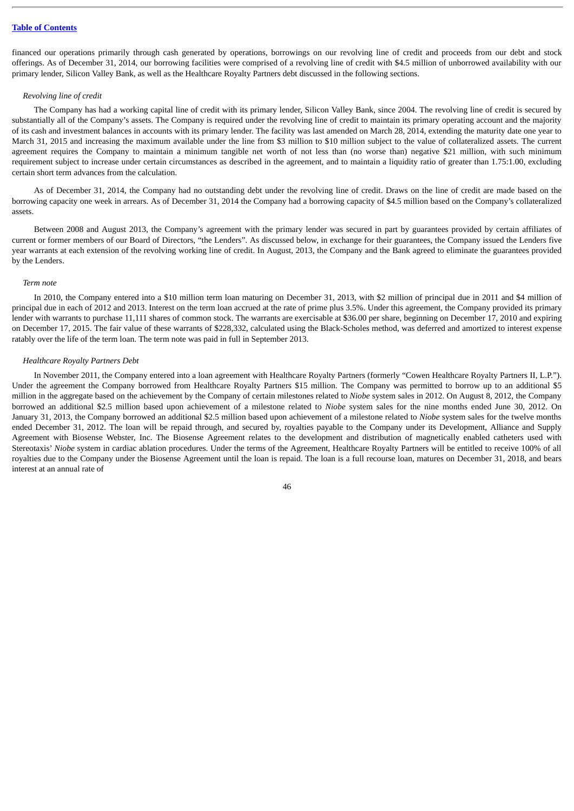financed our operations primarily through cash generated by operations, borrowings on our revolving line of credit and proceeds from our debt and stock offerings. As of December 31, 2014, our borrowing facilities were comprised of a revolving line of credit with \$4.5 million of unborrowed availability with our primary lender, Silicon Valley Bank, as well as the Healthcare Royalty Partners debt discussed in the following sections.

# *Revolving line of credit*

The Company has had a working capital line of credit with its primary lender, Silicon Valley Bank, since 2004. The revolving line of credit is secured by substantially all of the Company's assets. The Company is required under the revolving line of credit to maintain its primary operating account and the majority of its cash and investment balances in accounts with its primary lender. The facility was last amended on March 28, 2014, extending the maturity date one year to March 31, 2015 and increasing the maximum available under the line from \$3 million to \$10 million subject to the value of collateralized assets. The current agreement requires the Company to maintain a minimum tangible net worth of not less than (no worse than) negative \$21 million, with such minimum requirement subject to increase under certain circumstances as described in the agreement, and to maintain a liquidity ratio of greater than 1.75:1.00, excluding certain short term advances from the calculation.

As of December 31, 2014, the Company had no outstanding debt under the revolving line of credit. Draws on the line of credit are made based on the borrowing capacity one week in arrears. As of December 31, 2014 the Company had a borrowing capacity of \$4.5 million based on the Company's collateralized assets.

Between 2008 and August 2013, the Company's agreement with the primary lender was secured in part by guarantees provided by certain affiliates of current or former members of our Board of Directors, "the Lenders". As discussed below, in exchange for their guarantees, the Company issued the Lenders five year warrants at each extension of the revolving working line of credit. In August, 2013, the Company and the Bank agreed to eliminate the guarantees provided by the Lenders.

#### *Term note*

In 2010, the Company entered into a \$10 million term loan maturing on December 31, 2013, with \$2 million of principal due in 2011 and \$4 million of principal due in each of 2012 and 2013. Interest on the term loan accrued at the rate of prime plus 3.5%. Under this agreement, the Company provided its primary lender with warrants to purchase 11,111 shares of common stock. The warrants are exercisable at \$36.00 per share, beginning on December 17, 2010 and expiring on December 17, 2015. The fair value of these warrants of \$228,332, calculated using the Black-Scholes method, was deferred and amortized to interest expense ratably over the life of the term loan. The term note was paid in full in September 2013.

### *Healthcare Royalty Partners Debt*

In November 2011, the Company entered into a loan agreement with Healthcare Royalty Partners (formerly "Cowen Healthcare Royalty Partners II, L.P."). Under the agreement the Company borrowed from Healthcare Royalty Partners \$15 million. The Company was permitted to borrow up to an additional \$5 million in the aggregate based on the achievement by the Company of certain milestones related to *Niobe* system sales in 2012. On August 8, 2012, the Company borrowed an additional \$2.5 million based upon achievement of a milestone related to *Niobe* system sales for the nine months ended June 30, 2012. On January 31, 2013, the Company borrowed an additional \$2.5 million based upon achievement of a milestone related to *Niobe* system sales for the twelve months ended December 31, 2012. The loan will be repaid through, and secured by, royalties payable to the Company under its Development, Alliance and Supply Agreement with Biosense Webster, Inc. The Biosense Agreement relates to the development and distribution of magnetically enabled catheters used with Stereotaxis' *Niobe* system in cardiac ablation procedures. Under the terms of the Agreement, Healthcare Royalty Partners will be entitled to receive 100% of all royalties due to the Company under the Biosense Agreement until the loan is repaid. The loan is a full recourse loan, matures on December 31, 2018, and bears interest at an annual rate of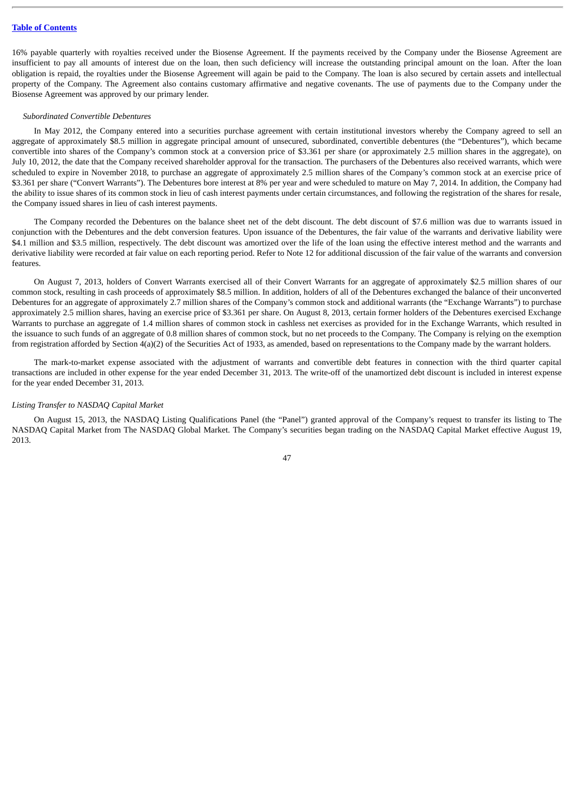16% payable quarterly with royalties received under the Biosense Agreement. If the payments received by the Company under the Biosense Agreement are insufficient to pay all amounts of interest due on the loan, then such deficiency will increase the outstanding principal amount on the loan. After the loan obligation is repaid, the royalties under the Biosense Agreement will again be paid to the Company. The loan is also secured by certain assets and intellectual property of the Company. The Agreement also contains customary affirmative and negative covenants. The use of payments due to the Company under the Biosense Agreement was approved by our primary lender.

## *Subordinated Convertible Debentures*

In May 2012, the Company entered into a securities purchase agreement with certain institutional investors whereby the Company agreed to sell an aggregate of approximately \$8.5 million in aggregate principal amount of unsecured, subordinated, convertible debentures (the "Debentures"), which became convertible into shares of the Company's common stock at a conversion price of \$3.361 per share (or approximately 2.5 million shares in the aggregate), on July 10, 2012, the date that the Company received shareholder approval for the transaction. The purchasers of the Debentures also received warrants, which were scheduled to expire in November 2018, to purchase an aggregate of approximately 2.5 million shares of the Company's common stock at an exercise price of \$3.361 per share ("Convert Warrants"). The Debentures bore interest at 8% per year and were scheduled to mature on May 7, 2014. In addition, the Company had the ability to issue shares of its common stock in lieu of cash interest payments under certain circumstances, and following the registration of the shares for resale, the Company issued shares in lieu of cash interest payments.

The Company recorded the Debentures on the balance sheet net of the debt discount. The debt discount of \$7.6 million was due to warrants issued in conjunction with the Debentures and the debt conversion features. Upon issuance of the Debentures, the fair value of the warrants and derivative liability were \$4.1 million and \$3.5 million, respectively. The debt discount was amortized over the life of the loan using the effective interest method and the warrants and derivative liability were recorded at fair value on each reporting period. Refer to Note 12 for additional discussion of the fair value of the warrants and conversion features.

On August 7, 2013, holders of Convert Warrants exercised all of their Convert Warrants for an aggregate of approximately \$2.5 million shares of our common stock, resulting in cash proceeds of approximately \$8.5 million. In addition, holders of all of the Debentures exchanged the balance of their unconverted Debentures for an aggregate of approximately 2.7 million shares of the Company's common stock and additional warrants (the "Exchange Warrants") to purchase approximately 2.5 million shares, having an exercise price of \$3.361 per share. On August 8, 2013, certain former holders of the Debentures exercised Exchange Warrants to purchase an aggregate of 1.4 million shares of common stock in cashless net exercises as provided for in the Exchange Warrants, which resulted in the issuance to such funds of an aggregate of 0.8 million shares of common stock, but no net proceeds to the Company. The Company is relying on the exemption from registration afforded by Section 4(a)(2) of the Securities Act of 1933, as amended, based on representations to the Company made by the warrant holders.

The mark-to-market expense associated with the adjustment of warrants and convertible debt features in connection with the third quarter capital transactions are included in other expense for the year ended December 31, 2013. The write-off of the unamortized debt discount is included in interest expense for the year ended December 31, 2013.

# *Listing Transfer to NASDAQ Capital Market*

On August 15, 2013, the NASDAQ Listing Qualifications Panel (the "Panel") granted approval of the Company's request to transfer its listing to The NASDAQ Capital Market from The NASDAQ Global Market. The Company's securities began trading on the NASDAQ Capital Market effective August 19, 2013.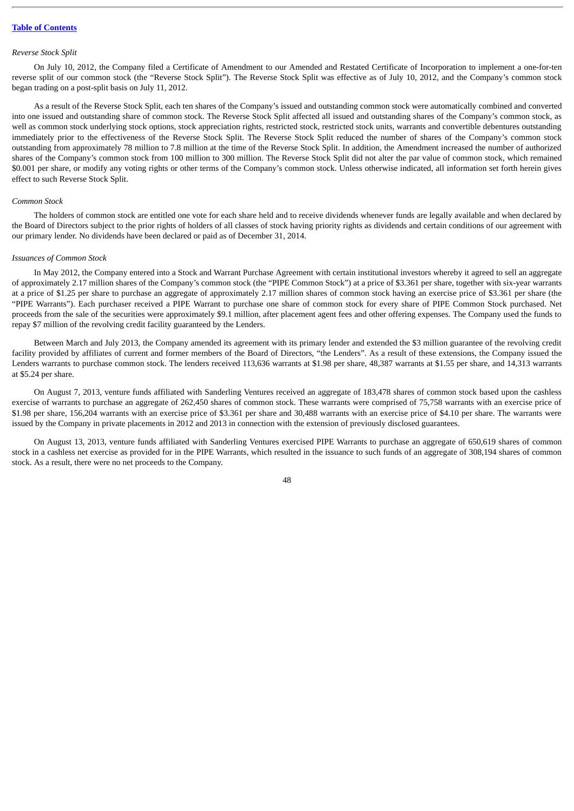### *Reverse Stock Split*

On July 10, 2012, the Company filed a Certificate of Amendment to our Amended and Restated Certificate of Incorporation to implement a one-for-ten reverse split of our common stock (the "Reverse Stock Split"). The Reverse Stock Split was effective as of July 10, 2012, and the Company's common stock began trading on a post-split basis on July 11, 2012.

As a result of the Reverse Stock Split, each ten shares of the Company's issued and outstanding common stock were automatically combined and converted into one issued and outstanding share of common stock. The Reverse Stock Split affected all issued and outstanding shares of the Company's common stock, as well as common stock underlying stock options, stock appreciation rights, restricted stock, restricted stock units, warrants and convertible debentures outstanding immediately prior to the effectiveness of the Reverse Stock Split. The Reverse Stock Split reduced the number of shares of the Company's common stock outstanding from approximately 78 million to 7.8 million at the time of the Reverse Stock Split. In addition, the Amendment increased the number of authorized shares of the Company's common stock from 100 million to 300 million. The Reverse Stock Split did not alter the par value of common stock, which remained \$0.001 per share, or modify any voting rights or other terms of the Company's common stock. Unless otherwise indicated, all information set forth herein gives effect to such Reverse Stock Split.

# *Common Stock*

The holders of common stock are entitled one vote for each share held and to receive dividends whenever funds are legally available and when declared by the Board of Directors subject to the prior rights of holders of all classes of stock having priority rights as dividends and certain conditions of our agreement with our primary lender. No dividends have been declared or paid as of December 31, 2014.

### *Issuances of Common Stock*

In May 2012, the Company entered into a Stock and Warrant Purchase Agreement with certain institutional investors whereby it agreed to sell an aggregate of approximately 2.17 million shares of the Company's common stock (the "PIPE Common Stock") at a price of \$3.361 per share, together with six-year warrants at a price of \$1.25 per share to purchase an aggregate of approximately 2.17 million shares of common stock having an exercise price of \$3.361 per share (the "PIPE Warrants"). Each purchaser received a PIPE Warrant to purchase one share of common stock for every share of PIPE Common Stock purchased. Net proceeds from the sale of the securities were approximately \$9.1 million, after placement agent fees and other offering expenses. The Company used the funds to repay \$7 million of the revolving credit facility guaranteed by the Lenders.

Between March and July 2013, the Company amended its agreement with its primary lender and extended the \$3 million guarantee of the revolving credit facility provided by affiliates of current and former members of the Board of Directors, "the Lenders". As a result of these extensions, the Company issued the Lenders warrants to purchase common stock. The lenders received 113,636 warrants at \$1.98 per share, 48,387 warrants at \$1.55 per share, and 14,313 warrants at \$5.24 per share.

On August 7, 2013, venture funds affiliated with Sanderling Ventures received an aggregate of 183,478 shares of common stock based upon the cashless exercise of warrants to purchase an aggregate of 262,450 shares of common stock. These warrants were comprised of 75,758 warrants with an exercise price of \$1.98 per share, 156,204 warrants with an exercise price of \$3.361 per share and 30,488 warrants with an exercise price of \$4.10 per share. The warrants were issued by the Company in private placements in 2012 and 2013 in connection with the extension of previously disclosed guarantees.

On August 13, 2013, venture funds affiliated with Sanderling Ventures exercised PIPE Warrants to purchase an aggregate of 650,619 shares of common stock in a cashless net exercise as provided for in the PIPE Warrants, which resulted in the issuance to such funds of an aggregate of 308,194 shares of common stock. As a result, there were no net proceeds to the Company.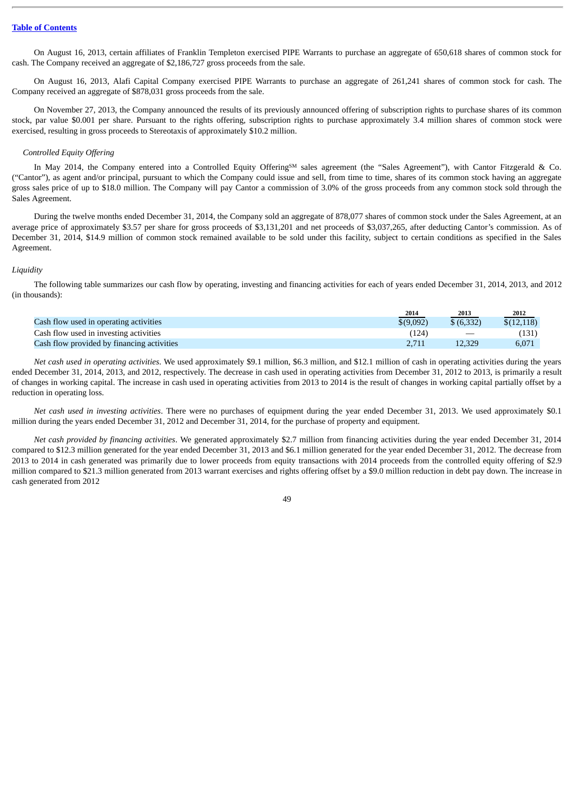On August 16, 2013, certain affiliates of Franklin Templeton exercised PIPE Warrants to purchase an aggregate of 650,618 shares of common stock for cash. The Company received an aggregate of \$2,186,727 gross proceeds from the sale.

On August 16, 2013, Alafi Capital Company exercised PIPE Warrants to purchase an aggregate of 261,241 shares of common stock for cash. The Company received an aggregate of \$878,031 gross proceeds from the sale.

On November 27, 2013, the Company announced the results of its previously announced offering of subscription rights to purchase shares of its common stock, par value \$0.001 per share. Pursuant to the rights offering, subscription rights to purchase approximately 3.4 million shares of common stock were exercised, resulting in gross proceeds to Stereotaxis of approximately \$10.2 million.

# *Controlled Equity Offering*

In May 2014, the Company entered into a Controlled Equity Offering<sup>SM</sup> sales agreement (the "Sales Agreement"), with Cantor Fitzgerald & Co. ("Cantor"), as agent and/or principal, pursuant to which the Company could issue and sell, from time to time, shares of its common stock having an aggregate gross sales price of up to \$18.0 million. The Company will pay Cantor a commission of 3.0% of the gross proceeds from any common stock sold through the Sales Agreement.

During the twelve months ended December 31, 2014, the Company sold an aggregate of 878,077 shares of common stock under the Sales Agreement, at an average price of approximately \$3.57 per share for gross proceeds of \$3,131,201 and net proceeds of \$3,037,265, after deducting Cantor's commission. As of December 31, 2014, \$14.9 million of common stock remained available to be sold under this facility, subject to certain conditions as specified in the Sales Agreement.

# *Liquidity*

The following table summarizes our cash flow by operating, investing and financing activities for each of years ended December 31, 2014, 2013, and 2012 (in thousands):

|                                            | 2014      | 2013                     | 2012        |
|--------------------------------------------|-----------|--------------------------|-------------|
| Cash flow used in operating activities     | \$(9,092) | \$ (6.332)               | \$(12, 118) |
| Cash flow used in investing activities     | (124)     | $\overline{\phantom{a}}$ | (131        |
| Cash flow provided by financing activities | 2.711     | 12.329                   | 6,071       |

*Net cash used in operating activities*. We used approximately \$9.1 million, \$6.3 million, and \$12.1 million of cash in operating activities during the years ended December 31, 2014, 2013, and 2012, respectively. The decrease in cash used in operating activities from December 31, 2012 to 2013, is primarily a result of changes in working capital. The increase in cash used in operating activities from 2013 to 2014 is the result of changes in working capital partially offset by a reduction in operating loss.

*Net cash used in investing activities*. There were no purchases of equipment during the year ended December 31, 2013. We used approximately \$0.1 million during the years ended December 31, 2012 and December 31, 2014, for the purchase of property and equipment.

*Net cash provided by financing activities*. We generated approximately \$2.7 million from financing activities during the year ended December 31, 2014 compared to \$12.3 million generated for the year ended December 31, 2013 and \$6.1 million generated for the year ended December 31, 2012. The decrease from 2013 to 2014 in cash generated was primarily due to lower proceeds from equity transactions with 2014 proceeds from the controlled equity offering of \$2.9 million compared to \$21.3 million generated from 2013 warrant exercises and rights offering offset by a \$9.0 million reduction in debt pay down. The increase in cash generated from 2012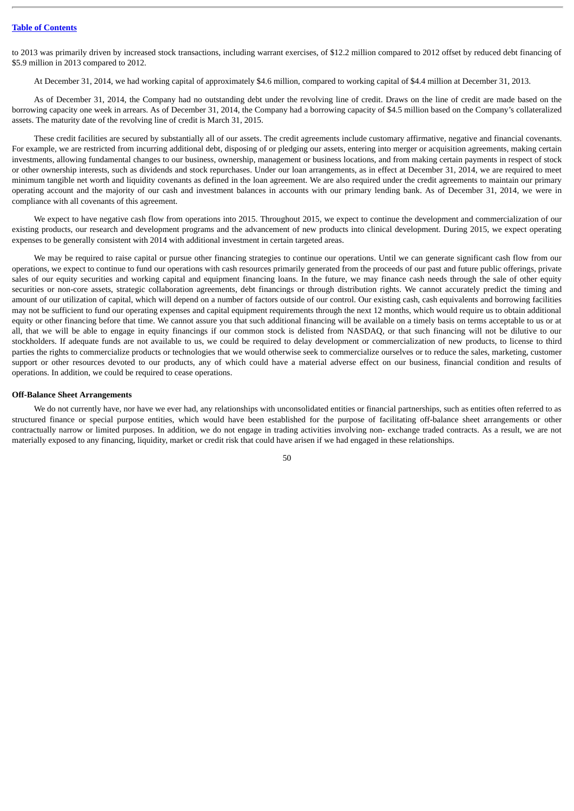to 2013 was primarily driven by increased stock transactions, including warrant exercises, of \$12.2 million compared to 2012 offset by reduced debt financing of \$5.9 million in 2013 compared to 2012.

At December 31, 2014, we had working capital of approximately \$4.6 million, compared to working capital of \$4.4 million at December 31, 2013.

As of December 31, 2014, the Company had no outstanding debt under the revolving line of credit. Draws on the line of credit are made based on the borrowing capacity one week in arrears. As of December 31, 2014, the Company had a borrowing capacity of \$4.5 million based on the Company's collateralized assets. The maturity date of the revolving line of credit is March 31, 2015.

These credit facilities are secured by substantially all of our assets. The credit agreements include customary affirmative, negative and financial covenants. For example, we are restricted from incurring additional debt, disposing of or pledging our assets, entering into merger or acquisition agreements, making certain investments, allowing fundamental changes to our business, ownership, management or business locations, and from making certain payments in respect of stock or other ownership interests, such as dividends and stock repurchases. Under our loan arrangements, as in effect at December 31, 2014, we are required to meet minimum tangible net worth and liquidity covenants as defined in the loan agreement. We are also required under the credit agreements to maintain our primary operating account and the majority of our cash and investment balances in accounts with our primary lending bank. As of December 31, 2014, we were in compliance with all covenants of this agreement.

We expect to have negative cash flow from operations into 2015. Throughout 2015, we expect to continue the development and commercialization of our existing products, our research and development programs and the advancement of new products into clinical development. During 2015, we expect operating expenses to be generally consistent with 2014 with additional investment in certain targeted areas.

We may be required to raise capital or pursue other financing strategies to continue our operations. Until we can generate significant cash flow from our operations, we expect to continue to fund our operations with cash resources primarily generated from the proceeds of our past and future public offerings, private sales of our equity securities and working capital and equipment financing loans. In the future, we may finance cash needs through the sale of other equity securities or non-core assets, strategic collaboration agreements, debt financings or through distribution rights. We cannot accurately predict the timing and amount of our utilization of capital, which will depend on a number of factors outside of our control. Our existing cash, cash equivalents and borrowing facilities may not be sufficient to fund our operating expenses and capital equipment requirements through the next 12 months, which would require us to obtain additional equity or other financing before that time. We cannot assure you that such additional financing will be available on a timely basis on terms acceptable to us or at all, that we will be able to engage in equity financings if our common stock is delisted from NASDAQ, or that such financing will not be dilutive to our stockholders. If adequate funds are not available to us, we could be required to delay development or commercialization of new products, to license to third parties the rights to commercialize products or technologies that we would otherwise seek to commercialize ourselves or to reduce the sales, marketing, customer support or other resources devoted to our products, any of which could have a material adverse effect on our business, financial condition and results of operations. In addition, we could be required to cease operations.

# **Off-Balance Sheet Arrangements**

We do not currently have, nor have we ever had, any relationships with unconsolidated entities or financial partnerships, such as entities often referred to as structured finance or special purpose entities, which would have been established for the purpose of facilitating off-balance sheet arrangements or other contractually narrow or limited purposes. In addition, we do not engage in trading activities involving non- exchange traded contracts. As a result, we are not materially exposed to any financing, liquidity, market or credit risk that could have arisen if we had engaged in these relationships.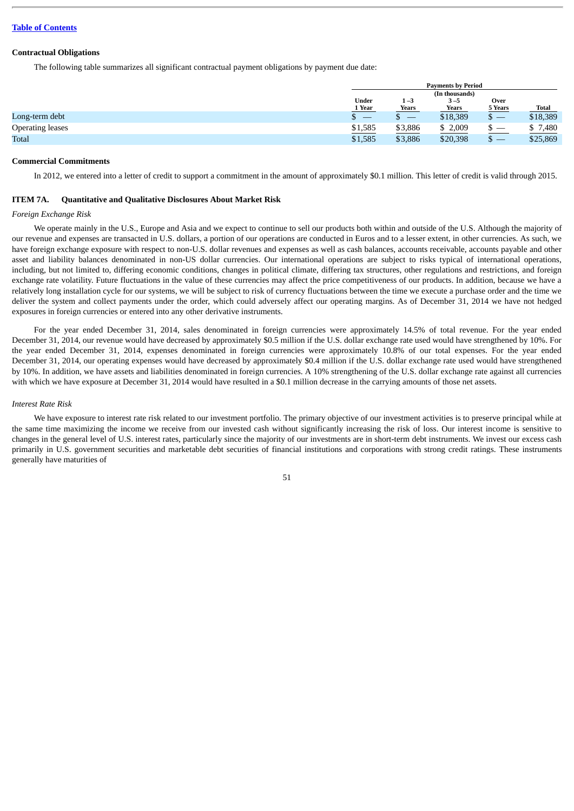## **Contractual Obligations**

The following table summarizes all significant contractual payment obligations by payment due date:

|                         |                 | <b>Payments by Period</b>                 |          |         |          |  |  |
|-------------------------|-----------------|-------------------------------------------|----------|---------|----------|--|--|
|                         |                 | (In thousands)                            |          |         |          |  |  |
|                         | Under           | $1 - 3$                                   | $3 - 5$  | Over    |          |  |  |
|                         | 1 Year          | Years                                     | Years    | 5 Years | Total    |  |  |
| Long-term debt          | $\qquad \qquad$ | $\qquad \qquad \overline{\qquad \qquad }$ | \$18,389 | ა —     | \$18,389 |  |  |
| <b>Operating leases</b> | \$1,585         | \$3,886                                   | \$2,009  | $s -$   | \$7,480  |  |  |
| <b>Total</b>            | \$1,585         | \$3,886                                   | \$20,398 |         | \$25,869 |  |  |
|                         |                 |                                           |          |         |          |  |  |

### **Commercial Commitments**

In 2012, we entered into a letter of credit to support a commitment in the amount of approximately \$0.1 million. This letter of credit is valid through 2015.

# **ITEM 7A. Quantitative and Qualitative Disclosures About Market Risk**

### *Foreign Exchange Risk*

We operate mainly in the U.S., Europe and Asia and we expect to continue to sell our products both within and outside of the U.S. Although the majority of our revenue and expenses are transacted in U.S. dollars, a portion of our operations are conducted in Euros and to a lesser extent, in other currencies. As such, we have foreign exchange exposure with respect to non-U.S. dollar revenues and expenses as well as cash balances, accounts receivable, accounts payable and other asset and liability balances denominated in non-US dollar currencies. Our international operations are subject to risks typical of international operations, including, but not limited to, differing economic conditions, changes in political climate, differing tax structures, other regulations and restrictions, and foreign exchange rate volatility. Future fluctuations in the value of these currencies may affect the price competitiveness of our products. In addition, because we have a relatively long installation cycle for our systems, we will be subject to risk of currency fluctuations between the time we execute a purchase order and the time we deliver the system and collect payments under the order, which could adversely affect our operating margins. As of December 31, 2014 we have not hedged exposures in foreign currencies or entered into any other derivative instruments.

For the year ended December 31, 2014, sales denominated in foreign currencies were approximately 14.5% of total revenue. For the year ended December 31, 2014, our revenue would have decreased by approximately \$0.5 million if the U.S. dollar exchange rate used would have strengthened by 10%. For the year ended December 31, 2014, expenses denominated in foreign currencies were approximately 10.8% of our total expenses. For the year ended December 31, 2014, our operating expenses would have decreased by approximately \$0.4 million if the U.S. dollar exchange rate used would have strengthened by 10%. In addition, we have assets and liabilities denominated in foreign currencies. A 10% strengthening of the U.S. dollar exchange rate against all currencies with which we have exposure at December 31, 2014 would have resulted in a \$0.1 million decrease in the carrying amounts of those net assets.

### *Interest Rate Risk*

We have exposure to interest rate risk related to our investment portfolio. The primary objective of our investment activities is to preserve principal while at the same time maximizing the income we receive from our invested cash without significantly increasing the risk of loss. Our interest income is sensitive to changes in the general level of U.S. interest rates, particularly since the majority of our investments are in short-term debt instruments. We invest our excess cash primarily in U.S. government securities and marketable debt securities of financial institutions and corporations with strong credit ratings. These instruments generally have maturities of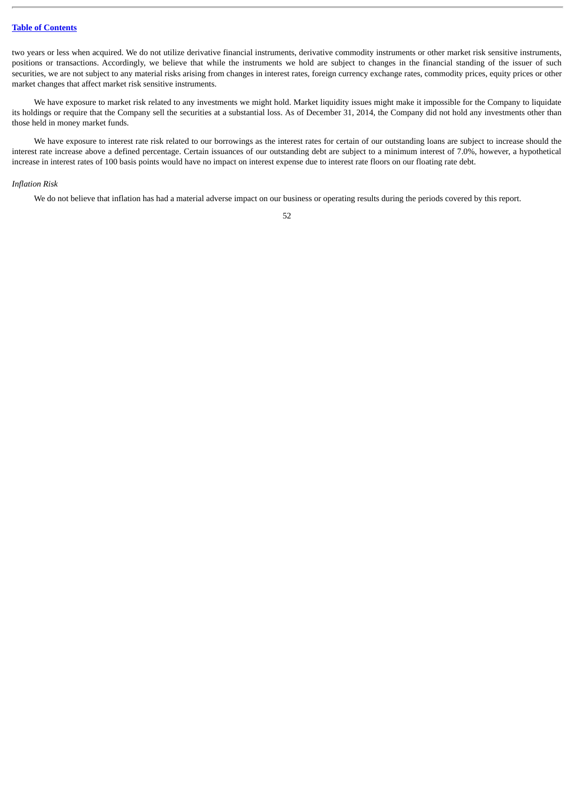two years or less when acquired. We do not utilize derivative financial instruments, derivative commodity instruments or other market risk sensitive instruments, positions or transactions. Accordingly, we believe that while the instruments we hold are subject to changes in the financial standing of the issuer of such securities, we are not subject to any material risks arising from changes in interest rates, foreign currency exchange rates, commodity prices, equity prices or other market changes that affect market risk sensitive instruments.

We have exposure to market risk related to any investments we might hold. Market liquidity issues might make it impossible for the Company to liquidate its holdings or require that the Company sell the securities at a substantial loss. As of December 31, 2014, the Company did not hold any investments other than those held in money market funds.

We have exposure to interest rate risk related to our borrowings as the interest rates for certain of our outstanding loans are subject to increase should the interest rate increase above a defined percentage. Certain issuances of our outstanding debt are subject to a minimum interest of 7.0%, however, a hypothetical increase in interest rates of 100 basis points would have no impact on interest expense due to interest rate floors on our floating rate debt.

# *Inflation Risk*

We do not believe that inflation has had a material adverse impact on our business or operating results during the periods covered by this report.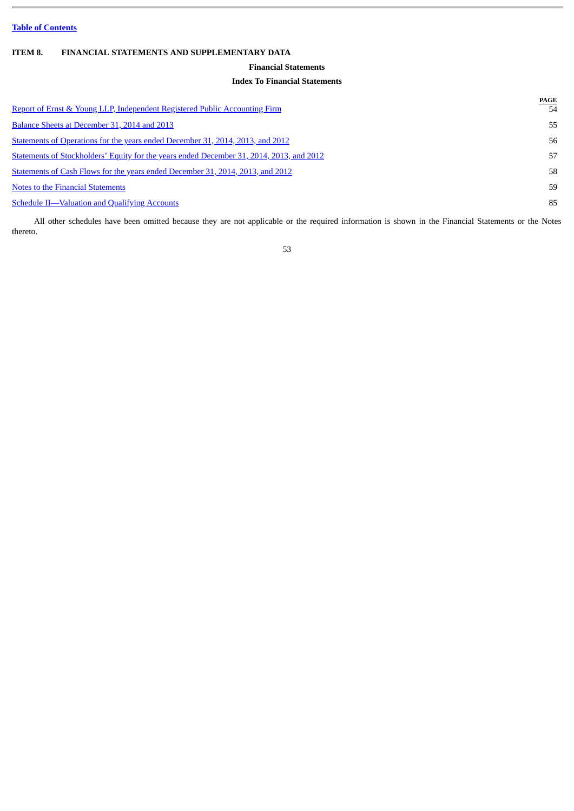# **ITEM 8. FINANCIAL STATEMENTS AND SUPPLEMENTARY DATA**

# **Financial Statements**

# **Index To Financial Statements**

| Report of Ernst & Young LLP, Independent Registered Public Accounting Firm               | PAGE<br>54 |
|------------------------------------------------------------------------------------------|------------|
| Balance Sheets at December 31, 2014 and 2013                                             | 55         |
| Statements of Operations for the years ended December 31, 2014, 2013, and 2012           | 56         |
| Statements of Stockholders' Equity for the years ended December 31, 2014, 2013, and 2012 | 57         |
| Statements of Cash Flows for the years ended December 31, 2014, 2013, and 2012           | 58         |
| Notes to the Financial Statements                                                        | 59         |
| <b>Schedule II—Valuation and Qualifying Accounts</b>                                     | 85         |

All other schedules have been omitted because they are not applicable or the required information is shown in the Financial Statements or the Notes thereto.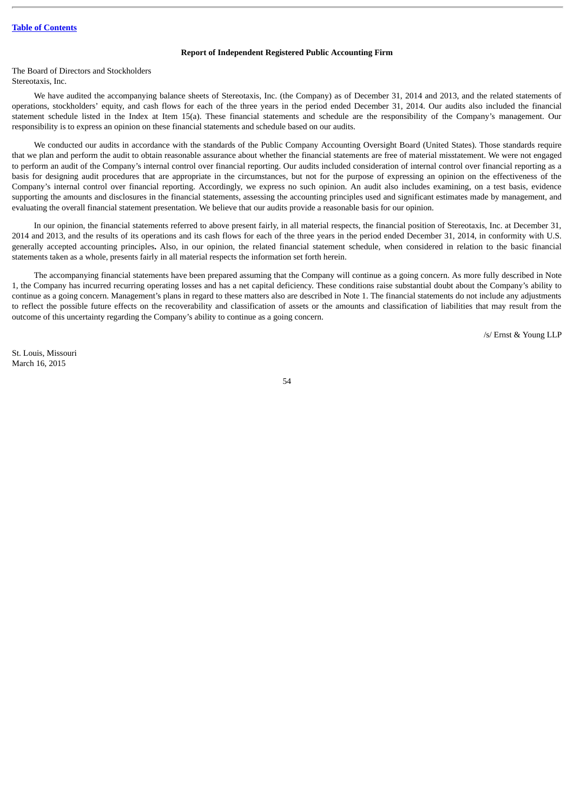### **Report of Independent Registered Public Accounting Firm**

<span id="page-55-0"></span>The Board of Directors and Stockholders Stereotaxis, Inc.

We have audited the accompanying balance sheets of Stereotaxis, Inc. (the Company) as of December 31, 2014 and 2013, and the related statements of operations, stockholders' equity, and cash flows for each of the three years in the period ended December 31, 2014. Our audits also included the financial statement schedule listed in the Index at Item 15(a). These financial statements and schedule are the responsibility of the Company's management. Our responsibility is to express an opinion on these financial statements and schedule based on our audits.

We conducted our audits in accordance with the standards of the Public Company Accounting Oversight Board (United States). Those standards require that we plan and perform the audit to obtain reasonable assurance about whether the financial statements are free of material misstatement. We were not engaged to perform an audit of the Company's internal control over financial reporting. Our audits included consideration of internal control over financial reporting as a basis for designing audit procedures that are appropriate in the circumstances, but not for the purpose of expressing an opinion on the effectiveness of the Company's internal control over financial reporting. Accordingly, we express no such opinion. An audit also includes examining, on a test basis, evidence supporting the amounts and disclosures in the financial statements, assessing the accounting principles used and significant estimates made by management, and evaluating the overall financial statement presentation. We believe that our audits provide a reasonable basis for our opinion.

In our opinion, the financial statements referred to above present fairly, in all material respects, the financial position of Stereotaxis, Inc. at December 31, 2014 and 2013, and the results of its operations and its cash flows for each of the three years in the period ended December 31, 2014, in conformity with U.S. generally accepted accounting principles**.** Also, in our opinion, the related financial statement schedule, when considered in relation to the basic financial statements taken as a whole, presents fairly in all material respects the information set forth herein.

The accompanying financial statements have been prepared assuming that the Company will continue as a going concern. As more fully described in Note 1, the Company has incurred recurring operating losses and has a net capital deficiency. These conditions raise substantial doubt about the Company's ability to continue as a going concern. Management's plans in regard to these matters also are described in Note 1. The financial statements do not include any adjustments to reflect the possible future effects on the recoverability and classification of assets or the amounts and classification of liabilities that may result from the outcome of this uncertainty regarding the Company's ability to continue as a going concern.

/s/ Ernst & Young LLP

St. Louis, Missouri March 16, 2015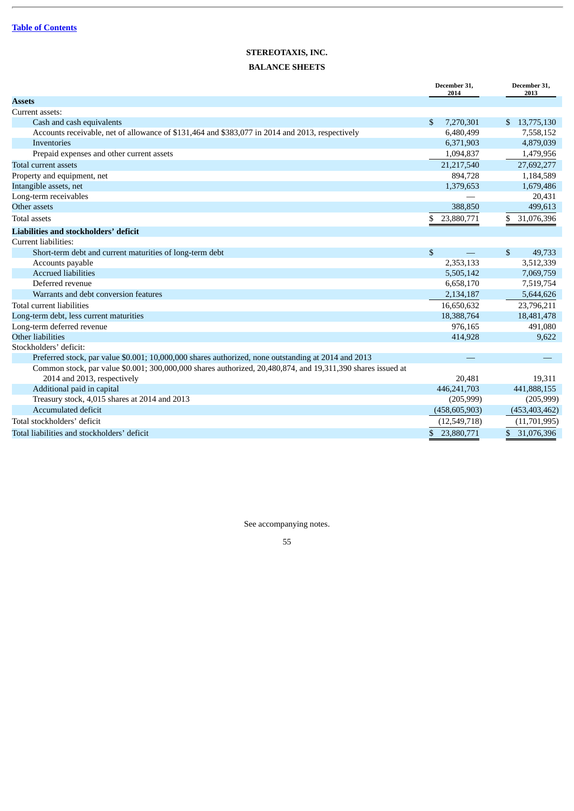# **BALANCE SHEETS**

<span id="page-56-0"></span>

|                                                                                                             | December 31,<br>2014 | December 31,<br>2013   |
|-------------------------------------------------------------------------------------------------------------|----------------------|------------------------|
| <b>Assets</b>                                                                                               |                      |                        |
| Current assets:                                                                                             |                      |                        |
| Cash and cash equivalents                                                                                   | \$<br>7,270,301      | 13,775,130<br>\$.      |
| Accounts receivable, net of allowance of \$131,464 and \$383,077 in 2014 and 2013, respectively             | 6,480,499            | 7,558,152              |
| Inventories                                                                                                 | 6,371,903            | 4,879,039              |
| Prepaid expenses and other current assets                                                                   | 1,094,837            | 1,479,956              |
| Total current assets                                                                                        | 21,217,540           | 27,692,277             |
| Property and equipment, net                                                                                 | 894,728              | 1,184,589              |
| Intangible assets, net                                                                                      | 1,379,653            | 1,679,486              |
| Long-term receivables                                                                                       |                      | 20,431                 |
| Other assets                                                                                                | 388,850              | 499,613                |
| <b>Total assets</b>                                                                                         | \$ 23,880,771        | 31,076,396<br>\$       |
| Liabilities and stockholders' deficit                                                                       |                      |                        |
| Current liabilities:                                                                                        |                      |                        |
| Short-term debt and current maturities of long-term debt                                                    | $\mathbb{S}$         | $\mathbb{S}$<br>49,733 |
| Accounts payable                                                                                            | 2,353,133            | 3,512,339              |
| <b>Accrued liabilities</b>                                                                                  | 5,505,142            | 7,069,759              |
| Deferred revenue                                                                                            | 6,658,170            | 7,519,754              |
| Warrants and debt conversion features                                                                       | 2,134,187            | 5,644,626              |
| Total current liabilities                                                                                   | 16,650,632           | 23,796,211             |
| Long-term debt, less current maturities                                                                     | 18,388,764           | 18,481,478             |
| Long-term deferred revenue                                                                                  | 976,165              | 491,080                |
| Other liabilities                                                                                           | 414,928              | 9,622                  |
| Stockholders' deficit:                                                                                      |                      |                        |
| Preferred stock, par value \$0.001; 10,000,000 shares authorized, none outstanding at 2014 and 2013         |                      |                        |
| Common stock, par value \$0.001; 300,000,000 shares authorized, 20,480,874, and 19,311,390 shares issued at |                      |                        |
| 2014 and 2013, respectively                                                                                 | 20,481               | 19,311                 |
| Additional paid in capital                                                                                  | 446,241,703          | 441,888,155            |
| Treasury stock, 4,015 shares at 2014 and 2013                                                               | (205,999)            | (205, 999)             |
| Accumulated deficit                                                                                         | (458, 605, 903)      | (453, 403, 462)        |
| Total stockholders' deficit                                                                                 | (12,549,718)         | (11,701,995)           |
| Total liabilities and stockholders' deficit                                                                 | \$ 23,880,771        | \$ 31,076,396          |

See accompanying notes.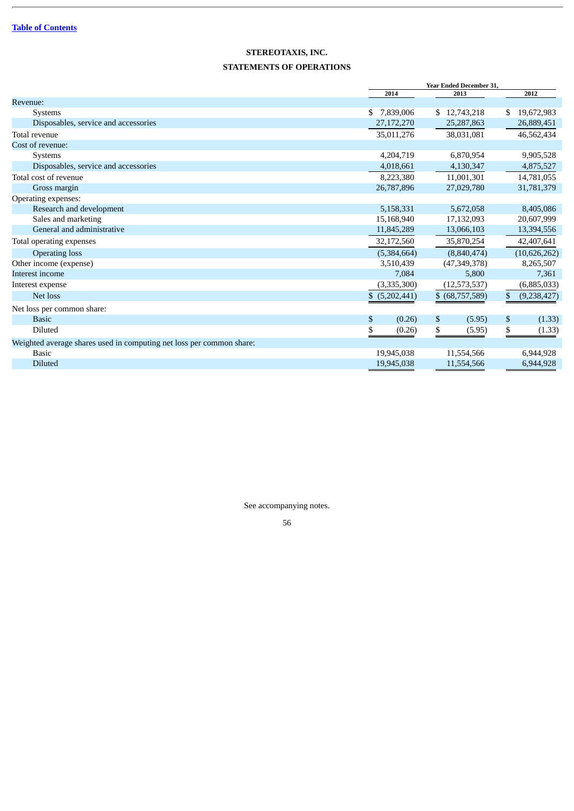# **STEREOTAXIS, INC. STATEMENTS OF OPERATIONS**

<span id="page-57-0"></span>

|                                                                      |                 | Year Ended December 31, |                        |  |  |  |
|----------------------------------------------------------------------|-----------------|-------------------------|------------------------|--|--|--|
|                                                                      | 2014            | 2013                    | 2012                   |  |  |  |
| Revenue:                                                             |                 |                         |                        |  |  |  |
| Systems                                                              | 7,839,006<br>\$ | \$12,743,218            | 19,672,983<br>\$       |  |  |  |
| Disposables, service and accessories                                 | 27, 172, 270    | 25,287,863              | 26,889,451             |  |  |  |
| Total revenue                                                        | 35,011,276      | 38,031,081              | 46,562,434             |  |  |  |
| Cost of revenue:                                                     |                 |                         |                        |  |  |  |
| <b>Systems</b>                                                       | 4,204,719       | 6,870,954               | 9,905,528              |  |  |  |
| Disposables, service and accessories                                 | 4,018,661       | 4,130,347               | 4,875,527              |  |  |  |
| Total cost of revenue                                                | 8,223,380       | 11,001,301              | 14,781,055             |  |  |  |
| Gross margin                                                         | 26,787,896      | 27,029,780              | 31,781,379             |  |  |  |
| Operating expenses:                                                  |                 |                         |                        |  |  |  |
| Research and development                                             | 5,158,331       | 5,672,058               | 8,405,086              |  |  |  |
| Sales and marketing                                                  | 15,168,940      | 17,132,093              | 20,607,999             |  |  |  |
| General and administrative                                           | 11,845,289      | 13,066,103              | 13,394,556             |  |  |  |
| Total operating expenses                                             | 32,172,560      | 35,870,254              | 42,407,641             |  |  |  |
| <b>Operating loss</b>                                                | (5,384,664)     | (8,840,474)             | (10,626,262)           |  |  |  |
| Other income (expense)                                               | 3,510,439       | (47, 349, 378)          | 8,265,507              |  |  |  |
| Interest income                                                      | 7,084           | 5,800                   | 7,361                  |  |  |  |
| Interest expense                                                     | (3,335,300)     | (12, 573, 537)          | (6,885,033)            |  |  |  |
| Net loss                                                             | \$ (5,202,441)  | \$ (68,757,589)         | \$<br>(9, 238, 427)    |  |  |  |
| Net loss per common share:                                           |                 |                         |                        |  |  |  |
| <b>Basic</b>                                                         | \$<br>(0.26)    | \$<br>(5.95)            | $\mathbb{S}$<br>(1.33) |  |  |  |
| Diluted                                                              | (0.26)          | \$<br>(5.95)            | \$<br>(1.33)           |  |  |  |
| Weighted average shares used in computing net loss per common share: |                 |                         |                        |  |  |  |
| <b>Basic</b>                                                         | 19,945,038      | 11,554,566              | 6,944,928              |  |  |  |
| <b>Diluted</b>                                                       | 19,945,038      | 11,554,566              | 6,944,928              |  |  |  |

See accompanying notes.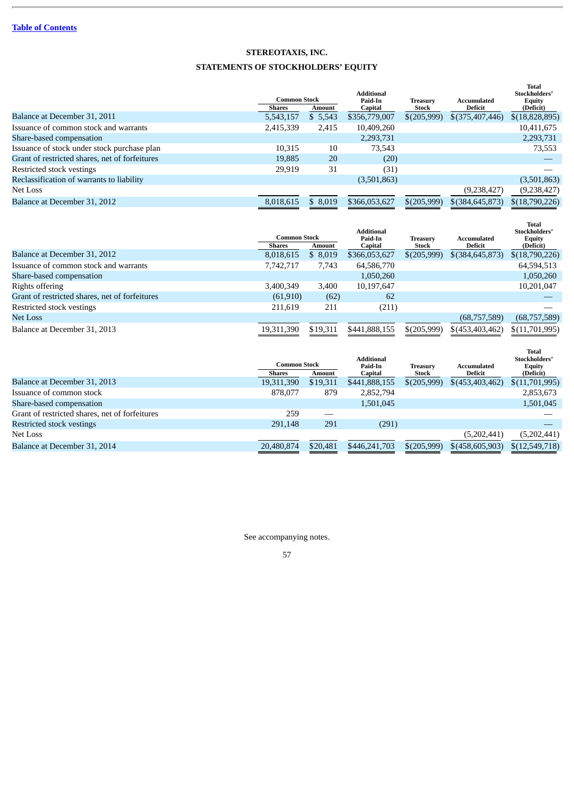# **STATEMENTS OF STOCKHOLDERS' EQUITY**

<span id="page-58-0"></span>

|                                                | <b>Common Stock</b> |         | <b>Additional</b><br>Paid-In | <b>Treasury</b> | Accumulated       | <b>Total</b><br>Stockholders'<br><b>Equity</b> |
|------------------------------------------------|---------------------|---------|------------------------------|-----------------|-------------------|------------------------------------------------|
|                                                | <b>Shares</b>       | Amount  | Capital                      | Stock           | <b>Deficit</b>    | (Deficit)                                      |
| Balance at December 31, 2011                   | 5,543,157           | \$5,543 | \$356,779,007                | \$(205,999)     | $$$ (375,407,446) | \$(18,828,895)                                 |
| Issuance of common stock and warrants          | 2,415,339           | 2,415   | 10,409,260                   |                 |                   | 10,411,675                                     |
| Share-based compensation                       |                     |         | 2,293,731                    |                 |                   | 2,293,731                                      |
| Issuance of stock under stock purchase plan    | 10.315              | 10      | 73.543                       |                 |                   | 73,553                                         |
| Grant of restricted shares, net of forfeitures | 19,885              | 20      | (20)                         |                 |                   |                                                |
| Restricted stock vestings                      | 29,919              | 31      | (31)                         |                 |                   |                                                |
| Reclassification of warrants to liability      |                     |         | (3,501,863)                  |                 |                   | (3,501,863)                                    |
| Net Loss                                       |                     |         |                              |                 | (9,238,427)       | (9,238,427)                                    |
| Balance at December 31, 2012                   | 8.018.615           | \$8.019 | \$366,053,627                | \$(205,999)     | $$$ (384,645,873) | \$(18,790,226)                                 |

|                                                | <b>Common Stock</b> |               | <b>Additional</b><br>Paid-In | <b>Treasury</b> | <b>Accumulated</b> | <b>Total</b><br>Stockholders'<br><b>Equity</b> |
|------------------------------------------------|---------------------|---------------|------------------------------|-----------------|--------------------|------------------------------------------------|
|                                                | <b>Shares</b>       | <b>Amount</b> | Capital                      | Stock           | Deficit            | (Deficit)                                      |
| Balance at December 31, 2012                   | 8,018,615           | \$8,019       | \$366,053,627                | \$(205,999)     | \$(384,645,873)    | \$(18,790,226)                                 |
| Issuance of common stock and warrants          | 7,742,717           | 7.743         | 64,586,770                   |                 |                    | 64,594,513                                     |
| Share-based compensation                       |                     |               | 1,050,260                    |                 |                    | 1,050,260                                      |
| Rights offering                                | 3,400,349           | 3,400         | 10,197,647                   |                 |                    | 10,201,047                                     |
| Grant of restricted shares, net of forfeitures | (61, 910)           | (62)          | 62                           |                 |                    |                                                |
| Restricted stock vestings                      | 211,619             | 211           | (211)                        |                 |                    |                                                |
| Net Loss                                       |                     |               |                              |                 | (68,757,589)       | (68,757,589)                                   |
| Balance at December 31, 2013                   | 19,311,390          | \$19,311      | \$441,888,155                | \$(205,999)     | $$$ (453,403,462)  | \$(11,701,995)                                 |

|                                                | <b>Common Stock</b> |          | <b>Additional</b><br>Paid-In | Treasury    | Accumulated       | <b>Total</b><br>Stockholders'<br><b>Equity</b> |
|------------------------------------------------|---------------------|----------|------------------------------|-------------|-------------------|------------------------------------------------|
|                                                | <b>Shares</b>       | Amount   | Capital                      | Stock       | <b>Deficit</b>    | (Deficit)                                      |
| Balance at December 31, 2013                   | 19,311,390          | \$19,311 | \$441,888,155                | \$(205,999) | \$(453,403,462)   | \$(11,701,995)                                 |
| Issuance of common stock                       | 878,077             | 879      | 2,852,794                    |             |                   | 2,853,673                                      |
| Share-based compensation                       |                     |          | 1,501,045                    |             |                   | 1,501,045                                      |
| Grant of restricted shares, net of forfeitures | 259                 |          |                              |             |                   |                                                |
| Restricted stock vestings                      | 291,148             | 291      | (291)                        |             |                   |                                                |
| Net Loss                                       |                     |          |                              |             | (5,202,441)       | (5,202,441)                                    |
| Balance at December 31, 2014                   | 20.480.874          | \$20,481 | \$446,241,703                | \$(205,999) | $$$ (458,605,903) | \$(12,549,718)                                 |

See accompanying notes.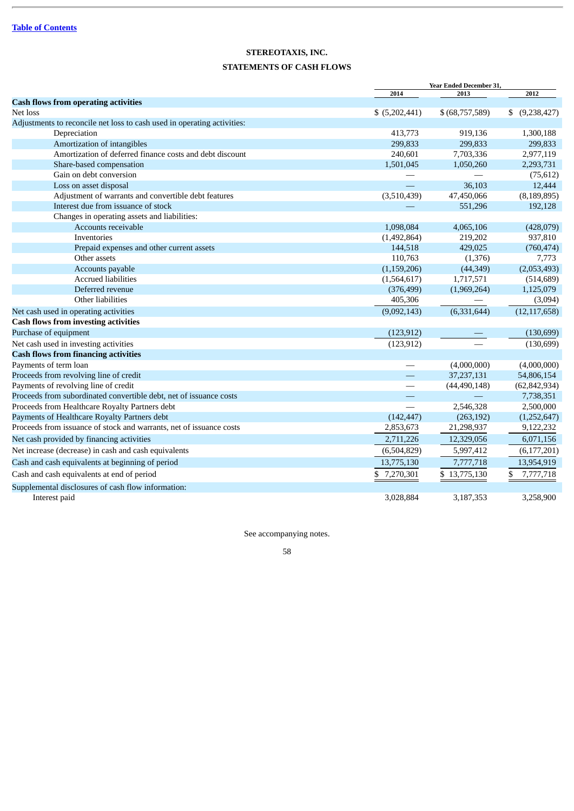# **STATEMENTS OF CASH FLOWS**

<span id="page-59-0"></span>

|                                                                         |                 | Year Ended December 31, |                 |
|-------------------------------------------------------------------------|-----------------|-------------------------|-----------------|
|                                                                         | 2014            | 2013                    | 2012            |
| <b>Cash flows from operating activities</b>                             |                 |                         |                 |
| Net loss                                                                | \$ (5,202,441)  | \$ (68,757,589)         | $$$ (9,238,427) |
| Adjustments to reconcile net loss to cash used in operating activities: |                 |                         |                 |
| Depreciation                                                            | 413,773         | 919,136                 | 1,300,188       |
| Amortization of intangibles                                             | 299,833         | 299,833                 | 299,833         |
| Amortization of deferred finance costs and debt discount                | 240,601         | 7,703,336               | 2,977,119       |
| Share-based compensation                                                | 1,501,045       | 1,050,260               | 2,293,731       |
| Gain on debt conversion                                                 |                 |                         | (75, 612)       |
| Loss on asset disposal                                                  |                 | 36,103                  | 12,444          |
| Adjustment of warrants and convertible debt features                    | (3,510,439)     | 47,450,066              | (8, 189, 895)   |
| Interest due from issuance of stock                                     |                 | 551,296                 | 192,128         |
| Changes in operating assets and liabilities:                            |                 |                         |                 |
| Accounts receivable                                                     | 1,098,084       | 4,065,106               | (428,079)       |
| Inventories                                                             | (1,492,864)     | 219,202                 | 937,810         |
| Prepaid expenses and other current assets                               | 144,518         | 429,025                 | (760, 474)      |
| Other assets                                                            | 110,763         | (1,376)                 | 7,773           |
| Accounts payable                                                        | (1, 159, 206)   | (44, 349)               | (2,053,493)     |
| <b>Accrued liabilities</b>                                              | (1,564,617)     | 1,717,571               | (514, 689)      |
| Deferred revenue                                                        | (376, 499)      | (1,969,264)             | 1,125,079       |
| Other liabilities                                                       | 405,306         |                         | (3,094)         |
| Net cash used in operating activities                                   | (9,092,143)     | (6, 331, 644)           | (12, 117, 658)  |
| <b>Cash flows from investing activities</b>                             |                 |                         |                 |
| Purchase of equipment                                                   | (123, 912)      |                         | (130, 699)      |
| Net cash used in investing activities                                   | (123, 912)      |                         | (130, 699)      |
| <b>Cash flows from financing activities</b>                             |                 |                         |                 |
| Payments of term loan                                                   |                 | (4,000,000)             | (4,000,000)     |
| Proceeds from revolving line of credit                                  |                 | 37, 237, 131            | 54,806,154      |
| Payments of revolving line of credit                                    | $\qquad \qquad$ | (44, 490, 148)          | (62, 842, 934)  |
| Proceeds from subordinated convertible debt, net of issuance costs      |                 |                         | 7,738,351       |
| Proceeds from Healthcare Royalty Partners debt                          |                 | 2,546,328               | 2,500,000       |
| Payments of Healthcare Royalty Partners debt                            | (142, 447)      | (263, 192)              | (1,252,647)     |
| Proceeds from issuance of stock and warrants, net of issuance costs     | 2,853,673       | 21,298,937              | 9,122,232       |
| Net cash provided by financing activities                               | 2,711,226       | 12,329,056              | 6,071,156       |
| Net increase (decrease) in cash and cash equivalents                    | (6,504,829)     | 5,997,412               | (6, 177, 201)   |
| Cash and cash equivalents at beginning of period                        | 13,775,130      | 7,777,718               | 13,954,919      |
| Cash and cash equivalents at end of period                              | \$<br>7,270,301 | \$13,775,130            | 7,777,718<br>\$ |
| Supplemental disclosures of cash flow information:                      |                 |                         |                 |
| Interest paid                                                           | 3,028,884       | 3,187,353               | 3,258,900       |

See accompanying notes.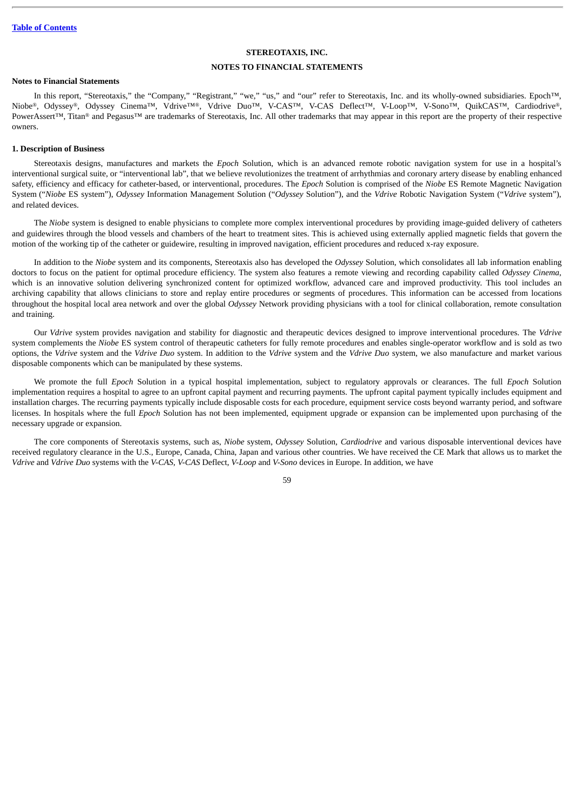## **NOTES TO FINANCIAL STATEMENTS**

# <span id="page-60-0"></span>**Notes to Financial Statements**

In this report, "Stereotaxis," the "Company," "Registrant," "we," "us," and "our" refer to Stereotaxis, Inc. and its wholly-owned subsidiaries. Epoch™, Niobe®, Odyssey®, Odyssey Cinema™, Vdrive™®, Vdrive Duo™, V-CAS™, V-CAS Deflect™, V-Loop™, V-Sono™, QuikCAS™, Cardiodrive®, PowerAssert™, Titan® and Pegasus™ are trademarks of Stereotaxis, Inc. All other trademarks that may appear in this report are the property of their respective owners.

#### **1. Description of Business**

Stereotaxis designs, manufactures and markets the *Epoch* Solution, which is an advanced remote robotic navigation system for use in a hospital's interventional surgical suite, or "interventional lab", that we believe revolutionizes the treatment of arrhythmias and coronary artery disease by enabling enhanced safety, efficiency and efficacy for catheter-based, or interventional, procedures. The *Epoch* Solution is comprised of the *Niobe* ES Remote Magnetic Navigation System ("*Niobe* ES system"), *Odyssey* Information Management Solution ("*Odyssey* Solution"), and the *Vdrive* Robotic Navigation System ("*Vdrive* system"), and related devices.

The *Niobe* system is designed to enable physicians to complete more complex interventional procedures by providing image-guided delivery of catheters and guidewires through the blood vessels and chambers of the heart to treatment sites. This is achieved using externally applied magnetic fields that govern the motion of the working tip of the catheter or guidewire, resulting in improved navigation, efficient procedures and reduced x-ray exposure.

In addition to the *Niobe* system and its components, Stereotaxis also has developed the *Odyssey* Solution, which consolidates all lab information enabling doctors to focus on the patient for optimal procedure efficiency. The system also features a remote viewing and recording capability called *Odyssey Cinema*, which is an innovative solution delivering synchronized content for optimized workflow, advanced care and improved productivity. This tool includes an archiving capability that allows clinicians to store and replay entire procedures or segments of procedures. This information can be accessed from locations throughout the hospital local area network and over the global *Odyssey* Network providing physicians with a tool for clinical collaboration, remote consultation and training.

Our *Vdrive* system provides navigation and stability for diagnostic and therapeutic devices designed to improve interventional procedures. The *Vdrive* system complements the *Niobe* ES system control of therapeutic catheters for fully remote procedures and enables single-operator workflow and is sold as two options, the *Vdrive* system and the *Vdrive Duo* system. In addition to the *Vdrive* system and the *Vdrive Duo* system, we also manufacture and market various disposable components which can be manipulated by these systems.

We promote the full *Epoch* Solution in a typical hospital implementation, subject to regulatory approvals or clearances. The full *Epoch* Solution implementation requires a hospital to agree to an upfront capital payment and recurring payments. The upfront capital payment typically includes equipment and installation charges. The recurring payments typically include disposable costs for each procedure, equipment service costs beyond warranty period, and software licenses. In hospitals where the full *Epoch* Solution has not been implemented, equipment upgrade or expansion can be implemented upon purchasing of the necessary upgrade or expansion.

The core components of Stereotaxis systems, such as, *Niobe* system, *Odyssey* Solution, *Cardiodrive* and various disposable interventional devices have received regulatory clearance in the U.S., Europe, Canada, China, Japan and various other countries. We have received the CE Mark that allows us to market the *Vdrive* and *Vdrive Duo* systems with the *V-CAS, V-CAS* Deflect, *V-Loop* and *V-Sono* devices in Europe. In addition, we have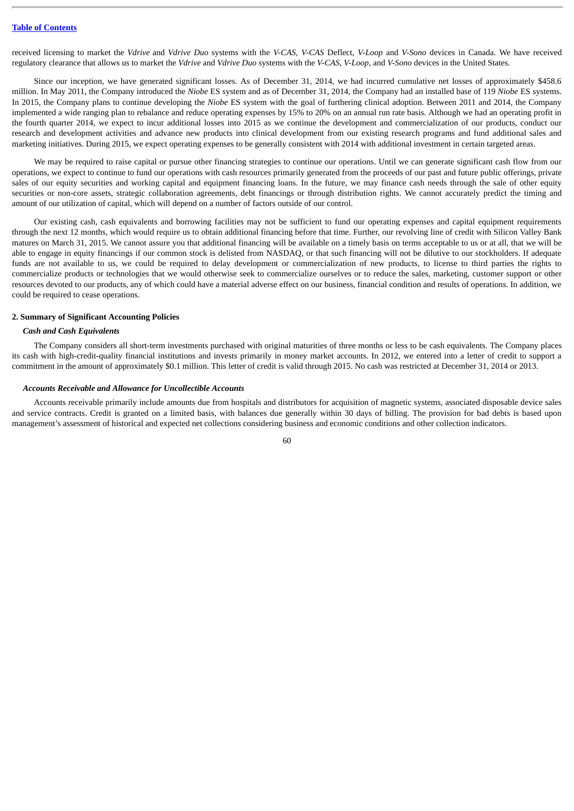received licensing to market the *Vdrive* and *Vdrive Duo* systems with the *V-CAS, V-CAS* Deflect, *V-Loop* and *V-Sono* devices in Canada. We have received regulatory clearance that allows us to market the *Vdrive* and *Vdrive Duo* systems with the *V-CAS, V-Loop,* and *V-Sono* devices in the United States.

Since our inception, we have generated significant losses. As of December 31, 2014, we had incurred cumulative net losses of approximately \$458.6 million. In May 2011, the Company introduced the *Niobe* ES system and as of December 31, 2014, the Company had an installed base of 119 *Niobe* ES systems. In 2015, the Company plans to continue developing the *Niobe* ES system with the goal of furthering clinical adoption. Between 2011 and 2014, the Company implemented a wide ranging plan to rebalance and reduce operating expenses by 15% to 20% on an annual run rate basis. Although we had an operating profit in the fourth quarter 2014, we expect to incur additional losses into 2015 as we continue the development and commercialization of our products, conduct our research and development activities and advance new products into clinical development from our existing research programs and fund additional sales and marketing initiatives. During 2015, we expect operating expenses to be generally consistent with 2014 with additional investment in certain targeted areas.

We may be required to raise capital or pursue other financing strategies to continue our operations. Until we can generate significant cash flow from our operations, we expect to continue to fund our operations with cash resources primarily generated from the proceeds of our past and future public offerings, private sales of our equity securities and working capital and equipment financing loans. In the future, we may finance cash needs through the sale of other equity securities or non-core assets, strategic collaboration agreements, debt financings or through distribution rights. We cannot accurately predict the timing and amount of our utilization of capital, which will depend on a number of factors outside of our control.

Our existing cash, cash equivalents and borrowing facilities may not be sufficient to fund our operating expenses and capital equipment requirements through the next 12 months, which would require us to obtain additional financing before that time. Further, our revolving line of credit with Silicon Valley Bank matures on March 31, 2015. We cannot assure you that additional financing will be available on a timely basis on terms acceptable to us or at all, that we will be able to engage in equity financings if our common stock is delisted from NASDAQ, or that such financing will not be dilutive to our stockholders. If adequate funds are not available to us, we could be required to delay development or commercialization of new products, to license to third parties the rights to commercialize products or technologies that we would otherwise seek to commercialize ourselves or to reduce the sales, marketing, customer support or other resources devoted to our products, any of which could have a material adverse effect on our business, financial condition and results of operations. In addition, we could be required to cease operations.

## **2. Summary of Significant Accounting Policies**

## *Cash and Cash Equivalents*

The Company considers all short-term investments purchased with original maturities of three months or less to be cash equivalents. The Company places its cash with high-credit-quality financial institutions and invests primarily in money market accounts. In 2012, we entered into a letter of credit to support a commitment in the amount of approximately \$0.1 million. This letter of credit is valid through 2015. No cash was restricted at December 31, 2014 or 2013.

## *Accounts Receivable and Allowance for Uncollectible Accounts*

Accounts receivable primarily include amounts due from hospitals and distributors for acquisition of magnetic systems, associated disposable device sales and service contracts. Credit is granted on a limited basis, with balances due generally within 30 days of billing. The provision for bad debts is based upon management's assessment of historical and expected net collections considering business and economic conditions and other collection indicators.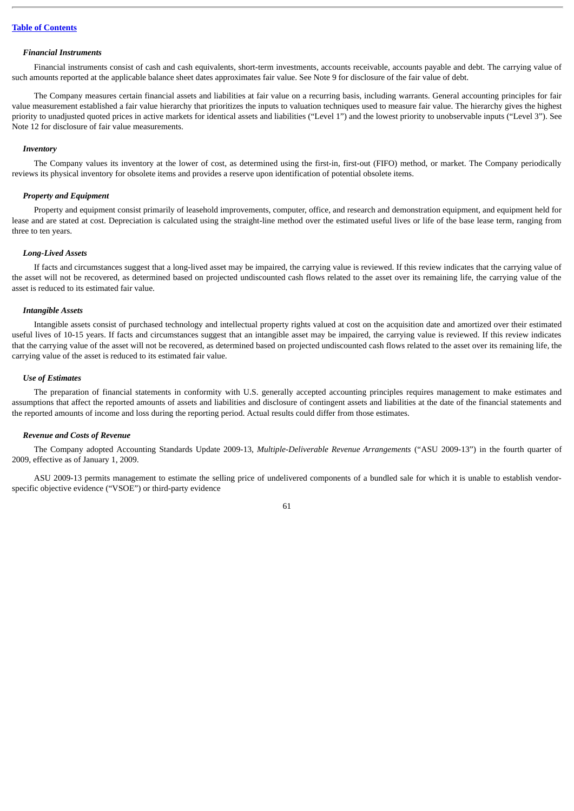#### *Financial Instruments*

Financial instruments consist of cash and cash equivalents, short-term investments, accounts receivable, accounts payable and debt. The carrying value of such amounts reported at the applicable balance sheet dates approximates fair value. See Note 9 for disclosure of the fair value of debt.

The Company measures certain financial assets and liabilities at fair value on a recurring basis, including warrants. General accounting principles for fair value measurement established a fair value hierarchy that prioritizes the inputs to valuation techniques used to measure fair value. The hierarchy gives the highest priority to unadjusted quoted prices in active markets for identical assets and liabilities ("Level 1") and the lowest priority to unobservable inputs ("Level 3"). See Note 12 for disclosure of fair value measurements.

# *Inventory*

The Company values its inventory at the lower of cost, as determined using the first-in, first-out (FIFO) method, or market. The Company periodically reviews its physical inventory for obsolete items and provides a reserve upon identification of potential obsolete items.

### *Property and Equipment*

Property and equipment consist primarily of leasehold improvements, computer, office, and research and demonstration equipment, and equipment held for lease and are stated at cost. Depreciation is calculated using the straight-line method over the estimated useful lives or life of the base lease term, ranging from three to ten years.

#### *Long-Lived Assets*

If facts and circumstances suggest that a long-lived asset may be impaired, the carrying value is reviewed. If this review indicates that the carrying value of the asset will not be recovered, as determined based on projected undiscounted cash flows related to the asset over its remaining life, the carrying value of the asset is reduced to its estimated fair value.

# *Intangible Assets*

Intangible assets consist of purchased technology and intellectual property rights valued at cost on the acquisition date and amortized over their estimated useful lives of 10-15 years. If facts and circumstances suggest that an intangible asset may be impaired, the carrying value is reviewed. If this review indicates that the carrying value of the asset will not be recovered, as determined based on projected undiscounted cash flows related to the asset over its remaining life, the carrying value of the asset is reduced to its estimated fair value.

### *Use of Estimates*

The preparation of financial statements in conformity with U.S. generally accepted accounting principles requires management to make estimates and assumptions that affect the reported amounts of assets and liabilities and disclosure of contingent assets and liabilities at the date of the financial statements and the reported amounts of income and loss during the reporting period. Actual results could differ from those estimates.

### *Revenue and Costs of Revenue*

The Company adopted Accounting Standards Update 2009-13, *Multiple-Deliverable Revenue Arrangements* ("ASU 2009-13") in the fourth quarter of 2009, effective as of January 1, 2009.

ASU 2009-13 permits management to estimate the selling price of undelivered components of a bundled sale for which it is unable to establish vendorspecific objective evidence ("VSOE") or third-party evidence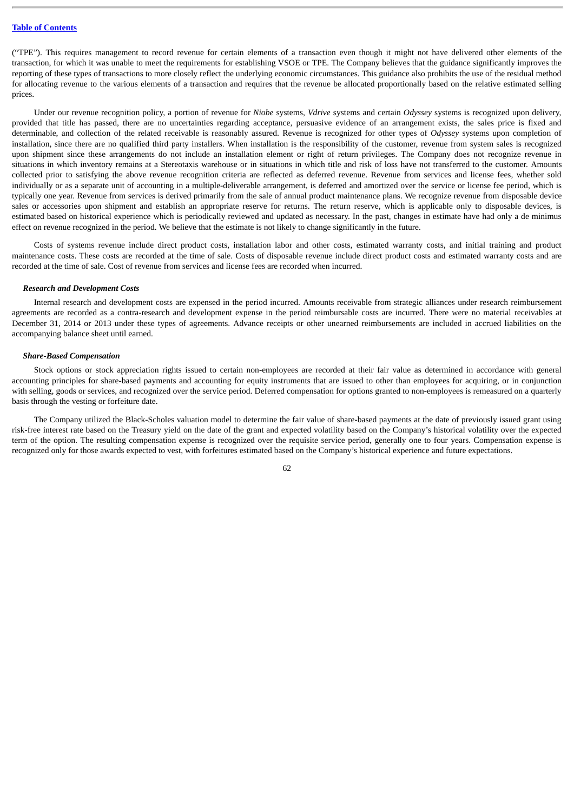("TPE"). This requires management to record revenue for certain elements of a transaction even though it might not have delivered other elements of the transaction, for which it was unable to meet the requirements for establishing VSOE or TPE. The Company believes that the guidance significantly improves the reporting of these types of transactions to more closely reflect the underlying economic circumstances. This guidance also prohibits the use of the residual method for allocating revenue to the various elements of a transaction and requires that the revenue be allocated proportionally based on the relative estimated selling prices.

Under our revenue recognition policy, a portion of revenue for *Niobe* systems, *Vdrive* systems and certain *Odyssey* systems is recognized upon delivery, provided that title has passed, there are no uncertainties regarding acceptance, persuasive evidence of an arrangement exists, the sales price is fixed and determinable, and collection of the related receivable is reasonably assured. Revenue is recognized for other types of *Odyssey* systems upon completion of installation, since there are no qualified third party installers. When installation is the responsibility of the customer, revenue from system sales is recognized upon shipment since these arrangements do not include an installation element or right of return privileges. The Company does not recognize revenue in situations in which inventory remains at a Stereotaxis warehouse or in situations in which title and risk of loss have not transferred to the customer. Amounts collected prior to satisfying the above revenue recognition criteria are reflected as deferred revenue. Revenue from services and license fees, whether sold individually or as a separate unit of accounting in a multiple-deliverable arrangement, is deferred and amortized over the service or license fee period, which is typically one year. Revenue from services is derived primarily from the sale of annual product maintenance plans. We recognize revenue from disposable device sales or accessories upon shipment and establish an appropriate reserve for returns. The return reserve, which is applicable only to disposable devices, is estimated based on historical experience which is periodically reviewed and updated as necessary. In the past, changes in estimate have had only a de minimus effect on revenue recognized in the period. We believe that the estimate is not likely to change significantly in the future.

Costs of systems revenue include direct product costs, installation labor and other costs, estimated warranty costs, and initial training and product maintenance costs. These costs are recorded at the time of sale. Costs of disposable revenue include direct product costs and estimated warranty costs and are recorded at the time of sale. Cost of revenue from services and license fees are recorded when incurred.

### *Research and Development Costs*

Internal research and development costs are expensed in the period incurred. Amounts receivable from strategic alliances under research reimbursement agreements are recorded as a contra-research and development expense in the period reimbursable costs are incurred. There were no material receivables at December 31, 2014 or 2013 under these types of agreements. Advance receipts or other unearned reimbursements are included in accrued liabilities on the accompanying balance sheet until earned.

### *Share-Based Compensation*

Stock options or stock appreciation rights issued to certain non-employees are recorded at their fair value as determined in accordance with general accounting principles for share-based payments and accounting for equity instruments that are issued to other than employees for acquiring, or in conjunction with selling, goods or services, and recognized over the service period. Deferred compensation for options granted to non-employees is remeasured on a quarterly basis through the vesting or forfeiture date.

The Company utilized the Black-Scholes valuation model to determine the fair value of share-based payments at the date of previously issued grant using risk-free interest rate based on the Treasury yield on the date of the grant and expected volatility based on the Company's historical volatility over the expected term of the option. The resulting compensation expense is recognized over the requisite service period, generally one to four years. Compensation expense is recognized only for those awards expected to vest, with forfeitures estimated based on the Company's historical experience and future expectations.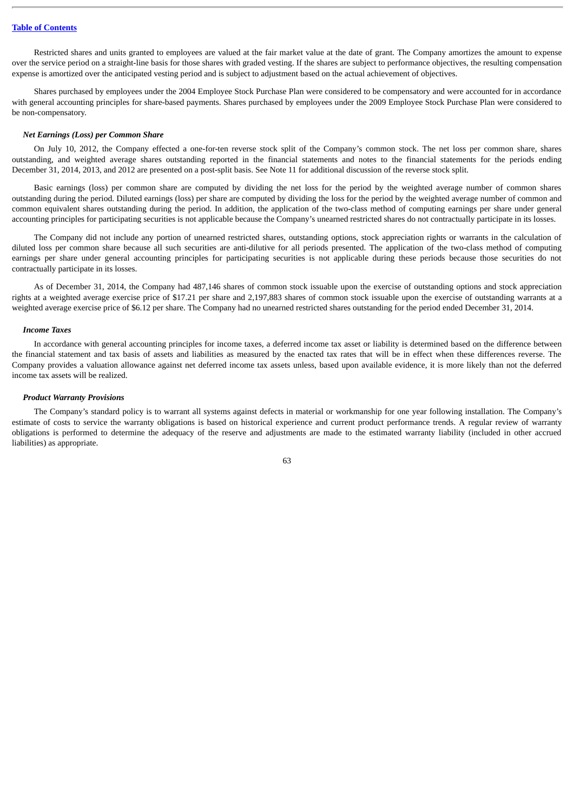Restricted shares and units granted to employees are valued at the fair market value at the date of grant. The Company amortizes the amount to expense over the service period on a straight-line basis for those shares with graded vesting. If the shares are subject to performance objectives, the resulting compensation expense is amortized over the anticipated vesting period and is subject to adjustment based on the actual achievement of objectives.

Shares purchased by employees under the 2004 Employee Stock Purchase Plan were considered to be compensatory and were accounted for in accordance with general accounting principles for share-based payments. Shares purchased by employees under the 2009 Employee Stock Purchase Plan were considered to be non-compensatory.

### *Net Earnings (Loss) per Common Share*

On July 10, 2012, the Company effected a one-for-ten reverse stock split of the Company's common stock. The net loss per common share, shares outstanding, and weighted average shares outstanding reported in the financial statements and notes to the financial statements for the periods ending December 31, 2014, 2013, and 2012 are presented on a post-split basis. See Note 11 for additional discussion of the reverse stock split.

Basic earnings (loss) per common share are computed by dividing the net loss for the period by the weighted average number of common shares outstanding during the period. Diluted earnings (loss) per share are computed by dividing the loss for the period by the weighted average number of common and common equivalent shares outstanding during the period. In addition, the application of the two-class method of computing earnings per share under general accounting principles for participating securities is not applicable because the Company's unearned restricted shares do not contractually participate in its losses.

The Company did not include any portion of unearned restricted shares, outstanding options, stock appreciation rights or warrants in the calculation of diluted loss per common share because all such securities are anti-dilutive for all periods presented. The application of the two-class method of computing earnings per share under general accounting principles for participating securities is not applicable during these periods because those securities do not contractually participate in its losses.

As of December 31, 2014, the Company had 487,146 shares of common stock issuable upon the exercise of outstanding options and stock appreciation rights at a weighted average exercise price of \$17.21 per share and 2,197,883 shares of common stock issuable upon the exercise of outstanding warrants at a weighted average exercise price of \$6.12 per share. The Company had no unearned restricted shares outstanding for the period ended December 31, 2014.

### *Income Taxes*

In accordance with general accounting principles for income taxes*,* a deferred income tax asset or liability is determined based on the difference between the financial statement and tax basis of assets and liabilities as measured by the enacted tax rates that will be in effect when these differences reverse. The Company provides a valuation allowance against net deferred income tax assets unless, based upon available evidence, it is more likely than not the deferred income tax assets will be realized.

# *Product Warranty Provisions*

The Company's standard policy is to warrant all systems against defects in material or workmanship for one year following installation. The Company's estimate of costs to service the warranty obligations is based on historical experience and current product performance trends. A regular review of warranty obligations is performed to determine the adequacy of the reserve and adjustments are made to the estimated warranty liability (included in other accrued liabilities) as appropriate.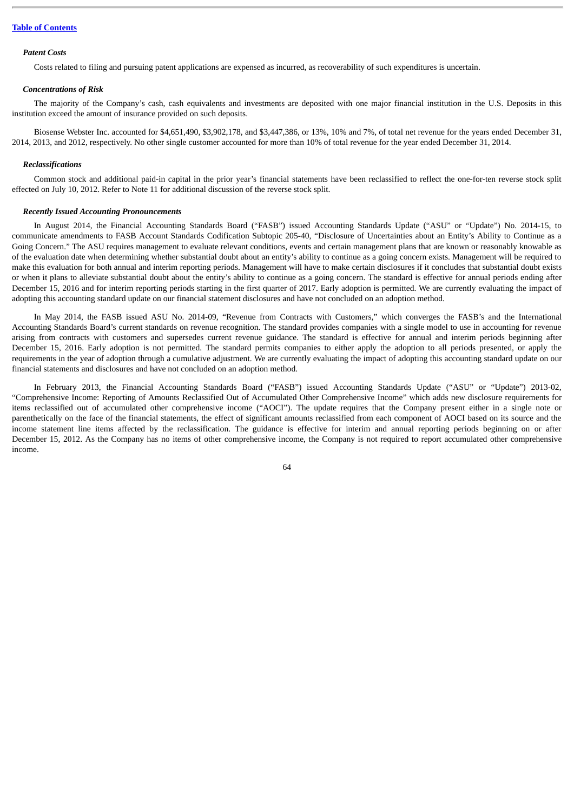### *Patent Costs*

Costs related to filing and pursuing patent applications are expensed as incurred, as recoverability of such expenditures is uncertain.

## *Concentrations of Risk*

The majority of the Company's cash, cash equivalents and investments are deposited with one major financial institution in the U.S. Deposits in this institution exceed the amount of insurance provided on such deposits.

Biosense Webster Inc. accounted for \$4,651,490, \$3,902,178, and \$3,447,386, or 13%, 10% and 7%, of total net revenue for the years ended December 31, 2014, 2013, and 2012, respectively. No other single customer accounted for more than 10% of total revenue for the year ended December 31, 2014.

# *Reclassifications*

Common stock and additional paid-in capital in the prior year's financial statements have been reclassified to reflect the one-for-ten reverse stock split effected on July 10, 2012. Refer to Note 11 for additional discussion of the reverse stock split.

### *Recently Issued Accounting Pronouncements*

In August 2014, the Financial Accounting Standards Board ("FASB") issued Accounting Standards Update ("ASU" or "Update") No. 2014-15, to communicate amendments to FASB Account Standards Codification Subtopic 205-40, "Disclosure of Uncertainties about an Entity's Ability to Continue as a Going Concern." The ASU requires management to evaluate relevant conditions, events and certain management plans that are known or reasonably knowable as of the evaluation date when determining whether substantial doubt about an entity's ability to continue as a going concern exists. Management will be required to make this evaluation for both annual and interim reporting periods. Management will have to make certain disclosures if it concludes that substantial doubt exists or when it plans to alleviate substantial doubt about the entity's ability to continue as a going concern. The standard is effective for annual periods ending after December 15, 2016 and for interim reporting periods starting in the first quarter of 2017. Early adoption is permitted. We are currently evaluating the impact of adopting this accounting standard update on our financial statement disclosures and have not concluded on an adoption method.

In May 2014, the FASB issued ASU No. 2014-09, "Revenue from Contracts with Customers," which converges the FASB's and the International Accounting Standards Board's current standards on revenue recognition. The standard provides companies with a single model to use in accounting for revenue arising from contracts with customers and supersedes current revenue guidance. The standard is effective for annual and interim periods beginning after December 15, 2016. Early adoption is not permitted. The standard permits companies to either apply the adoption to all periods presented, or apply the requirements in the year of adoption through a cumulative adjustment. We are currently evaluating the impact of adopting this accounting standard update on our financial statements and disclosures and have not concluded on an adoption method.

In February 2013, the Financial Accounting Standards Board ("FASB") issued Accounting Standards Update ("ASU" or "Update") 2013-02, "Comprehensive Income: Reporting of Amounts Reclassified Out of Accumulated Other Comprehensive Income" which adds new disclosure requirements for items reclassified out of accumulated other comprehensive income ("AOCI"). The update requires that the Company present either in a single note or parenthetically on the face of the financial statements, the effect of significant amounts reclassified from each component of AOCI based on its source and the income statement line items affected by the reclassification. The guidance is effective for interim and annual reporting periods beginning on or after December 15, 2012. As the Company has no items of other comprehensive income, the Company is not required to report accumulated other comprehensive income.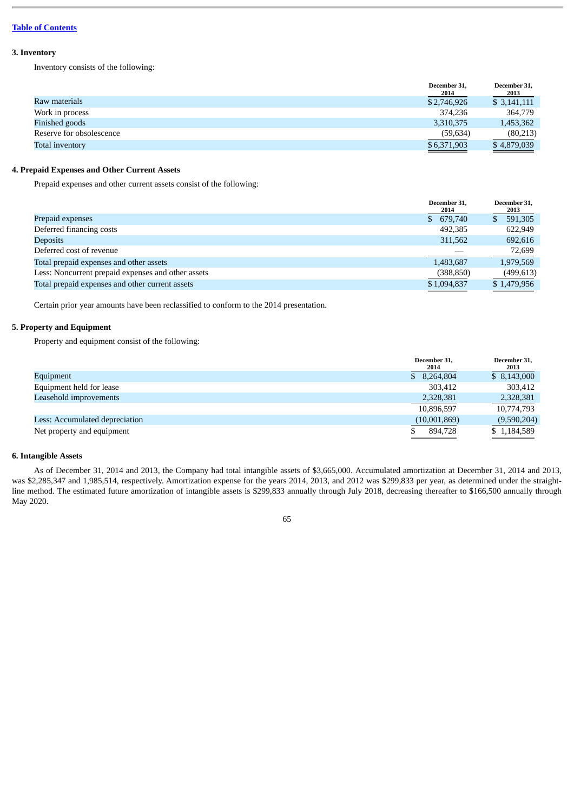# **3. Inventory**

Inventory consists of the following:

|                          | December 31,<br>2014 | December 31,<br>2013 |
|--------------------------|----------------------|----------------------|
| Raw materials            | \$2,746,926          | \$3,141,111          |
| Work in process          | 374.236              | 364,779              |
| Finished goods           | 3,310,375            | 1,453,362            |
| Reserve for obsolescence | (59, 634)            | (80,213)             |
| Total inventory          | \$6,371,903          | \$4,879,039          |

# **4. Prepaid Expenses and Other Current Assets**

Prepaid expenses and other current assets consist of the following:

|                                                    | December 31.<br>2014 | December 31.<br>2013 |
|----------------------------------------------------|----------------------|----------------------|
| Prepaid expenses                                   | \$ 679,740           | 591,305              |
| Deferred financing costs                           | 492.385              | 622.949              |
| <b>Deposits</b>                                    | 311,562              | 692,616              |
| Deferred cost of revenue                           |                      | 72,699               |
| Total prepaid expenses and other assets            | 1,483,687            | 1,979,569            |
| Less: Noncurrent prepaid expenses and other assets | (388, 850)           | (499, 613)           |
| Total prepaid expenses and other current assets    | \$1,094,837          | \$1,479,956          |

Certain prior year amounts have been reclassified to conform to the 2014 presentation.

# **5. Property and Equipment**

Property and equipment consist of the following:

|                                | December 31,<br>2014 | December 31.<br>2013 |
|--------------------------------|----------------------|----------------------|
| Equipment                      | \$8,264,804          | \$8,143,000          |
| Equipment held for lease       | 303.412              | 303,412              |
| Leasehold improvements         | 2,328,381            | 2,328,381            |
|                                | 10,896,597           | 10,774,793           |
| Less: Accumulated depreciation | (10,001,869)         | (9,590,204)          |
| Net property and equipment     | 894,728              | \$1,184,589          |

# **6. Intangible Assets**

As of December 31, 2014 and 2013, the Company had total intangible assets of \$3,665,000. Accumulated amortization at December 31, 2014 and 2013, was \$2,285,347 and 1,985,514, respectively. Amortization expense for the years 2014, 2013, and 2012 was \$299,833 per year, as determined under the straightline method. The estimated future amortization of intangible assets is \$299,833 annually through July 2018, decreasing thereafter to \$166,500 annually through May 2020.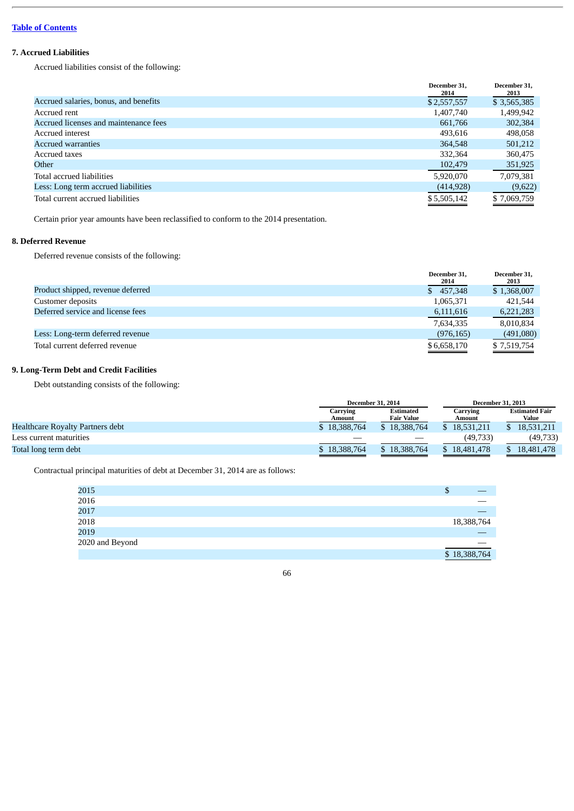# **7. Accrued Liabilities**

Accrued liabilities consist of the following:

|                                       | December 31.<br>2014 | December 31.<br>2013 |
|---------------------------------------|----------------------|----------------------|
| Accrued salaries, bonus, and benefits | \$2,557,557          | \$3,565,385          |
| Accrued rent                          | 1,407,740            | 1,499,942            |
| Accrued licenses and maintenance fees | 661,766              | 302,384              |
| Accrued interest                      | 493.616              | 498,058              |
| Accrued warranties                    | 364,548              | 501,212              |
| Accrued taxes                         | 332,364              | 360,475              |
| Other                                 | 102,479              | 351,925              |
| Total accrued liabilities             | 5,920,070            | 7,079,381            |
| Less: Long term accrued liabilities   | (414, 928)           | (9,622)              |
| Total current accrued liabilities     | \$5,505,142          | \$7,069,759          |

Certain prior year amounts have been reclassified to conform to the 2014 presentation.

# **8. Deferred Revenue**

Deferred revenue consists of the following:

|                                   | December 31.<br>2014 | December 31.<br>2013 |
|-----------------------------------|----------------------|----------------------|
| Product shipped, revenue deferred | \$457,348            | \$1,368,007          |
| Customer deposits                 | 1,065,371            | 421,544              |
| Deferred service and license fees | 6,111,616            | 6,221,283            |
|                                   | 7,634,335            | 8,010,834            |
| Less: Long-term deferred revenue  | (976, 165)           | (491,080)            |
| Total current deferred revenue    | \$6,658,170          | \$7,519,754          |

# **9. Long-Term Debt and Credit Facilities**

Debt outstanding consists of the following:

|                                  | <b>December 31, 2014</b> |                                       | <b>December 31, 2013</b> |                         |
|----------------------------------|--------------------------|---------------------------------------|--------------------------|-------------------------|
|                                  | Carrving<br>Amount       | <b>Estimated</b><br><b>Fair Value</b> | Carrving<br>Amount       | Estimated Fair<br>Value |
| Healthcare Royalty Partners debt | \$18,388,764             | 18,388,764                            | 18.531.211               | 18.531.211              |
| Less current maturities          |                          |                                       | (49,733)                 | (49,733)                |
| Total long term debt             | \$18,388,764             | 18,388,764                            | \$18,481,478             | 18.481.478              |

Contractual principal maturities of debt at December 31, 2014 are as follows:

| 2015            | Ф |              |
|-----------------|---|--------------|
| 2016            |   |              |
| 2017            |   |              |
| 2018            |   | 18,388,764   |
| 2019            |   |              |
| 2020 and Beyond |   |              |
|                 |   | \$18,388,764 |

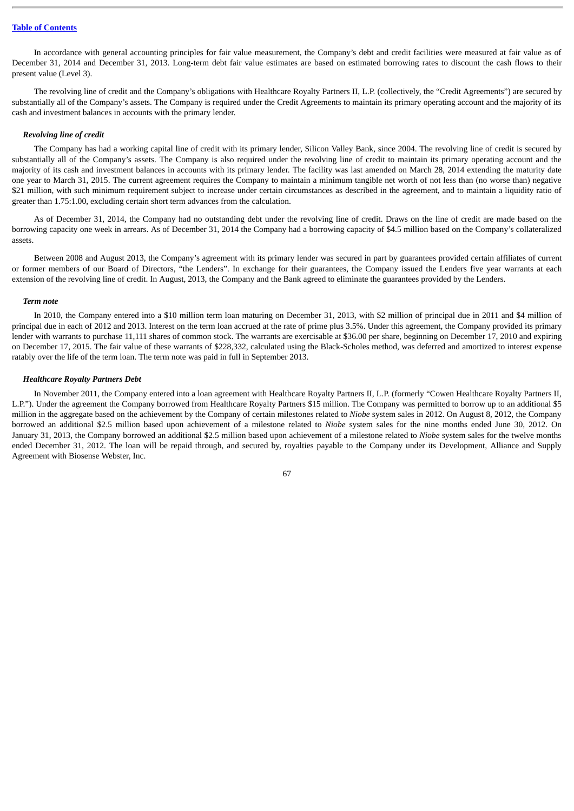In accordance with general accounting principles for fair value measurement, the Company's debt and credit facilities were measured at fair value as of December 31, 2014 and December 31, 2013. Long-term debt fair value estimates are based on estimated borrowing rates to discount the cash flows to their present value (Level 3).

The revolving line of credit and the Company's obligations with Healthcare Royalty Partners II, L.P. (collectively, the "Credit Agreements") are secured by substantially all of the Company's assets. The Company is required under the Credit Agreements to maintain its primary operating account and the majority of its cash and investment balances in accounts with the primary lender.

### *Revolving line of credit*

The Company has had a working capital line of credit with its primary lender, Silicon Valley Bank, since 2004. The revolving line of credit is secured by substantially all of the Company's assets. The Company is also required under the revolving line of credit to maintain its primary operating account and the majority of its cash and investment balances in accounts with its primary lender. The facility was last amended on March 28, 2014 extending the maturity date one year to March 31, 2015. The current agreement requires the Company to maintain a minimum tangible net worth of not less than (no worse than) negative \$21 million, with such minimum requirement subject to increase under certain circumstances as described in the agreement, and to maintain a liquidity ratio of greater than 1.75:1.00, excluding certain short term advances from the calculation.

As of December 31, 2014, the Company had no outstanding debt under the revolving line of credit. Draws on the line of credit are made based on the borrowing capacity one week in arrears. As of December 31, 2014 the Company had a borrowing capacity of \$4.5 million based on the Company's collateralized assets.

Between 2008 and August 2013, the Company's agreement with its primary lender was secured in part by guarantees provided certain affiliates of current or former members of our Board of Directors, "the Lenders". In exchange for their guarantees, the Company issued the Lenders five year warrants at each extension of the revolving line of credit. In August, 2013, the Company and the Bank agreed to eliminate the guarantees provided by the Lenders.

#### *Term note*

In 2010, the Company entered into a \$10 million term loan maturing on December 31, 2013, with \$2 million of principal due in 2011 and \$4 million of principal due in each of 2012 and 2013. Interest on the term loan accrued at the rate of prime plus 3.5%. Under this agreement, the Company provided its primary lender with warrants to purchase 11,111 shares of common stock. The warrants are exercisable at \$36.00 per share, beginning on December 17, 2010 and expiring on December 17, 2015. The fair value of these warrants of \$228,332, calculated using the Black-Scholes method, was deferred and amortized to interest expense ratably over the life of the term loan. The term note was paid in full in September 2013.

### *Healthcare Royalty Partners Debt*

In November 2011, the Company entered into a loan agreement with Healthcare Royalty Partners II, L.P. (formerly "Cowen Healthcare Royalty Partners II, L.P."). Under the agreement the Company borrowed from Healthcare Royalty Partners \$15 million. The Company was permitted to borrow up to an additional \$5 million in the aggregate based on the achievement by the Company of certain milestones related to *Niobe* system sales in 2012. On August 8, 2012, the Company borrowed an additional \$2.5 million based upon achievement of a milestone related to *Niobe* system sales for the nine months ended June 30, 2012. On January 31, 2013, the Company borrowed an additional \$2.5 million based upon achievement of a milestone related to *Niobe* system sales for the twelve months ended December 31, 2012. The loan will be repaid through, and secured by, royalties payable to the Company under its Development, Alliance and Supply Agreement with Biosense Webster, Inc.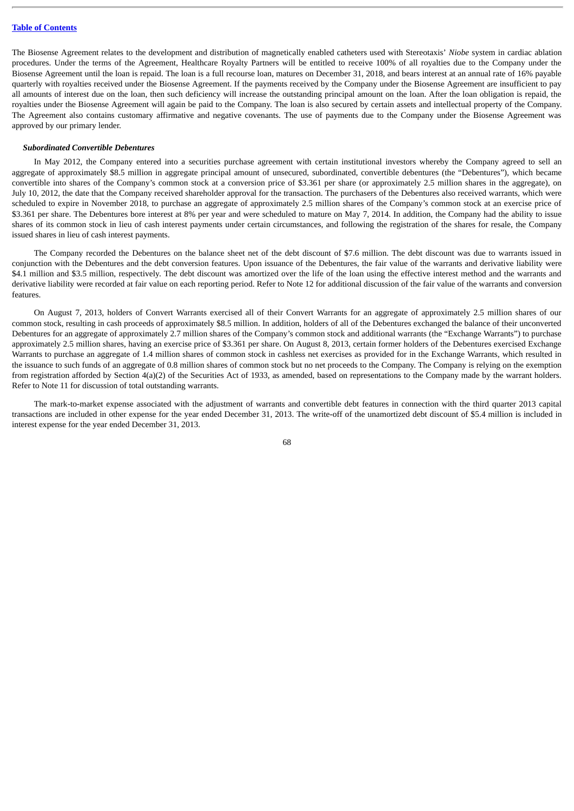The Biosense Agreement relates to the development and distribution of magnetically enabled catheters used with Stereotaxis' *Niobe* system in cardiac ablation procedures. Under the terms of the Agreement, Healthcare Royalty Partners will be entitled to receive 100% of all royalties due to the Company under the Biosense Agreement until the loan is repaid. The loan is a full recourse loan, matures on December 31, 2018, and bears interest at an annual rate of 16% payable quarterly with royalties received under the Biosense Agreement. If the payments received by the Company under the Biosense Agreement are insufficient to pay all amounts of interest due on the loan, then such deficiency will increase the outstanding principal amount on the loan. After the loan obligation is repaid, the royalties under the Biosense Agreement will again be paid to the Company. The loan is also secured by certain assets and intellectual property of the Company. The Agreement also contains customary affirmative and negative covenants. The use of payments due to the Company under the Biosense Agreement was approved by our primary lender.

### *Subordinated Convertible Debentures*

In May 2012, the Company entered into a securities purchase agreement with certain institutional investors whereby the Company agreed to sell an aggregate of approximately \$8.5 million in aggregate principal amount of unsecured, subordinated, convertible debentures (the "Debentures"), which became convertible into shares of the Company's common stock at a conversion price of \$3.361 per share (or approximately 2.5 million shares in the aggregate), on July 10, 2012, the date that the Company received shareholder approval for the transaction. The purchasers of the Debentures also received warrants, which were scheduled to expire in November 2018, to purchase an aggregate of approximately 2.5 million shares of the Company's common stock at an exercise price of \$3.361 per share. The Debentures bore interest at 8% per year and were scheduled to mature on May 7, 2014. In addition, the Company had the ability to issue shares of its common stock in lieu of cash interest payments under certain circumstances, and following the registration of the shares for resale, the Company issued shares in lieu of cash interest payments.

The Company recorded the Debentures on the balance sheet net of the debt discount of \$7.6 million. The debt discount was due to warrants issued in conjunction with the Debentures and the debt conversion features. Upon issuance of the Debentures, the fair value of the warrants and derivative liability were \$4.1 million and \$3.5 million, respectively. The debt discount was amortized over the life of the loan using the effective interest method and the warrants and derivative liability were recorded at fair value on each reporting period. Refer to Note 12 for additional discussion of the fair value of the warrants and conversion features.

On August 7, 2013, holders of Convert Warrants exercised all of their Convert Warrants for an aggregate of approximately 2.5 million shares of our common stock, resulting in cash proceeds of approximately \$8.5 million. In addition, holders of all of the Debentures exchanged the balance of their unconverted Debentures for an aggregate of approximately 2.7 million shares of the Company's common stock and additional warrants (the "Exchange Warrants") to purchase approximately 2.5 million shares, having an exercise price of \$3.361 per share. On August 8, 2013, certain former holders of the Debentures exercised Exchange Warrants to purchase an aggregate of 1.4 million shares of common stock in cashless net exercises as provided for in the Exchange Warrants, which resulted in the issuance to such funds of an aggregate of 0.8 million shares of common stock but no net proceeds to the Company. The Company is relying on the exemption from registration afforded by Section 4(a)(2) of the Securities Act of 1933, as amended, based on representations to the Company made by the warrant holders. Refer to Note 11 for discussion of total outstanding warrants.

The mark-to-market expense associated with the adjustment of warrants and convertible debt features in connection with the third quarter 2013 capital transactions are included in other expense for the year ended December 31, 2013. The write-off of the unamortized debt discount of \$5.4 million is included in interest expense for the year ended December 31, 2013.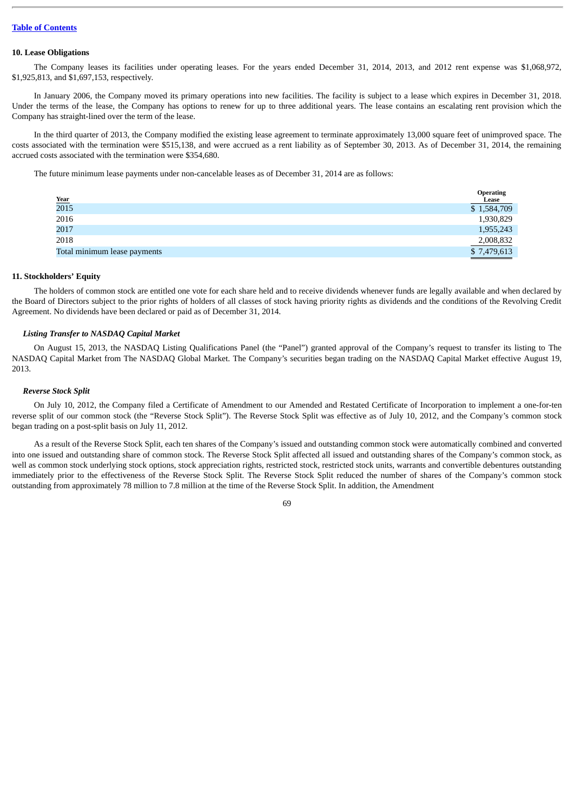### **10. Lease Obligations**

The Company leases its facilities under operating leases. For the years ended December 31, 2014, 2013, and 2012 rent expense was \$1,068,972, \$1,925,813, and \$1,697,153, respectively.

In January 2006, the Company moved its primary operations into new facilities. The facility is subject to a lease which expires in December 31, 2018. Under the terms of the lease, the Company has options to renew for up to three additional years. The lease contains an escalating rent provision which the Company has straight-lined over the term of the lease.

In the third quarter of 2013, the Company modified the existing lease agreement to terminate approximately 13,000 square feet of unimproved space. The costs associated with the termination were \$515,138, and were accrued as a rent liability as of September 30, 2013. As of December 31, 2014, the remaining accrued costs associated with the termination were \$354,680.

The future minimum lease payments under non-cancelable leases as of December 31, 2014 are as follows:

| <b>Operating</b> |
|------------------|
| Lease            |
| \$1,584,709      |
| 1,930,829        |
| 1,955,243        |
| 2,008,832        |
| \$7,479,613      |
|                  |

## **11. Stockholders' Equity**

The holders of common stock are entitled one vote for each share held and to receive dividends whenever funds are legally available and when declared by the Board of Directors subject to the prior rights of holders of all classes of stock having priority rights as dividends and the conditions of the Revolving Credit Agreement. No dividends have been declared or paid as of December 31, 2014.

# *Listing Transfer to NASDAQ Capital Market*

On August 15, 2013, the NASDAQ Listing Qualifications Panel (the "Panel") granted approval of the Company's request to transfer its listing to The NASDAQ Capital Market from The NASDAQ Global Market. The Company's securities began trading on the NASDAQ Capital Market effective August 19, 2013.

#### *Reverse Stock Split*

On July 10, 2012, the Company filed a Certificate of Amendment to our Amended and Restated Certificate of Incorporation to implement a one-for-ten reverse split of our common stock (the "Reverse Stock Split"). The Reverse Stock Split was effective as of July 10, 2012, and the Company's common stock began trading on a post-split basis on July 11, 2012.

As a result of the Reverse Stock Split, each ten shares of the Company's issued and outstanding common stock were automatically combined and converted into one issued and outstanding share of common stock. The Reverse Stock Split affected all issued and outstanding shares of the Company's common stock, as well as common stock underlying stock options, stock appreciation rights, restricted stock, restricted stock units, warrants and convertible debentures outstanding immediately prior to the effectiveness of the Reverse Stock Split. The Reverse Stock Split reduced the number of shares of the Company's common stock outstanding from approximately 78 million to 7.8 million at the time of the Reverse Stock Split. In addition, the Amendment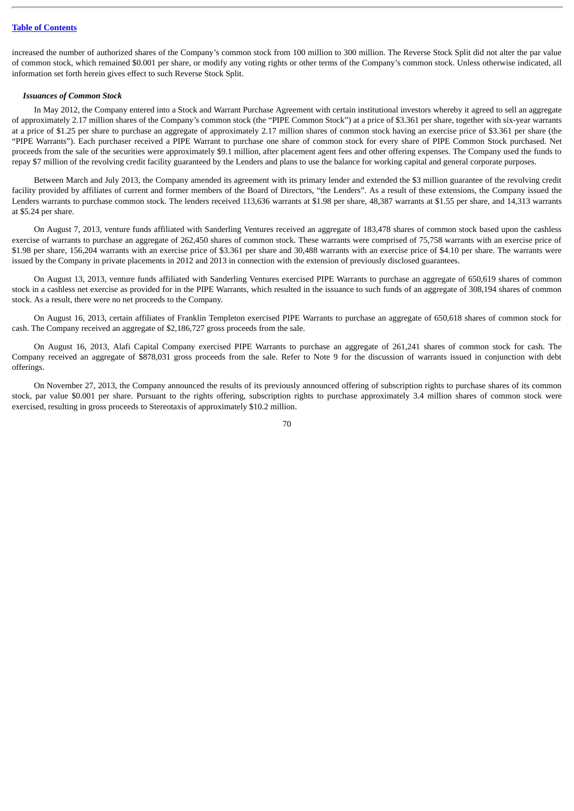increased the number of authorized shares of the Company's common stock from 100 million to 300 million. The Reverse Stock Split did not alter the par value of common stock, which remained \$0.001 per share, or modify any voting rights or other terms of the Company's common stock. Unless otherwise indicated, all information set forth herein gives effect to such Reverse Stock Split.

## *Issuances of Common Stock*

In May 2012, the Company entered into a Stock and Warrant Purchase Agreement with certain institutional investors whereby it agreed to sell an aggregate of approximately 2.17 million shares of the Company's common stock (the "PIPE Common Stock") at a price of \$3.361 per share, together with six-year warrants at a price of \$1.25 per share to purchase an aggregate of approximately 2.17 million shares of common stock having an exercise price of \$3.361 per share (the "PIPE Warrants"). Each purchaser received a PIPE Warrant to purchase one share of common stock for every share of PIPE Common Stock purchased. Net proceeds from the sale of the securities were approximately \$9.1 million, after placement agent fees and other offering expenses. The Company used the funds to repay \$7 million of the revolving credit facility guaranteed by the Lenders and plans to use the balance for working capital and general corporate purposes.

Between March and July 2013, the Company amended its agreement with its primary lender and extended the \$3 million guarantee of the revolving credit facility provided by affiliates of current and former members of the Board of Directors, "the Lenders". As a result of these extensions, the Company issued the Lenders warrants to purchase common stock. The lenders received 113,636 warrants at \$1.98 per share, 48,387 warrants at \$1.55 per share, and 14,313 warrants at \$5.24 per share.

On August 7, 2013, venture funds affiliated with Sanderling Ventures received an aggregate of 183,478 shares of common stock based upon the cashless exercise of warrants to purchase an aggregate of 262,450 shares of common stock. These warrants were comprised of 75,758 warrants with an exercise price of \$1.98 per share, 156,204 warrants with an exercise price of \$3.361 per share and 30,488 warrants with an exercise price of \$4.10 per share. The warrants were issued by the Company in private placements in 2012 and 2013 in connection with the extension of previously disclosed guarantees.

On August 13, 2013, venture funds affiliated with Sanderling Ventures exercised PIPE Warrants to purchase an aggregate of 650,619 shares of common stock in a cashless net exercise as provided for in the PIPE Warrants, which resulted in the issuance to such funds of an aggregate of 308,194 shares of common stock. As a result, there were no net proceeds to the Company.

On August 16, 2013, certain affiliates of Franklin Templeton exercised PIPE Warrants to purchase an aggregate of 650,618 shares of common stock for cash. The Company received an aggregate of \$2,186,727 gross proceeds from the sale.

On August 16, 2013, Alafi Capital Company exercised PIPE Warrants to purchase an aggregate of 261,241 shares of common stock for cash. The Company received an aggregate of \$878,031 gross proceeds from the sale. Refer to Note 9 for the discussion of warrants issued in conjunction with debt offerings.

On November 27, 2013, the Company announced the results of its previously announced offering of subscription rights to purchase shares of its common stock, par value \$0.001 per share. Pursuant to the rights offering, subscription rights to purchase approximately 3.4 million shares of common stock were exercised, resulting in gross proceeds to Stereotaxis of approximately \$10.2 million.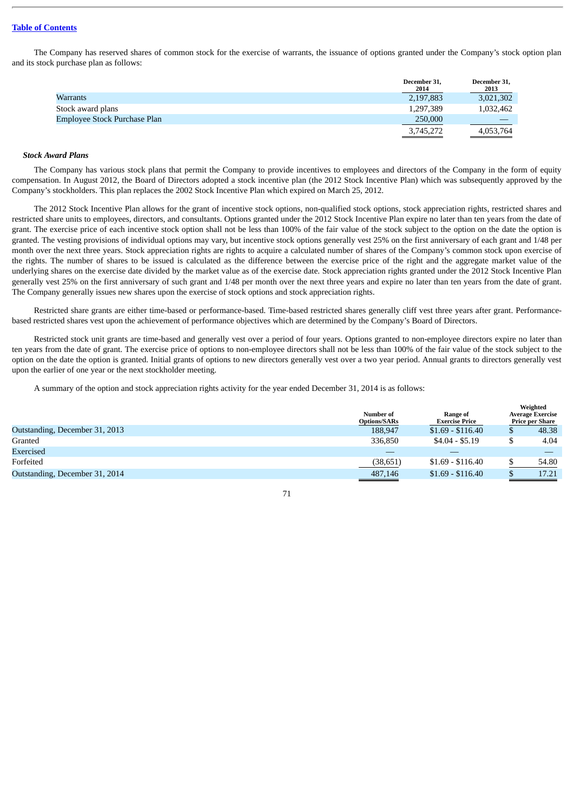The Company has reserved shares of common stock for the exercise of warrants, the issuance of options granted under the Company's stock option plan and its stock purchase plan as follows:

|                              | December 31,<br>2014    | December 31,<br>2013                                                                                                              |
|------------------------------|-------------------------|-----------------------------------------------------------------------------------------------------------------------------------|
| Warrants                     | 2,197,883               | 3,021,302                                                                                                                         |
| Stock award plans            | 1,297,389               | 1,032,462                                                                                                                         |
| Employee Stock Purchase Plan | 250,000                 |                                                                                                                                   |
|                              | 3,745,272<br>__________ | 4,053,764<br><u> 1989 - Johann Stoff, deutscher Stoff, der Stoff, deutscher Stoff, der Stoff, der Stoff, der Stoff, der Stoff</u> |

#### *Stock Award Plans*

The Company has various stock plans that permit the Company to provide incentives to employees and directors of the Company in the form of equity compensation. In August 2012, the Board of Directors adopted a stock incentive plan (the 2012 Stock Incentive Plan) which was subsequently approved by the Company's stockholders. This plan replaces the 2002 Stock Incentive Plan which expired on March 25, 2012.

The 2012 Stock Incentive Plan allows for the grant of incentive stock options, non-qualified stock options, stock appreciation rights, restricted shares and restricted share units to employees, directors, and consultants. Options granted under the 2012 Stock Incentive Plan expire no later than ten years from the date of grant. The exercise price of each incentive stock option shall not be less than 100% of the fair value of the stock subject to the option on the date the option is granted. The vesting provisions of individual options may vary, but incentive stock options generally vest 25% on the first anniversary of each grant and 1/48 per month over the next three years. Stock appreciation rights are rights to acquire a calculated number of shares of the Company's common stock upon exercise of the rights. The number of shares to be issued is calculated as the difference between the exercise price of the right and the aggregate market value of the underlying shares on the exercise date divided by the market value as of the exercise date. Stock appreciation rights granted under the 2012 Stock Incentive Plan generally vest 25% on the first anniversary of such grant and 1/48 per month over the next three years and expire no later than ten years from the date of grant. The Company generally issues new shares upon the exercise of stock options and stock appreciation rights.

Restricted share grants are either time-based or performance-based. Time-based restricted shares generally cliff vest three years after grant. Performancebased restricted shares vest upon the achievement of performance objectives which are determined by the Company's Board of Directors.

Restricted stock unit grants are time-based and generally vest over a period of four years. Options granted to non-employee directors expire no later than ten years from the date of grant. The exercise price of options to non-employee directors shall not be less than 100% of the fair value of the stock subject to the option on the date the option is granted. Initial grants of options to new directors generally vest over a two year period. Annual grants to directors generally vest upon the earlier of one year or the next stockholder meeting.

**Weighted**

A summary of the option and stock appreciation rights activity for the year ended December 31, 2014 is as follows:

|                                |                                  |                                   | weighted                                   |
|--------------------------------|----------------------------------|-----------------------------------|--------------------------------------------|
|                                | Number of<br><b>Options/SARs</b> | Range of<br><b>Exercise Price</b> | <b>Average Exercise</b><br>Price per Share |
| Outstanding, December 31, 2013 | 188,947                          | $$1.69 - $116.40$                 | 48.38                                      |
| Granted                        | 336.850                          | $$4.04 - $5.19$                   | 4.04                                       |
| <b>Exercised</b>               |                                  |                                   |                                            |
| Forfeited                      | (38,651)                         | $$1.69 - $116.40$                 | 54.80                                      |
| Outstanding, December 31, 2014 | 487,146                          | $$1.69 - $116.40$                 | 17.21                                      |
|                                |                                  |                                   |                                            |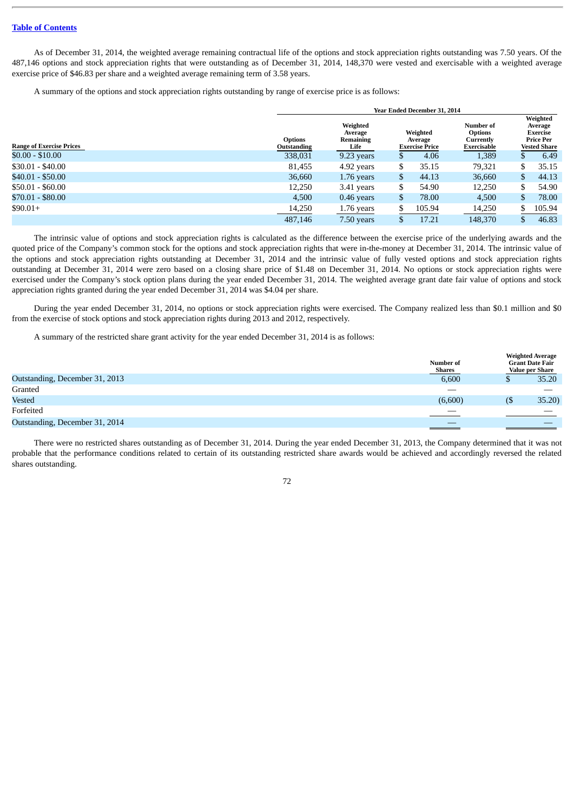As of December 31, 2014, the weighted average remaining contractual life of the options and stock appreciation rights outstanding was 7.50 years. Of the 487,146 options and stock appreciation rights that were outstanding as of December 31, 2014, 148,370 were vested and exercisable with a weighted average exercise price of \$46.83 per share and a weighted average remaining term of 3.58 years.

A summary of the options and stock appreciation rights outstanding by range of exercise price is as follows:

|                                 |                               | Year Ended December 31, 2014             |    |                                              |                                                         |    |                                                                                   |
|---------------------------------|-------------------------------|------------------------------------------|----|----------------------------------------------|---------------------------------------------------------|----|-----------------------------------------------------------------------------------|
| <b>Range of Exercise Prices</b> | <b>Options</b><br>Outstanding | Weighted<br>Average<br>Remaining<br>Life |    | Weighted<br>Average<br><b>Exercise Price</b> | Number of<br><b>Options</b><br>Currently<br>Exercisable |    | Weighted<br>Average<br><b>Exercise</b><br><b>Price Per</b><br><b>Vested Share</b> |
| $$0.00 - $10.00$                | 338,031                       | 9.23 years                               | D  | 4.06                                         | 1,389                                                   | \$ | 6.49                                                                              |
| \$30.01 - \$40.00               | 81,455                        | 4.92 years                               | S  | 35.15                                        | 79,321                                                  | \$ | 35.15                                                                             |
| \$40.01 - \$50.00               | 36,660                        | $1.76$ vears                             | \$ | 44.13                                        | 36,660                                                  | \$ | 44.13                                                                             |
| $$50.01 - $60.00$               | 12,250                        | 3.41 years                               | \$ | 54.90                                        | 12,250                                                  | \$ | 54.90                                                                             |
| \$70.01 - \$80.00               | 4,500                         | $0.46$ years                             | \$ | 78.00                                        | 4,500                                                   | \$ | 78.00                                                                             |
| $$90.01+$                       | 14,250                        | 1.76 years                               | S  | 105.94                                       | 14,250                                                  | \$ | 105.94                                                                            |
|                                 | 487,146                       | 7.50 years                               |    | 17.21                                        | 148,370                                                 | S  | 46.83                                                                             |

The intrinsic value of options and stock appreciation rights is calculated as the difference between the exercise price of the underlying awards and the quoted price of the Company's common stock for the options and stock appreciation rights that were in-the-money at December 31, 2014. The intrinsic value of the options and stock appreciation rights outstanding at December 31, 2014 and the intrinsic value of fully vested options and stock appreciation rights outstanding at December 31, 2014 were zero based on a closing share price of \$1.48 on December 31, 2014. No options or stock appreciation rights were exercised under the Company's stock option plans during the year ended December 31, 2014. The weighted average grant date fair value of options and stock appreciation rights granted during the year ended December 31, 2014 was \$4.04 per share.

During the year ended December 31, 2014, no options or stock appreciation rights were exercised. The Company realized less than \$0.1 million and \$0 from the exercise of stock options and stock appreciation rights during 2013 and 2012, respectively.

A summary of the restricted share grant activity for the year ended December 31, 2014 is as follows:

|                                | Number of<br><b>Shares</b> |    | <b>Weighted Average</b><br><b>Grant Date Fair</b><br>Value per Share |
|--------------------------------|----------------------------|----|----------------------------------------------------------------------|
| Outstanding, December 31, 2013 | 6,600                      |    | 35.20                                                                |
| Granted                        |                            |    |                                                                      |
| <b>Vested</b>                  | (6,600)                    | (J | 35.20)                                                               |
| Forfeited                      |                            |    |                                                                      |
| Outstanding, December 31, 2014 |                            |    |                                                                      |

There were no restricted shares outstanding as of December 31, 2014. During the year ended December 31, 2013, the Company determined that it was not probable that the performance conditions related to certain of its outstanding restricted share awards would be achieved and accordingly reversed the related shares outstanding.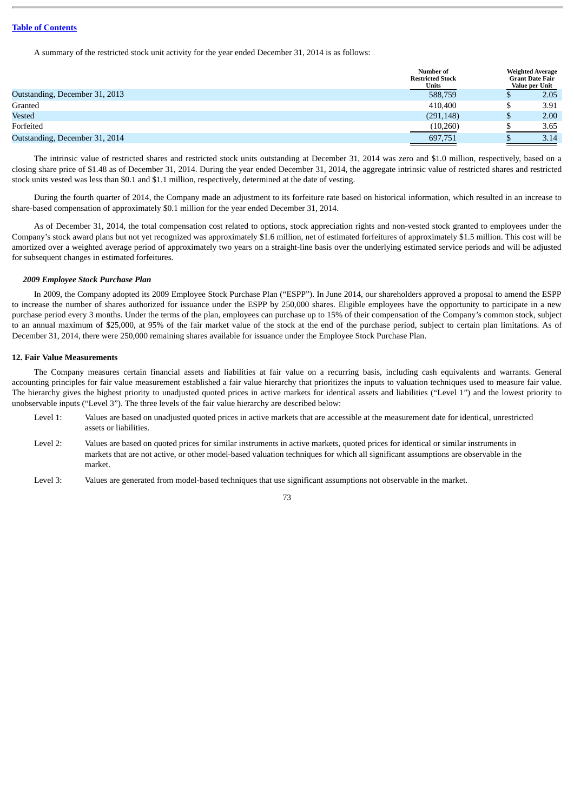A summary of the restricted stock unit activity for the year ended December 31, 2014 is as follows:

|                                | Number of<br><b>Restricted Stock</b><br>Units |    | <b>Weighted Average</b><br><b>Grant Date Fair</b><br>Value per Unit |
|--------------------------------|-----------------------------------------------|----|---------------------------------------------------------------------|
| Outstanding, December 31, 2013 | 588,759                                       | Φ  | 2.05                                                                |
| Granted                        | 410,400                                       | Č  | 3.91                                                                |
| <b>Vested</b>                  | (291, 148)                                    | \$ | 2.00                                                                |
| Forfeited                      | (10, 260)                                     |    | 3.65                                                                |
| Outstanding, December 31, 2014 | 697,751                                       |    | 3.14                                                                |

The intrinsic value of restricted shares and restricted stock units outstanding at December 31, 2014 was zero and \$1.0 million, respectively, based on a closing share price of \$1.48 as of December 31, 2014. During the year ended December 31, 2014, the aggregate intrinsic value of restricted shares and restricted stock units vested was less than \$0.1 and \$1.1 million, respectively, determined at the date of vesting.

During the fourth quarter of 2014, the Company made an adjustment to its forfeiture rate based on historical information, which resulted in an increase to share-based compensation of approximately \$0.1 million for the year ended December 31, 2014.

As of December 31, 2014, the total compensation cost related to options, stock appreciation rights and non-vested stock granted to employees under the Company's stock award plans but not yet recognized was approximately \$1.6 million, net of estimated forfeitures of approximately \$1.5 million. This cost will be amortized over a weighted average period of approximately two years on a straight-line basis over the underlying estimated service periods and will be adjusted for subsequent changes in estimated forfeitures.

#### *2009 Employee Stock Purchase Plan*

In 2009, the Company adopted its 2009 Employee Stock Purchase Plan ("ESPP"). In June 2014, our shareholders approved a proposal to amend the ESPP to increase the number of shares authorized for issuance under the ESPP by 250,000 shares. Eligible employees have the opportunity to participate in a new purchase period every 3 months. Under the terms of the plan, employees can purchase up to 15% of their compensation of the Company's common stock, subject to an annual maximum of \$25,000, at 95% of the fair market value of the stock at the end of the purchase period, subject to certain plan limitations. As of December 31, 2014, there were 250,000 remaining shares available for issuance under the Employee Stock Purchase Plan.

### **12. Fair Value Measurements**

The Company measures certain financial assets and liabilities at fair value on a recurring basis, including cash equivalents and warrants. General accounting principles for fair value measurement established a fair value hierarchy that prioritizes the inputs to valuation techniques used to measure fair value. The hierarchy gives the highest priority to unadjusted quoted prices in active markets for identical assets and liabilities ("Level 1") and the lowest priority to unobservable inputs ("Level 3"). The three levels of the fair value hierarchy are described below:

- Level 1: Values are based on unadjusted quoted prices in active markets that are accessible at the measurement date for identical, unrestricted assets or liabilities.
- Level 2: Values are based on quoted prices for similar instruments in active markets, quoted prices for identical or similar instruments in markets that are not active, or other model-based valuation techniques for which all significant assumptions are observable in the market.
- Level 3: Values are generated from model-based techniques that use significant assumptions not observable in the market.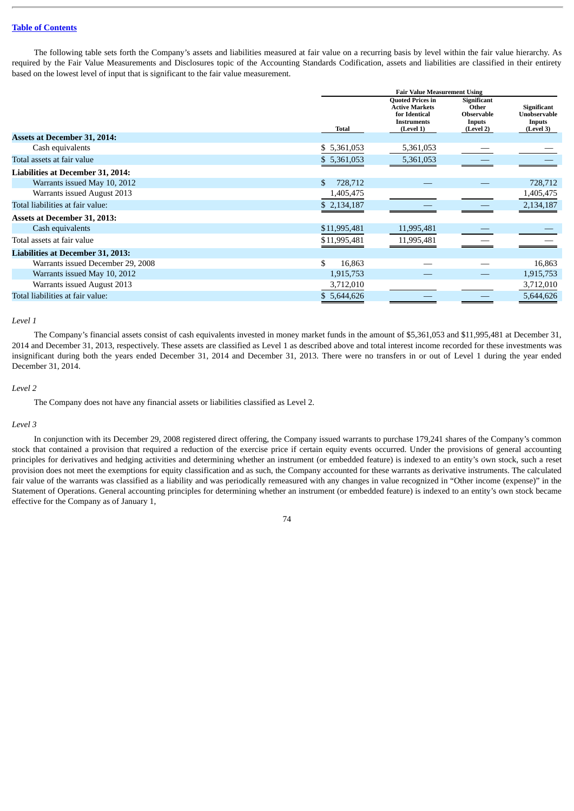The following table sets forth the Company's assets and liabilities measured at fair value on a recurring basis by level within the fair value hierarchy. As required by the Fair Value Measurements and Disclosures topic of the Accounting Standards Codification, assets and liabilities are classified in their entirety based on the lowest level of input that is significant to the fair value measurement.

|                                          |               | <b>Fair Value Measurement Using</b>                                                                  |                                                                         |                                                           |  |
|------------------------------------------|---------------|------------------------------------------------------------------------------------------------------|-------------------------------------------------------------------------|-----------------------------------------------------------|--|
|                                          | <b>Total</b>  | <b>Quoted Prices in</b><br><b>Active Markets</b><br>for Identical<br><b>Instruments</b><br>(Level 1) | <b>Significant</b><br>Other<br><b>Observable</b><br>Inputs<br>(Level 2) | Significant<br><b>Unobservable</b><br>Inputs<br>(Level 3) |  |
| <b>Assets at December 31, 2014:</b>      |               |                                                                                                      |                                                                         |                                                           |  |
| Cash equivalents                         | \$5,361,053   | 5,361,053                                                                                            |                                                                         |                                                           |  |
| Total assets at fair value               | \$5,361,053   | 5,361,053                                                                                            |                                                                         |                                                           |  |
| <b>Liabilities at December 31, 2014:</b> |               |                                                                                                      |                                                                         |                                                           |  |
| Warrants issued May 10, 2012             | 728,712<br>S. |                                                                                                      |                                                                         | 728,712                                                   |  |
| Warrants issued August 2013              | 1,405,475     |                                                                                                      |                                                                         | 1,405,475                                                 |  |
| Total liabilities at fair value:         | \$2,134,187   |                                                                                                      |                                                                         | 2,134,187                                                 |  |
| <b>Assets at December 31, 2013:</b>      |               |                                                                                                      |                                                                         |                                                           |  |
| Cash equivalents                         | \$11,995,481  | 11,995,481                                                                                           |                                                                         |                                                           |  |
| Total assets at fair value               | \$11,995,481  | 11,995,481                                                                                           |                                                                         |                                                           |  |
| <b>Liabilities at December 31, 2013:</b> |               |                                                                                                      |                                                                         |                                                           |  |
| Warrants issued December 29, 2008        | \$<br>16,863  |                                                                                                      |                                                                         | 16,863                                                    |  |
| Warrants issued May 10, 2012             | 1,915,753     |                                                                                                      |                                                                         | 1,915,753                                                 |  |
| Warrants issued August 2013              | 3,712,010     |                                                                                                      |                                                                         | 3,712,010                                                 |  |
| Total liabilities at fair value:         | \$5,644,626   |                                                                                                      |                                                                         | 5,644,626                                                 |  |
|                                          |               |                                                                                                      |                                                                         |                                                           |  |

#### *Level 1*

The Company's financial assets consist of cash equivalents invested in money market funds in the amount of \$5,361,053 and \$11,995,481 at December 31, 2014 and December 31, 2013, respectively. These assets are classified as Level 1 as described above and total interest income recorded for these investments was insignificant during both the years ended December 31, 2014 and December 31, 2013. There were no transfers in or out of Level 1 during the year ended December 31, 2014.

#### *Level 2*

The Company does not have any financial assets or liabilities classified as Level 2.

#### *Level 3*

In conjunction with its December 29, 2008 registered direct offering, the Company issued warrants to purchase 179,241 shares of the Company's common stock that contained a provision that required a reduction of the exercise price if certain equity events occurred. Under the provisions of general accounting principles for derivatives and hedging activities and determining whether an instrument (or embedded feature) is indexed to an entity's own stock, such a reset provision does not meet the exemptions for equity classification and as such, the Company accounted for these warrants as derivative instruments. The calculated fair value of the warrants was classified as a liability and was periodically remeasured with any changes in value recognized in "Other income (expense)" in the Statement of Operations. General accounting principles for determining whether an instrument (or embedded feature) is indexed to an entity's own stock became effective for the Company as of January 1,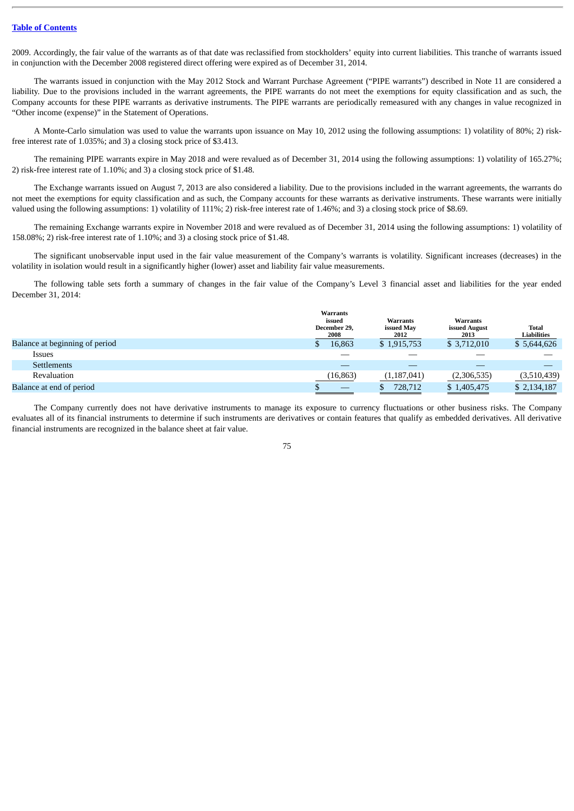2009. Accordingly, the fair value of the warrants as of that date was reclassified from stockholders' equity into current liabilities. This tranche of warrants issued in conjunction with the December 2008 registered direct offering were expired as of December 31, 2014.

The warrants issued in conjunction with the May 2012 Stock and Warrant Purchase Agreement ("PIPE warrants") described in Note 11 are considered a liability. Due to the provisions included in the warrant agreements, the PIPE warrants do not meet the exemptions for equity classification and as such, the Company accounts for these PIPE warrants as derivative instruments. The PIPE warrants are periodically remeasured with any changes in value recognized in "Other income (expense)" in the Statement of Operations.

A Monte-Carlo simulation was used to value the warrants upon issuance on May 10, 2012 using the following assumptions: 1) volatility of 80%; 2) riskfree interest rate of 1.035%; and 3) a closing stock price of \$3.413.

The remaining PIPE warrants expire in May 2018 and were revalued as of December 31, 2014 using the following assumptions: 1) volatility of 165.27%; 2) risk-free interest rate of 1.10%; and 3) a closing stock price of \$1.48.

The Exchange warrants issued on August 7, 2013 are also considered a liability. Due to the provisions included in the warrant agreements, the warrants do not meet the exemptions for equity classification and as such, the Company accounts for these warrants as derivative instruments. These warrants were initially valued using the following assumptions: 1) volatility of 111%; 2) risk-free interest rate of 1.46%; and 3) a closing stock price of \$8.69.

The remaining Exchange warrants expire in November 2018 and were revalued as of December 31, 2014 using the following assumptions: 1) volatility of 158.08%; 2) risk-free interest rate of 1.10%; and 3) a closing stock price of \$1.48.

The significant unobservable input used in the fair value measurement of the Company's warrants is volatility. Significant increases (decreases) in the volatility in isolation would result in a significantly higher (lower) asset and liability fair value measurements.

The following table sets forth a summary of changes in the fair value of the Company's Level 3 financial asset and liabilities for the year ended December 31, 2014:

|                                | <b>Warrants</b><br>issued<br>December 29,<br>2008 | <b>Warrants</b><br>issued May<br>2012 | <b>Warrants</b><br>issued August<br>2013 | <b>Total</b><br><b>Liabilities</b> |
|--------------------------------|---------------------------------------------------|---------------------------------------|------------------------------------------|------------------------------------|
| Balance at beginning of period | 16,863                                            | \$1,915,753                           | \$3,712,010                              | \$5,644,626                        |
| Issues                         |                                                   |                                       |                                          |                                    |
| <b>Settlements</b>             |                                                   |                                       |                                          |                                    |
| Revaluation                    | (16, 863)                                         | (1,187,041)                           | (2,306,535)                              | (3,510,439)                        |
| Balance at end of period       |                                                   | 728,712                               | \$1,405,475                              | \$2,134,187                        |

The Company currently does not have derivative instruments to manage its exposure to currency fluctuations or other business risks. The Company evaluates all of its financial instruments to determine if such instruments are derivatives or contain features that qualify as embedded derivatives. All derivative financial instruments are recognized in the balance sheet at fair value.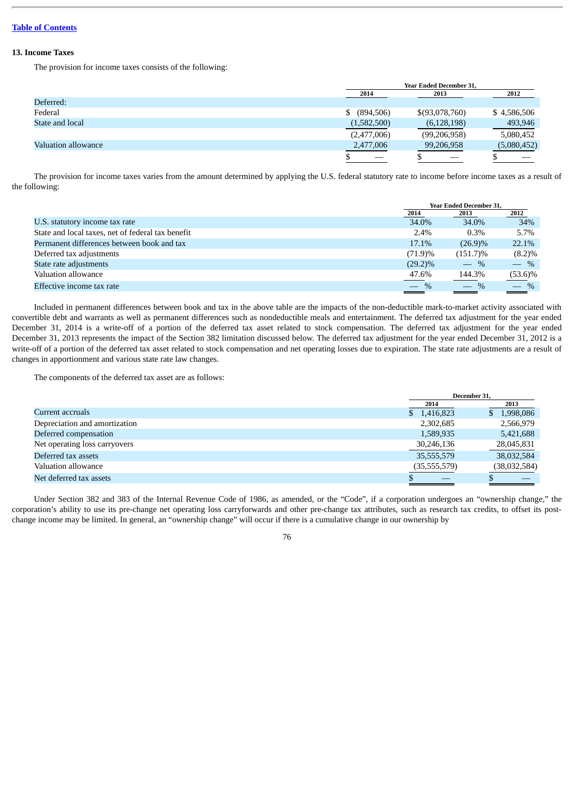### **13. Income Taxes**

The provision for income taxes consists of the following:

|                     |             | <b>Year Ended December 31.</b> |             |  |
|---------------------|-------------|--------------------------------|-------------|--|
|                     | 2014        | 2013                           | 2012        |  |
| Deferred:           |             |                                |             |  |
| Federal             | (894, 506)  | \$(93,078,760)                 | \$4,586,506 |  |
| State and local     | (1,582,500) | (6, 128, 198)                  | 493,946     |  |
|                     | (2,477,006) | (99,206,958)                   | 5,080,452   |  |
| Valuation allowance | 2,477,006   | 99,206,958                     | (5,080,452) |  |
|                     |             |                                |             |  |

The provision for income taxes varies from the amount determined by applying the U.S. federal statutory rate to income before income taxes as a result of the following:

|                                                   | <b>Year Ended December 31.</b> |             |            |
|---------------------------------------------------|--------------------------------|-------------|------------|
|                                                   | 2014                           | 2013        | 2012       |
| U.S. statutory income tax rate                    | 34.0%                          | 34.0%       | 34%        |
| State and local taxes, net of federal tax benefit | 2.4%                           | $0.3\%$     | 5.7%       |
| Permanent differences between book and tax        | 17.1%                          | $(26.9)\%$  | 22.1%      |
| Deferred tax adjustments                          | $(71.9)\%$                     | $(151.7)\%$ | $(8.2)\%$  |
| State rate adjustments                            | $(29.2)\%$                     | $-$ %       | $-$ %      |
| Valuation allowance                               | 47.6%                          | 144.3%      | $(53.6)\%$ |
| Effective income tax rate                         | $-$ %                          | $-$ %       | $-$ %      |

Included in permanent differences between book and tax in the above table are the impacts of the non-deductible mark-to-market activity associated with convertible debt and warrants as well as permanent differences such as nondeductible meals and entertainment. The deferred tax adjustment for the year ended December 31, 2014 is a write-off of a portion of the deferred tax asset related to stock compensation. The deferred tax adjustment for the year ended December 31, 2013 represents the impact of the Section 382 limitation discussed below. The deferred tax adjustment for the year ended December 31, 2012 is a write-off of a portion of the deferred tax asset related to stock compensation and net operating losses due to expiration. The state rate adjustments are a result of changes in apportionment and various state rate law changes.

The components of the deferred tax asset are as follows:

|                               |                | December 31. |
|-------------------------------|----------------|--------------|
|                               | 2014           | 2013         |
| Current accruals              | \$1,416,823    | 1,998,086    |
| Depreciation and amortization | 2,302,685      | 2,566,979    |
| Deferred compensation         | 1,589,935      | 5,421,688    |
| Net operating loss carryovers | 30,246,136     | 28,045,831   |
| Deferred tax assets           | 35,555,579     | 38,032,584   |
| Valuation allowance           | (35, 555, 579) | (38,032,584) |
| Net deferred tax assets       |                |              |

Under Section 382 and 383 of the Internal Revenue Code of 1986, as amended, or the "Code", if a corporation undergoes an "ownership change," the corporation's ability to use its pre-change net operating loss carryforwards and other pre-change tax attributes, such as research tax credits, to offset its postchange income may be limited. In general, an "ownership change" will occur if there is a cumulative change in our ownership by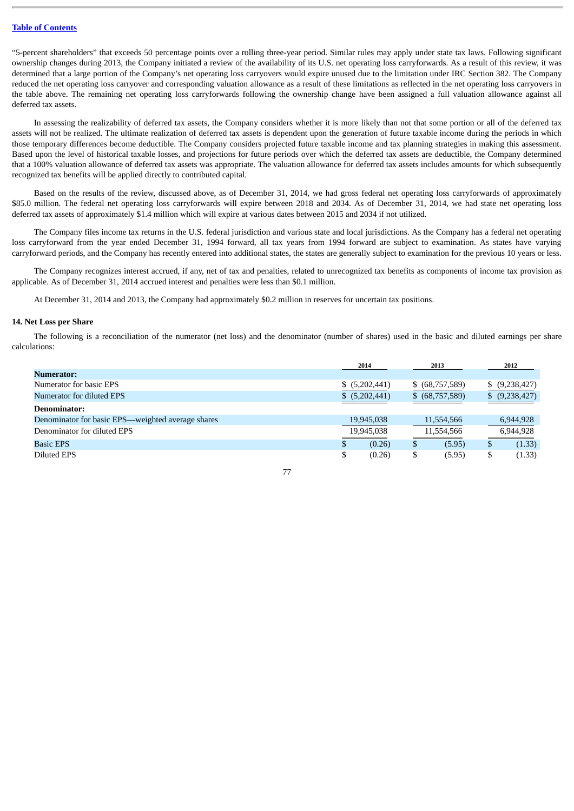"5-percent shareholders" that exceeds 50 percentage points over a rolling three-year period. Similar rules may apply under state tax laws. Following significant ownership changes during 2013, the Company initiated a review of the availability of its U.S. net operating loss carryforwards. As a result of this review, it was determined that a large portion of the Company's net operating loss carryovers would expire unused due to the limitation under IRC Section 382. The Company reduced the net operating loss carryover and corresponding valuation allowance as a result of these limitations as reflected in the net operating loss carryovers in the table above. The remaining net operating loss carryforwards following the ownership change have been assigned a full valuation allowance against all deferred tax assets.

In assessing the realizability of deferred tax assets, the Company considers whether it is more likely than not that some portion or all of the deferred tax assets will not be realized. The ultimate realization of deferred tax assets is dependent upon the generation of future taxable income during the periods in which those temporary differences become deductible. The Company considers projected future taxable income and tax planning strategies in making this assessment. Based upon the level of historical taxable losses, and projections for future periods over which the deferred tax assets are deductible, the Company determined that a 100% valuation allowance of deferred tax assets was appropriate. The valuation allowance for deferred tax assets includes amounts for which subsequently recognized tax benefits will be applied directly to contributed capital.

Based on the results of the review, discussed above, as of December 31, 2014, we had gross federal net operating loss carryforwards of approximately \$85.0 million. The federal net operating loss carryforwards will expire between 2018 and 2034. As of December 31, 2014, we had state net operating loss deferred tax assets of approximately \$1.4 million which will expire at various dates between 2015 and 2034 if not utilized.

The Company files income tax returns in the U.S. federal jurisdiction and various state and local jurisdictions. As the Company has a federal net operating loss carryforward from the year ended December 31, 1994 forward, all tax years from 1994 forward are subject to examination. As states have varying carryforward periods, and the Company has recently entered into additional states, the states are generally subject to examination for the previous 10 years or less.

The Company recognizes interest accrued, if any, net of tax and penalties, related to unrecognized tax benefits as components of income tax provision as applicable. As of December 31, 2014 accrued interest and penalties were less than \$0.1 million.

At December 31, 2014 and 2013, the Company had approximately \$0.2 million in reserves for uncertain tax positions.

#### **14. Net Loss per Share**

The following is a reconciliation of the numerator (net loss) and the denominator (number of shares) used in the basic and diluted earnings per share calculations:

|                                                   | 2014            | 2013            | 2012              |
|---------------------------------------------------|-----------------|-----------------|-------------------|
| Numerator:                                        |                 |                 |                   |
| Numerator for basic EPS                           | $$$ (5,202,441) | \$ (68,757,589) | \$ (9,238,427)    |
| Numerator for diluted EPS                         | \$ (5,202,441)  | \$ (68,757,589) | (9,238,427)<br>S. |
| Denominator:                                      |                 |                 |                   |
| Denominator for basic EPS—weighted average shares | 19,945,038      | 11,554,566      | 6,944,928         |
| Denominator for diluted EPS                       | 19,945,038      | 11,554,566      | 6,944,928         |
| <b>Basic EPS</b>                                  | (0.26)<br>S     | (5.95)<br>\$    | (1.33)<br>\$      |
| Diluted EPS                                       | \$<br>(0.26)    | \$<br>(5.95)    | \$<br>(1.33)      |

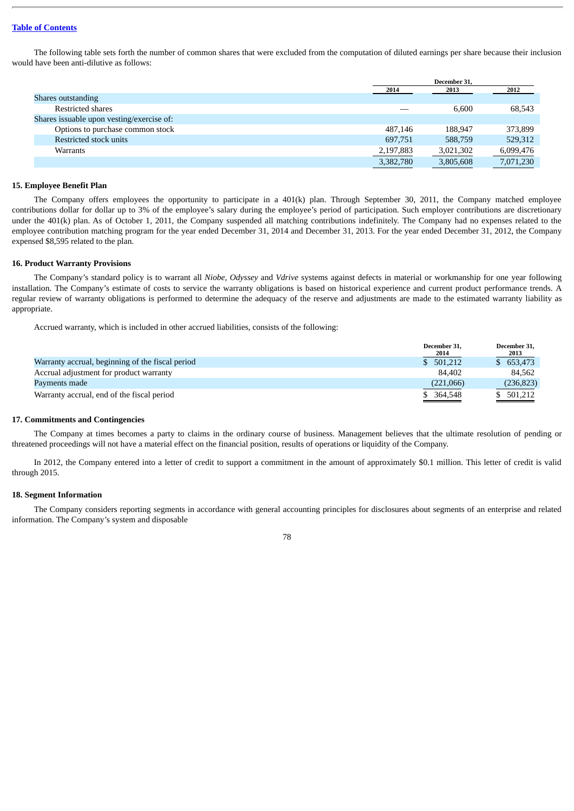The following table sets forth the number of common shares that were excluded from the computation of diluted earnings per share because their inclusion would have been anti-dilutive as follows:

|                                           | December 31. |           |           |
|-------------------------------------------|--------------|-----------|-----------|
|                                           | 2014         | 2013      | 2012      |
| Shares outstanding                        |              |           |           |
| Restricted shares                         |              | 6.600     | 68,543    |
| Shares issuable upon vesting/exercise of: |              |           |           |
| Options to purchase common stock          | 487,146      | 188.947   | 373,899   |
| Restricted stock units                    | 697,751      | 588,759   | 529,312   |
| Warrants                                  | 2,197,883    | 3,021,302 | 6,099,476 |
|                                           | 3,382,780    | 3,805,608 | 7,071,230 |

#### **15. Employee Benefit Plan**

The Company offers employees the opportunity to participate in a 401(k) plan. Through September 30, 2011, the Company matched employee contributions dollar for dollar up to 3% of the employee's salary during the employee's period of participation. Such employer contributions are discretionary under the 401(k) plan. As of October 1, 2011, the Company suspended all matching contributions indefinitely. The Company had no expenses related to the employee contribution matching program for the year ended December 31, 2014 and December 31, 2013. For the year ended December 31, 2012, the Company expensed \$8,595 related to the plan.

#### **16. Product Warranty Provisions**

The Company's standard policy is to warrant all *Niobe*, *Odyssey* and *Vdrive* systems against defects in material or workmanship for one year following installation. The Company's estimate of costs to service the warranty obligations is based on historical experience and current product performance trends. A regular review of warranty obligations is performed to determine the adequacy of the reserve and adjustments are made to the estimated warranty liability as appropriate.

Accrued warranty, which is included in other accrued liabilities, consists of the following:

|                                                  | December 31,<br>2014 | December 31.<br>2013 |
|--------------------------------------------------|----------------------|----------------------|
| Warranty accrual, beginning of the fiscal period | \$501,212            | \$ 653,473           |
| Accrual adjustment for product warranty          | 84,402               | 84.562               |
| Payments made                                    | (221,066)            | (236, 823)           |
| Warranty accrual, end of the fiscal period       | \$ 364,548           | 501,212              |

#### **17. Commitments and Contingencies**

The Company at times becomes a party to claims in the ordinary course of business. Management believes that the ultimate resolution of pending or threatened proceedings will not have a material effect on the financial position, results of operations or liquidity of the Company.

In 2012, the Company entered into a letter of credit to support a commitment in the amount of approximately \$0.1 million. This letter of credit is valid through 2015.

#### **18. Segment Information**

The Company considers reporting segments in accordance with general accounting principles for disclosures about segments of an enterprise and related information. The Company's system and disposable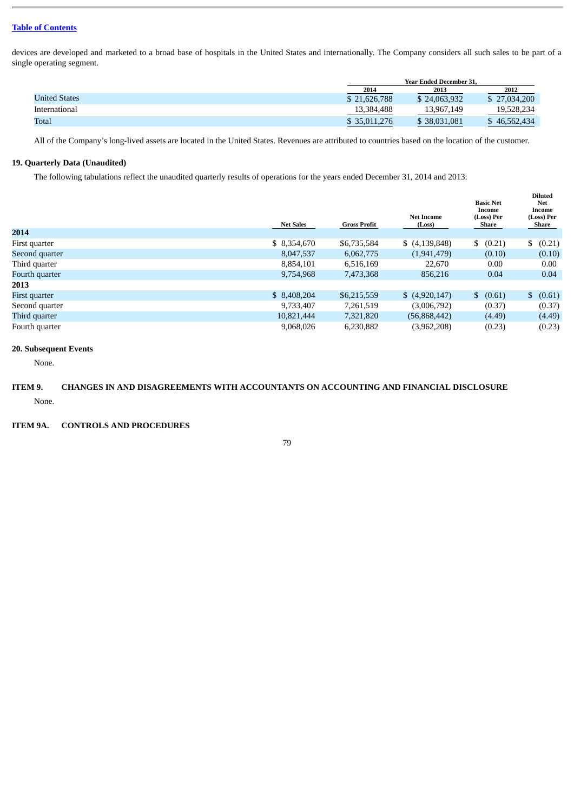devices are developed and marketed to a broad base of hospitals in the United States and internationally. The Company considers all such sales to be part of a single operating segment.

|                      |              | <b>Year Ended December 31.</b> |              |  |
|----------------------|--------------|--------------------------------|--------------|--|
|                      | 2014         | 2013                           | 2012         |  |
| <b>United States</b> | \$21,626,788 | \$24,063,932                   | \$27,034,200 |  |
| International        | 13.384.488   | 13.967.149                     | 19,528,234   |  |
| Total                | \$35,011,276 | \$38,031,081                   | \$46,562,434 |  |

All of the Company's long-lived assets are located in the United States. Revenues are attributed to countries based on the location of the customer.

# **19. Quarterly Data (Unaudited)**

The following tabulations reflect the unaudited quarterly results of operations for the years ended December 31, 2014 and 2013:

| <b>Net Sales</b> | <b>Gross Profit</b> | <b>Net Income</b><br>(Loss) | <b>Basic Net</b><br>Income<br>(Loss) Per<br>Share | <b>Diluted</b><br>Net<br>Income<br>(Loss) Per<br>Share |
|------------------|---------------------|-----------------------------|---------------------------------------------------|--------------------------------------------------------|
| \$ 8,354,670     | \$6,735,584         | (4,139,848)                 | \$<br>(0.21)                                      | \$ (0.21)                                              |
| 8,047,537        | 6,062,775           | (1,941,479)                 | (0.10)                                            | (0.10)                                                 |
| 8,854,101        | 6,516,169           | 22,670                      | 0.00                                              | 0.00                                                   |
| 9,754,968        | 7,473,368           | 856,216                     | 0.04                                              | 0.04                                                   |
|                  |                     |                             |                                                   |                                                        |
| \$8,408,204      | \$6,215,559         | (4,920,147)                 | (0.61)<br>\$                                      | \$ (0.61)                                              |
| 9.733.407        | 7,261,519           | (3,006,792)                 | (0.37)                                            | (0.37)                                                 |
| 10,821,444       | 7,321,820           | (56,868,442)                | (4.49)                                            | (4.49)                                                 |
| 9,068,026        | 6,230,882           | (3,962,208)                 | (0.23)                                            | (0.23)                                                 |
|                  |                     |                             |                                                   |                                                        |

### **20. Subsequent Events**

None.

# **ITEM 9. CHANGES IN AND DISAGREEMENTS WITH ACCOUNTANTS ON ACCOUNTING AND FINANCIAL DISCLOSURE** None.

**ITEM 9A. CONTROLS AND PROCEDURES**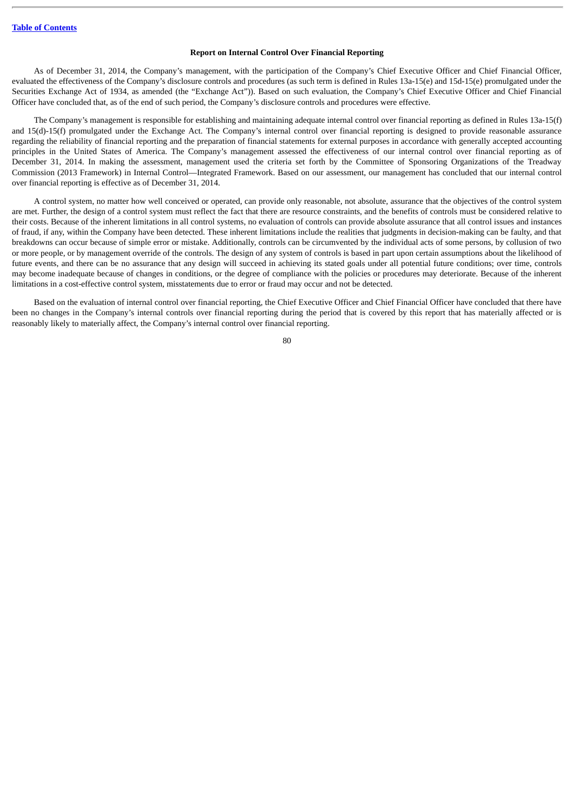#### **Report on Internal Control Over Financial Reporting**

As of December 31, 2014, the Company's management, with the participation of the Company's Chief Executive Officer and Chief Financial Officer, evaluated the effectiveness of the Company's disclosure controls and procedures (as such term is defined in Rules 13a-15(e) and 15d-15(e) promulgated under the Securities Exchange Act of 1934, as amended (the "Exchange Act")). Based on such evaluation, the Company's Chief Executive Officer and Chief Financial Officer have concluded that, as of the end of such period, the Company's disclosure controls and procedures were effective.

The Company's management is responsible for establishing and maintaining adequate internal control over financial reporting as defined in Rules 13a-15(f) and 15(d)-15(f) promulgated under the Exchange Act. The Company's internal control over financial reporting is designed to provide reasonable assurance regarding the reliability of financial reporting and the preparation of financial statements for external purposes in accordance with generally accepted accounting principles in the United States of America. The Company's management assessed the effectiveness of our internal control over financial reporting as of December 31, 2014. In making the assessment, management used the criteria set forth by the Committee of Sponsoring Organizations of the Treadway Commission (2013 Framework) in Internal Control—Integrated Framework. Based on our assessment, our management has concluded that our internal control over financial reporting is effective as of December 31, 2014.

A control system, no matter how well conceived or operated, can provide only reasonable, not absolute, assurance that the objectives of the control system are met. Further, the design of a control system must reflect the fact that there are resource constraints, and the benefits of controls must be considered relative to their costs. Because of the inherent limitations in all control systems, no evaluation of controls can provide absolute assurance that all control issues and instances of fraud, if any, within the Company have been detected. These inherent limitations include the realities that judgments in decision-making can be faulty, and that breakdowns can occur because of simple error or mistake. Additionally, controls can be circumvented by the individual acts of some persons, by collusion of two or more people, or by management override of the controls. The design of any system of controls is based in part upon certain assumptions about the likelihood of future events, and there can be no assurance that any design will succeed in achieving its stated goals under all potential future conditions; over time, controls may become inadequate because of changes in conditions, or the degree of compliance with the policies or procedures may deteriorate. Because of the inherent limitations in a cost-effective control system, misstatements due to error or fraud may occur and not be detected.

Based on the evaluation of internal control over financial reporting, the Chief Executive Officer and Chief Financial Officer have concluded that there have been no changes in the Company's internal controls over financial reporting during the period that is covered by this report that has materially affected or is reasonably likely to materially affect, the Company's internal control over financial reporting.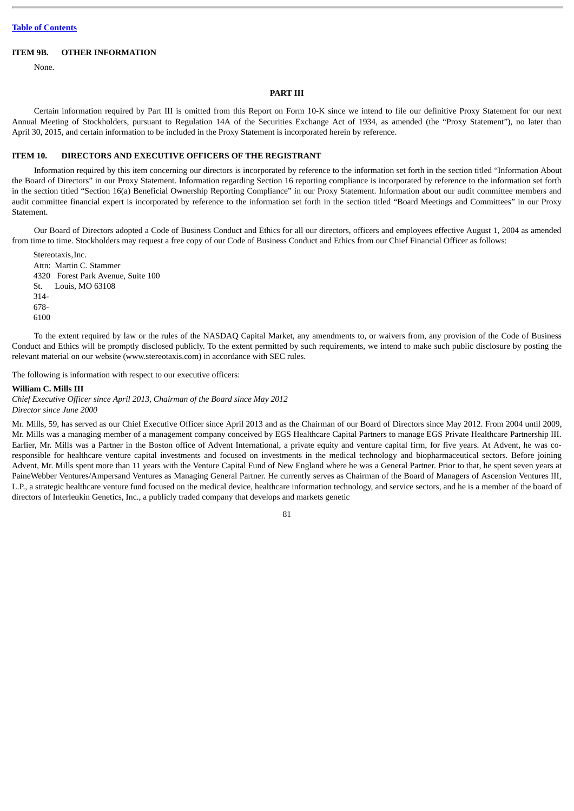### **ITEM 9B. OTHER INFORMATION**

None.

#### **PART III**

Certain information required by Part III is omitted from this Report on Form 10-K since we intend to file our definitive Proxy Statement for our next Annual Meeting of Stockholders, pursuant to Regulation 14A of the Securities Exchange Act of 1934, as amended (the "Proxy Statement"), no later than April 30, 2015, and certain information to be included in the Proxy Statement is incorporated herein by reference.

#### **ITEM 10. DIRECTORS AND EXECUTIVE OFFICERS OF THE REGISTRANT**

Information required by this item concerning our directors is incorporated by reference to the information set forth in the section titled "Information About the Board of Directors" in our Proxy Statement. Information regarding Section 16 reporting compliance is incorporated by reference to the information set forth in the section titled "Section 16(a) Beneficial Ownership Reporting Compliance" in our Proxy Statement. Information about our audit committee members and audit committee financial expert is incorporated by reference to the information set forth in the section titled "Board Meetings and Committees" in our Proxy Statement.

Our Board of Directors adopted a Code of Business Conduct and Ethics for all our directors, officers and employees effective August 1, 2004 as amended from time to time. Stockholders may request a free copy of our Code of Business Conduct and Ethics from our Chief Financial Officer as follows:

Stereotaxis, Inc. Attn: Martin C. Stammer 4320 Forest Park Avenue, Suite 100 St. Louis, MO 63108 314- 678- 6100

To the extent required by law or the rules of the NASDAQ Capital Market, any amendments to, or waivers from, any provision of the Code of Business Conduct and Ethics will be promptly disclosed publicly. To the extent permitted by such requirements, we intend to make such public disclosure by posting the relevant material on our website (www.stereotaxis.com) in accordance with SEC rules.

The following is information with respect to our executive officers:

#### **William C. Mills III**

*Chief Executive Officer since April 2013, Chairman of the Board since May 2012 Director since June 2000*

Mr. Mills, 59, has served as our Chief Executive Officer since April 2013 and as the Chairman of our Board of Directors since May 2012. From 2004 until 2009, Mr. Mills was a managing member of a management company conceived by EGS Healthcare Capital Partners to manage EGS Private Healthcare Partnership III. Earlier, Mr. Mills was a Partner in the Boston office of Advent International, a private equity and venture capital firm, for five years. At Advent, he was coresponsible for healthcare venture capital investments and focused on investments in the medical technology and biopharmaceutical sectors. Before joining Advent, Mr. Mills spent more than 11 years with the Venture Capital Fund of New England where he was a General Partner. Prior to that, he spent seven years at PaineWebber Ventures/Ampersand Ventures as Managing General Partner. He currently serves as Chairman of the Board of Managers of Ascension Ventures III, L.P., a strategic healthcare venture fund focused on the medical device, healthcare information technology, and service sectors, and he is a member of the board of directors of Interleukin Genetics, Inc., a publicly traded company that develops and markets genetic

 $\Omega$ 1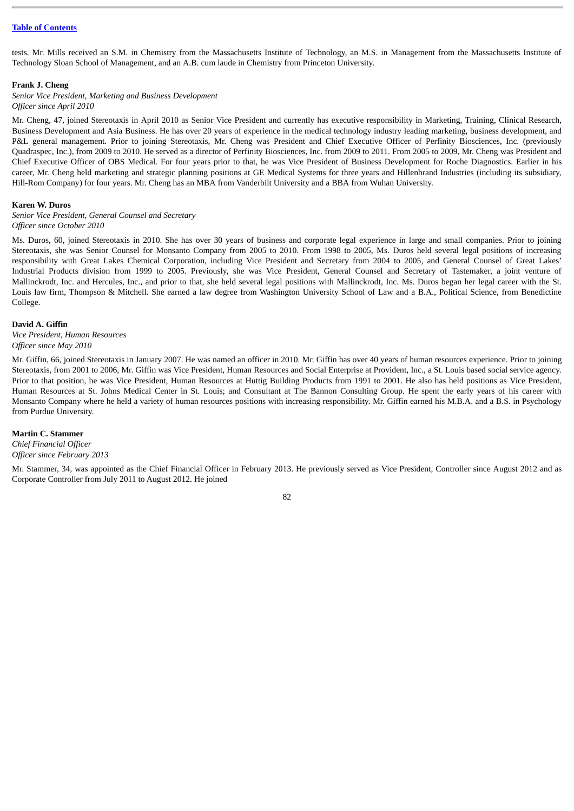tests. Mr. Mills received an S.M. in Chemistry from the Massachusetts Institute of Technology, an M.S. in Management from the Massachusetts Institute of Technology Sloan School of Management, and an A.B. cum laude in Chemistry from Princeton University.

#### **Frank J. Cheng**

*Senior Vice President, Marketing and Business Development Officer since April 2010*

Mr. Cheng, 47, joined Stereotaxis in April 2010 as Senior Vice President and currently has executive responsibility in Marketing, Training, Clinical Research, Business Development and Asia Business. He has over 20 years of experience in the medical technology industry leading marketing, business development, and P&L general management. Prior to joining Stereotaxis, Mr. Cheng was President and Chief Executive Officer of Perfinity Biosciences, Inc. (previously Quadraspec, Inc.), from 2009 to 2010. He served as a director of Perfinity Biosciences, Inc. from 2009 to 2011. From 2005 to 2009, Mr. Cheng was President and Chief Executive Officer of OBS Medical. For four years prior to that, he was Vice President of Business Development for Roche Diagnostics. Earlier in his career, Mr. Cheng held marketing and strategic planning positions at GE Medical Systems for three years and Hillenbrand Industries (including its subsidiary, Hill-Rom Company) for four years. Mr. Cheng has an MBA from Vanderbilt University and a BBA from Wuhan University.

#### **Karen W. Duros**

*Senior Vice President, General Counsel and Secretary Officer since October 2010*

Ms. Duros, 60, joined Stereotaxis in 2010. She has over 30 years of business and corporate legal experience in large and small companies. Prior to joining Stereotaxis, she was Senior Counsel for Monsanto Company from 2005 to 2010. From 1998 to 2005, Ms. Duros held several legal positions of increasing responsibility with Great Lakes Chemical Corporation, including Vice President and Secretary from 2004 to 2005, and General Counsel of Great Lakes' Industrial Products division from 1999 to 2005. Previously, she was Vice President, General Counsel and Secretary of Tastemaker, a joint venture of Mallinckrodt, Inc. and Hercules, Inc., and prior to that, she held several legal positions with Mallinckrodt, Inc. Ms. Duros began her legal career with the St. Louis law firm, Thompson & Mitchell. She earned a law degree from Washington University School of Law and a B.A., Political Science, from Benedictine College.

#### **David A. Giffin**

*Vice President, Human Resources Officer since May 2010*

Mr. Giffin, 66, joined Stereotaxis in January 2007. He was named an officer in 2010. Mr. Giffin has over 40 years of human resources experience. Prior to joining Stereotaxis, from 2001 to 2006, Mr. Giffin was Vice President, Human Resources and Social Enterprise at Provident, Inc., a St. Louis based social service agency. Prior to that position, he was Vice President, Human Resources at Huttig Building Products from 1991 to 2001. He also has held positions as Vice President, Human Resources at St. Johns Medical Center in St. Louis; and Consultant at The Bannon Consulting Group. He spent the early years of his career with Monsanto Company where he held a variety of human resources positions with increasing responsibility. Mr. Giffin earned his M.B.A. and a B.S. in Psychology from Purdue University.

### **Martin C. Stammer**

*Chief Financial Officer Officer since February 2013*

Mr. Stammer, 34, was appointed as the Chief Financial Officer in February 2013. He previously served as Vice President, Controller since August 2012 and as Corporate Controller from July 2011 to August 2012. He joined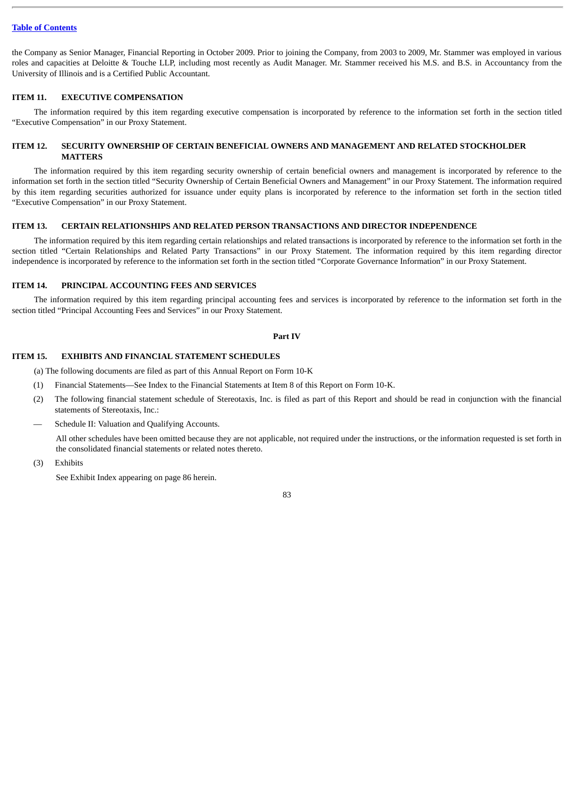the Company as Senior Manager, Financial Reporting in October 2009. Prior to joining the Company, from 2003 to 2009, Mr. Stammer was employed in various roles and capacities at Deloitte & Touche LLP, including most recently as Audit Manager. Mr. Stammer received his M.S. and B.S. in Accountancy from the University of Illinois and is a Certified Public Accountant.

### **ITEM 11. EXECUTIVE COMPENSATION**

The information required by this item regarding executive compensation is incorporated by reference to the information set forth in the section titled "Executive Compensation" in our Proxy Statement.

### **ITEM 12. SECURITY OWNERSHIP OF CERTAIN BENEFICIAL OWNERS AND MANAGEMENT AND RELATED STOCKHOLDER MATTERS**

The information required by this item regarding security ownership of certain beneficial owners and management is incorporated by reference to the information set forth in the section titled "Security Ownership of Certain Beneficial Owners and Management" in our Proxy Statement. The information required by this item regarding securities authorized for issuance under equity plans is incorporated by reference to the information set forth in the section titled "Executive Compensation" in our Proxy Statement.

## **ITEM 13. CERTAIN RELATIONSHIPS AND RELATED PERSON TRANSACTIONS AND DIRECTOR INDEPENDENCE**

The information required by this item regarding certain relationships and related transactions is incorporated by reference to the information set forth in the section titled "Certain Relationships and Related Party Transactions" in our Proxy Statement. The information required by this item regarding director independence is incorporated by reference to the information set forth in the section titled "Corporate Governance Information" in our Proxy Statement.

## **ITEM 14. PRINCIPAL ACCOUNTING FEES AND SERVICES**

The information required by this item regarding principal accounting fees and services is incorporated by reference to the information set forth in the section titled "Principal Accounting Fees and Services" in our Proxy Statement.

#### **Part IV**

### **ITEM 15. EXHIBITS AND FINANCIAL STATEMENT SCHEDULES**

(a) The following documents are filed as part of this Annual Report on Form 10-K

- (1) Financial Statements—See Index to the Financial Statements at Item 8 of this Report on Form 10-K.
- (2) The following financial statement schedule of Stereotaxis, Inc. is filed as part of this Report and should be read in conjunction with the financial statements of Stereotaxis, Inc.:
- Schedule II: Valuation and Qualifying Accounts.

All other schedules have been omitted because they are not applicable, not required under the instructions, or the information requested is set forth in the consolidated financial statements or related notes thereto.

(3) Exhibits

See Exhibit Index appearing on page 86 herein.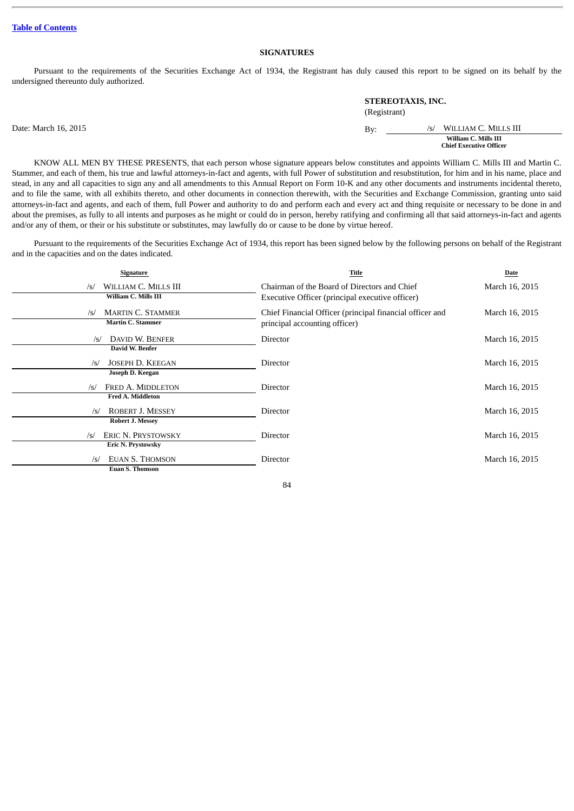## **SIGNATURES**

Pursuant to the requirements of the Securities Exchange Act of 1934, the Registrant has duly caused this report to be signed on its behalf by the undersigned thereunto duly authorized.

|                      | STEREOTAXIS, INC.<br>(Registrant)                      |  |
|----------------------|--------------------------------------------------------|--|
| Date: March 16, 2015 | WILLIAM C. MILLS III<br>/s/<br>By:                     |  |
|                      | William C. Mills III<br><b>Chief Executive Officer</b> |  |

KNOW ALL MEN BY THESE PRESENTS, that each person whose signature appears below constitutes and appoints William C. Mills III and Martin C. Stammer, and each of them, his true and lawful attorneys-in-fact and agents, with full Power of substitution and resubstitution, for him and in his name, place and stead, in any and all capacities to sign any and all amendments to this Annual Report on Form 10-K and any other documents and instruments incidental thereto, and to file the same, with all exhibits thereto, and other documents in connection therewith, with the Securities and Exchange Commission, granting unto said attorneys-in-fact and agents, and each of them, full Power and authority to do and perform each and every act and thing requisite or necessary to be done in and about the premises, as fully to all intents and purposes as he might or could do in person, hereby ratifying and confirming all that said attorneys-in-fact and agents and/or any of them, or their or his substitute or substitutes, may lawfully do or cause to be done by virtue hereof.

Pursuant to the requirements of the Securities Exchange Act of 1934, this report has been signed below by the following persons on behalf of the Registrant and in the capacities and on the dates indicated.

| Signature                            | Title                                                    | Date           |
|--------------------------------------|----------------------------------------------------------|----------------|
| WILLIAM C. MILLS III<br>/s/          | Chairman of the Board of Directors and Chief             | March 16, 2015 |
| William C. Mills III                 | Executive Officer (principal executive officer)          |                |
| <b>MARTIN C. STAMMER</b><br>/s/      | Chief Financial Officer (principal financial officer and | March 16, 2015 |
| <b>Martin C. Stammer</b>             | principal accounting officer)                            |                |
| DAVID W. BENFER<br>/s/               | Director                                                 | March 16, 2015 |
| David W. Benfer                      |                                                          |                |
| <b>JOSEPH D. KEEGAN</b><br>/s/       | Director                                                 | March 16, 2015 |
| Joseph D. Keegan                     |                                                          |                |
| <b>FRED A. MIDDLETON</b><br>/s/      | Director                                                 | March 16, 2015 |
| <b>Fred A. Middleton</b>             |                                                          |                |
| ROBERT J. MESSEY<br>/s/              | Director                                                 | March 16, 2015 |
| <b>Robert J. Messey</b>              |                                                          |                |
| <b>ERIC N. PRYSTOWSKY</b><br>/s/     | Director                                                 | March 16, 2015 |
| Eric N. Prystowsky                   |                                                          |                |
| <b>EUAN S. THOMSON</b><br>$\sqrt{s}$ | Director                                                 | March 16, 2015 |
| <b>Euan S. Thomson</b>               |                                                          |                |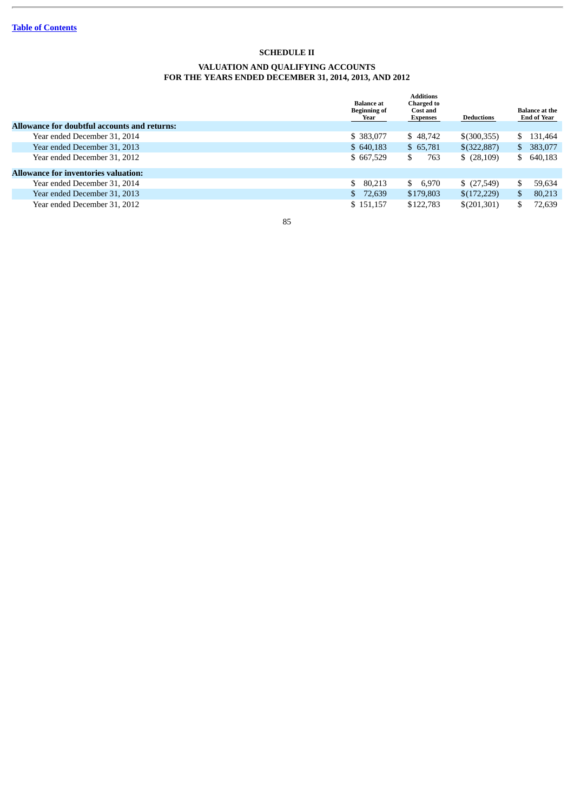# **SCHEDULE II**

#### **VALUATION AND QUALIFYING ACCOUNTS FOR THE YEARS ENDED DECEMBER 31, 2014, 2013, AND 2012**

|                                              | <b>Balance</b> at<br><b>Beginning of</b><br>Year | <b>Additions</b><br><b>Charged</b> to<br><b>Cost and</b><br>Expenses | <b>Deductions</b> | <b>Balance at the</b><br><b>End of Year</b> |
|----------------------------------------------|--------------------------------------------------|----------------------------------------------------------------------|-------------------|---------------------------------------------|
| Allowance for doubtful accounts and returns: |                                                  |                                                                      |                   |                                             |
| Year ended December 31, 2014                 | \$383,077                                        | \$48,742                                                             | \$(300,355)       | 131,464<br>\$                               |
| Year ended December 31, 2013                 | \$640,183                                        | \$65,781                                                             | $$$ (322,887)     | $\mathbb{S}$<br>383,077                     |
| Year ended December 31, 2012                 | \$667,529                                        | \$<br>763                                                            | (28, 109)         | \$<br>640,183                               |
| <b>Allowance for inventories valuation:</b>  |                                                  |                                                                      |                   |                                             |
| Year ended December 31, 2014                 |                                                  | \$6,970                                                              | (27,549)          | S<br>59,634                                 |
| Year ended December 31, 2013                 | \$72,639                                         | \$179,803                                                            | \$(172,229)       | $\mathbb{S}$<br>80,213                      |
| Year ended December 31, 2012                 | \$151,157                                        | \$122,783                                                            | \$(201,301)       | \$<br>72,639                                |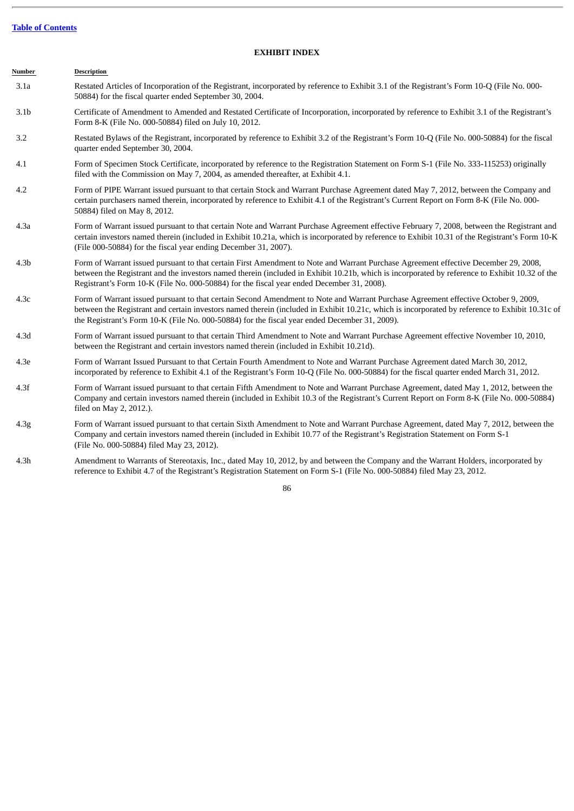**Number Description**

### **EXHIBIT INDEX**

| 3.1a | Restated Articles of Incorporation of the Registrant, incorporated by reference to Exhibit 3.1 of the Registrant's Form 10-Q (File No. 000- |
|------|---------------------------------------------------------------------------------------------------------------------------------------------|
|      | 50884) for the fiscal quarter ended September 30, 2004.                                                                                     |

- 3.1b Certificate of Amendment to Amended and Restated Certificate of Incorporation, incorporated by reference to Exhibit 3.1 of the Registrant's Form 8-K (File No. 000-50884) filed on July 10, 2012.
- 3.2 Restated Bylaws of the Registrant, incorporated by reference to Exhibit 3.2 of the Registrant's Form 10-Q (File No. 000-50884) for the fiscal quarter ended September 30, 2004.
- 4.1 Form of Specimen Stock Certificate, incorporated by reference to the Registration Statement on Form S-1 (File No. 333-115253) originally filed with the Commission on May 7, 2004, as amended thereafter, at Exhibit 4.1.
- 4.2 Form of PIPE Warrant issued pursuant to that certain Stock and Warrant Purchase Agreement dated May 7, 2012, between the Company and certain purchasers named therein, incorporated by reference to Exhibit 4.1 of the Registrant's Current Report on Form 8-K (File No. 000- 50884) filed on May 8, 2012.
- 4.3a Form of Warrant issued pursuant to that certain Note and Warrant Purchase Agreement effective February 7, 2008, between the Registrant and certain investors named therein (included in Exhibit 10.21a, which is incorporated by reference to Exhibit 10.31 of the Registrant's Form 10-K (File 000-50884) for the fiscal year ending December 31, 2007).
- 4.3b Form of Warrant issued pursuant to that certain First Amendment to Note and Warrant Purchase Agreement effective December 29, 2008, between the Registrant and the investors named therein (included in Exhibit 10.21b, which is incorporated by reference to Exhibit 10.32 of the Registrant's Form 10-K (File No. 000-50884) for the fiscal year ended December 31, 2008).
- 4.3c Form of Warrant issued pursuant to that certain Second Amendment to Note and Warrant Purchase Agreement effective October 9, 2009, between the Registrant and certain investors named therein (included in Exhibit 10.21c, which is incorporated by reference to Exhibit 10.31c of the Registrant's Form 10-K (File No. 000-50884) for the fiscal year ended December 31, 2009).
- 4.3d Form of Warrant issued pursuant to that certain Third Amendment to Note and Warrant Purchase Agreement effective November 10, 2010, between the Registrant and certain investors named therein (included in Exhibit 10.21d).
- 4.3e Form of Warrant Issued Pursuant to that Certain Fourth Amendment to Note and Warrant Purchase Agreement dated March 30, 2012, incorporated by reference to Exhibit 4.1 of the Registrant's Form 10-Q (File No. 000-50884) for the fiscal quarter ended March 31, 2012.
- 4.3f Form of Warrant issued pursuant to that certain Fifth Amendment to Note and Warrant Purchase Agreement, dated May 1, 2012, between the Company and certain investors named therein (included in Exhibit 10.3 of the Registrant's Current Report on Form 8-K (File No. 000-50884) filed on May 2, 2012.).
- 4.3g Form of Warrant issued pursuant to that certain Sixth Amendment to Note and Warrant Purchase Agreement, dated May 7, 2012, between the Company and certain investors named therein (included in Exhibit 10.77 of the Registrant's Registration Statement on Form S-1 (File No. 000-50884) filed May 23, 2012).
- 4.3h Amendment to Warrants of Stereotaxis, Inc., dated May 10, 2012, by and between the Company and the Warrant Holders, incorporated by reference to Exhibit 4.7 of the Registrant's Registration Statement on Form S-1 (File No. 000-50884) filed May 23, 2012.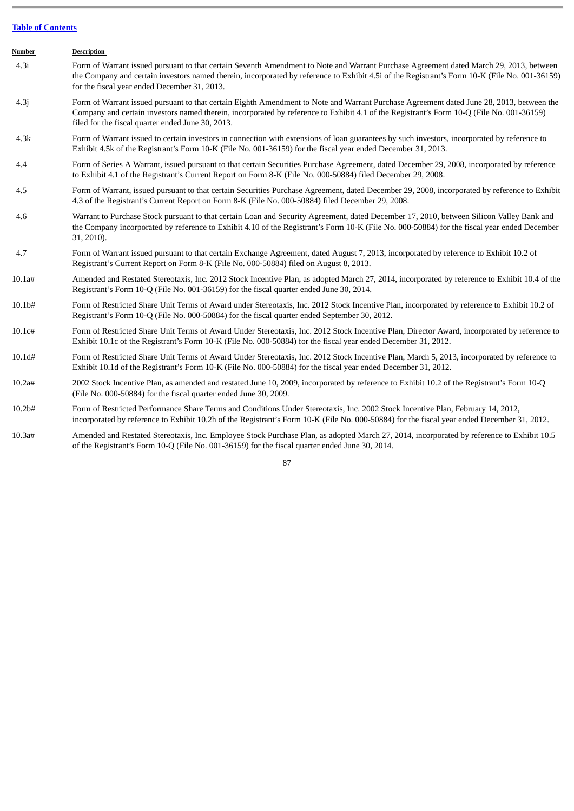| Number | <b>Description</b>                                                                                                                                                                                                                                                                                                                        |
|--------|-------------------------------------------------------------------------------------------------------------------------------------------------------------------------------------------------------------------------------------------------------------------------------------------------------------------------------------------|
| 4.3i   | Form of Warrant issued pursuant to that certain Seventh Amendment to Note and Warrant Purchase Agreement dated March 29, 2013, between<br>the Company and certain investors named therein, incorporated by reference to Exhibit 4.5i of the Registrant's Form 10-K (File No. 001-36159)<br>for the fiscal year ended December 31, 2013.   |
| 4.3j   | Form of Warrant issued pursuant to that certain Eighth Amendment to Note and Warrant Purchase Agreement dated June 28, 2013, between the<br>Company and certain investors named therein, incorporated by reference to Exhibit 4.1 of the Registrant's Form 10-Q (File No. 001-36159)<br>filed for the fiscal quarter ended June 30, 2013. |
| 4.3k   | Form of Warrant issued to certain investors in connection with extensions of loan guarantees by such investors, incorporated by reference to<br>Exhibit 4.5k of the Registrant's Form 10-K (File No. 001-36159) for the fiscal year ended December 31, 2013.                                                                              |
| 4.4    | Form of Series A Warrant, issued pursuant to that certain Securities Purchase Agreement, dated December 29, 2008, incorporated by reference<br>to Exhibit 4.1 of the Registrant's Current Report on Form 8-K (File No. 000-50884) filed December 29, 2008.                                                                                |
| 4.5    | Form of Warrant, issued pursuant to that certain Securities Purchase Agreement, dated December 29, 2008, incorporated by reference to Exhibit<br>4.3 of the Registrant's Current Report on Form 8-K (File No. 000-50884) filed December 29, 2008.                                                                                         |
| 4.6    | Warrant to Purchase Stock pursuant to that certain Loan and Security Agreement, dated December 17, 2010, between Silicon Valley Bank and<br>the Company incorporated by reference to Exhibit 4.10 of the Registrant's Form 10-K (File No. 000-50884) for the fiscal year ended December<br>31, 2010).                                     |
| 4.7    | Form of Warrant issued pursuant to that certain Exchange Agreement, dated August 7, 2013, incorporated by reference to Exhibit 10.2 of<br>Registrant's Current Report on Form 8-K (File No. 000-50884) filed on August 8, 2013.                                                                                                           |
| 10.1a# | Amended and Restated Stereotaxis, Inc. 2012 Stock Incentive Plan, as adopted March 27, 2014, incorporated by reference to Exhibit 10.4 of the<br>Registrant's Form 10-Q (File No. 001-36159) for the fiscal quarter ended June 30, 2014.                                                                                                  |
| 10.1b# | Form of Restricted Share Unit Terms of Award under Stereotaxis, Inc. 2012 Stock Incentive Plan, incorporated by reference to Exhibit 10.2 of<br>Registrant's Form 10-Q (File No. 000-50884) for the fiscal quarter ended September 30, 2012.                                                                                              |
| 10.1c# | Form of Restricted Share Unit Terms of Award Under Stereotaxis, Inc. 2012 Stock Incentive Plan, Director Award, incorporated by reference to<br>Exhibit 10.1c of the Registrant's Form 10-K (File No. 000-50884) for the fiscal year ended December 31, 2012.                                                                             |
| 10.1d# | Form of Restricted Share Unit Terms of Award Under Stereotaxis, Inc. 2012 Stock Incentive Plan, March 5, 2013, incorporated by reference to<br>Exhibit 10.1d of the Registrant's Form 10-K (File No. 000-50884) for the fiscal year ended December 31, 2012.                                                                              |
| 10.2a# | 2002 Stock Incentive Plan, as amended and restated June 10, 2009, incorporated by reference to Exhibit 10.2 of the Registrant's Form 10-Q<br>(File No. 000-50884) for the fiscal quarter ended June 30, 2009.                                                                                                                             |
|        |                                                                                                                                                                                                                                                                                                                                           |

- 10.2b# Form of Restricted Performance Share Terms and Conditions Under Stereotaxis, Inc. 2002 Stock Incentive Plan, February 14, 2012, incorporated by reference to Exhibit 10.2h of the Registrant's Form 10-K (File No. 000-50884) for the fiscal year ended December 31, 2012.
- 10.3a# Amended and Restated Stereotaxis, Inc. Employee Stock Purchase Plan, as adopted March 27, 2014, incorporated by reference to Exhibit 10.5 of the Registrant's Form 10-Q (File No. 001-36159) for the fiscal quarter ended June 30, 2014.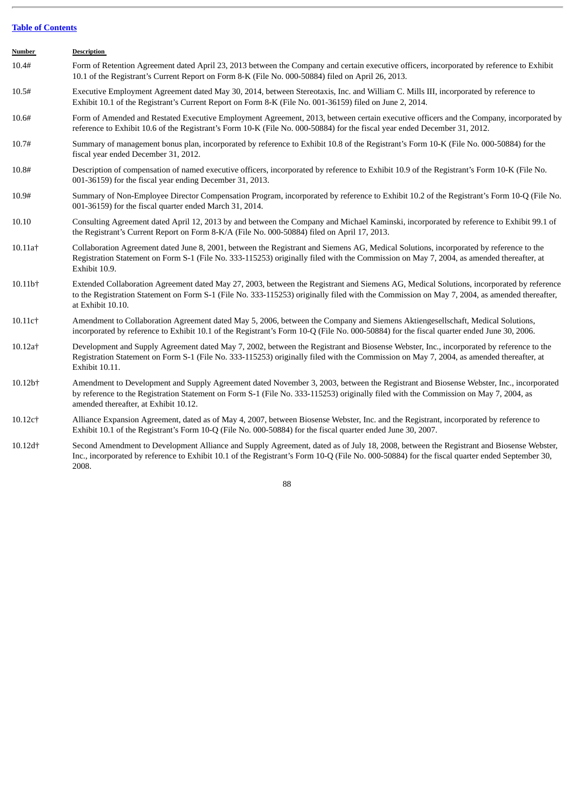| radie of Contents   |                                                                                                                                                                                                                                                                                                                        |
|---------------------|------------------------------------------------------------------------------------------------------------------------------------------------------------------------------------------------------------------------------------------------------------------------------------------------------------------------|
| Number              | <b>Description</b>                                                                                                                                                                                                                                                                                                     |
| 10.4#               | Form of Retention Agreement dated April 23, 2013 between the Company and certain executive officers, incorporated by reference to Exhibit<br>10.1 of the Registrant's Current Report on Form 8-K (File No. 000-50884) filed on April 26, 2013.                                                                         |
| 10.5#               | Executive Employment Agreement dated May 30, 2014, between Stereotaxis, Inc. and William C. Mills III, incorporated by reference to<br>Exhibit 10.1 of the Registrant's Current Report on Form 8-K (File No. 001-36159) filed on June 2, 2014.                                                                         |
| 10.6#               | Form of Amended and Restated Executive Employment Agreement, 2013, between certain executive officers and the Company, incorporated by<br>reference to Exhibit 10.6 of the Registrant's Form 10-K (File No. 000-50884) for the fiscal year ended December 31, 2012.                                                    |
| 10.7#               | Summary of management bonus plan, incorporated by reference to Exhibit 10.8 of the Registrant's Form 10-K (File No. 000-50884) for the<br>fiscal year ended December 31, 2012.                                                                                                                                         |
| 10.8#               | Description of compensation of named executive officers, incorporated by reference to Exhibit 10.9 of the Registrant's Form 10-K (File No.<br>001-36159) for the fiscal year ending December 31, 2013.                                                                                                                 |
| 10.9#               | Summary of Non-Employee Director Compensation Program, incorporated by reference to Exhibit 10.2 of the Registrant's Form 10-Q (File No.<br>001-36159) for the fiscal quarter ended March 31, 2014.                                                                                                                    |
| 10.10               | Consulting Agreement dated April 12, 2013 by and between the Company and Michael Kaminski, incorporated by reference to Exhibit 99.1 of<br>the Registrant's Current Report on Form 8-K/A (File No. 000-50884) filed on April 17, 2013.                                                                                 |
| 10.11a <sup>+</sup> | Collaboration Agreement dated June 8, 2001, between the Registrant and Siemens AG, Medical Solutions, incorporated by reference to the<br>Registration Statement on Form S-1 (File No. 333-115253) originally filed with the Commission on May 7, 2004, as amended thereafter, at<br>Exhibit 10.9.                     |
| 10.11b <sup>+</sup> | Extended Collaboration Agreement dated May 27, 2003, between the Registrant and Siemens AG, Medical Solutions, incorporated by reference<br>to the Registration Statement on Form S-1 (File No. 333-115253) originally filed with the Commission on May 7, 2004, as amended thereafter,<br>at Exhibit 10.10.           |
| 10.11ct             | Amendment to Collaboration Agreement dated May 5, 2006, between the Company and Siemens Aktiengesellschaft, Medical Solutions,<br>incorporated by reference to Exhibit 10.1 of the Registrant's Form 10-Q (File No. 000-50884) for the fiscal quarter ended June 30, 2006.                                             |
| $10.12a+$           | Development and Supply Agreement dated May 7, 2002, between the Registrant and Biosense Webster, Inc., incorporated by reference to the<br>Registration Statement on Form S-1 (File No. 333-115253) originally filed with the Commission on May 7, 2004, as amended thereafter, at<br>Exhibit 10.11.                   |
| 10.12b <sup>+</sup> | Amendment to Development and Supply Agreement dated November 3, 2003, between the Registrant and Biosense Webster, Inc., incorporated<br>by reference to the Registration Statement on Form S-1 (File No. 333-115253) originally filed with the Commission on May 7, 2004, as<br>amended thereafter, at Exhibit 10.12. |
| 10.12ct             | Alliance Expansion Agreement, dated as of May 4, 2007, between Biosense Webster, Inc. and the Registrant, incorporated by reference to<br>Exhibit 10.1 of the Registrant's Form 10-Q (File No. 000-50884) for the fiscal quarter ended June 30, 2007.                                                                  |

10.12d† Second Amendment to Development Alliance and Supply Agreement, dated as of July 18, 2008, between the Registrant and Biosense Webster, Inc., incorporated by reference to Exhibit 10.1 of the Registrant's Form 10-Q (File No. 000-50884) for the fiscal quarter ended September 30, 2008.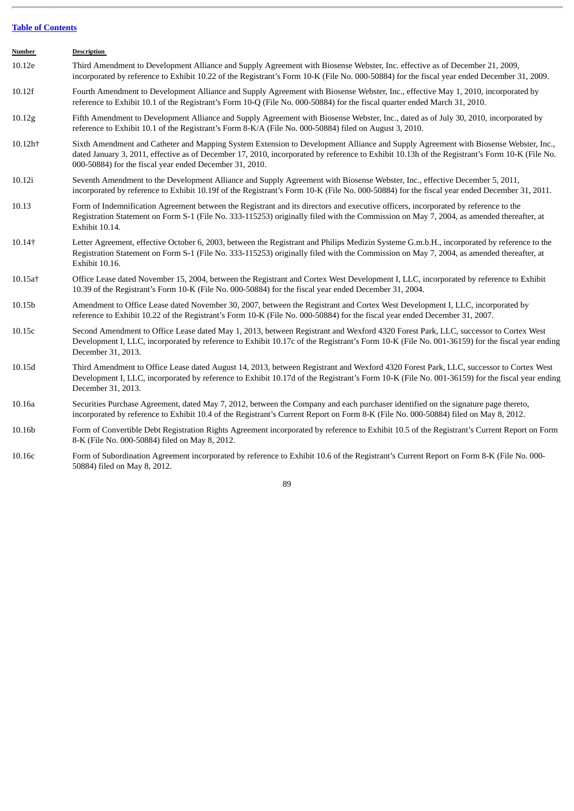| Number<br>the control of the control of the con- | <b>Description</b>                                                                                                                         |
|--------------------------------------------------|--------------------------------------------------------------------------------------------------------------------------------------------|
| 10.12e                                           | Third Amendment to Development Alliance and Supply Agreement with Biosense Webster, Inc. effective as of December 21, 2009,                |
|                                                  | incorporated by reference to Exhibit 10.22 of the Registrant's Form 10-K (File No. 000-50884) for the fiscal year ended December 31, 2009. |

- 10.12f Fourth Amendment to Development Alliance and Supply Agreement with Biosense Webster, Inc., effective May 1, 2010, incorporated by reference to Exhibit 10.1 of the Registrant's Form 10-Q (File No. 000-50884) for the fiscal quarter ended March 31, 2010.
- 10.12g Fifth Amendment to Development Alliance and Supply Agreement with Biosense Webster, Inc., dated as of July 30, 2010, incorporated by reference to Exhibit 10.1 of the Registrant's Form 8-K/A (File No. 000-50884) filed on August 3, 2010.
- 10.12h† Sixth Amendment and Catheter and Mapping System Extension to Development Alliance and Supply Agreement with Biosense Webster, Inc., dated January 3, 2011, effective as of December 17, 2010, incorporated by reference to Exhibit 10.13h of the Registrant's Form 10-K (File No. 000-50884) for the fiscal year ended December 31, 2010.
- 10.12i Seventh Amendment to the Development Alliance and Supply Agreement with Biosense Webster, Inc., effective December 5, 2011, incorporated by reference to Exhibit 10.19f of the Registrant's Form 10-K (File No. 000-50884) for the fiscal year ended December 31, 2011.
- 10.13 Form of Indemnification Agreement between the Registrant and its directors and executive officers, incorporated by reference to the Registration Statement on Form S-1 (File No. 333-115253) originally filed with the Commission on May 7, 2004, as amended thereafter, at Exhibit 10.14.
- 10.14† Letter Agreement, effective October 6, 2003, between the Registrant and Philips Medizin Systeme G.m.b.H., incorporated by reference to the Registration Statement on Form S-1 (File No. 333-115253) originally filed with the Commission on May 7, 2004, as amended thereafter, at Exhibit 10.16.
- 10.15a† Office Lease dated November 15, 2004, between the Registrant and Cortex West Development I, LLC, incorporated by reference to Exhibit 10.39 of the Registrant's Form 10-K (File No. 000-50884) for the fiscal year ended December 31, 2004.
- 10.15b Amendment to Office Lease dated November 30, 2007, between the Registrant and Cortex West Development I, LLC, incorporated by reference to Exhibit 10.22 of the Registrant's Form 10-K (File No. 000-50884) for the fiscal year ended December 31, 2007.
- 10.15c Second Amendment to Office Lease dated May 1, 2013, between Registrant and Wexford 4320 Forest Park, LLC, successor to Cortex West Development I, LLC, incorporated by reference to Exhibit 10.17c of the Registrant's Form 10-K (File No. 001-36159) for the fiscal year ending December 31, 2013.
- 10.15d Third Amendment to Office Lease dated August 14, 2013, between Registrant and Wexford 4320 Forest Park, LLC, successor to Cortex West Development I, LLC, incorporated by reference to Exhibit 10.17d of the Registrant's Form 10-K (File No. 001-36159) for the fiscal year ending December 31, 2013.
- 10.16a Securities Purchase Agreement, dated May 7, 2012, between the Company and each purchaser identified on the signature page thereto, incorporated by reference to Exhibit 10.4 of the Registrant's Current Report on Form 8-K (File No. 000-50884) filed on May 8, 2012.
- 10.16b Form of Convertible Debt Registration Rights Agreement incorporated by reference to Exhibit 10.5 of the Registrant's Current Report on Form 8-K (File No. 000-50884) filed on May 8, 2012.
- 10.16c Form of Subordination Agreement incorporated by reference to Exhibit 10.6 of the Registrant's Current Report on Form 8-K (File No. 000- 50884) filed on May 8, 2012.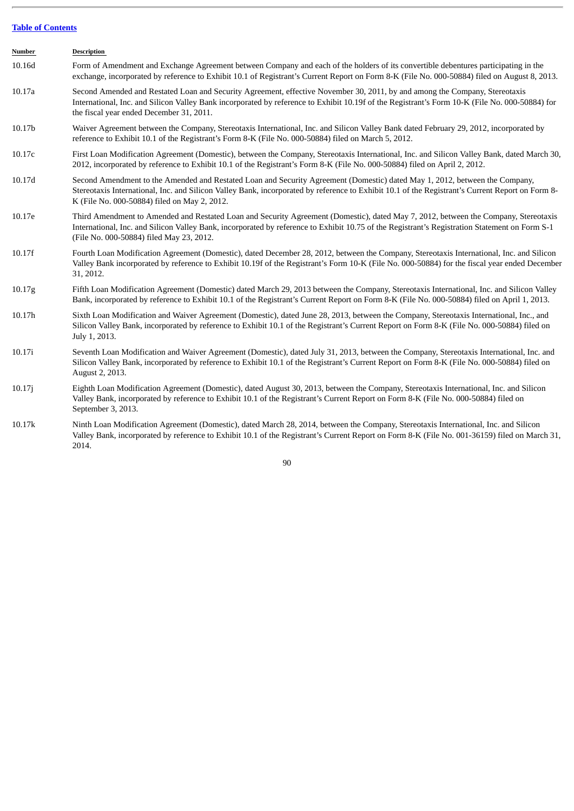**Number Description**

| .      | pescription                                                                                                                                  |
|--------|----------------------------------------------------------------------------------------------------------------------------------------------|
| 10.16d | Form of Amendment and Exchange Agreement between Company and each of the holders of its convertible debentures participating in the          |
|        | exchange, incorporated by reference to Exhibit 10.1 of Registrant's Current Report on Form 8-K (File No. 000-50884) filed on August 8, 2013. |

- 10.17a Second Amended and Restated Loan and Security Agreement, effective November 30, 2011, by and among the Company, Stereotaxis International, Inc. and Silicon Valley Bank incorporated by reference to Exhibit 10.19f of the Registrant's Form 10-K (File No. 000-50884) for the fiscal year ended December 31, 2011.
- 10.17b Waiver Agreement between the Company, Stereotaxis International, Inc. and Silicon Valley Bank dated February 29, 2012, incorporated by reference to Exhibit 10.1 of the Registrant's Form 8-K (File No. 000-50884) filed on March 5, 2012.
- 10.17c First Loan Modification Agreement (Domestic), between the Company, Stereotaxis International, Inc. and Silicon Valley Bank, dated March 30, 2012, incorporated by reference to Exhibit 10.1 of the Registrant's Form 8-K (File No. 000-50884) filed on April 2, 2012.
- 10.17d Second Amendment to the Amended and Restated Loan and Security Agreement (Domestic) dated May 1, 2012, between the Company, Stereotaxis International, Inc. and Silicon Valley Bank, incorporated by reference to Exhibit 10.1 of the Registrant's Current Report on Form 8- K (File No. 000-50884) filed on May 2, 2012.
- 10.17e Third Amendment to Amended and Restated Loan and Security Agreement (Domestic), dated May 7, 2012, between the Company, Stereotaxis International, Inc. and Silicon Valley Bank, incorporated by reference to Exhibit 10.75 of the Registrant's Registration Statement on Form S-1 (File No. 000-50884) filed May 23, 2012.
- 10.17f Fourth Loan Modification Agreement (Domestic), dated December 28, 2012, between the Company, Stereotaxis International, Inc. and Silicon Valley Bank incorporated by reference to Exhibit 10.19f of the Registrant's Form 10-K (File No. 000-50884) for the fiscal year ended December 31, 2012.
- 10.17g Fifth Loan Modification Agreement (Domestic) dated March 29, 2013 between the Company, Stereotaxis International, Inc. and Silicon Valley Bank, incorporated by reference to Exhibit 10.1 of the Registrant's Current Report on Form 8-K (File No. 000-50884) filed on April 1, 2013.
- 10.17h Sixth Loan Modification and Waiver Agreement (Domestic), dated June 28, 2013, between the Company, Stereotaxis International, Inc., and Silicon Valley Bank, incorporated by reference to Exhibit 10.1 of the Registrant's Current Report on Form 8-K (File No. 000-50884) filed on July 1, 2013.
- 10.17i Seventh Loan Modification and Waiver Agreement (Domestic), dated July 31, 2013, between the Company, Stereotaxis International, Inc. and Silicon Valley Bank, incorporated by reference to Exhibit 10.1 of the Registrant's Current Report on Form 8-K (File No. 000-50884) filed on August 2, 2013.
- 10.17j Eighth Loan Modification Agreement (Domestic), dated August 30, 2013, between the Company, Stereotaxis International, Inc. and Silicon Valley Bank, incorporated by reference to Exhibit 10.1 of the Registrant's Current Report on Form 8-K (File No. 000-50884) filed on September 3, 2013.
- 10.17k Ninth Loan Modification Agreement (Domestic), dated March 28, 2014, between the Company, Stereotaxis International, Inc. and Silicon Valley Bank, incorporated by reference to Exhibit 10.1 of the Registrant's Current Report on Form 8-K (File No. 001-36159) filed on March 31, 2014.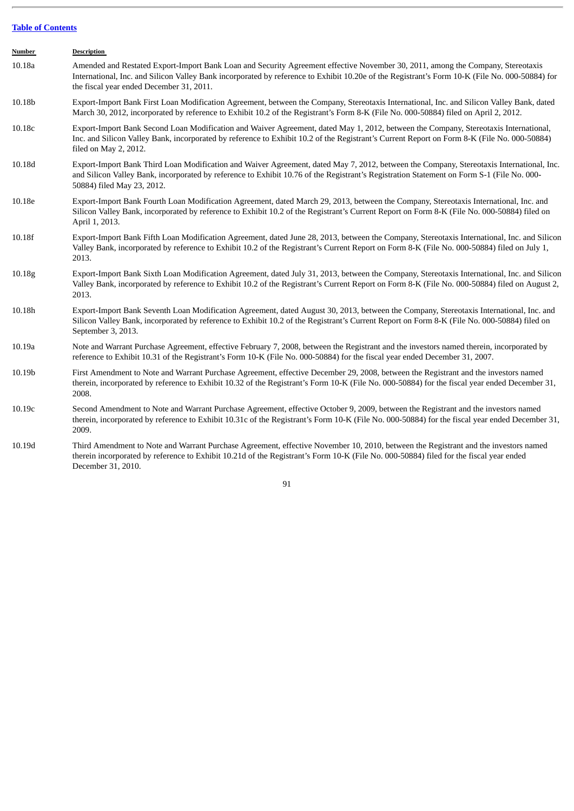j.

| Number | <b>Description</b>                                                                                                                                                                                                                                                                                                            |
|--------|-------------------------------------------------------------------------------------------------------------------------------------------------------------------------------------------------------------------------------------------------------------------------------------------------------------------------------|
| 10.18a | Amended and Restated Export-Import Bank Loan and Security Agreement effective November 30, 2011, among the Company, Stereotaxis<br>International, Inc. and Silicon Valley Bank incorporated by reference to Exhibit 10.20e of the Registrant's Form 10-K (File No. 000-50884) for<br>the fiscal year ended December 31, 2011. |
| 10.18b | Export-Import Bank First Loan Modification Agreement, between the Company, Stereotaxis International, Inc. and Silicon Valley Bank, dated<br>March 30, 2012, incorporated by reference to Exhibit 10.2 of the Registrant's Form 8-K (File No. 000-50884) filed on April 2, 2012.                                              |
| 10.18c | Export-Import Bank Second Loan Modification and Waiver Agreement, dated May 1, 2012, between the Company, Stereotaxis International,<br>Inc. and Silicon Valley Bank, incorporated by reference to Exhibit 10.2 of the Registrant's Current Report on Form 8-K (File No. 000-50884)<br>filed on May 2, 2012.                  |
| 10.18d | Export-Import Bank Third Loan Modification and Waiver Agreement, dated May 7, 2012, between the Company, Stereotaxis International, Inc.<br>and Silicon Valley Bank, incorporated by reference to Exhibit 10.76 of the Registrant's Registration Statement on Form S-1 (File No. 000-<br>50884) filed May 23, 2012.           |
| 10.18e | Export-Import Bank Fourth Loan Modification Agreement, dated March 29, 2013, between the Company, Stereotaxis International, Inc. and<br>Silicon Valley Bank, incorporated by reference to Exhibit 10.2 of the Registrant's Current Report on Form 8-K (File No. 000-50884) filed on<br>April 1, 2013.                        |
| 10.18f | Export-Import Bank Fifth Loan Modification Agreement, dated June 28, 2013, between the Company, Stereotaxis International, Inc. and Silicon<br>Valley Bank, incorporated by reference to Exhibit 10.2 of the Registrant's Current Report on Form 8-K (File No. 000-50884) filed on July 1,<br>2013.                           |
| 10.18g | Export-Import Bank Sixth Loan Modification Agreement, dated July 31, 2013, between the Company, Stereotaxis International, Inc. and Silicon<br>Valley Bank, incorporated by reference to Exhibit 10.2 of the Registrant's Current Report on Form 8-K (File No. 000-50884) filed on August 2,<br>2013.                         |
| 10.18h | Export-Import Bank Seventh Loan Modification Agreement, dated August 30, 2013, between the Company, Stereotaxis International, Inc. and<br>Silicon Valley Bank, incorporated by reference to Exhibit 10.2 of the Registrant's Current Report on Form 8-K (File No. 000-50884) filed on<br>September 3, 2013.                  |
| 10.19a | Note and Warrant Purchase Agreement, effective February 7, 2008, between the Registrant and the investors named therein, incorporated by<br>reference to Exhibit 10.31 of the Registrant's Form 10-K (File No. 000-50884) for the fiscal year ended December 31, 2007.                                                        |
| 10.19b | First Amendment to Note and Warrant Purchase Agreement, effective December 29, 2008, between the Registrant and the investors named<br>therein, incorporated by reference to Exhibit 10.32 of the Registrant's Form 10-K (File No. 000-50884) for the fiscal year ended December 31,<br>2008.                                 |
| 10.19c | Second Amendment to Note and Warrant Purchase Agreement, effective October 9, 2009, between the Registrant and the investors named<br>therein, incorporated by reference to Exhibit 10.31c of the Registrant's Form 10-K (File No. 000-50884) for the fiscal year ended December 31,<br>2009.                                 |
| 10.19d | Third Amendment to Note and Warrant Purchase Agreement, effective November 10, 2010, between the Registrant and the investors named<br>therein incorporated by reference to Exhibit 10.21d of the Registrant's Form 10-K (File No. 000-50884) filed for the fiscal year ended<br>December 31, 2010.                           |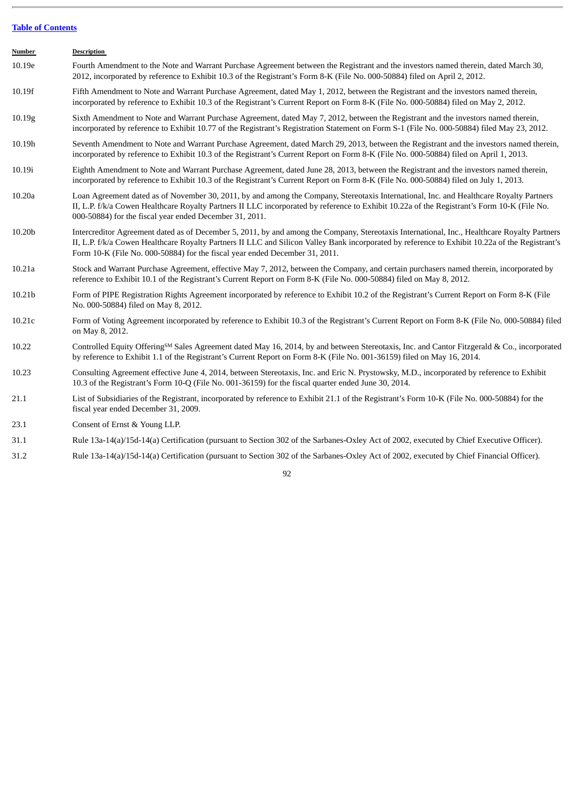**Number Description**

| 10.19e | Fourth Amendment to the Note and Warrant Purchase Agreement between the Registrant and the investors named therein, dated March 30, |
|--------|-------------------------------------------------------------------------------------------------------------------------------------|
|        | 2012, incorporated by reference to Exhibit 10.3 of the Registrant's Form 8-K (File No. 000-50884) filed on April 2, 2012.           |

- 10.19f Fifth Amendment to Note and Warrant Purchase Agreement, dated May 1, 2012, between the Registrant and the investors named therein, incorporated by reference to Exhibit 10.3 of the Registrant's Current Report on Form 8-K (File No. 000-50884) filed on May 2, 2012.
- 10.19g Sixth Amendment to Note and Warrant Purchase Agreement, dated May 7, 2012, between the Registrant and the investors named therein, incorporated by reference to Exhibit 10.77 of the Registrant's Registration Statement on Form S-1 (File No. 000-50884) filed May 23, 2012.
- 10.19h Seventh Amendment to Note and Warrant Purchase Agreement, dated March 29, 2013, between the Registrant and the investors named therein, incorporated by reference to Exhibit 10.3 of the Registrant's Current Report on Form 8-K (File No. 000-50884) filed on April 1, 2013.
- 10.19i Eighth Amendment to Note and Warrant Purchase Agreement, dated June 28, 2013, between the Registrant and the investors named therein, incorporated by reference to Exhibit 10.3 of the Registrant's Current Report on Form 8-K (File No. 000-50884) filed on July 1, 2013.
- 10.20a Loan Agreement dated as of November 30, 2011, by and among the Company, Stereotaxis International, Inc. and Healthcare Royalty Partners II, L.P. f/k/a Cowen Healthcare Royalty Partners II LLC incorporated by reference to Exhibit 10.22a of the Registrant's Form 10-K (File No. 000-50884) for the fiscal year ended December 31, 2011.
- 10.20b Intercreditor Agreement dated as of December 5, 2011, by and among the Company, Stereotaxis International, Inc., Healthcare Royalty Partners II, L.P. f/k/a Cowen Healthcare Royalty Partners II LLC and Silicon Valley Bank incorporated by reference to Exhibit 10.22a of the Registrant's Form 10-K (File No. 000-50884) for the fiscal year ended December 31, 2011.
- 10.21a Stock and Warrant Purchase Agreement, effective May 7, 2012, between the Company, and certain purchasers named therein, incorporated by reference to Exhibit 10.1 of the Registrant's Current Report on Form 8-K (File No. 000-50884) filed on May 8, 2012.
- 10.21b Form of PIPE Registration Rights Agreement incorporated by reference to Exhibit 10.2 of the Registrant's Current Report on Form 8-K (File No. 000-50884) filed on May 8, 2012.
- 10.21c Form of Voting Agreement incorporated by reference to Exhibit 10.3 of the Registrant's Current Report on Form 8-K (File No. 000-50884) filed on May 8, 2012.
- 10.22 Controlled Equity Offering<sup>SM</sup> Sales Agreement dated May 16, 2014, by and between Stereotaxis, Inc. and Cantor Fitzgerald & Co., incorporated by reference to Exhibit 1.1 of the Registrant's Current Report on Form 8-K (File No. 001-36159) filed on May 16, 2014.
- 10.23 Consulting Agreement effective June 4, 2014, between Stereotaxis, Inc. and Eric N. Prystowsky, M.D., incorporated by reference to Exhibit 10.3 of the Registrant's Form 10-Q (File No. 001-36159) for the fiscal quarter ended June 30, 2014.
- 21.1 List of Subsidiaries of the Registrant, incorporated by reference to Exhibit 21.1 of the Registrant's Form 10-K (File No. 000-50884) for the fiscal year ended December 31, 2009.
- 23.1 Consent of Ernst & Young LLP.
- 31.1 Rule 13a-14(a)/15d-14(a) Certification (pursuant to Section 302 of the Sarbanes-Oxley Act of 2002, executed by Chief Executive Officer).
- 31.2 Rule 13a-14(a)/15d-14(a) Certification (pursuant to Section 302 of the Sarbanes-Oxley Act of 2002, executed by Chief Financial Officer).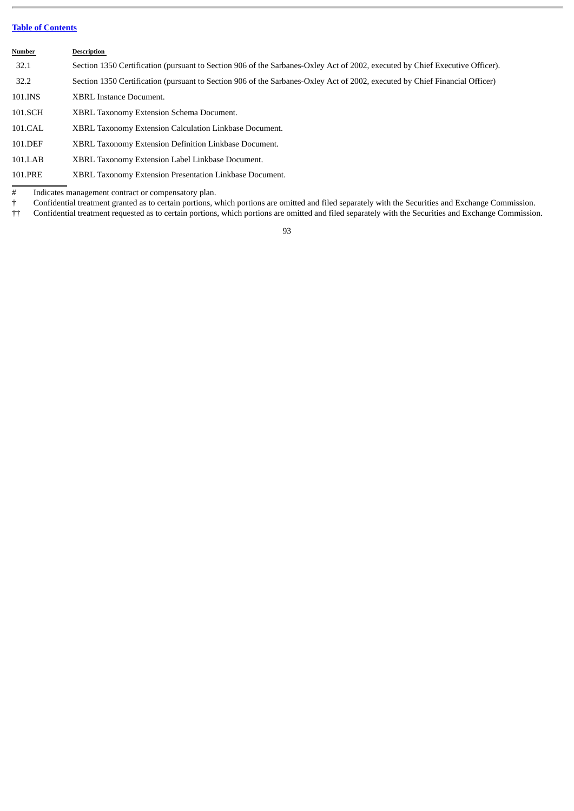| Number  | <b>Description</b>                                                                                                           |
|---------|------------------------------------------------------------------------------------------------------------------------------|
| 32.1    | Section 1350 Certification (pursuant to Section 906 of the Sarbanes-Oxley Act of 2002, executed by Chief Executive Officer). |
| 32.2    | Section 1350 Certification (pursuant to Section 906 of the Sarbanes-Oxley Act of 2002, executed by Chief Financial Officer)  |
| 101.INS | <b>XBRL Instance Document.</b>                                                                                               |
| 101.SCH | XBRL Taxonomy Extension Schema Document.                                                                                     |
| 101.CAL | XBRL Taxonomy Extension Calculation Linkbase Document.                                                                       |
| 101.DEF | XBRL Taxonomy Extension Definition Linkbase Document.                                                                        |
| 101.LAB | XBRL Taxonomy Extension Label Linkbase Document.                                                                             |
| 101.PRE | XBRL Taxonomy Extension Presentation Linkbase Document.                                                                      |
|         |                                                                                                                              |

# Indicates management contract or compensatory plan.

† Confidential treatment granted as to certain portions, which portions are omitted and filed separately with the Securities and Exchange Commission.

†† Confidential treatment requested as to certain portions, which portions are omitted and filed separately with the Securities and Exchange Commission.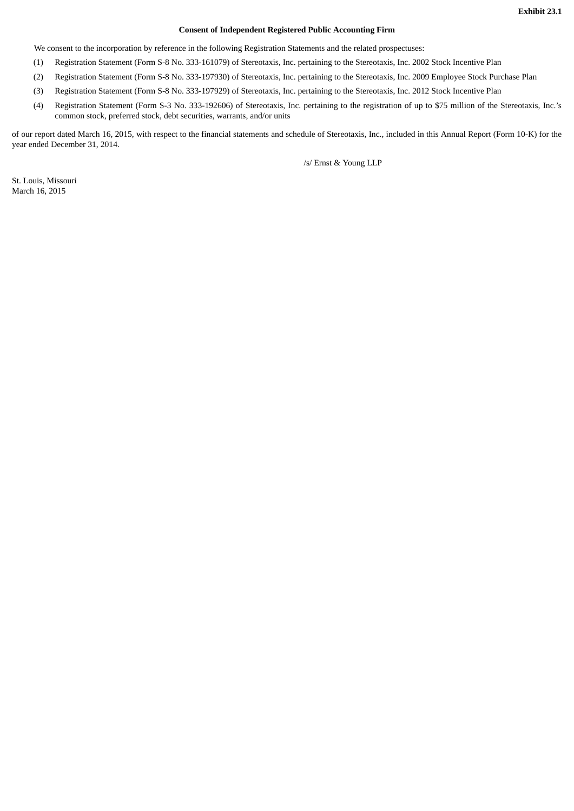### **Consent of Independent Registered Public Accounting Firm**

We consent to the incorporation by reference in the following Registration Statements and the related prospectuses:

- (1) Registration Statement (Form S-8 No. 333-161079) of Stereotaxis, Inc. pertaining to the Stereotaxis, Inc. 2002 Stock Incentive Plan
- (2) Registration Statement (Form S-8 No. 333-197930) of Stereotaxis, Inc. pertaining to the Stereotaxis, Inc. 2009 Employee Stock Purchase Plan
- (3) Registration Statement (Form S-8 No. 333-197929) of Stereotaxis, Inc. pertaining to the Stereotaxis, Inc. 2012 Stock Incentive Plan
- (4) Registration Statement (Form S-3 No. 333-192606) of Stereotaxis, Inc. pertaining to the registration of up to \$75 million of the Stereotaxis, Inc.'s common stock, preferred stock, debt securities, warrants, and/or units

of our report dated March 16, 2015, with respect to the financial statements and schedule of Stereotaxis, Inc., included in this Annual Report (Form 10-K) for the year ended December 31, 2014.

/s/ Ernst & Young LLP

St. Louis, Missouri March 16, 2015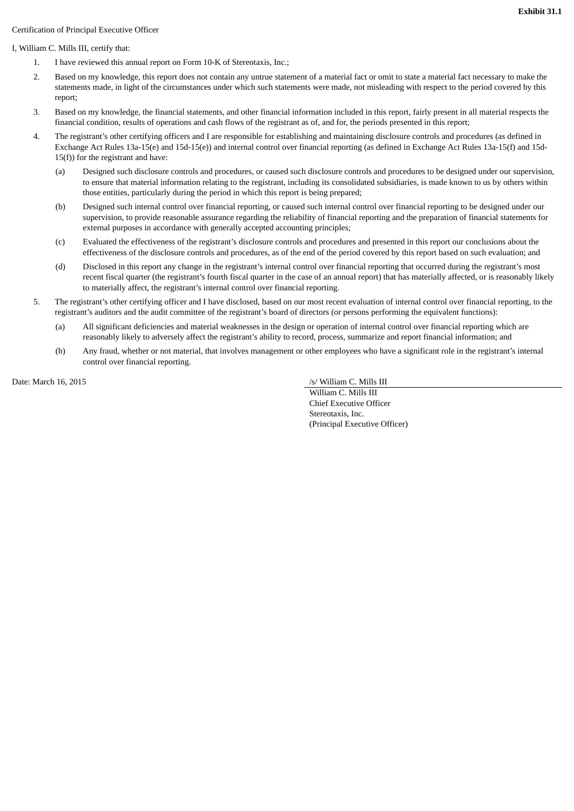# Certification of Principal Executive Officer

### I, William C. Mills III, certify that:

- 1. I have reviewed this annual report on Form 10-K of Stereotaxis, Inc.;
- 2. Based on my knowledge, this report does not contain any untrue statement of a material fact or omit to state a material fact necessary to make the statements made, in light of the circumstances under which such statements were made, not misleading with respect to the period covered by this report;
- 3. Based on my knowledge, the financial statements, and other financial information included in this report, fairly present in all material respects the financial condition, results of operations and cash flows of the registrant as of, and for, the periods presented in this report;
- 4. The registrant's other certifying officers and I are responsible for establishing and maintaining disclosure controls and procedures (as defined in Exchange Act Rules 13a-15(e) and 15d-15(e)) and internal control over financial reporting (as defined in Exchange Act Rules 13a-15(f) and 15d-15(f)) for the registrant and have:
	- (a) Designed such disclosure controls and procedures, or caused such disclosure controls and procedures to be designed under our supervision, to ensure that material information relating to the registrant, including its consolidated subsidiaries, is made known to us by others within those entities, particularly during the period in which this report is being prepared;
	- (b) Designed such internal control over financial reporting, or caused such internal control over financial reporting to be designed under our supervision, to provide reasonable assurance regarding the reliability of financial reporting and the preparation of financial statements for external purposes in accordance with generally accepted accounting principles;
	- (c) Evaluated the effectiveness of the registrant's disclosure controls and procedures and presented in this report our conclusions about the effectiveness of the disclosure controls and procedures, as of the end of the period covered by this report based on such evaluation; and
	- (d) Disclosed in this report any change in the registrant's internal control over financial reporting that occurred during the registrant's most recent fiscal quarter (the registrant's fourth fiscal quarter in the case of an annual report) that has materially affected, or is reasonably likely to materially affect, the registrant's internal control over financial reporting.
- 5. The registrant's other certifying officer and I have disclosed, based on our most recent evaluation of internal control over financial reporting, to the registrant's auditors and the audit committee of the registrant's board of directors (or persons performing the equivalent functions):
	- (a) All significant deficiencies and material weaknesses in the design or operation of internal control over financial reporting which are reasonably likely to adversely affect the registrant's ability to record, process, summarize and report financial information; and
	- (b) Any fraud, whether or not material, that involves management or other employees who have a significant role in the registrant's internal control over financial reporting.

Date: March 16, 2015 /s/ William C. Mills III

William C. Mills III Chief Executive Officer Stereotaxis, Inc. (Principal Executive Officer)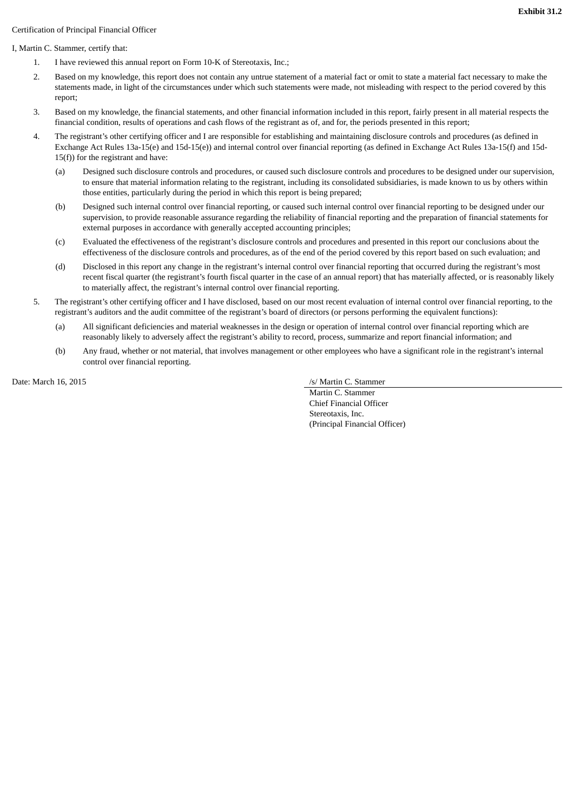# Certification of Principal Financial Officer

### I, Martin C. Stammer, certify that:

- 1. I have reviewed this annual report on Form 10-K of Stereotaxis, Inc.;
- 2. Based on my knowledge, this report does not contain any untrue statement of a material fact or omit to state a material fact necessary to make the statements made, in light of the circumstances under which such statements were made, not misleading with respect to the period covered by this report;
- 3. Based on my knowledge, the financial statements, and other financial information included in this report, fairly present in all material respects the financial condition, results of operations and cash flows of the registrant as of, and for, the periods presented in this report;
- 4. The registrant's other certifying officer and I are responsible for establishing and maintaining disclosure controls and procedures (as defined in Exchange Act Rules 13a-15(e) and 15d-15(e)) and internal control over financial reporting (as defined in Exchange Act Rules 13a-15(f) and 15d-15(f)) for the registrant and have:
	- (a) Designed such disclosure controls and procedures, or caused such disclosure controls and procedures to be designed under our supervision, to ensure that material information relating to the registrant, including its consolidated subsidiaries, is made known to us by others within those entities, particularly during the period in which this report is being prepared;
	- (b) Designed such internal control over financial reporting, or caused such internal control over financial reporting to be designed under our supervision, to provide reasonable assurance regarding the reliability of financial reporting and the preparation of financial statements for external purposes in accordance with generally accepted accounting principles;
	- (c) Evaluated the effectiveness of the registrant's disclosure controls and procedures and presented in this report our conclusions about the effectiveness of the disclosure controls and procedures, as of the end of the period covered by this report based on such evaluation; and
	- (d) Disclosed in this report any change in the registrant's internal control over financial reporting that occurred during the registrant's most recent fiscal quarter (the registrant's fourth fiscal quarter in the case of an annual report) that has materially affected, or is reasonably likely to materially affect, the registrant's internal control over financial reporting.
- 5. The registrant's other certifying officer and I have disclosed, based on our most recent evaluation of internal control over financial reporting, to the registrant's auditors and the audit committee of the registrant's board of directors (or persons performing the equivalent functions):
	- (a) All significant deficiencies and material weaknesses in the design or operation of internal control over financial reporting which are reasonably likely to adversely affect the registrant's ability to record, process, summarize and report financial information; and
	- (b) Any fraud, whether or not material, that involves management or other employees who have a significant role in the registrant's internal control over financial reporting.

Date: March 16, 2015 /s/ Martin C. Stammer

Martin C. Stammer Chief Financial Officer Stereotaxis, Inc. (Principal Financial Officer)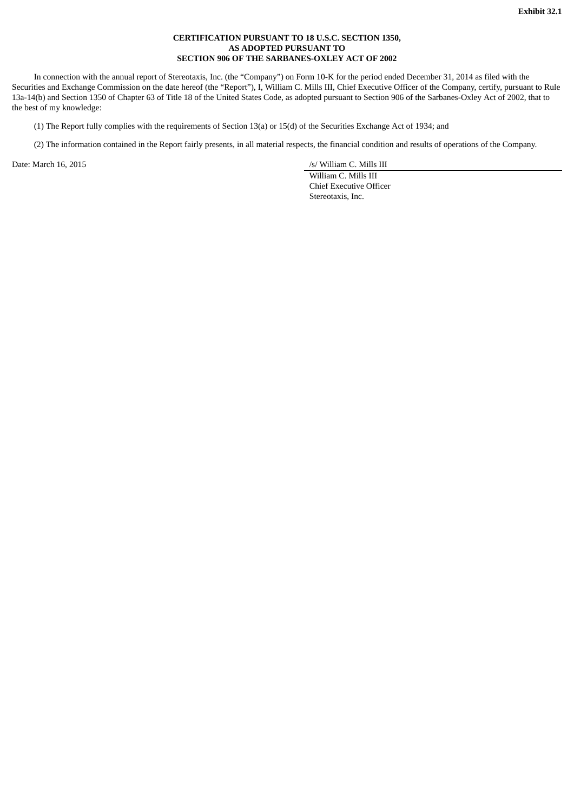## **CERTIFICATION PURSUANT TO 18 U.S.C. SECTION 1350, AS ADOPTED PURSUANT TO SECTION 906 OF THE SARBANES-OXLEY ACT OF 2002**

In connection with the annual report of Stereotaxis, Inc. (the "Company") on Form 10-K for the period ended December 31, 2014 as filed with the Securities and Exchange Commission on the date hereof (the "Report"), I, William C. Mills III, Chief Executive Officer of the Company, certify, pursuant to Rule 13a-14(b) and Section 1350 of Chapter 63 of Title 18 of the United States Code, as adopted pursuant to Section 906 of the Sarbanes-Oxley Act of 2002, that to the best of my knowledge:

(1) The Report fully complies with the requirements of Section 13(a) or 15(d) of the Securities Exchange Act of 1934; and

(2) The information contained in the Report fairly presents, in all material respects, the financial condition and results of operations of the Company.

Date: March 16, 2015 /s/ William C. Mills III

William C. Mills III

Chief Executive Officer Stereotaxis, Inc.